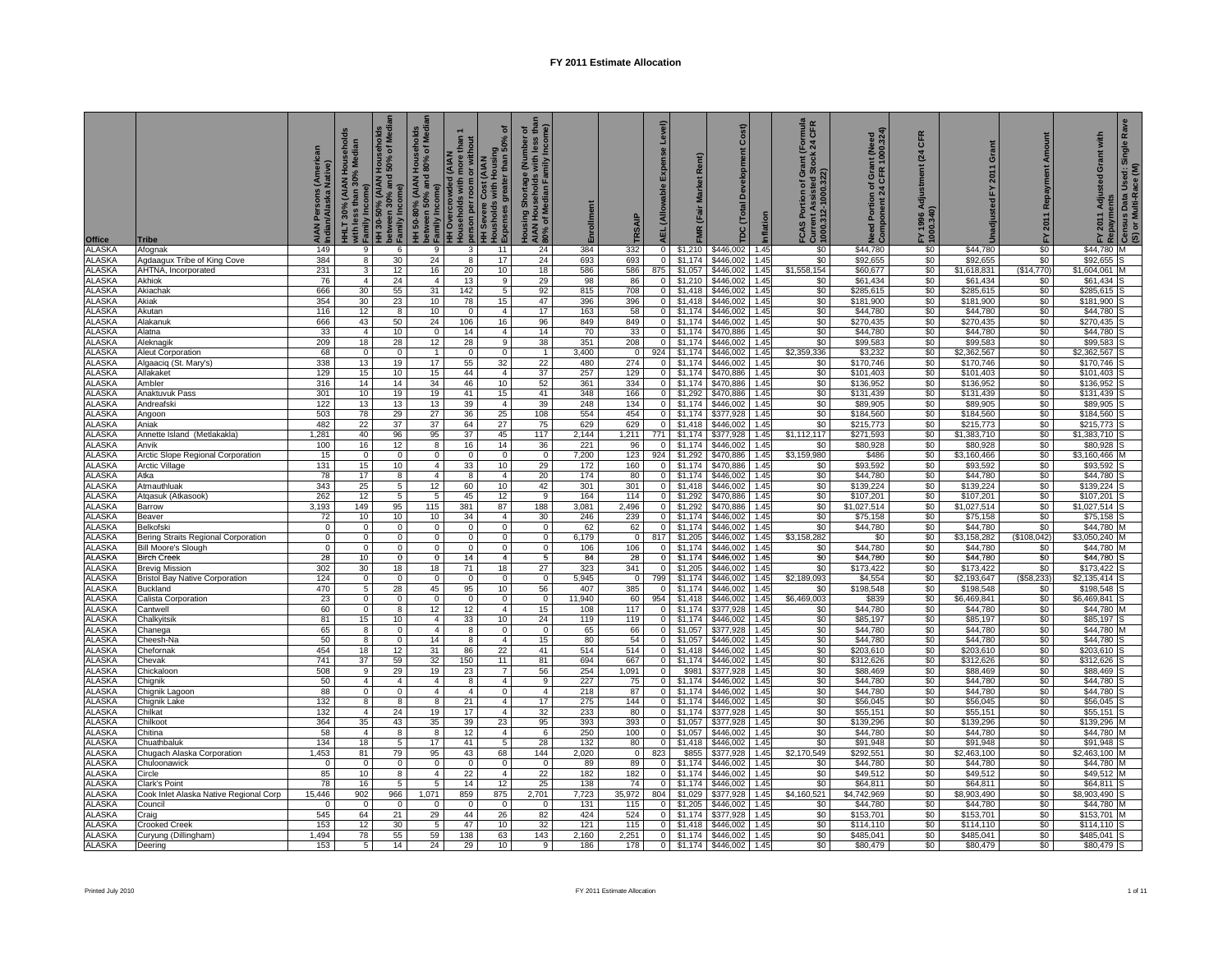| Office                         | Tribe                                                          | erican<br>AIAN Persons<br>Indian/Alaska l | HHLT 30% (AIAN Households<br>with less than 30% Median<br>Family Income) | HH 30-50% (AIAN Households<br>between 30% and 50% of Media<br>Family Income) | HH 50-80% (AAN Househods<br>between 50% and 80% of Media<br>p Family Income)<br>HH Overcrowded (AIAN<br>Households with more than 1 |                     | ō<br>-   person per room or without<br>  HH Severe Cost (AIAN<br>  Housholds with Housing<br>  Expenses greater than 50% o | Housing Shortage (Number of<br>AIAN Households with less tha<br>80% of Median Family Income) | Enrollment   |                       | Level)<br>Expense<br><b>AEL</b> (Allowable | Rent)<br>FMR (Fair Market | Cost)<br>Development<br>DC (Total |              | (Formula<br>: 24 CFR<br>r CAS Portion of Gra<br>Current Assisted Sto<br>1000.312-1000.322) | Need Portion of Grant (Need<br>Component 24 CFR 1000.324) | CFR<br>(24)<br>Adjustment<br>FY 1996 A<br>1000.340) | Grant<br>2011<br>집       | Amount<br>Repayment<br>2011<br>집 | Ra<br>with<br>ໍ້ FY 2011 Adjusted Grant with<br><sup>B</sup> Repayments<br>F Census Data Used: Single R<br>(S) or Multi-Race (M) |  |
|--------------------------------|----------------------------------------------------------------|-------------------------------------------|--------------------------------------------------------------------------|------------------------------------------------------------------------------|-------------------------------------------------------------------------------------------------------------------------------------|---------------------|----------------------------------------------------------------------------------------------------------------------------|----------------------------------------------------------------------------------------------|--------------|-----------------------|--------------------------------------------|---------------------------|-----------------------------------|--------------|--------------------------------------------------------------------------------------------|-----------------------------------------------------------|-----------------------------------------------------|--------------------------|----------------------------------|----------------------------------------------------------------------------------------------------------------------------------|--|
| <b>ALASKA</b>                  | Afognak                                                        | 149                                       | 9                                                                        | 6                                                                            | 9                                                                                                                                   | 3                   | 11                                                                                                                         | 24                                                                                           | 384          | 332                   | $\overline{0}$                             | \$1,210                   | \$446,002                         | 1.45         | \$0                                                                                        | \$44,780                                                  | \$0                                                 | \$44,780                 | \$0                              | \$44,780<br>м                                                                                                                    |  |
| <b>ALASKA</b>                  | Agdaagux Tribe of King Cove                                    | 384                                       | 8                                                                        | 30                                                                           | 24                                                                                                                                  | 8                   | 17                                                                                                                         | 24                                                                                           | 693          | 693                   | 0                                          | \$1,174                   | \$446,002                         | 1.45         | \$0                                                                                        | \$92.655                                                  | \$0                                                 | \$92.655                 | \$0                              | \$92.655                                                                                                                         |  |
| <b>ALASKA</b><br>ALASKA        | AHTNA, Incorporated<br>Akhiok                                  | 231<br>76                                 | 3<br>$\overline{4}$                                                      | 12<br>24                                                                     | 16<br>4                                                                                                                             | 20<br>13            | 10<br>9                                                                                                                    | 18<br>29                                                                                     | 586<br>98    | 586<br>86             | 875<br>0                                   | \$1,057<br>\$1,210        | \$446.002<br>\$446,002            | 1.45<br>1.45 | \$1,558,154<br>\$0                                                                         | \$60,677<br>\$61,434                                      | \$0<br>\$0                                          | \$1,618,831              | (\$14,770)<br>\$0                | \$1,604,061<br>\$61,434                                                                                                          |  |
| ALASKA                         | Akiachak                                                       | 666                                       | 30                                                                       | 55                                                                           | 31                                                                                                                                  | 142                 | 5                                                                                                                          | 92                                                                                           | 815          | 708                   | $\mathbf{0}$                               | \$1,418                   | \$446,002                         | 1.45         | \$0                                                                                        | \$285,615                                                 | \$0                                                 | \$61,434<br>\$285,615    | \$0                              | \$285,615                                                                                                                        |  |
| <b>ALASKA</b>                  | Akiak                                                          | 354                                       | 30                                                                       | 23                                                                           | 10                                                                                                                                  | 78                  | 15                                                                                                                         | 47                                                                                           | 396          | 396                   | $\circ$                                    | \$1,418                   | \$446,002                         | 1.45         | \$0                                                                                        | \$181,900                                                 | \$0                                                 | \$181,900                | \$0                              | \$181,900                                                                                                                        |  |
| <b>ALASKA</b>                  | Akutan                                                         | 116                                       | 12                                                                       | 8                                                                            | 10                                                                                                                                  | $\mathbf{0}$        | $\overline{4}$                                                                                                             | 17                                                                                           | 163          | 58                    | $\mathbf{0}$                               | \$1,174                   | \$446,002                         | 1.45         | \$0                                                                                        | \$44,780                                                  | \$0                                                 | \$44,780                 | \$0                              | \$44,780                                                                                                                         |  |
| <b>ALASKA</b>                  | Alakanuk                                                       | 666                                       | 43                                                                       | 50                                                                           | 24                                                                                                                                  | 106                 | 16                                                                                                                         | 96                                                                                           | 849          | 849                   | ō                                          | \$1,174                   | \$446,002                         | 1.45         | \$0                                                                                        | \$270,435                                                 | \$0                                                 | \$270,435                | \$0                              | \$270,435                                                                                                                        |  |
| <b>ALASKA</b><br>ALASKA        | Alatna<br>Aleknagik                                            | 33<br>209                                 | $\overline{4}$<br>18                                                     | 10<br>28                                                                     | $\mathbf 0$<br>12                                                                                                                   | 14<br>28            | $\overline{4}$<br>9                                                                                                        | 14<br>38                                                                                     | 70<br>351    | 33<br>208             | $\mathbf 0$<br>$\overline{0}$              | \$1,174<br>\$1,174        | \$470,886<br>\$446,002            | 1.45<br>1.45 | \$0<br>\$0                                                                                 | \$44,780<br>\$99,583                                      | \$0<br>\$0                                          | \$44,780<br>\$99,583     | \$0<br>\$0                       | \$44,780<br>\$99,583                                                                                                             |  |
| ALASKA                         | Aleut Corporation                                              | 68                                        | $\mathbf 0$                                                              | $\overline{0}$                                                               | $\overline{1}$                                                                                                                      | $\Omega$            | $\overline{0}$                                                                                                             | -1                                                                                           | 3,400        | $\mathbf 0$           | 924                                        | \$1,174                   | \$446,002                         | 1.45         | \$2,359,336                                                                                | \$3,232                                                   | \$0                                                 | \$2,362,567              | \$0                              | \$2,362,567                                                                                                                      |  |
| <b>ALASKA</b>                  | Algaaciq (St. Mary's)                                          | 338                                       | 13                                                                       | 19                                                                           | 17                                                                                                                                  | 55                  | 32                                                                                                                         | 22                                                                                           | 480          | 274                   | $\mathbf 0$                                | \$1,174                   | \$446,002                         | 1.45         | \$0                                                                                        | \$170,746                                                 | \$0                                                 | \$170,746                | \$0                              | \$170,746                                                                                                                        |  |
| ALASKA                         | Allakaket                                                      | 129                                       | 15                                                                       | 10                                                                           | 15                                                                                                                                  | 44                  | $\overline{4}$                                                                                                             | 37                                                                                           | 257          | 129                   | $\overline{0}$                             | \$1,174                   | \$470,886                         | 1.45         | \$0                                                                                        | \$101,403                                                 | \$0                                                 | \$101,403                | \$0                              | \$101,403                                                                                                                        |  |
| <b>ALASKA</b>                  | Ambler                                                         | 316                                       | 14                                                                       | 14                                                                           | 34                                                                                                                                  | 46                  | 10                                                                                                                         | 52                                                                                           | 361          | 334                   | $\overline{0}$                             | \$1,174                   | \$470,886                         | 1.45         | \$0                                                                                        | \$136,952                                                 | \$0                                                 | \$136,952                | \$0                              | \$136,952                                                                                                                        |  |
| <b>ALASKA</b><br>ALASKA        | Anaktuvuk Pass<br>Andreafski                                   | 301<br>122                                | 10<br>13                                                                 | 19<br>13                                                                     | 19<br>13                                                                                                                            | 41<br>39            | 15<br>$\overline{4}$                                                                                                       | 41<br>39                                                                                     | 348<br>248   | 166<br>134            | $\bullet$<br>$\overline{0}$                | \$1,292<br>\$1,174        | \$470,886<br>\$446,002            | 1.45<br>1.45 | \$0<br>\$0                                                                                 | \$131,439<br>\$89,905                                     | \$0<br>\$0                                          | \$131,439<br>\$89,905    | \$0<br>\$0                       | \$131,439<br>\$89,905                                                                                                            |  |
| <b>ALASKA</b>                  | Angoon                                                         | 503                                       | 78                                                                       | 29                                                                           | 27                                                                                                                                  | 36                  | 25                                                                                                                         | 108                                                                                          | 554          | 454                   | $\overline{0}$                             | \$1,174                   | \$377,928                         | 1.45         | \$0                                                                                        | \$184,560                                                 | \$0                                                 | \$184,560                | \$0                              | \$184,560                                                                                                                        |  |
| ALASKA                         | Aniak                                                          | 482                                       | 22                                                                       | 37                                                                           | 37                                                                                                                                  | 64                  | 27                                                                                                                         | 75                                                                                           | 629          | 629                   | $\overline{0}$                             | \$1.418                   | \$446,002                         | 1.45         | \$0                                                                                        | \$215,773                                                 | \$0                                                 | \$215,773                | \$0                              | \$215,773                                                                                                                        |  |
| ALASKA                         | Annette Island (Metlakakla)                                    | 1,281                                     | 40                                                                       | 96                                                                           | 95                                                                                                                                  | 37                  | 45                                                                                                                         | 117                                                                                          | 2,144        | 1,211                 | 771                                        | \$1,174                   | \$377,928                         | 1.45         | \$1,112,117                                                                                | \$271,593                                                 | \$0                                                 | \$1,383,710              | \$0                              | \$1,383,710                                                                                                                      |  |
| <b>ALASKA</b><br><b>ALASKA</b> | Anvik                                                          | 100                                       | 16<br>$\Omega$                                                           | 12 <sup>2</sup><br>$\overline{0}$                                            | 8<br>0                                                                                                                              | 16<br>$\mathbf{0}$  | 14<br>$\Omega$                                                                                                             | 36<br>$^{\circ}$                                                                             | 221          | 96                    | $\Omega$                                   | \$1.174<br>\$1,292        | \$446,002                         | 1.45<br>1.45 | \$0<br>\$3,159,980                                                                         | \$80,928                                                  | \$0                                                 | \$80,928                 | \$0                              | \$80,928                                                                                                                         |  |
| <b>ALASKA</b>                  | Arctic Slope Regional Corporation<br>Arctic Village            | 15<br>131                                 | 15                                                                       | 10                                                                           | 4                                                                                                                                   | 33                  | 10                                                                                                                         | 29                                                                                           | 7,200<br>172 | 123<br>160            | 924<br>$\mathbf 0$                         | \$1,174                   | \$470,886<br>\$470,886            | 1.45         | \$0                                                                                        | \$486<br>\$93,592                                         | \$0<br>\$0                                          | \$3,160,466<br>\$93,592  | \$0<br>\$0                       | \$3,160,466<br>\$93,592                                                                                                          |  |
| <b>ALASKA</b>                  | Atka                                                           | 78                                        | 17                                                                       | $\overline{8}$                                                               | $\overline{4}$                                                                                                                      | $\overline{8}$      | $\overline{4}$                                                                                                             | 20                                                                                           | 174          | 80                    | $\Omega$                                   | \$1,174                   | \$446,002                         | 1.45         | \$0                                                                                        | \$44,780                                                  | \$0                                                 | \$44,780                 | \$0                              | \$44,780                                                                                                                         |  |
| <b>ALASKA</b>                  | Atmauthluak                                                    | 343                                       | 25                                                                       | 5 <sub>5</sub>                                                               | 12                                                                                                                                  | 60                  | 10                                                                                                                         | 42                                                                                           | 301          | 301                   | $\mathbf 0$                                | \$1,418                   | \$446,002                         | 1.45         | \$0                                                                                        | \$139,224                                                 | \$0                                                 | \$139,224                | \$0                              | \$139,224                                                                                                                        |  |
| <b>ALASKA</b>                  | Atqasuk (Atkasook)                                             | 262                                       | 12                                                                       | 5                                                                            | 5                                                                                                                                   | 45                  | 12                                                                                                                         | 9                                                                                            | 164          | 114                   | 0                                          | \$1,292                   | \$470,886                         | 1.45         | \$0                                                                                        | \$107,201                                                 | \$0                                                 | \$107,201                | \$0                              | \$107,201                                                                                                                        |  |
| <b>ALASKA</b><br><b>ALASKA</b> | Barrow<br>Beaver                                               | 3,193<br>72                               | 149<br>10                                                                | 95<br>10                                                                     | 115<br>10                                                                                                                           | 381<br>34           | 87<br>$\overline{4}$                                                                                                       | 188<br>30                                                                                    | 3,081<br>246 | 2,496<br>239          | $\overline{0}$<br>$\overline{0}$           | \$1.292<br>\$1,174        | \$470,886<br>\$446,002            | 1.45<br>1.45 | \$0<br>\$0                                                                                 | \$1,027,514<br>\$75,158                                   | \$0<br>\$0                                          | \$1,027,514<br>\$75,158  | \$0<br>\$0                       | \$1,027,514<br>\$75,158                                                                                                          |  |
| <b>ALASKA</b>                  | Belkofski                                                      | $\overline{0}$                            | $\mathbf 0$                                                              | $\overline{0}$                                                               | $\mathbf{0}$                                                                                                                        | $\overline{0}$      | $\overline{0}$                                                                                                             | $\mathbf 0$                                                                                  | 62           | 62                    | $\circ$                                    | \$1,174                   | \$446,002                         | 1.45         | \$0                                                                                        | \$44,780                                                  | \$0                                                 | \$44,780                 | \$0                              | \$44,780                                                                                                                         |  |
| ALASKA                         | Bering Straits Regional Corporation                            | $\mathbf 0$                               | $\overline{0}$                                                           | $\overline{0}$                                                               | $\mathbf 0$                                                                                                                         | $\mathbf{0}$        | $\mathbf 0$                                                                                                                | $\mathbf 0$                                                                                  | 6,179        | $\mathbf 0$           | 817                                        | \$1,205                   | \$446,002                         | 1.45         | \$3,158,282                                                                                | \$0                                                       | \$0                                                 | \$3,158,282              | (\$108,042)                      | \$3,050,240                                                                                                                      |  |
| ALASKA                         | Bill Moore's Slough                                            | $\overline{0}$                            | $\mathbf 0$                                                              | $\mathbf{0}$                                                                 | 0                                                                                                                                   | $\mathbf 0$         | $\mathbf{0}$                                                                                                               | $\mathbf 0$                                                                                  | 106          | 106                   | $\mathbf{0}$                               | \$1,174                   | \$446,002                         | 1.45         | \$0                                                                                        | \$44,780                                                  | \$0                                                 | \$44,780                 | \$0                              | \$44,780                                                                                                                         |  |
| <b>ALASKA</b>                  | <b>Birch Creek</b>                                             | 28                                        | 10 <sup>1</sup>                                                          | $\overline{0}$                                                               | $\mathbf{0}$                                                                                                                        | 14                  | $\overline{4}$                                                                                                             | 5                                                                                            | 84           | 28                    | $\mathbf{0}$                               | \$1,174                   | \$446,002                         | 1.45         | $\frac{1}{2}$                                                                              | \$44,780                                                  | \$0                                                 | \$44,780                 | \$0                              | \$44,780                                                                                                                         |  |
| <b>ALASKA</b><br><b>ALASKA</b> | <b>Brevig Mission</b><br><b>Bristol Bay Native Corporation</b> | 302<br>124                                | 30<br>0                                                                  | 18<br>$\Omega$                                                               | 18<br>$\mathbf 0$                                                                                                                   | 71<br>$\Omega$      | 18<br>0                                                                                                                    | 27<br>$\mathbf 0$                                                                            | 323<br>5,945 | 341<br>$\overline{0}$ | $\mathbf 0$<br>799                         | \$1,205<br>\$1,174        | \$446,002<br>\$446,002            | 1.45<br>1.45 | \$0<br>\$2,189,093                                                                         | \$173,422<br>\$4,554                                      | \$0<br>\$0                                          | \$173,422<br>\$2,193,647 | \$0<br>(S58, 233)                | \$173,422<br>\$2,135,414                                                                                                         |  |
| ALASKA                         | Buckland                                                       | 470                                       | 5                                                                        | 28                                                                           | 45                                                                                                                                  | 95                  | 10                                                                                                                         | 56                                                                                           | 407          | 385                   | $\Omega$                                   | \$1,174                   | \$446,002                         | 1.45         | \$0                                                                                        | \$198,548                                                 | \$0                                                 | \$198,548                | \$0                              | \$198,548                                                                                                                        |  |
| ALASKA                         | Calista Corporation                                            | 23                                        | $\overline{0}$                                                           | $\mathbf 0$                                                                  | $\overline{0}$                                                                                                                      | $\Omega$            | $\mathbf 0$                                                                                                                | $\overline{0}$                                                                               | 11,940       | 60                    | 954                                        | \$1,418                   | \$446,002                         | 1.45         | \$6,469,003                                                                                | \$839                                                     | \$0                                                 | \$6,469,841              | \$0                              | \$6,469,841                                                                                                                      |  |
| ALASKA                         | Cantwell                                                       | 60                                        | $\mathbf 0$                                                              | 8                                                                            | 12                                                                                                                                  | 12                  | $\overline{4}$                                                                                                             | 15                                                                                           | 108          | 117                   | $\circ$                                    | \$1,174                   | \$377,928                         | 1.45         | \$0                                                                                        | \$44,780                                                  | \$0                                                 | \$44,780                 | \$0                              | \$44,780                                                                                                                         |  |
| <b>ALASKA</b>                  | Chalkyitsik                                                    | 81                                        | 15                                                                       | 10<br>$\overline{0}$                                                         | $\overline{4}$                                                                                                                      | 33<br>8             | 10                                                                                                                         | 24                                                                                           | 119          | 119                   | 0                                          | \$1,174                   | \$446,002                         | 1.45<br>1.45 | \$0<br>\$0                                                                                 | \$85,197                                                  | \$0<br>\$0                                          | \$85,197                 | \$0<br>\$0                       | \$85,197                                                                                                                         |  |
| <b>ALASKA</b><br><b>ALASKA</b> | Chanega<br>Cheesh-Na                                           | 65<br>50                                  | 8<br>8                                                                   | $\overline{0}$                                                               | $\overline{4}$<br>14                                                                                                                | 8                   | 0<br>$\overline{4}$                                                                                                        | $\mathbf 0$<br>15                                                                            | 65<br>80     | 66<br>54              | $\mathbf 0$<br>$\overline{0}$              | \$1,057<br>\$1,057        | \$377,928<br>\$446.002            | 1.45         | \$0                                                                                        | \$44,780<br>\$44,780                                      | \$0                                                 | \$44,780<br>\$44,780     | \$0                              | \$44,780<br>\$44,780                                                                                                             |  |
| <b>ALASKA</b>                  | Chefornak                                                      | 454                                       | 18                                                                       | 12                                                                           | 31                                                                                                                                  | 86                  | 22                                                                                                                         | 41                                                                                           | 514          | 514                   | $\circ$                                    | \$1,418                   | \$446,002                         | 1.45         | \$0                                                                                        | \$203,610                                                 | \$0                                                 | \$203,610                | \$0                              | \$203,610                                                                                                                        |  |
| ALASKA                         | Chevak                                                         | 741                                       | 37                                                                       | 59                                                                           | 32                                                                                                                                  | 150                 | 11                                                                                                                         | 81                                                                                           | 694          | 667                   | $\overline{0}$                             | \$1.174                   | \$446,002                         | 1.45         | \$0                                                                                        | \$312,626                                                 | \$0                                                 | \$312,626                | \$0                              | \$312,626                                                                                                                        |  |
| <b>ALASKA</b>                  | Chickaloon                                                     | 508                                       | 9                                                                        | 29                                                                           | 19                                                                                                                                  | 23                  | 7                                                                                                                          | 56                                                                                           | 254          | 1,091                 | $\circ$                                    | \$981                     | \$377,928                         | 1.45         | \$0                                                                                        | \$88,469                                                  | \$0                                                 | \$88,469                 | \$0                              | \$88,469                                                                                                                         |  |
| ALASKA<br><b>ALASKA</b>        | Chignik<br>Chignik Lagoon                                      | 50<br>88                                  | 4<br>$\overline{0}$                                                      | $\overline{4}$<br>$\overline{0}$                                             | $\overline{4}$<br>$\overline{4}$                                                                                                    | 8<br>$\overline{4}$ | $\overline{4}$<br>$\Omega$                                                                                                 | 9<br>$\overline{4}$                                                                          | 227<br>218   | 75<br>87              | $\circ$                                    | $0$ \$1,174<br>\$1,174    | \$446,002<br>\$446,002            | 1.45<br>1.45 | \$0<br>\$0                                                                                 | \$44,780<br>\$44,780                                      | \$0<br>\$0                                          | \$44,780<br>\$44,780     | \$0<br>\$0                       | \$44,780<br>\$44,780                                                                                                             |  |
| <b>ALASKA</b>                  | Chignik Lake                                                   | 132                                       | 8                                                                        | 8                                                                            | 8                                                                                                                                   | 21                  | $\overline{a}$                                                                                                             | 17                                                                                           | 275          | 144                   | $\mathbf 0$                                | \$1,174                   | \$446,002                         | 1.45         | \$0                                                                                        | \$56,045                                                  | \$0                                                 | \$56,045                 | \$0                              | \$56,045                                                                                                                         |  |
| ALASKA                         | Chilkat                                                        | 132                                       | $\overline{4}$                                                           | 24                                                                           | 19                                                                                                                                  | 17                  | $\overline{4}$                                                                                                             | 32                                                                                           | 233          | 80                    | $\overline{0}$                             | \$1,174                   | \$377,928                         | 1.45         | \$0                                                                                        | \$55,151                                                  | \$0                                                 | \$55,151                 | \$0                              | \$55,151                                                                                                                         |  |
| <b>ALASKA</b>                  | Chilkoot                                                       | 364                                       | 35                                                                       | 43                                                                           | 35                                                                                                                                  | 39                  | 23                                                                                                                         | 95                                                                                           | 393          | 393                   | $\mathbf 0$                                | \$1,057                   | \$377,928                         | 1.45         | \$0                                                                                        | \$139,296                                                 | \$0                                                 | \$139,296                | \$0                              | \$139,296                                                                                                                        |  |
| <b>ALASKA</b>                  | Chitina                                                        | 58                                        | $\overline{4}$                                                           | 8                                                                            | 8                                                                                                                                   | 12                  | $\overline{4}$                                                                                                             | 6                                                                                            | 250          | 100                   | 0                                          | \$1,057                   | \$446,002                         | 1.45         | \$0                                                                                        | \$44,780                                                  | \$0                                                 | \$44,780                 | \$0                              | \$44,780                                                                                                                         |  |
| <b>ALASKA</b><br><b>ALASKA</b> | Chuathbaluk<br>Chugach Alaska Corporation                      | 134<br>1,453                              | 18<br>81                                                                 | 5 <sub>5</sub><br>79                                                         | 17<br>95                                                                                                                            | 41<br>43            | 5<br>68                                                                                                                    | 28<br>144                                                                                    | 132<br>2,020 | 80<br>$\mathbf 0$     | 0<br>823                                   | \$1,418<br>\$855          | \$446,002<br>\$377,928            | 1.45<br>1.45 | \$0<br>\$2,170,549                                                                         | \$91,948<br>\$292,551                                     | \$0<br>\$0                                          | \$91,948<br>\$2,463,100  | \$0<br>\$0                       | \$91,948<br>\$2,463,100                                                                                                          |  |
| <b>ALASKA</b>                  | Chuloonawick                                                   | $\overline{0}$                            | $\mathbf{0}$                                                             | $\mathbf{0}$                                                                 | $\mathbf 0$                                                                                                                         | $\mathbf 0$         | $\mathbf 0$                                                                                                                | $\mathbf 0$                                                                                  | 89           | 89                    | $\mathbf 0$                                | \$1,174                   | \$446,002                         | 1.45         | \$0                                                                                        | \$44,780                                                  | \$0                                                 | \$44,780                 | \$0                              | \$44,780                                                                                                                         |  |
| ALASKA                         | Circle                                                         | 85                                        | 10                                                                       | 8                                                                            | $\overline{4}$                                                                                                                      | 22                  | $\overline{4}$                                                                                                             | 22                                                                                           | 182          | 182                   | 0                                          | \$1,174                   | \$446,002                         | 1.45         | \$0                                                                                        | \$49,512                                                  | \$0                                                 | \$49,512                 | \$0                              | \$49,512                                                                                                                         |  |
| ALASKA                         | Clark's Point                                                  | 78                                        | 16                                                                       | 5                                                                            | 5                                                                                                                                   | 14                  | 12                                                                                                                         | 25                                                                                           | 138          | 74                    | $\overline{0}$                             | \$1,174                   | \$446,002                         | 1.45         | \$0                                                                                        | \$64,811                                                  | \$0                                                 | \$64,811                 | \$0                              | \$64,811                                                                                                                         |  |
| <b>ALASKA</b>                  | Cook Inlet Alaska Native Regional Corp                         | 15,446                                    | 902                                                                      | 966                                                                          | 1,071                                                                                                                               | 859                 | 875                                                                                                                        | 2,701                                                                                        | 7,723        | 35,972                | 804                                        | \$1,029                   | \$377,928                         | 1.45         | \$4,160,521                                                                                | \$4,742,969                                               | \$0                                                 | \$8,903,490              | \$0                              | \$8,903,490                                                                                                                      |  |
| <b>ALASKA</b><br>ALASKA        | Council<br>Craig                                               | $^{\circ}$<br>545                         | $\mathbf 0$<br>64                                                        | $\overline{0}$<br>21                                                         | $\mathbf 0$<br>29                                                                                                                   | $\mathbf 0$<br>44   | $\overline{0}$<br>26                                                                                                       | $\overline{\mathbf{0}}$<br>82                                                                | 131<br>424   | 115<br>524            | $\Omega$<br>$\mathbf{0}$                   | \$1,205<br>\$1,174        | \$446,002<br>\$377,928            | 1.45<br>1.45 | \$0<br>\$0                                                                                 | \$44,780<br>\$153,701                                     | \$0<br>\$0                                          | \$44,780<br>\$153,701    | \$0<br>\$0                       | \$44,780<br>\$153.701                                                                                                            |  |
| <b>ALASKA</b>                  | <b>Crooked Creek</b>                                           | 153                                       | 12                                                                       | 30                                                                           | 5                                                                                                                                   | 47                  | 10                                                                                                                         | 32                                                                                           | 121          | 115                   | $\mathbf 0$                                | \$1,418                   | \$446.002                         | 1.45         | \$0                                                                                        | \$114,110                                                 | \$0                                                 | \$114.110                | \$0                              | \$114.110                                                                                                                        |  |
| <b>ALASKA</b>                  | Curyung (Dillingham)                                           | 1.494                                     | 78                                                                       | 55                                                                           | 59                                                                                                                                  | 138                 | 63                                                                                                                         | 143                                                                                          | 2.160        | 2.251                 | $\mathbf{0}$                               |                           | \$1,174 \$446,002                 | 1.45         | \$0                                                                                        | \$485.041                                                 | \$0                                                 | \$485,041                | \$0                              | \$485.041                                                                                                                        |  |
| <b>ALASKA</b>                  | Deering                                                        | 153                                       | 5                                                                        | 14                                                                           | 24                                                                                                                                  | 29                  | 10                                                                                                                         | $\mathbf{Q}$                                                                                 | 186          | 178                   | $\mathbf{0}$                               |                           | \$1,174 \$446,002                 | 1.45         | \$0                                                                                        | \$80,479                                                  | \$0                                                 | \$80,479                 | \$0                              | \$80,479                                                                                                                         |  |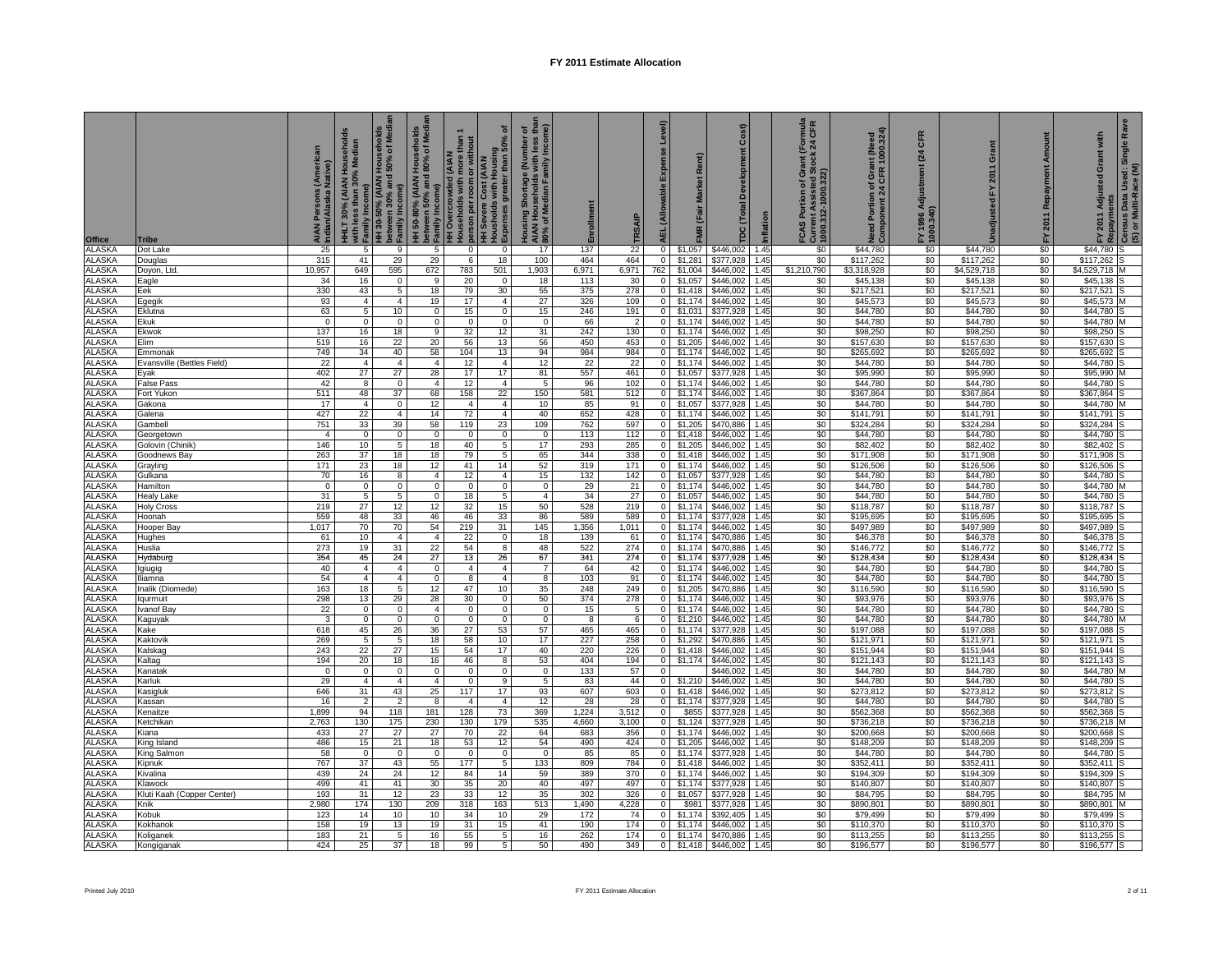| Office                         | <b>Tribe</b>                   | AIAN Persons (American<br>Indian/Alaska Native) | HHLT 30% (AIAN Households<br>with less than 30% Median<br>Family Income) | HH 30-50% (AIAN Households<br>between 30% and 50% of Media<br>Family Income) | HH 50-80% (AIAN Households<br>between 50% and 80% of Media<br>Family Income) | than<br><b>HH Overcrowded (AIAN</b><br>Households with more t | ৳<br>Housholds with Housing<br>Expenses greater than 50%<br>person per room or without<br>HH Severe Cost (AIAN | Housing Shortage (Number of<br>AIAN Households with less than<br>80% of Median Family Income) | Enrollment   | TRSAIP                | Level)<br>Expense<br><b>AEL</b> (Allowable | Rent)<br>FMR (Fair Market | Cost)<br>Development<br>TDC (Total | Inflation    | ant (Formula<br>tock 24 CFR<br>FCAS Portion of Gra<br>Current Assisted Stc<br> 1000.312-1000.322) | Need Portion of Grant (Need<br>Component 24 CFR 1000.324) | CFR<br>(24)<br>Adjustment<br>FY 1996 Ao<br>1000.340) | Grant<br>2011<br>řY     | Repayment Amount<br>FY 2011 | Rave<br>with<br>ູ້ FY 2011 Adjusted Grant with<br><sup>B</sup> Repayments<br><sup>A</sup> Census Data Used: Single R<br>(S) or Multi-Race (M) |
|--------------------------------|--------------------------------|-------------------------------------------------|--------------------------------------------------------------------------|------------------------------------------------------------------------------|------------------------------------------------------------------------------|---------------------------------------------------------------|----------------------------------------------------------------------------------------------------------------|-----------------------------------------------------------------------------------------------|--------------|-----------------------|--------------------------------------------|---------------------------|------------------------------------|--------------|---------------------------------------------------------------------------------------------------|-----------------------------------------------------------|------------------------------------------------------|-------------------------|-----------------------------|-----------------------------------------------------------------------------------------------------------------------------------------------|
| <b>ALASKA</b>                  | Dot Lake                       | 25                                              | 5                                                                        | 9                                                                            | 5                                                                            | $\mathbf{0}$                                                  | $\mathbf 0$                                                                                                    | 17                                                                                            | 137          | 22                    | 0                                          | \$1,057                   | \$446,002                          | 1.45         | \$0                                                                                               | \$44,780                                                  | \$0                                                  | \$44,780                | \$0                         | \$44,780                                                                                                                                      |
| <b>ALASKA</b>                  | Douglas                        | 315                                             | 41                                                                       | 29                                                                           | 29                                                                           | 6                                                             | 18                                                                                                             | 100                                                                                           | 464          | 464                   | $\mathbf 0$                                | \$1,281                   | \$377,928                          | 1.45         | \$0                                                                                               | \$117,262                                                 | \$0                                                  | \$117,262               | \$0                         | \$117,262                                                                                                                                     |
| <b>ALASKA</b><br><b>ALASKA</b> | Doyon, Ltd<br>Eagle            | 10,957<br>34                                    | 649<br>16                                                                | 595<br>$\mathbf 0$                                                           | 672<br>9                                                                     | 783<br>20                                                     | 501<br>$\Omega$                                                                                                | 1,903<br>18                                                                                   | 6,971<br>113 | 6,971<br>30           | 762<br>$\mathbf 0$                         | \$1,004<br>\$1,057        | \$446,002<br>\$446,002             | 1.45<br>1.45 | \$1,210,790<br>\$0                                                                                | \$3,318,928<br>\$45,138                                   | \$0<br>\$0                                           | \$4,529,718<br>\$45,138 | \$0<br>\$0                  | \$4,529,718<br>\$45,138                                                                                                                       |
| ALASKA                         | Eek                            | 330                                             | 43                                                                       | $5\overline{)}$                                                              | 18                                                                           | 79                                                            | 30 <sup>2</sup>                                                                                                | 55                                                                                            | 375          | 278                   | $\overline{0}$                             | \$1,418                   | \$446,002                          | 1.45         | \$0                                                                                               | \$217,521                                                 | \$0                                                  | \$217,521               | \$0                         | \$217,521                                                                                                                                     |
| ALASKA                         | Egegik                         | 93                                              | $\overline{4}$                                                           | $\overline{4}$                                                               | 19                                                                           | 17                                                            | $\overline{4}$                                                                                                 | 27                                                                                            | 326          | 109                   | $\overline{0}$                             | \$1,174                   | \$446,002                          | 1.45         | \$0                                                                                               | \$45,573                                                  | \$0                                                  | \$45,573                | \$0                         | \$45,573                                                                                                                                      |
| ALASKA                         | Eklutna                        | 63                                              | 5                                                                        | 10                                                                           | 0                                                                            | 15                                                            | 0                                                                                                              | 15                                                                                            | 246          | 191                   | $\overline{0}$                             | \$1,031                   | \$377,928                          | 1.45         | \$0                                                                                               | \$44,780                                                  | \$0                                                  | \$44,780                | \$0                         | \$44,780                                                                                                                                      |
| <b>ALASKA</b><br><b>ALASKA</b> | Ekuk<br>Ekwok                  | $\overline{0}$<br>137                           | $\overline{0}$<br>16                                                     | $\overline{0}$<br>18                                                         | $\mathbf{0}$<br>9                                                            | $\mathbf{0}$<br>32                                            | $\mathbf{0}$<br>12                                                                                             | $\mathbf{0}$<br>31                                                                            | 66<br>242    | $\overline{2}$<br>130 | $\mathbf{0}$<br>$\mathbf{0}$               | \$1,174<br>\$1,174        | \$446,002<br>\$446,002             | 1.45<br>1.45 | \$0<br>\$0                                                                                        | \$44,780<br>\$98,250                                      | \$0<br>\$0                                           | \$44,780<br>\$98,250    | \$0<br>\$0                  | \$44,780<br>\$98,250                                                                                                                          |
| <b>ALASKA</b>                  | Elim                           | 519                                             | 16                                                                       | 22                                                                           | 20                                                                           | 56                                                            | 13                                                                                                             | 56                                                                                            | 450          | 453                   | $\mathbf 0$                                | \$1,205                   | \$446,002                          | 1.45         | \$0                                                                                               | \$157,630                                                 | \$0                                                  | \$157,630               | \$0                         | \$157,630                                                                                                                                     |
| ALASKA                         | Emmonak                        | 749                                             | 34                                                                       | 40                                                                           | 58                                                                           | 104                                                           | 13                                                                                                             | 94                                                                                            | 984          | 984                   | $\overline{0}$                             | \$1,174                   | \$446,002                          | 1.45         | \$0                                                                                               | \$265,692                                                 | \$0                                                  | \$265,692               | \$0                         | \$265,692                                                                                                                                     |
| <b>ALASKA</b>                  | Evansville (Bettles Field)     | 22                                              | $\overline{4}$                                                           | $\overline{4}$                                                               | $\overline{4}$                                                               | 12                                                            | $\overline{4}$                                                                                                 | 12                                                                                            | 22           | 22                    | $\overline{0}$                             | \$1,174                   | \$446,002                          | 1.45         | \$0                                                                                               | \$44,780                                                  | \$0                                                  | \$44,780                | \$0                         | \$44,780                                                                                                                                      |
| <b>ALASKA</b><br><b>ALASKA</b> | Eyak                           | 402<br>42                                       | 27<br>8                                                                  | 27<br>$\mathbf 0$                                                            | 28<br>$\overline{4}$                                                         | 17<br>12                                                      | 17<br>$\overline{4}$                                                                                           | 81<br>5                                                                                       | 557<br>96    | 461<br>102            | $\overline{0}$<br>$\overline{0}$           | \$1,057<br>\$1,174        | \$377,928<br>\$446,002             | 1.45<br>1.45 | \$0<br>\$0                                                                                        | \$95,990<br>\$44,780                                      | \$0<br>\$0                                           | \$95,990<br>\$44,780    | \$0                         | \$95,990<br>\$44,780                                                                                                                          |
| <b>ALASKA</b>                  | False Pass<br>Fort Yukon       | 511                                             | 48                                                                       | 37                                                                           | 68                                                                           | 158                                                           | 22                                                                                                             | 150                                                                                           | 581          | 512                   | $\bullet$                                  | \$1,174                   | \$446,002                          | 1.45         | \$0                                                                                               | \$367,864                                                 | \$0                                                  | \$367,864               | $\frac{$0}{$0}$             | \$367,864                                                                                                                                     |
| ALASKA                         | Gakona                         | 17                                              | $\overline{4}$                                                           | $\overline{0}$                                                               | 12                                                                           | $\overline{4}$                                                | $\overline{4}$                                                                                                 | 10                                                                                            | 85           | 91                    | $\overline{0}$                             | \$1,057                   | \$377,928                          | 1.45         | \$0                                                                                               | \$44,780                                                  | \$0                                                  | \$44,780                | \$0                         | \$44,780                                                                                                                                      |
| <b>ALASKA</b>                  | Galena                         | 427                                             | 22                                                                       | $\overline{4}$                                                               | 14                                                                           | 72                                                            | $\overline{4}$                                                                                                 | 40                                                                                            | 652          | 428                   | $\circ$                                    | \$1,174                   | \$446,002                          | 1.45         | \$0                                                                                               | \$141,791                                                 | \$0                                                  | \$141,791               | \$0                         | \$141,791                                                                                                                                     |
| <b>ALASKA</b>                  | Gambell                        | 751                                             | 33                                                                       | 39                                                                           | 58                                                                           | 119                                                           | 23                                                                                                             | 109                                                                                           | 762          | 597                   | $\overline{0}$                             | \$1,205                   | \$470,886                          | 1.45         | \$0                                                                                               | \$324,284                                                 | \$0                                                  | \$324,284               | \$0                         | \$324,284                                                                                                                                     |
| ALASKA<br>ALASKA               | Georgetown<br>Golovin (Chinik) | $\overline{4}$<br>146                           | $\mathbf 0$<br>10 <sup>1</sup>                                           | $\mathbf{0}$<br>5 <sup>5</sup>                                               | $\mathbf 0$<br>18                                                            | $\mathbf 0$<br>40                                             | $\mathbf 0$<br>-5                                                                                              | $\overline{0}$<br>17                                                                          | 113<br>293   | 112<br>285            | $\overline{0}$<br>$\mathbf{0}$             | \$1,418<br>\$1,205        | \$446,002<br>\$446,002             | 1.45<br>1.45 | \$0<br>\$0                                                                                        | \$44,780<br>\$82,402                                      | \$0<br>\$0                                           | \$44,780<br>\$82,402    | \$0<br>\$0                  | \$44,780<br>\$82,402                                                                                                                          |
| <b>ALASKA</b>                  | Goodnews Bay                   | 263                                             | 37                                                                       | 18                                                                           | 18                                                                           | 79                                                            | 5                                                                                                              | 65                                                                                            | 344          | 338                   | 0                                          | \$1,418                   | \$446,002                          | 1.45         | \$0                                                                                               | \$171,908                                                 | \$0                                                  | \$171,908               | \$0                         | \$171,908                                                                                                                                     |
| ALASKA                         | Grayling                       | 171                                             | 23                                                                       | 18                                                                           | 12                                                                           | 41                                                            | 14                                                                                                             | 52                                                                                            | 319          | 171                   | $\mathbf 0$                                | \$1,174                   | \$446,002                          | 1.45         | \$0                                                                                               | \$126,506                                                 | \$0                                                  | \$126,506               | \$0                         | \$126,506                                                                                                                                     |
| <b>ALASKA</b>                  | Gulkana                        | 70                                              | 16                                                                       | 8                                                                            | $\overline{4}$                                                               | 12                                                            | $\overline{4}$                                                                                                 | 15                                                                                            | 132          | 142                   | 0                                          | \$1,057                   | \$377,928                          | 1.45         | \$0                                                                                               | \$44,780                                                  | \$0                                                  | \$44,780                | \$0                         | \$44,780                                                                                                                                      |
| <b>ALASKA</b><br><b>ALASKA</b> | Hamilton<br><b>Healy Lake</b>  | $\mathbf 0$<br>31                               | $\mathbf 0$<br>5                                                         | $\mathbf 0$<br>5                                                             | $\mathbf 0$<br>$\overline{0}$                                                | $\mathbf{0}$<br>18                                            | $\mathbf 0$<br>5                                                                                               | $\mathbf 0$<br>$\overline{4}$                                                                 | 29<br>34     | 21<br>27              | 0<br>0                                     | \$1,174<br>\$1,057        | \$446,002<br>\$446,002             | 1.45<br>1.45 | \$0<br>\$0                                                                                        | \$44,780<br>\$44,780                                      | \$0<br>\$0                                           | \$44,780<br>\$44,780    | \$0<br>\$0                  | \$44,780<br>\$44,780                                                                                                                          |
| <b>ALASKA</b>                  | <b>Holy Cross</b>              | 219                                             | 27                                                                       | 12                                                                           | 12                                                                           | 32                                                            | 15                                                                                                             | 50                                                                                            | 528          | 219                   | 0                                          | \$1.174                   | \$446,002                          | 1.45         | \$0                                                                                               | \$118,787                                                 | \$0                                                  | \$118,787               | \$0                         | \$118,787                                                                                                                                     |
| ALASKA                         | Hoonah                         | 559                                             | 48                                                                       | 33                                                                           | 46                                                                           | 46                                                            | 33                                                                                                             | 86                                                                                            | 589          | 589                   | $\mathbf 0$                                | \$1,174                   | \$377,928                          | 1.45         | \$0                                                                                               | \$195,695                                                 | \$0                                                  | \$195,695               | \$0                         | \$195,695                                                                                                                                     |
| ALASKA                         | Hooper Bay                     | 1,017                                           | 70                                                                       | 70                                                                           | 54                                                                           | 219                                                           | 31                                                                                                             | 145                                                                                           | 1,356        | 1,011                 | $\overline{0}$                             | \$1,174                   | \$446,002                          | 1.45         | \$0                                                                                               | \$497,989                                                 | \$0                                                  | \$497,989               | \$0                         | \$497,989                                                                                                                                     |
| <b>ALASKA</b><br>ALASKA        | Hughes<br>Huslia               | 61<br>273                                       | 10<br>19                                                                 | $\overline{4}$<br>31                                                         | $\overline{4}$<br>22                                                         | 22<br>54                                                      | $\mathbf 0$<br>$\overline{\mathbf{8}}$                                                                         | 18<br>48                                                                                      | 139<br>522   | 61<br>274             | $\overline{0}$<br>$\bullet$                | \$1,174<br>\$1,174        | \$470,886<br>\$470,886             | 1.45<br>1.45 | \$0<br>\$0                                                                                        | \$46,378<br>\$146,772                                     | \$0<br>\$0                                           | \$46,378<br>\$146,772   | \$0<br>\$0                  | \$46,378<br>\$146,772                                                                                                                         |
| ALASKA                         | Hydaburg                       | 354                                             | 45                                                                       | 24                                                                           | 27                                                                           | 13                                                            | 26                                                                                                             | 67                                                                                            | 341          | 274                   | $\circ$                                    | \$1,174                   | \$377,928                          | 1.45         | \$0                                                                                               | \$128,434                                                 | \$0                                                  | \$128,434               | \$0                         | \$128,434                                                                                                                                     |
| <b>ALASKA</b>                  | giugig                         | 40                                              | $\mathbf{4}$                                                             | $\overline{4}$                                                               | $\mathbf 0$                                                                  | $\overline{4}$                                                | $\overline{4}$                                                                                                 | $\overline{7}$                                                                                | 64           | 42                    | $\overline{0}$                             | \$1,174                   | \$446,002                          | 1.45         | \$0                                                                                               | \$44,780                                                  | \$0                                                  | \$44,780                | \$0                         | \$44,780                                                                                                                                      |
| <b>ALASKA</b>                  | liamna                         | 54                                              | $\mathbf{A}$                                                             | $\overline{4}$                                                               | $\overline{0}$                                                               | 8                                                             | $\overline{4}$                                                                                                 | 8                                                                                             | 103          | 91                    | 0                                          | \$1.174                   | \$446,002                          | 1.45         | \$0                                                                                               | \$44,780                                                  | \$0                                                  | \$44,780                | \$0                         | \$44,780                                                                                                                                      |
| <b>ALASKA</b><br><b>ALASKA</b> | nalik (Diomede)                | 163<br>298                                      | 18<br>13                                                                 | 5<br>29                                                                      | $12 \overline{ }$<br>28                                                      | 47<br>30                                                      | 10<br>$\overline{0}$                                                                                           | 35<br>50                                                                                      | 248<br>374   | 249<br>278            | $\mathbf 0$<br>$\overline{0}$              | \$1,205                   | \$470,886<br>\$446,002             | 1.45<br>1.45 | \$0<br>\$0                                                                                        | \$116,590<br>\$93,976                                     | \$0<br>\$0                                           | \$116,590<br>\$93,976   | \$0<br>\$0                  | \$116,590<br>\$93,976                                                                                                                         |
| <b>ALASKA</b>                  | lqurmuit<br>Ivanof Bay         | 22                                              | $\mathbf 0$                                                              | $\mathbf{0}$                                                                 | $\overline{4}$                                                               | $\mathbf 0$                                                   | $\mathbf{0}$                                                                                                   | $\overline{0}$                                                                                | 15           | 5                     | $\overline{0}$                             | \$1,174<br>\$1,174        | \$446,002                          | 1.45         | \$0                                                                                               | \$44,780                                                  | \$0                                                  | \$44,780                | \$0                         | \$44,780                                                                                                                                      |
| <b>ALASKA</b>                  | Kaguyak                        | $\overline{3}$                                  | $\mathbf 0$                                                              | $\mathbf 0$                                                                  | $\overline{0}$                                                               | $\mathbf 0$                                                   | $\mathbf 0$                                                                                                    | $\mathbf 0$                                                                                   | 8            | 6                     | $\bullet$                                  | \$1,210                   | \$446,002                          | 1.45         | \$0                                                                                               | \$44,780                                                  | \$0                                                  | \$44,780                | $\frac{$0}{$0}$             | \$44,780                                                                                                                                      |
| <b>ALASKA</b>                  | Kake                           | 618                                             | 45                                                                       | 26                                                                           | 36                                                                           | 27                                                            | 53                                                                                                             | 57                                                                                            | 465          | 465                   | $\overline{0}$                             | \$1,174                   | \$377,928                          | 1.45         | \$0                                                                                               | \$197,088                                                 | \$0                                                  | \$197,088               |                             | \$197,088                                                                                                                                     |
| <b>ALASKA</b><br>ALASKA        | Kaktovik                       | 269<br>243                                      | 5<br>22                                                                  | 5<br>27                                                                      | 18<br>15                                                                     | 58<br>54                                                      | 10<br>17                                                                                                       | 17<br>40                                                                                      | 227<br>220   | 258<br>226            | $\bullet$<br>$\bullet$                     | \$1,292<br>\$1,418        | \$470,886<br>\$446,002             | 1.45<br>1.45 | \$0<br>\$0                                                                                        | \$121,971<br>\$151,944                                    | \$0<br>\$0                                           | \$121,971<br>\$151,944  | \$0<br>\$0                  | \$121,971<br>\$151,944                                                                                                                        |
| ALASKA                         | Kalskag<br>Kaltag              | 194                                             | 20                                                                       | 18                                                                           | 16                                                                           | 46                                                            | 8                                                                                                              | 53                                                                                            | 404          | 194                   | $\overline{0}$                             | \$1,174                   | \$446,002                          | 1.45         | \$0                                                                                               | \$121,143                                                 | \$0                                                  | \$121,143               | \$0                         | \$121,143                                                                                                                                     |
| ALASKA                         | Kanatak                        | $\mathbf 0$                                     | $\mathbf 0$                                                              | $\mathbf{0}$                                                                 | $\mathbf{0}$                                                                 | $\mathbf 0$                                                   | $\mathbf 0$                                                                                                    | $\overline{\mathbf{0}}$                                                                       | 133          | 57                    | 0                                          |                           | \$446,002                          | 1.45         | \$0                                                                                               | \$44,780                                                  | \$0                                                  | \$44,780                | \$0                         | \$44,780                                                                                                                                      |
| <b>ALASKA</b>                  | Karluk                         | 29                                              | $\overline{4}$                                                           | $\overline{4}$                                                               | $\overline{4}$                                                               | $\mathbf 0$                                                   | 9                                                                                                              | 5                                                                                             | 83           | 44                    | $\mathbf 0$                                | \$1,210                   | \$446,002                          | 1.45         | \$0                                                                                               | \$44,780                                                  | \$0                                                  | \$44,780                | \$0                         | \$44,780                                                                                                                                      |
| <b>ALASKA</b>                  | Kasigluk                       | 646                                             | 31                                                                       | 43                                                                           | 25                                                                           | 117                                                           | 17                                                                                                             | 93                                                                                            | 607          | 603                   | $\overline{0}$                             | \$1,418                   | \$446,002                          | 1.45         | \$0                                                                                               | \$273,812                                                 | \$0                                                  | \$273,812               | \$0                         | \$273,812                                                                                                                                     |
| <b>ALASKA</b><br>ALASKA        | <b>Cassan</b><br>Kenaitze      | 16<br>1,899                                     | 2<br>94                                                                  | $\overline{2}$<br>118                                                        | 8<br>181                                                                     | $\overline{4}$<br>128                                         | $\overline{4}$<br>73                                                                                           | 12<br>369                                                                                     | 28<br>1,224  | 28<br>3,512           | 0<br>$\overline{0}$                        | \$1,174<br>\$855          | \$377,928<br>\$377,928             | 1.45<br>1.45 | \$0<br>\$0                                                                                        | \$44,780<br>\$562,368                                     | \$0<br>\$0                                           | \$44,780<br>\$562,368   | \$0<br>\$0                  | \$44,780<br>\$562,368                                                                                                                         |
| <b>ALASKA</b>                  | Ketchikan                      | 2,763                                           | 130                                                                      | 175                                                                          | 230                                                                          | 130                                                           | 179                                                                                                            | 535                                                                                           | 4,660        | 3,100                 | $\mathbf 0$                                | \$1,124                   | \$377,928                          | 1.45         | \$0                                                                                               | \$736,218                                                 | \$0                                                  | \$736,218               | \$0                         | \$736,218                                                                                                                                     |
| <b>ALASKA</b>                  | Kiana                          | 433                                             | 27                                                                       | 27                                                                           | 27                                                                           | 70                                                            | 22                                                                                                             | 64                                                                                            | 683          | 356                   | 0                                          | \$1,174                   | \$446,002                          | 1.45         | \$0                                                                                               | \$200,668                                                 | \$0                                                  | \$200,668               | \$0                         | \$200,668                                                                                                                                     |
| <b>ALASKA</b>                  | King Island                    | 486                                             | 15                                                                       | 21                                                                           | 18                                                                           | 53                                                            | 12                                                                                                             | 54                                                                                            | 490          | 424                   | $\mathbf 0$                                | \$1,205                   | \$446,002                          | 1.45         | \$0                                                                                               | \$148,209                                                 | \$0                                                  | \$148,209               | \$0<br>\$0                  | \$148,209                                                                                                                                     |
| <b>ALASKA</b><br>ALASKA        | King Salmon<br>Kipnuk          | 58<br>767                                       | 0<br>37                                                                  | $\mathbf 0$<br>43                                                            | $\mathbf 0$<br>55                                                            | $\overline{0}$<br>177                                         | $\mathbf 0$<br>5                                                                                               | $\mathbf 0$<br>133                                                                            | 85<br>809    | 85<br>784             | 0<br>$\overline{0}$                        | \$1,174<br>\$1,418        | \$377,928<br>\$446,002             | 1.45<br>1.45 | \$0<br>\$0                                                                                        | \$44,780<br>\$352,411                                     | \$0<br>\$0                                           | \$44,780<br>\$352,411   | \$0                         | \$44,780<br>\$352,411                                                                                                                         |
| <b>ALASKA</b>                  | Kivalina                       | 439                                             | 24                                                                       | 24                                                                           | 12                                                                           | 84                                                            | 14                                                                                                             | 59                                                                                            | 389          | 370                   | $\overline{0}$                             | \$1,174                   | \$446,002                          | 1.45         | \$0                                                                                               | \$194,309                                                 | \$0                                                  | \$194,309               | \$0                         | \$194,309                                                                                                                                     |
| ALASKA                         | Klawock                        | 499                                             | 41                                                                       | 41                                                                           | 30                                                                           | 35                                                            | 20                                                                                                             | 40                                                                                            | 497          | 497                   | $\overline{0}$                             | \$1,174                   | \$377,928                          | 1.45         | \$0                                                                                               | \$140,807                                                 | \$0                                                  | \$140,807               | \$0                         | \$140,807                                                                                                                                     |
| ALASKA                         | Kluti Kaah (Copper Center)     | 193                                             | 31                                                                       | 12                                                                           | 23                                                                           | 33                                                            | 12                                                                                                             | 35                                                                                            | 302          | 326                   | $\overline{0}$                             | \$1,057                   | \$377,928                          | 1.45         | \$0                                                                                               | \$84,795                                                  | \$0                                                  | \$84,795                | \$0                         | \$84,795                                                                                                                                      |
| <b>ALASKA</b><br><b>ALASKA</b> | Knik<br><b>Cobuk</b>           | 2,980<br>123                                    | 174<br>14                                                                | 130<br>10                                                                    | 209<br>10                                                                    | 318<br>34                                                     | 163<br>10                                                                                                      | 513<br>29                                                                                     | 1,490<br>172 | 4,228<br>74           | 0<br>0                                     | \$981<br>\$1,174          | \$377,928<br>\$392,405             | 1.45<br>1.45 | \$0<br>\$0                                                                                        | \$890,801<br>\$79,499                                     | \$0<br>\$0                                           | \$890,801<br>\$79,499   | \$0<br>\$0                  | \$890,801<br>\$79,499                                                                                                                         |
| ALASKA                         | <b>Cokhanok</b>                | 158                                             | 19                                                                       | 13                                                                           | 19                                                                           | 31                                                            | 15                                                                                                             | 41                                                                                            | 190          | 174                   | 0                                          | \$1,174                   | \$446,002                          | 1.45         | \$0                                                                                               | \$110,370                                                 | \$0                                                  | \$110,370               | \$0                         | \$110,370                                                                                                                                     |
| ALASKA                         | Koliganek                      | 183                                             | 21                                                                       | 5                                                                            | 16                                                                           | 55                                                            | 5                                                                                                              | 16                                                                                            | 262          | 174                   | $\circ$                                    | \$1,174                   | \$470,886                          | 1.45         | \$0                                                                                               | \$113,255                                                 | \$0                                                  | \$113,255               | \$0                         | \$113,255                                                                                                                                     |
| <b>ALASKA</b>                  | Kongiganak                     | 424                                             | 25                                                                       | 37                                                                           | 18                                                                           | 99                                                            | 5                                                                                                              | 50                                                                                            | 490          | 349                   | $\bullet$                                  | \$1,418                   | \$446,002                          | 1.45         | \$0                                                                                               | \$196,577                                                 | \$0                                                  | \$196,577               | \$0                         | \$196,577                                                                                                                                     |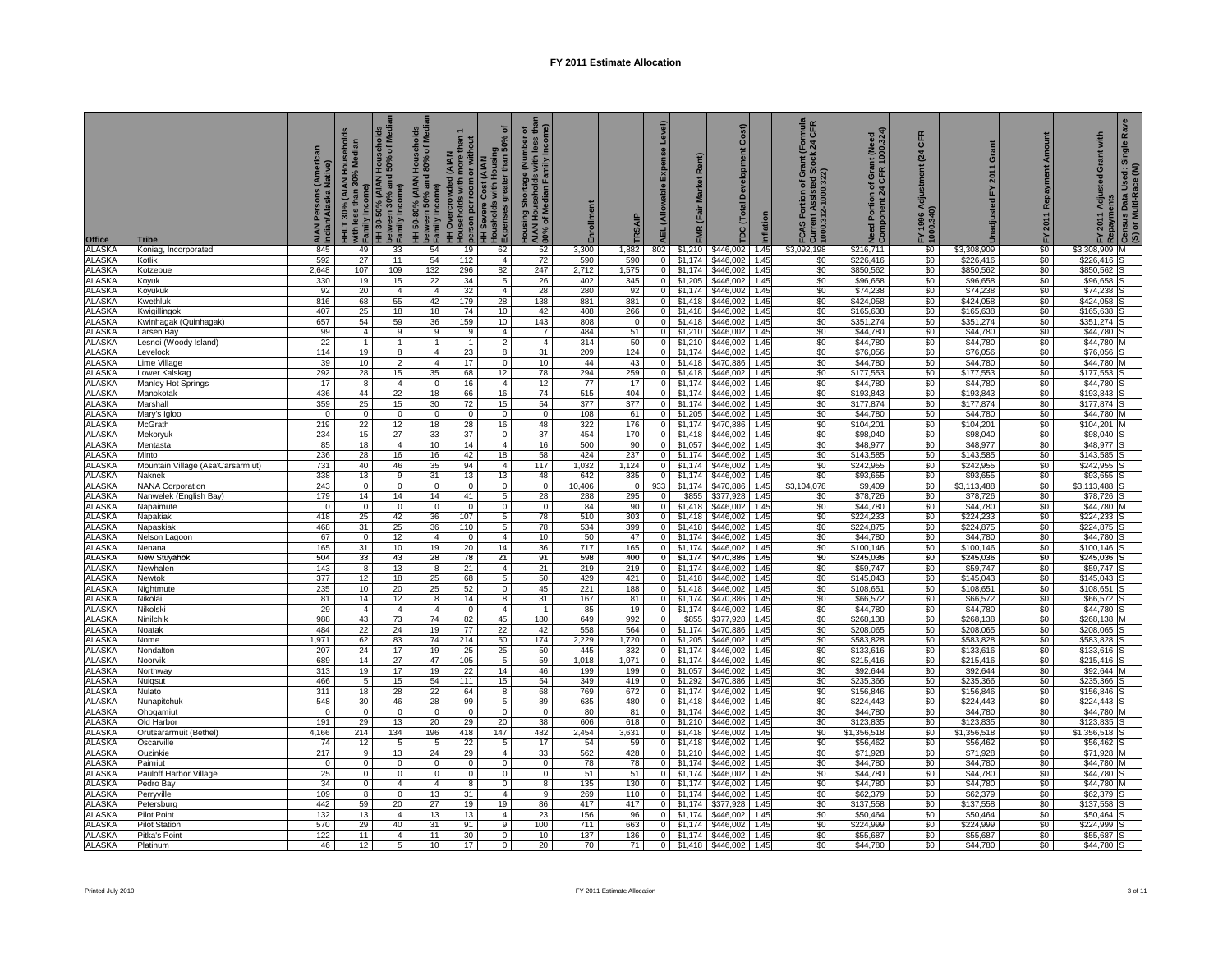| Office                         | Tribe                                 | AIAN Persons (American<br>Indian/Alaska Native) | IHLT 30% (AIAN Households<br>/ith less than 30% Median<br>with less than 3<br>Family Income) | HH 30-50% (AIAN Households<br>between 30% and 50% of Media<br>Family Income) | nolds<br>Median<br>HH 50-80% (AIAN Househol<br>  between 50% and 80% of M<br><sup> }</sup> Family Income) | than<br><b>HH Overcrowded (AIAN</b><br>Households with more t | ৳<br>person per room or without<br>HH Severe Cost (AIAN<br> Housholds winn ne.<br> Expenses greater tl | Housing Shortage (Number of<br>AIAN Households with less than<br>80% of Median Family Income) | Enrollment    | TRSAIP              | Level)<br>Expense<br><b>AEL</b> (Allowable | Rent)<br>FMR (Fair Market | Cost)<br>Development<br>TDC (Total | Inflation    | (Formula<br>124 CFR<br>:ock<br>FCAS Portion of Gra<br>Current Assisted Stc<br>1000.312-1000.322) | Need Portion of Grant (Need<br>Component 24 CFR 1000.324) | CFR<br>$\overline{a}$<br>Adjustment<br>FY 1996 Ao<br>1000.340) | Grant<br>2011<br>진      | Amount<br>Repayment<br>2011<br>집 | Rave<br>with<br>p FY 2011 Adjusted Grant with<br><sup>2</sup> Repayments<br>E Census Data Used: Single R<br>(S) or Multi-Race (M) |
|--------------------------------|---------------------------------------|-------------------------------------------------|----------------------------------------------------------------------------------------------|------------------------------------------------------------------------------|-----------------------------------------------------------------------------------------------------------|---------------------------------------------------------------|--------------------------------------------------------------------------------------------------------|-----------------------------------------------------------------------------------------------|---------------|---------------------|--------------------------------------------|---------------------------|------------------------------------|--------------|--------------------------------------------------------------------------------------------------|-----------------------------------------------------------|----------------------------------------------------------------|-------------------------|----------------------------------|-----------------------------------------------------------------------------------------------------------------------------------|
| <b>ALASKA</b>                  | Koniag, Incorporated                  | 845                                             | 49                                                                                           | 33                                                                           | 54                                                                                                        | 19                                                            | 62                                                                                                     | 52                                                                                            | 3,300         | 1,882               | 802                                        |                           | \$1,210 \$446,002                  | 1.45         | \$3,092,198                                                                                      | \$216,711                                                 | \$0                                                            | \$3,308,909             | \$0                              | \$3,308,909<br>м                                                                                                                  |
| <b>ALASKA</b><br><b>ALASKA</b> | Kotlik<br>Kotzebue                    | 592<br>2,648                                    | 27<br>107                                                                                    | 11<br>109                                                                    | 54<br>132                                                                                                 | 112<br>296                                                    | $\overline{4}$<br>82                                                                                   | 72<br>247                                                                                     | 590<br>2,712  | 590<br>1,575        | 0<br>$\overline{0}$                        | \$1,174<br>\$1.174        | \$446,002<br>\$446,002             | 1.45<br>1.45 | \$0<br>\$0                                                                                       | \$226,416<br>\$850,562                                    | \$0<br>\$0                                                     | \$226,416<br>\$850,562  | \$0<br>$\$0$                     | \$226,416<br>\$850,562                                                                                                            |
| <b>ALASKA</b>                  | Koyuk                                 | 330                                             | 19                                                                                           | 15                                                                           | 22                                                                                                        | 34                                                            | 5                                                                                                      | 26                                                                                            | 402           | 345                 | $\overline{0}$                             | \$1,205                   | \$446,002                          | 1.45         | \$0                                                                                              | \$96,658                                                  | \$0                                                            | \$96,658                | \$0                              | \$96,658                                                                                                                          |
| ALASKA                         | Koyukuk                               | 92                                              | 20                                                                                           | $\overline{4}$                                                               | $\overline{4}$                                                                                            | 32                                                            | $\overline{4}$                                                                                         | 28                                                                                            | 280           | 92                  | $\overline{0}$                             | \$1,174                   | \$446,002                          | 1.45         | \$0                                                                                              | \$74,238                                                  | \$0                                                            | \$74,238                | \$0                              | \$74,238                                                                                                                          |
| ALASKA                         | Kwethluk                              | 816                                             | 68                                                                                           | 55                                                                           | 42                                                                                                        | 179                                                           | 28                                                                                                     | 138                                                                                           | 881           | 881                 | $\overline{0}$                             | \$1,418                   | \$446,002                          | 1.45         | \$0                                                                                              | \$424,058                                                 | \$0                                                            | \$424,058               | \$0                              | \$424,058                                                                                                                         |
| <b>ALASKA</b><br>ALASKA        | Kwigillingol<br>Kwinhagak (Quinhagak) | 407<br>657                                      | 25<br>54                                                                                     | 18<br>59                                                                     | 18<br>36                                                                                                  | 74<br>159                                                     | 10<br>10                                                                                               | 42<br>143                                                                                     | 408<br>808    | 266<br>$\mathbf{0}$ | $\overline{0}$<br>$\circ$                  | \$1,418<br>\$1,418        | \$446,002<br>\$446,002             | 1.45<br>1.45 | \$0<br>\$0                                                                                       | \$165,638<br>\$351,274                                    | \$0<br>\$0                                                     | \$165,638<br>\$351,274  | \$0<br>\$0                       | \$165,638<br>\$351,274                                                                                                            |
| <b>ALASKA</b>                  | Larsen Bay                            | 99                                              | $\overline{4}$                                                                               | 9                                                                            | 9                                                                                                         | 9                                                             | $\overline{4}$                                                                                         | $\overline{7}$                                                                                | 484           | 51                  | $\overline{0}$                             | \$1,210                   | \$446,002                          | 1.45         | \$0                                                                                              | \$44,780                                                  | \$0                                                            | \$44,780                | \$0                              | \$44,780                                                                                                                          |
| <b>ALASKA</b>                  | esnoi (Woody Island)                  | 22                                              | $\mathbf{1}$                                                                                 | $\overline{1}$                                                               | 1                                                                                                         | $\overline{1}$                                                | $\overline{2}$                                                                                         | $\overline{4}$                                                                                | 314           | 50                  | $\overline{0}$                             | \$1,210                   | \$446,002                          | 1.45         | \$0                                                                                              | \$44,780                                                  | \$0                                                            | \$44,780                | \$0                              | \$44,780                                                                                                                          |
| ALASKA                         | Levelock                              | 114                                             | 19                                                                                           | 8                                                                            | $\overline{4}$                                                                                            | 23                                                            | 8                                                                                                      | 31                                                                                            | 209           | 124                 | $\overline{0}$                             | \$1,174                   | \$446,002                          | 1.45         | \$0                                                                                              | \$76,056                                                  | \$0                                                            | \$76,056                | \$0                              | \$76,056                                                                                                                          |
| <b>ALASKA</b><br>ALASKA        | Lime Village                          | 39<br>292                                       | 10<br>28                                                                                     | $\overline{2}$<br>15                                                         | $\overline{4}$<br>35                                                                                      | 17<br>68                                                      | $\mathbf 0$<br>12                                                                                      | 10<br>78                                                                                      | 44<br>294     | 43<br>259           | $\mathbf 0$<br>$\overline{0}$              | \$1,418<br>\$1,418        | \$470,886<br>\$446,002             | 1.45<br>1.45 | \$0<br>\$0                                                                                       | \$44,780<br>\$177,553                                     | \$0<br>\$0                                                     | \$44,780<br>\$177,553   | \$0<br>\$0                       | \$44,780<br>\$177,553                                                                                                             |
| <b>ALASKA</b>                  | Lower.Kalskag<br>Manley Hot Springs   | 17                                              | 8                                                                                            | $\overline{4}$                                                               | $\mathbf 0$                                                                                               | 16                                                            | $\overline{4}$                                                                                         | 12                                                                                            | 77            | 17                  | $\overline{0}$                             | \$1,174                   | \$446,002                          | 1.45         | \$0                                                                                              | \$44,780                                                  | \$0                                                            | \$44,780                | \$0                              | \$44,780                                                                                                                          |
| <b>ALASKA</b>                  | Manokotak                             | 436                                             | 44                                                                                           | 22                                                                           | 18                                                                                                        | 66                                                            | 16                                                                                                     | 74                                                                                            | 515           | 404                 | $\mathbf 0$                                | \$1,174                   | \$446,002                          | 1.45         | \$0                                                                                              | \$193,843                                                 | \$0                                                            | \$193,843               | \$0                              | \$193,843                                                                                                                         |
| <b>ALASKA</b>                  | Marshall                              | 359                                             | 25                                                                                           | 15                                                                           | 30                                                                                                        | 72                                                            | 15                                                                                                     | 54                                                                                            | 377           | 377                 | $\circ$                                    | \$1,174                   | \$446,002                          | 1.45         | \$0                                                                                              | \$177,874                                                 | \$0                                                            | \$177,874               | \$0                              | \$177,874                                                                                                                         |
| <b>ALASKA</b><br>ALASKA        | Mary's Igloo                          | $\mathbf 0$<br>219                              | $\mathbf 0$<br>22                                                                            | $\overline{0}$<br>12                                                         | $\mathbf{0}$                                                                                              | $\mathbf{0}$                                                  | $\mathbf{0}$                                                                                           | $\mathbf 0$                                                                                   | 108           | 61<br>176           | $\overline{0}$<br>$\overline{0}$           | \$1,205<br>\$1,174        | \$446,002<br>\$470,886             | 1.45         | \$0<br>\$0                                                                                       | \$44,780<br>\$104,201                                     | \$0<br>\$0                                                     | \$44,780<br>\$104,201   | \$0<br>\$0                       | \$44,780<br>\$104,201                                                                                                             |
| <b>ALASKA</b>                  | McGrath<br>Mekoryuk                   | 234                                             | 15                                                                                           | 27                                                                           | 18<br>33                                                                                                  | 28<br>37                                                      | 16<br>$\mathbf 0$                                                                                      | 48<br>37                                                                                      | 322<br>454    | 170                 | $\bullet$                                  | \$1,418                   | \$446,002                          | 1.45<br>1.45 | \$0                                                                                              | \$98,040                                                  | \$0                                                            | \$98,040                | \$0                              | \$98,040                                                                                                                          |
| ALASKA                         | Mentasta                              | 85                                              | 18                                                                                           | $\overline{4}$                                                               | 10                                                                                                        | 14                                                            | $\overline{4}$                                                                                         | 16                                                                                            | 500           | 90                  | $\circ$                                    | \$1,057                   | \$446,002                          | 1.45         | \$0                                                                                              | \$48,977                                                  | \$0                                                            | \$48,977                | \$0                              | \$48,977                                                                                                                          |
| <b>ALASKA</b>                  | Minto                                 | 236                                             | 28                                                                                           | 16                                                                           | 16                                                                                                        | 42                                                            | 18                                                                                                     | 58                                                                                            | 424           | 237                 | $\overline{0}$                             | \$1.174                   | \$446,002                          | 1.45         | \$0                                                                                              | \$143,585                                                 | \$0                                                            | \$143,585               | \$0                              | \$143,585                                                                                                                         |
| <b>ALASKA</b>                  | Mountain Village (Asa'Carsarmiut)     | 731                                             | 40                                                                                           | 46                                                                           | 35                                                                                                        | 94                                                            | $\overline{4}$                                                                                         | 117                                                                                           | 1,032         | 1,124               | $\mathbf 0$                                | \$1,174                   | \$446,002                          | 1.45         | \$0                                                                                              | \$242,955                                                 | \$0                                                            | \$242,955               | \$0                              | \$242,955                                                                                                                         |
| ALASKA<br><b>ALASKA</b>        | Naknek<br><b>NANA Corporation</b>     | 338<br>243                                      | 13<br>$\mathbf 0$                                                                            | 9<br>$\mathbf 0$                                                             | 31<br>$\mathbf 0$                                                                                         | 13<br>$\mathbf 0$                                             | 13<br>0                                                                                                | 48<br>$\mathbf 0$                                                                             | 642<br>10,406 | 335<br>0            | $\overline{0}$<br>933                      | \$1,174<br>\$1,174        | \$446,002<br>\$470,886             | 1.45<br>1.45 | \$0<br>\$3,104,078                                                                               | \$93,655<br>\$9,409                                       | \$0<br>\$0                                                     | \$93,655<br>\$3,113,488 | \$0<br>\$0                       | \$93,655<br>\$3,113,488                                                                                                           |
| ALASKA                         | Nanwelek (English Bay)                | 179                                             | 14                                                                                           | 14                                                                           | 14                                                                                                        | 41                                                            | 5                                                                                                      | 28                                                                                            | 288           | 295                 | 0                                          | \$855                     | \$377,928                          | 1.45         | \$0                                                                                              | \$78,726                                                  | \$0                                                            | \$78,726                | \$0                              | \$78,726                                                                                                                          |
| <b>ALASKA</b>                  | Napaimute                             | $\Omega$                                        | $\Omega$                                                                                     | $\mathbf 0$                                                                  | $\mathbf 0$                                                                                               | $\mathbf 0$                                                   | $\Omega$                                                                                               | $\mathbf 0$                                                                                   | 84            | 90                  | 0                                          | \$1,418                   | \$446,002                          | 1.45         | \$0                                                                                              | \$44,780                                                  | \$0                                                            | \$44,780                | \$0                              | \$44,780                                                                                                                          |
| <b>ALASKA</b>                  | Napakiak                              | 418                                             | 25                                                                                           | 42                                                                           | 36                                                                                                        | 107                                                           | 5                                                                                                      | 78                                                                                            | 510           | 303                 | $\mathbf 0$                                | \$1,418                   | \$446,002                          | 1.45         | \$0                                                                                              | \$224.233                                                 | \$0                                                            | \$224.233               | \$0                              | \$224.233                                                                                                                         |
| <b>ALASKA</b><br>ALASKA        | Napaskiak                             | 468<br>67                                       | 31<br>$\Omega$                                                                               | 25<br>12                                                                     | 36<br>$\overline{4}$                                                                                      | 110<br>$\Omega$                                               | 5<br>$\overline{4}$                                                                                    | 78<br>10                                                                                      | 534<br>50     | 399<br>47           | $\mathbf 0$<br>$\mathbf{0}$                | \$1,418<br>\$1,174        | \$446,002<br>\$446,002             | 1.45<br>1.45 | \$0<br>\$0                                                                                       | \$224.875<br>\$44,780                                     | \$0<br>\$0                                                     | \$224,875<br>\$44,780   | \$0<br>\$0                       | \$224.875<br>\$44,780                                                                                                             |
| ALASKA                         | Nelson Lagoon<br>Nenana               | 165                                             | 31                                                                                           | 10                                                                           | 19                                                                                                        | 20                                                            | 14                                                                                                     | 36                                                                                            | 717           | 165                 | $\mathbf{0}$                               | \$1,174                   | \$446,002                          | 1.45         | \$0                                                                                              | \$100,146                                                 | \$0                                                            | \$100,146               | \$0                              | \$100,146                                                                                                                         |
| ALASKA                         | New Stuyahok                          | 504                                             | 33                                                                                           | 43                                                                           | 28                                                                                                        | 78                                                            | 21                                                                                                     | 91                                                                                            | 598           | 400                 | $\circ$                                    | \$1,174                   | \$470,886                          | 1.45         | \$0                                                                                              | \$245,036                                                 | \$0                                                            | \$245,036               | \$0                              | \$245,036                                                                                                                         |
| <b>ALASKA</b>                  | Newhalen                              | 143                                             | 8                                                                                            | 13                                                                           | 8                                                                                                         | 21                                                            | $\overline{4}$                                                                                         | 21                                                                                            | 219           | 219                 | $\mathbf{0}$                               | \$1,174                   | \$446,002                          | 1.45         | \$0                                                                                              | \$59,747                                                  | \$0                                                            | \$59,747                | \$0                              | \$59,747                                                                                                                          |
| <b>ALASKA</b>                  | Newtok                                | 377                                             | 12                                                                                           | 18                                                                           | 25                                                                                                        | 68                                                            | 5                                                                                                      | 50                                                                                            | 429           | 421                 | $\overline{0}$                             | \$1,418                   | \$446,002                          | 1.45         | \$0                                                                                              | \$145,043                                                 | \$0                                                            | \$145,043               | \$0                              | \$145,043                                                                                                                         |
| ALASKA<br>ALASKA               | Nightmute<br>Nikolai                  | 235<br>81                                       | 10<br>14                                                                                     | 20<br>12                                                                     | 25<br>$\overline{\mathbf{8}}$                                                                             | 52<br>14                                                      | $\mathbf 0$<br>8                                                                                       | 45<br>31                                                                                      | 221<br>167    | 188<br>81           | $\mathbf 0$<br>$\overline{0}$              | \$1,418<br>\$1,174        | \$446,002<br>\$470,886             | 1.45<br>1.45 | \$0<br>\$0                                                                                       | \$108,651<br>\$66,572                                     | \$0<br>\$0                                                     | \$108,651<br>\$66,572   | \$0<br>\$0                       | \$108,651<br>\$66,572                                                                                                             |
| ALASKA                         | Nikolski                              | 29                                              | $\overline{4}$                                                                               | $\overline{4}$                                                               | $\overline{4}$                                                                                            | $\Omega$                                                      | $\overline{4}$                                                                                         | $\overline{1}$                                                                                | 85            | 19                  | $\bullet$                                  | \$1,174                   | \$446,002                          | 1.45         | \$0                                                                                              | \$44,780                                                  | \$0                                                            | \$44,780                | \$0                              | \$44,780                                                                                                                          |
| <b>ALASKA</b>                  | Ninilchik                             | 988                                             | 43                                                                                           | 73                                                                           | 74                                                                                                        | 82                                                            | 45                                                                                                     | 180                                                                                           | 649           | 992                 | $\overline{0}$                             | \$855                     | \$377,928                          | 1.45         | \$0                                                                                              | \$268,138                                                 | \$0                                                            | \$268,138               | \$0                              | \$268,138                                                                                                                         |
| <b>ALASKA</b>                  | Noatak                                | 484                                             | 22                                                                                           | 24                                                                           | 19                                                                                                        | 77                                                            | 22                                                                                                     | 42                                                                                            | 558           | 564                 | $\bullet$                                  | \$1,174                   | \$470,886                          | 1.45         | \$0                                                                                              | \$208,065                                                 | \$0                                                            | \$208,065               | \$0                              | \$208,065                                                                                                                         |
| <b>ALASKA</b><br><b>ALASKA</b> | Nome<br>Nondalton                     | 1,971<br>207                                    | 62<br>24                                                                                     | 83<br>17                                                                     | 74<br>19                                                                                                  | 214<br>25                                                     | 50<br>25                                                                                               | 174<br>50                                                                                     | 2,229<br>445  | 1,720<br>332        | $\overline{0}$<br>$\overline{0}$           | \$1,205<br>\$1,174        | \$446,002<br>\$446,002             | 1.45<br>1.45 | \$0<br>\$0                                                                                       | \$583,828<br>\$133,616                                    | \$0<br>\$0                                                     | \$583,828<br>\$133,616  | \$0<br>\$0                       | \$583,828<br>\$133,616                                                                                                            |
| ALASKA                         | Noorvik                               | 689                                             | 14                                                                                           | 27                                                                           | 47                                                                                                        | 105                                                           | - 5                                                                                                    | 59                                                                                            | 1,018         | 1,071               | $\circ$                                    | \$1.174                   | \$446,002                          | 1.45         | \$0                                                                                              | \$215,416                                                 | \$0                                                            | \$215,416               | \$0                              | \$215,416                                                                                                                         |
| <b>ALASKA</b>                  | Northway                              | 313                                             | 19                                                                                           | 17                                                                           | 19                                                                                                        | 22                                                            | 14                                                                                                     | 46                                                                                            | 199           | 199                 | $\overline{0}$                             | \$1,057                   | \$446,002                          | 1.45         | \$0                                                                                              | \$92,644                                                  | \$0                                                            | \$92,644                | \$0                              | \$92,644                                                                                                                          |
| ALASKA                         | Nuiqsut                               | 466                                             | 5                                                                                            | 15                                                                           | 54                                                                                                        | 111                                                           | 15                                                                                                     | 54                                                                                            | 349           | 419                 |                                            | $0$ \$1,292               | \$470,886                          | 1.45         | \$0                                                                                              | \$235,366                                                 | \$0                                                            | \$235,366               | \$0                              | \$235,366                                                                                                                         |
| ALASKA<br><b>ALASKA</b>        | Nulato<br>Nunapitchuk                 | 311<br>548                                      | 18<br>30                                                                                     | 28<br>46                                                                     | 22<br>28                                                                                                  | 64<br>99                                                      | 8<br>5                                                                                                 | 68<br>89                                                                                      | 769<br>635    | 672<br>480          | $\overline{0}$<br>$\mathbf 0$              | \$1.174<br>\$1,418        | \$446,002<br>\$446,002             | 1.45<br>1.45 | \$0<br>\$0                                                                                       | \$156,846<br>\$224,443                                    | \$0<br>\$0                                                     | \$156,846<br>\$224,443  | \$0<br>\$0                       | \$156,846<br>\$224,443                                                                                                            |
| ALASKA                         | Ohogamiut                             | $\overline{0}$                                  | $\overline{0}$                                                                               | $\overline{0}$                                                               | $\overline{0}$                                                                                            | $\overline{0}$                                                | $\overline{0}$                                                                                         | $\overline{0}$                                                                                | 80            | 81                  | $\overline{0}$                             | \$1,174                   | \$446,002                          | 1.45         | \$0                                                                                              | \$44,780                                                  | \$0                                                            | \$44,780                | \$0                              | \$44,780                                                                                                                          |
| <b>ALASKA</b>                  | Old Harbor                            | 191                                             | 29                                                                                           | 13                                                                           | 20                                                                                                        | 29                                                            | 20                                                                                                     | 38                                                                                            | 606           | 618                 | $\mathbf 0$                                | \$1,210                   | \$446,002                          | 1.45         | \$0                                                                                              | \$123,835                                                 | \$0                                                            | \$123,835               | \$0                              | \$123,835                                                                                                                         |
| ALASKA                         | Orutsararmuit (Bethel)                | 4,166                                           | 214                                                                                          | 134                                                                          | 196                                                                                                       | 418                                                           | 147                                                                                                    | 482                                                                                           | 2,454         | 3,631               | $\overline{0}$                             | \$1,418                   | \$446,002                          | 1.45         | \$0                                                                                              | \$1,356,518                                               | \$0                                                            | \$1,356,518             | \$0                              | \$1,356,518                                                                                                                       |
| <b>ALASKA</b><br><b>ALASKA</b> | Oscarville<br>Ouzinkie                | 74<br>217                                       | 12<br>9                                                                                      | 5<br>13                                                                      | 5<br>24                                                                                                   | 22<br>29                                                      | 5<br>$\overline{4}$                                                                                    | 17<br>33                                                                                      | 54<br>562     | 59<br>428           | $\mathbf 0$<br>0                           | \$1,418<br>\$1,210        | \$446,002<br>\$446,002             | 1.45<br>1.45 | \$0<br>\$0                                                                                       | \$56,462<br>\$71,928                                      | \$0<br>\$0                                                     | \$56,462<br>\$71,928    | \$0<br>\$0                       | \$56,462<br>\$71,928                                                                                                              |
| <b>ALASKA</b>                  | Paimiut                               | $\mathbf 0$                                     | $\mathbf 0$                                                                                  | $\mathbf{0}$                                                                 | $\mathbf{0}$                                                                                              | $\mathbf 0$                                                   | $\mathbf 0$                                                                                            | $\mathbf 0$                                                                                   | 78            | 78                  | $\overline{0}$                             | \$1,174                   | \$446,002                          | 1.45         | \$0                                                                                              | \$44,780                                                  | \$0                                                            | \$44,780                | \$0                              | \$44,780                                                                                                                          |
| ALASKA                         | Pauloff Harbor Village                | 25                                              | 0                                                                                            | $\mathbf 0$                                                                  | $\mathbf 0$                                                                                               | $\mathbf 0$                                                   | $\mathbf 0$                                                                                            | $\mathbf 0$                                                                                   | 51            | 51                  | $\overline{0}$                             | \$1,174                   | \$446,002                          | 1.45         | \$0                                                                                              | \$44,780                                                  | \$0                                                            | \$44,780                | \$0                              | \$44,780                                                                                                                          |
| ALASKA                         | Pedro Bay                             | 34                                              | $\overline{0}$                                                                               | $\overline{4}$                                                               | $\overline{4}$                                                                                            | $\overline{8}$                                                | $\mathbf 0$                                                                                            | 8                                                                                             | 135           | 130                 | $\overline{0}$                             | \$1,174                   | \$446,002                          | 1.45         | \$0                                                                                              | \$44,780                                                  | \$0                                                            | \$44,780                | \$0                              | \$44,780                                                                                                                          |
| <b>ALASKA</b>                  | Perryville                            | 109                                             | 8                                                                                            | $\mathbf 0$                                                                  | 13                                                                                                        | 31                                                            | $\overline{4}$                                                                                         | 9                                                                                             | 269           | 110                 | $\mathbf{0}$<br>$\mathbf{0}$               | \$1,174                   | \$446,002                          | 1.45         | \$0<br>\$0                                                                                       | \$62,379                                                  | \$0<br>\$0                                                     | \$62,379                | \$0                              | \$62,379                                                                                                                          |
| <b>ALASKA</b><br>ALASKA        | Petersburg<br>Pilot Point             | 442<br>132                                      | 59<br>13                                                                                     | 20 <sub>1</sub><br>$\overline{4}$                                            | 27<br>13                                                                                                  | 19<br>13                                                      | 19<br>$\overline{4}$                                                                                   | 86<br>23                                                                                      | 417<br>156    | 417<br>96           | $\mathbf{0}$                               | \$1,174<br>\$1,174        | \$377,928<br>\$446,002             | 1.45<br>1.45 | \$0                                                                                              | \$137,558<br>\$50,464                                     | \$0                                                            | \$137,558<br>\$50,464   | \$0<br>\$0                       | \$137,558<br>\$50,464                                                                                                             |
| ALASKA                         | <b>Pilot Station</b>                  | 570                                             | 29                                                                                           | 40                                                                           | 31                                                                                                        | 91                                                            | 9                                                                                                      | 100                                                                                           | 711           | 663                 | 0                                          | \$1,174                   | \$446.002                          | 1.45         | \$0                                                                                              | \$224.999                                                 | \$0                                                            | \$224.999               | \$0                              | \$224.999                                                                                                                         |
| <b>ALASKA</b>                  | Pitka's Point                         | 122                                             | 11                                                                                           | $\mathbf{A}$                                                                 | 11                                                                                                        | 30                                                            | 0                                                                                                      | 10                                                                                            | 137           | 136                 | $\mathbf{0}$                               | \$1,174                   | \$446,002                          | 1.45         | \$0                                                                                              | \$55,687                                                  | \$0                                                            | \$55,687                | \$0                              | \$55,687                                                                                                                          |
| <b>ALASKA</b>                  | Platinum                              | 46                                              | 12                                                                                           | 5                                                                            | 10 <sup>10</sup>                                                                                          | 17                                                            | $\mathbf 0$                                                                                            | 20                                                                                            | 70            | 71                  | $\overline{0}$                             | \$1,418                   | \$446,002                          | 1.45         | \$0                                                                                              | \$44,780                                                  | \$0                                                            | \$44,780                | \$0                              | \$44,780                                                                                                                          |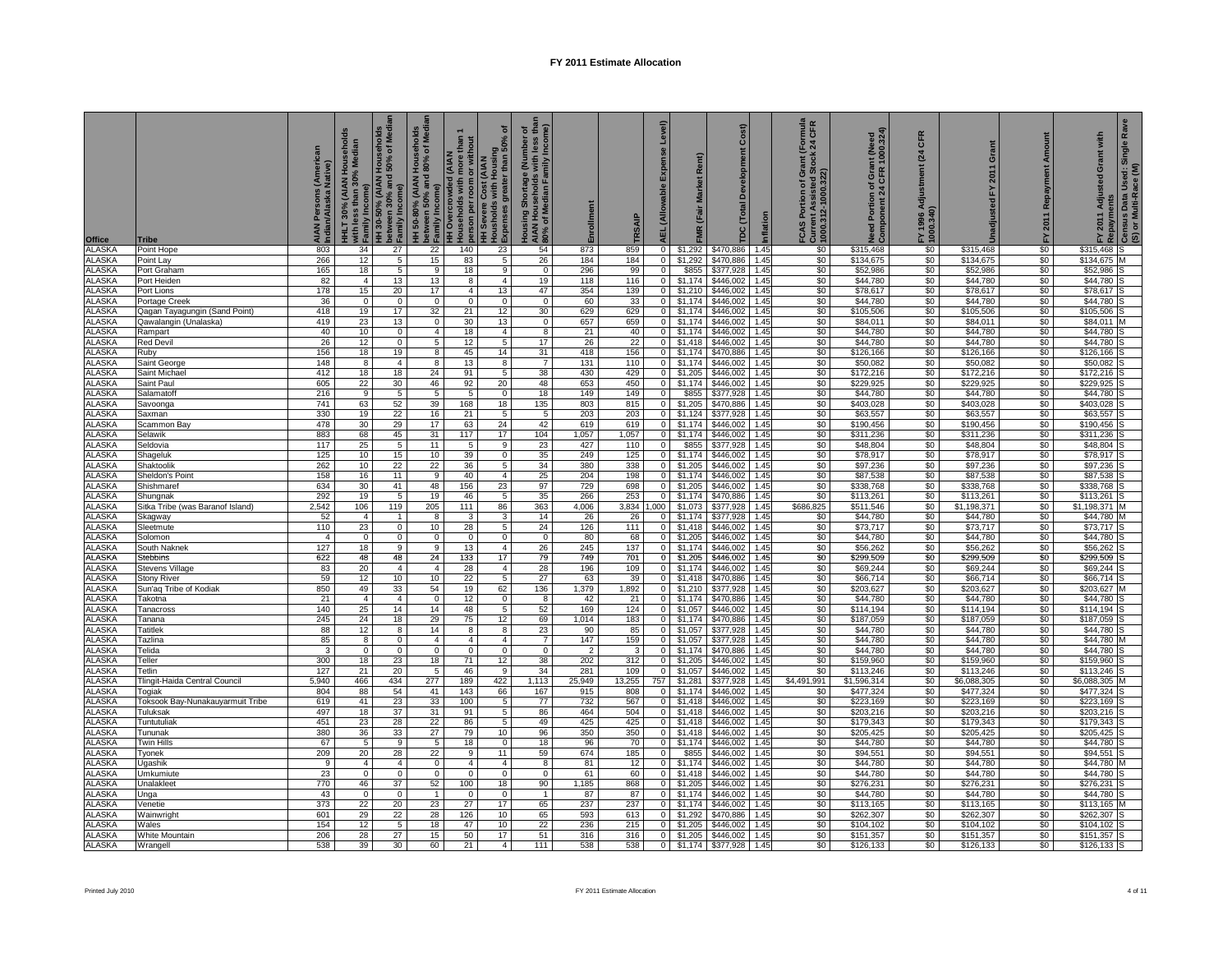| <b>Office</b>                  | <b>Tribe</b>                                 | AIAN Persons (American<br>Indian/Alaska Native) | HHLT 30% (AIAN Households<br>with less than 30% Median<br>Family Income) | HH 30-50% (AIAN Households<br>between 30% and 50% of Media<br>Family Income) | olds<br>Media              |                     | $\frac{1}{2}$<br>HH 50-80% (AIAN Households<br>between 50% and 80% of Medi<br>claruly Income<br>claruly Income<br>HH Severe Cost (AIAN<br>HH Severe Cost (AIAN<br>HE Severe Cost (AIAN<br>clarules greater than 50% of<br>clarules greater than 50% of | Housing Shortage (Number of<br>AIAN Households with less than<br>80% of Median Family Income) | Enrollment     | <b>TRSAIP</b> | AEL (Allowable Expense Level)    | Rent)<br>Market<br>(Fair<br>MR | Cost<br>Development<br>(Total<br>ě | Inflation    | irant (Formula<br>Stock 24 CFR<br>FCAS Portion of Gra<br>Current Assisted Stc<br> <br>  1000.312-1000.322) | Need Portion of Grant (Need<br>Component 24 CFR 1000.324) | CFR<br>(24)<br>Adjustment<br>FY 1996 Ao<br>1000.340) | Grant<br>Unadjusted FY 2011 | Amount<br>Repayment<br>2011<br>놊 | Rave<br>with<br>Single<br>ୁଁ FY 2011 Adjusted Grant w<br>ଛ Repayments<br><i>P</i> Census Data Used: Single<br>(S) or Multi-Race (M) |
|--------------------------------|----------------------------------------------|-------------------------------------------------|--------------------------------------------------------------------------|------------------------------------------------------------------------------|----------------------------|---------------------|--------------------------------------------------------------------------------------------------------------------------------------------------------------------------------------------------------------------------------------------------------|-----------------------------------------------------------------------------------------------|----------------|---------------|----------------------------------|--------------------------------|------------------------------------|--------------|------------------------------------------------------------------------------------------------------------|-----------------------------------------------------------|------------------------------------------------------|-----------------------------|----------------------------------|-------------------------------------------------------------------------------------------------------------------------------------|
| <b>ALASKA</b>                  | Point Hope                                   | 803                                             | 34                                                                       | 27                                                                           | 22                         | 140                 | 23                                                                                                                                                                                                                                                     | 54                                                                                            | 873            | 859           | $\overline{0}$                   |                                |                                    | 1.45         | \$0                                                                                                        | \$315,468                                                 | \$0                                                  | \$315,468                   | \$0                              | \$315,468                                                                                                                           |
| <b>ALASKA</b><br><b>ALASKA</b> | Point Lay<br>Port Graham                     | 266<br>165                                      | 12<br>18                                                                 | 5 <sub>5</sub><br>5                                                          | 15<br>9                    | 83<br>18            | 5<br>9                                                                                                                                                                                                                                                 | 26<br>$\overline{0}$                                                                          | 184<br>296     | 184<br>99     | $\mathbf 0$<br>0                 | \$1,292<br>\$855               | \$470,886<br>\$377,928             | 1.45<br>1.45 | \$0<br>\$0                                                                                                 | \$134,675<br>\$52,986                                     | \$0<br>\$0                                           | \$134,675<br>\$52,986       | \$0<br>\$0                       | \$134,675<br>\$52,986                                                                                                               |
| <b>ALASKA</b>                  | Port Heiden                                  | 82                                              | $\overline{4}$                                                           | 13                                                                           | 13                         | 8                   | $\overline{4}$                                                                                                                                                                                                                                         | 19                                                                                            | 118            | 116           | $\mathbf 0$                      | \$1,174                        | \$446,002                          | 1.45         | \$0                                                                                                        | \$44.780                                                  | \$0                                                  | \$44,780                    | \$0                              | \$44,780                                                                                                                            |
| ALASKA                         | Port Lions                                   | 178                                             | 15                                                                       | 20                                                                           | 17                         | $\overline{4}$      | 13                                                                                                                                                                                                                                                     | 47                                                                                            | 354            | 139           | $\overline{0}$                   | \$1,210                        | \$446,002                          | 1.45         | \$0                                                                                                        | \$78,617                                                  | \$0                                                  | \$78,617                    | \$0                              | \$78,617                                                                                                                            |
| ALASKA                         | Portage Creek                                | 36                                              | $\overline{0}$                                                           | $\circ$                                                                      | $\overline{0}$             | $\Omega$            | $\Omega$                                                                                                                                                                                                                                               | $\overline{0}$                                                                                | 60             | 33            | $\overline{0}$                   | \$1,174                        | \$446,002                          | 1.45         | \$0                                                                                                        | \$44,780                                                  | \$0                                                  | \$44,780                    | \$0                              | \$44,780                                                                                                                            |
| <b>ALASKA</b><br>ALASKA        | Qagan Tayagungin (Sand Point)                | 418<br>419                                      | 19<br>23                                                                 | 17<br>13                                                                     | 32<br>$\mathbf 0$          | 21<br>30            | 12<br>13                                                                                                                                                                                                                                               | 30<br>$\mathbf 0$                                                                             | 629            | 629<br>659    | $\circ$                          | \$1,174<br>$0$ \$1,174         | \$446,002<br>\$446,002             | 1.45<br>1.45 | \$0<br>\$0                                                                                                 | \$105,506                                                 | \$0<br>\$0                                           | \$105,506                   | \$0<br>\$0                       | \$105,506<br>\$84,011<br>м                                                                                                          |
| <b>ALASKA</b>                  | Qawalangin (Unalaska)<br>Rampart             | 40                                              | 10 <sup>10</sup>                                                         | $\overline{0}$                                                               | $\overline{4}$             | 18                  | $\overline{4}$                                                                                                                                                                                                                                         | 8                                                                                             | 657<br>21      | 40            | $\circ$                          | \$1,174                        | \$446,002                          | 1.45         | \$0                                                                                                        | \$84,011<br>\$44,780                                      | \$0                                                  | \$84,011<br>\$44,780        | \$0                              | \$44,780                                                                                                                            |
| <b>ALASKA</b>                  | Red Devil                                    | 26                                              | 12                                                                       | o                                                                            | 5                          | 12                  | 5                                                                                                                                                                                                                                                      | 17                                                                                            | 26             | 22            | $\overline{0}$                   | \$1,418                        | \$446,002                          | 1.45         | \$0                                                                                                        | \$44,780                                                  | \$0                                                  | \$44,780                    | \$0                              | \$44,780                                                                                                                            |
| ALASKA                         | Ruby                                         | 156                                             | 18                                                                       | 19                                                                           | $\overline{\mathbf{8}}$    | 45                  | 14                                                                                                                                                                                                                                                     | 31                                                                                            | 418            | 156           | $\overline{0}$                   | \$1,174                        | \$470,886                          | 1.45         | \$0                                                                                                        | \$126,166                                                 | \$0                                                  | \$126,166                   | \$0                              | \$126,166                                                                                                                           |
| <b>ALASKA</b>                  | Saint George                                 | 148                                             | 8                                                                        | $\overline{4}$                                                               | 8                          | 13                  | 8                                                                                                                                                                                                                                                      | $\overline{7}$                                                                                | 131            | 110           | $\overline{0}$                   | \$1,174                        | \$446,002                          | 1.45         | \$0                                                                                                        | \$50,082                                                  | \$0                                                  | \$50,082                    | \$0                              | \$50,082                                                                                                                            |
| ALASKA                         | Saint Michael                                | 412                                             | 18                                                                       | 18                                                                           | 24                         | 91                  | 5                                                                                                                                                                                                                                                      | 38                                                                                            | 430            | 429           | $\overline{0}$                   | \$1,205                        | \$446,002                          | 1.45         | \$0                                                                                                        | \$172,216                                                 | \$0<br>\$0                                           | \$172,216<br>\$229,925      | \$0<br>\$0                       | \$172,216                                                                                                                           |
| <b>ALASKA</b><br><b>ALASKA</b> | Saint Paul<br>Salamatoff                     | 605<br>216                                      | 22<br>9                                                                  | 30<br>5                                                                      | 46<br>5                    | 92<br>5             | 20<br>$\mathbf 0$                                                                                                                                                                                                                                      | 48<br>18                                                                                      | 653<br>149     | 450<br>149    | $\circ$<br>$\overline{0}$        | \$1,174<br>\$855               | \$446,002<br>\$377,928             | 1.45<br>1.45 | \$0<br>\$0                                                                                                 | \$229,925<br>\$44,780                                     | \$0                                                  | \$44,780                    | \$0                              | \$229,925<br>\$44,780                                                                                                               |
| <b>ALASKA</b>                  | Savoonga                                     | 741                                             | 63                                                                       | 52                                                                           | 39                         | 168                 | 18                                                                                                                                                                                                                                                     | 135                                                                                           | 803            | 815           | $\overline{0}$                   | \$1,205                        | \$470,886                          | 1.45         | \$0                                                                                                        | \$403,028                                                 | \$0                                                  | \$403,028                   | \$0                              | \$403.028                                                                                                                           |
| <b>ALASKA</b>                  | Saxman                                       | 330                                             | 19                                                                       | 22                                                                           | 16                         | 21                  | 5                                                                                                                                                                                                                                                      | 5                                                                                             | 203            | 203           | $\overline{0}$                   | \$1,124                        | \$377,928                          | 1.45         | \$0                                                                                                        | \$63,557                                                  | \$0                                                  | \$63,557                    | \$0                              | \$63,557                                                                                                                            |
| ALASKA                         | Scammon Bay                                  | 478                                             | 30                                                                       | 29                                                                           | 17                         | 63                  | 24                                                                                                                                                                                                                                                     | 42                                                                                            | 619            | 619           | $\overline{0}$                   | \$1,174                        | \$446,002                          | 1.45         | \$0                                                                                                        | \$190,456                                                 | \$0                                                  | \$190,456                   | \$0                              | \$190,456                                                                                                                           |
| <b>ALASKA</b><br>ALASKA        | Selawik                                      | 883                                             | 68                                                                       | 45                                                                           | 31                         | 117                 | 17                                                                                                                                                                                                                                                     | 104                                                                                           | 1,057          | 1,057         | $\circ$                          | \$1,174                        | \$446,002<br>\$377,928             | 1.45         | \$0<br>\$0                                                                                                 | \$311,236                                                 | \$0<br>\$0                                           | \$311,236                   | \$0<br>\$0                       | \$311,236                                                                                                                           |
| <b>ALASKA</b>                  | Seldovia<br>Shageluk                         | 117<br>125                                      | 25<br>10                                                                 | 5 <sub>1</sub><br>15                                                         | 11<br>10                   | 5<br>39             | 9<br>$\Omega$                                                                                                                                                                                                                                          | 23<br>35                                                                                      | 427<br>249     | 110<br>125    | $\circ$<br>0                     | \$855<br>\$1,174               | \$446,002                          | 1.45<br>1.45 | \$0                                                                                                        | \$48,804<br>\$78,917                                      | \$0                                                  | \$48,804<br>\$78,917        | \$0                              | \$48,804<br>\$78,917                                                                                                                |
| <b>ALASKA</b>                  | Shaktoolik                                   | 262                                             | 10                                                                       | 22                                                                           | 22                         | 36                  | 5                                                                                                                                                                                                                                                      | 34                                                                                            | 380            | 338           | $\mathbf 0$                      | \$1,205                        | \$446,002                          | 1.45         | \$0                                                                                                        | \$97,236                                                  | \$0                                                  | \$97,236                    | \$0                              | \$97,236                                                                                                                            |
| ALASKA                         | Sheldon's Point                              | 158                                             | 16                                                                       | 11                                                                           | 9                          | 40                  | $\overline{4}$                                                                                                                                                                                                                                         | 25                                                                                            | 204            | 198           | $\overline{0}$                   | \$1,174                        | \$446,002                          | 1.45         | \$0                                                                                                        | \$87,538                                                  | \$0                                                  | \$87,538                    | \$0                              | \$87,538                                                                                                                            |
| <b>ALASKA</b>                  | Shishmaref                                   | 634                                             | 30                                                                       | 41                                                                           | 48                         | 156                 | 23                                                                                                                                                                                                                                                     | 97                                                                                            | 729            | 698           | $\mathbf 0$                      | \$1,205                        | \$446,002                          | 1.45         | \$0                                                                                                        | \$338,768                                                 | \$0                                                  | \$338,768                   | \$0                              | \$338,768                                                                                                                           |
| ALASKA                         | Shungnak                                     | 292                                             | 19                                                                       | $5\overline{)}$                                                              | 19                         | 46                  | 5                                                                                                                                                                                                                                                      | 35                                                                                            | 266            | 253           | $\mathbf 0$                      | \$1,174                        | \$470,886                          | 1.45         | \$0                                                                                                        | \$113,261                                                 | \$0                                                  | \$113,261                   | \$0                              | \$113,261                                                                                                                           |
| <b>ALASKA</b><br><b>ALASKA</b> | Sitka Tribe (was Baranof Island)<br>Skagway  | 2,542<br>52                                     | 106<br>$\overline{a}$                                                    | 119<br>$\mathbf{1}$                                                          | 205<br>8                   | 111<br>3            | 86<br>3                                                                                                                                                                                                                                                | 363<br>14                                                                                     | 4,006<br>26    | 26            | 3,834 1,000<br>$\mathbf{0}$      | \$1,073<br>\$1,174             | \$377,928<br>\$377.928             | 1.45<br>1.45 | \$686,825<br>\$0                                                                                           | \$511,546<br>\$44.780                                     | \$0<br>\$0                                           | \$1,198,371<br>\$44.780     | \$0<br>\$0                       | \$1,198,371<br>\$44,780                                                                                                             |
| <b>ALASKA</b>                  | Sleetmute                                    | 110                                             | 23                                                                       | $\overline{0}$                                                               | 10                         | 28                  | 5                                                                                                                                                                                                                                                      | 24                                                                                            | 126            | 111           | $\circ$                          | \$1,418                        | \$446,002                          | 1.45         | \$0                                                                                                        | \$73,717                                                  | \$0                                                  | \$73,717                    | \$0                              | \$73,717                                                                                                                            |
| <b>ALASKA</b>                  | Solomon                                      | $\overline{4}$                                  | $\mathbf{0}$                                                             | $\Omega$                                                                     | $\mathbf 0$                | $\Omega$            | $\mathbf{0}$                                                                                                                                                                                                                                           | $\mathbf{0}$                                                                                  | 80             | 68            | $\circ$                          | \$1,205                        | \$446,002                          | 1.45         | \$0                                                                                                        | \$44,780                                                  | \$0                                                  | \$44,780                    | \$0                              | \$44,780                                                                                                                            |
| ALASKA                         | South Naknek                                 | 127                                             | 18                                                                       | 9                                                                            | 9                          | 13                  | $\overline{4}$                                                                                                                                                                                                                                         | 26                                                                                            | 245            | 137           | $\circ$                          | \$1,174                        | \$446,002                          | 1.45         | \$0                                                                                                        | \$56,262                                                  | \$0                                                  | \$56,262                    | \$0                              | \$56,262                                                                                                                            |
| ALASKA                         | Stebbins                                     | 622                                             | 48                                                                       | 48                                                                           | 24                         | 133                 | 17                                                                                                                                                                                                                                                     | 79                                                                                            | 749            | 701           |                                  | $0$ \$1,205                    | \$446,002                          | 1.45         | \$0                                                                                                        | \$299,509                                                 | \$0                                                  | \$299,509                   | \$0                              | \$299,509                                                                                                                           |
| <b>ALASKA</b><br><b>ALASKA</b> | Stevens Village<br><b>Stony River</b>        | 83<br>59                                        | 20<br>12                                                                 | $\overline{4}$<br>10                                                         | $\overline{4}$<br>10       | 28<br>22            | $\overline{4}$<br>5                                                                                                                                                                                                                                    | 28<br>27                                                                                      | 196<br>63      | 109<br>39     | $\circ$<br>$\circ$               | \$1,174<br>\$1,418             | \$446,002<br>\$470,886             | 1.45<br>1.45 | \$0<br>\$0                                                                                                 | \$69,244<br>\$66,714                                      | \$0<br>\$0                                           | \$69,244<br>\$66,714        | \$0<br>\$0                       | \$69,244<br>\$66,714                                                                                                                |
| <b>ALASKA</b>                  | Sun'aq Tribe of Kodiak                       | 850                                             | 49                                                                       | 33                                                                           | 54                         | 19                  | 62                                                                                                                                                                                                                                                     | 136                                                                                           | 1,379          | 1,892         | 0                                | \$1,210                        | \$377,928                          | 1.45         | \$0                                                                                                        | \$203,627                                                 | \$0                                                  | \$203,627                   | \$0                              | \$203,627                                                                                                                           |
| ALASKA                         | Takotna                                      | 21                                              | $\overline{4}$                                                           | $\overline{4}$                                                               | $\overline{0}$             | 12                  | $\overline{0}$                                                                                                                                                                                                                                         | 8                                                                                             | 42             | 21            | $\overline{0}$                   | \$1,174                        | \$470,886                          | 1.45         | \$0                                                                                                        | \$44,780                                                  | \$0                                                  | \$44,780                    | \$0                              | \$44,780                                                                                                                            |
| ALASKA                         | Tanacross                                    | 140                                             | 25                                                                       | 14                                                                           | 14                         | 48                  | 5                                                                                                                                                                                                                                                      | 52                                                                                            | 169            | 124           | $\overline{0}$                   | \$1,057                        | \$446,002                          | 1.45         | \$0                                                                                                        | \$114,194                                                 | \$0                                                  | \$114,194                   | \$0                              | \$114,194                                                                                                                           |
| <b>ALASKA</b>                  | Tanana                                       | 245                                             | 24                                                                       | 18                                                                           | 29                         | 75                  | 12                                                                                                                                                                                                                                                     | 69                                                                                            | 1,014          | 183           | $\mathbf 0$                      | \$1,174                        | \$470,886                          | 1.45         | \$0                                                                                                        | \$187,059                                                 | \$0                                                  | \$187,059                   | \$0                              | \$187,059                                                                                                                           |
| <b>ALASKA</b><br><b>ALASKA</b> | <b>Tatitlek</b><br>Tazlina                   | 88<br>85                                        | 12<br>8                                                                  | 8<br>$\overline{0}$                                                          | 14<br>$\overline{4}$       | 8<br>$\overline{4}$ | 8<br>$\overline{4}$                                                                                                                                                                                                                                    | 23<br>$\overline{7}$                                                                          | 90<br>147      | 85<br>159     | $\overline{0}$<br>$\overline{0}$ | \$1,057<br>\$1,057             | \$377,928<br>\$377,928             | 1.45<br>1.45 | \$0<br>\$0                                                                                                 | \$44,780<br>\$44,780                                      | \$0<br>\$0                                           | \$44,780<br>\$44,780        | \$0<br>\$0                       | \$44,780<br>\$44,780                                                                                                                |
| <b>ALASKA</b>                  | Telida                                       | 3                                               | 0                                                                        | $\mathbf{0}$                                                                 | 0                          | $\mathbf 0$         | 0                                                                                                                                                                                                                                                      | $\mathbf 0$                                                                                   | $\overline{2}$ | 3             | $\overline{0}$                   | \$1,174                        | \$470,886                          | 1.45         | \$0                                                                                                        | \$44,780                                                  | \$0                                                  | \$44,780                    | \$0                              | \$44,780                                                                                                                            |
| ALASKA                         | Teller                                       | 300                                             | 18                                                                       | 23                                                                           | 18                         | 71                  | 12                                                                                                                                                                                                                                                     | 38                                                                                            | 202            | 312           | $\overline{0}$                   | \$1,205                        | \$446,002                          | 1.45         | \$0                                                                                                        | \$159,960                                                 | \$0                                                  | \$159,960                   | \$0                              | \$159,960                                                                                                                           |
| <b>ALASKA</b>                  | Tetlin                                       | 127                                             | 21                                                                       | 20                                                                           | 5                          | 46                  | 9                                                                                                                                                                                                                                                      | 34                                                                                            | 281            | 109           | $\circ$                          | \$1,057                        | \$446,002                          | 1.45         | \$0                                                                                                        | \$113,246                                                 | \$0                                                  | \$113,246                   | \$0                              | \$113,246                                                                                                                           |
| ALASKA                         | Tlingit-Haida Central Council                | 5,940                                           | 466                                                                      | 434                                                                          | 277                        | 189                 | 422                                                                                                                                                                                                                                                    | 1,113                                                                                         | 25,949         | 13,255        |                                  | 757 \$1,281                    | \$377,928                          | 1.45         | \$4,491,991                                                                                                | \$1,596,314                                               | \$0                                                  | \$6,088,305                 | \$0                              | \$6,088,305                                                                                                                         |
| <b>ALASKA</b><br><b>ALASKA</b> | Togiak                                       | 804<br>619                                      | 88<br>41                                                                 | 54<br>23                                                                     | 41<br>33                   | 143<br>100          | 66<br>5                                                                                                                                                                                                                                                | 167<br>77                                                                                     | 915<br>732     | 808<br>567    | $\overline{0}$<br>$\circ$        | \$1.174<br>\$1,418             | \$446,002<br>\$446,002             | 1.45<br>1.45 | \$0<br>\$0                                                                                                 | \$477,324<br>\$223,169                                    | \$0<br>\$0                                           | \$477,324<br>\$223,169      | \$0<br>\$0                       | \$477,324<br>\$223,169                                                                                                              |
| ALASKA                         | Toksook Bay-Nunakauyarmuit Tribe<br>Tuluksak | 497                                             | 18                                                                       | 37                                                                           | 31                         | 91                  | -5                                                                                                                                                                                                                                                     | 86                                                                                            | 464            | 504           | $\overline{0}$                   | \$1,418                        | \$446,002                          | 1.45         | \$0                                                                                                        | \$203,216                                                 | \$0                                                  | \$203,216                   | \$0                              | \$203,216                                                                                                                           |
| <b>ALASKA</b>                  | Tuntutuliak                                  | 451                                             | 23                                                                       | 28                                                                           | 22                         | 86                  | 5                                                                                                                                                                                                                                                      | 49                                                                                            | 425            | 425           | $\mathbf 0$                      | \$1,418                        | \$446,002                          | 1.45         | \$0                                                                                                        | \$179,343                                                 | \$0                                                  | \$179,343                   | \$0                              | \$179,343                                                                                                                           |
| ALASKA                         | Tununak                                      | 380                                             | 36                                                                       | 33                                                                           | 27                         | 79                  | 10                                                                                                                                                                                                                                                     | 96                                                                                            | 350            | 350           | $\overline{0}$                   | \$1,418                        | \$446,002                          | 1.45         | \$0                                                                                                        | \$205,425                                                 | \$0                                                  | \$205,425                   | \$0                              | \$205,425                                                                                                                           |
| <b>ALASKA</b>                  | Twin Hills                                   | 67                                              | 5                                                                        | 9                                                                            | 5                          | 18                  | $\mathbf 0$                                                                                                                                                                                                                                            | 18                                                                                            | 96             | 70            | $\mathbf 0$                      | \$1,174                        | \$446,002                          | 1.45         | \$0                                                                                                        | \$44,780                                                  | \$0                                                  | \$44,780                    | \$0                              | \$44,780                                                                                                                            |
| <b>ALASKA</b>                  | Tyonek                                       | 209                                             | 20                                                                       | 28                                                                           | 22                         | 9<br>$\overline{4}$ | 11<br>$\overline{4}$                                                                                                                                                                                                                                   | 59                                                                                            | 674            | 185           | 0                                | \$855                          | \$446,002<br>\$446,002             | 1.45         | \$0<br>\$0                                                                                                 | \$94,551                                                  | \$0                                                  | \$94,551                    | \$0                              | \$94,551                                                                                                                            |
| <b>ALASKA</b><br>ALASKA        | Jgashik<br>Umkumiute                         | 9<br>23                                         | $\overline{4}$<br>0                                                      | $\overline{4}$<br>$\overline{0}$                                             | $\mathbf 0$<br>$\mathbf 0$ | $\mathbf 0$         | $\mathbf 0$                                                                                                                                                                                                                                            | 8<br>$\mathsf 0$                                                                              | 81<br>61       | 12<br>60      | $\mathbf 0$<br>$\mathbf 0$       | \$1,174<br>\$1,418             | \$446,002                          | 1.45<br>1.45 | \$0                                                                                                        | \$44,780<br>\$44,780                                      | \$0<br>\$0                                           | \$44,780<br>\$44,780        | \$0<br>\$0                       | \$44,780<br>\$44,780                                                                                                                |
| ALASKA                         | <b>Jnalakleet</b>                            | 770                                             | 46                                                                       | 37                                                                           | 52                         | 100                 | 18                                                                                                                                                                                                                                                     | 90                                                                                            | 1,185          | 868           | $\overline{0}$                   | \$1,205                        | \$446,002                          | 1.45         | \$0                                                                                                        | \$276,231                                                 | \$0                                                  | \$276,231                   | \$0                              | \$276,231                                                                                                                           |
| <b>ALASKA</b>                  | Unga                                         | 43                                              | $\mathbf 0$                                                              | $\Omega$                                                                     | $\mathbf{1}$               | $\Omega$            | $\mathbf 0$                                                                                                                                                                                                                                            | $\overline{1}$                                                                                | 87             | 87            | $\circ$                          | \$1,174                        | \$446,002                          | 1.45         | \$0                                                                                                        | \$44,780                                                  | \$0                                                  | \$44,780                    | \$0                              | \$44,780                                                                                                                            |
| <b>ALASKA</b>                  | Venetie                                      | 373                                             | 22                                                                       | 20                                                                           | 23                         | 27                  | 17                                                                                                                                                                                                                                                     | 65                                                                                            | 237            | 237           | $\overline{0}$                   | \$1,174                        | \$446,002                          | 1.45         | \$0                                                                                                        | \$113,165                                                 | \$0                                                  | \$113,165                   | \$0                              | \$113,165                                                                                                                           |
| <b>ALASKA</b>                  | Wainwright                                   | 601                                             | 29                                                                       | 22                                                                           | 28                         | 126                 | 10                                                                                                                                                                                                                                                     | 65                                                                                            | 593            | 613           | $\overline{0}$                   | \$1,292                        | \$470,886                          | 1.45         | \$0                                                                                                        | \$262,307                                                 | \$0                                                  | \$262,307                   | \$0                              | \$262,307                                                                                                                           |
| <b>ALASKA</b><br><b>ALASKA</b> | Wales<br>White Mountain                      | 154<br>206                                      | 12<br>28                                                                 | 5<br>27                                                                      | 18<br>15                   | 47<br>50            | 10<br>17                                                                                                                                                                                                                                               | 22<br>51                                                                                      | 236<br>316     | 215<br>316    | $\circ$<br>$\overline{0}$        | \$1,205<br>\$1,205             | \$446.002<br>\$446,002             | 1.45<br>1.45 | \$0<br>\$0                                                                                                 | \$104.102<br>\$151.357                                    | \$0<br>\$0                                           | \$104.102<br>\$151,357      | \$0<br>\$0                       | \$104.102<br>\$151,357<br>IS                                                                                                        |
| <b>ALASKA</b>                  | Wrangel                                      | 538                                             | 39                                                                       | 30                                                                           | 60                         | 21                  | $\overline{4}$                                                                                                                                                                                                                                         | 111                                                                                           | 538            | 538           | $\circ$                          |                                | \$1,174 \$377,928                  | 1.45         | \$0                                                                                                        | \$126,133                                                 | \$0                                                  | \$126,133                   | \$0                              | \$126,133 S                                                                                                                         |
|                                |                                              |                                                 |                                                                          |                                                                              |                            |                     |                                                                                                                                                                                                                                                        |                                                                                               |                |               |                                  |                                |                                    |              |                                                                                                            |                                                           |                                                      |                             |                                  |                                                                                                                                     |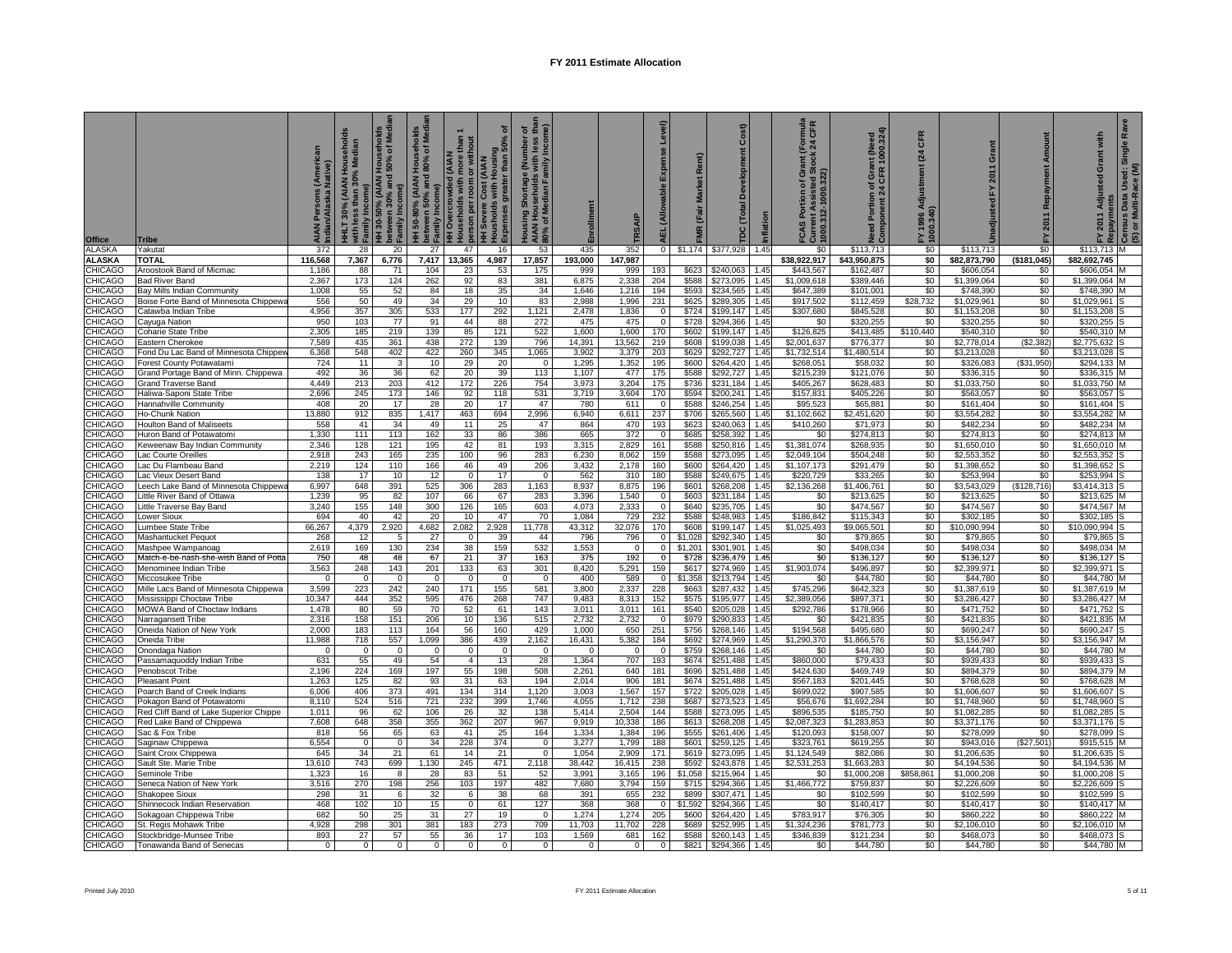| Office                           | <b>Tribe</b>                                               | can<br>Nati    | AN Householo<br>30% Median<br>30% (AIAN<br>Incom<br>HНLТ<br>with I | HH 30-50% (AIAN Households<br>between 30% and 50% of Media<br>Family Income) | olds<br>Medi<br>HH 50-80% (AIAN Househo<br>  between 50% and 80% of M<br>دا Family Income) | than<br>ith more tha<br>m or withou<br>MAIA) be<br>useholds with<br>person per roo<br><b>HH Overcrow</b><br>Households | ৽<br>Cost (AIAN<br>i with Housing<br>greater than 50<br>HH Severe C<br>Housholds<br>Expenses gl | Housing Shortage (Number of<br>AIAN Households with less tha<br>80% of Median Family Income) | rollment        | TRSAIP          | Level)<br>Expense<br><b>AEL</b> (Allowable | Market Rent)<br>(Fair<br><b>FMR</b> | Cost)<br>Development<br>TDC (Total |              | mula<br>CFR<br>[Fe]<br>FCAS Portion of Grant (<br>Current Assisted Stock<br>1000.312-1000.322) | Need Portion of Grant (Need<br>Component 24 CFR 1000.324) | CFR<br>(24)<br>FY 1996 Adjus<br>1000.340) | Grant<br>2011              | Repayment<br>2011   | <b>Ra</b><br>with<br>Single<br>ō<br>FY 2011 Adjusted<br>Repayments | Used: S<br>tace (M)<br>Census Data<br>(S) or Multi-Ra |
|----------------------------------|------------------------------------------------------------|----------------|--------------------------------------------------------------------|------------------------------------------------------------------------------|--------------------------------------------------------------------------------------------|------------------------------------------------------------------------------------------------------------------------|-------------------------------------------------------------------------------------------------|----------------------------------------------------------------------------------------------|-----------------|-----------------|--------------------------------------------|-------------------------------------|------------------------------------|--------------|------------------------------------------------------------------------------------------------|-----------------------------------------------------------|-------------------------------------------|----------------------------|---------------------|--------------------------------------------------------------------|-------------------------------------------------------|
| <b>ALASKA</b><br><b>ALASKA</b>   | Yakutat<br>TOTAL                                           | 372<br>116,568 | 28<br>7,367                                                        | 20<br>6,776                                                                  | 27 <sub>1</sub><br>7,417                                                                   | 47<br>13,365                                                                                                           | 16<br>4,987                                                                                     | 53<br>17,857                                                                                 | 435<br>193,000  | 352<br>147,987  | $\circ$                                    |                                     | $$1,174$ $$377,928$ 1.45           |              | \$0<br>\$38,922,917                                                                            | \$113,713<br>\$43,950,875                                 | \$0<br>\$0                                | \$113,713<br>\$82,873,790  | \$0<br>(\$181, 045) | \$113,713 M<br>\$82,692,745                                        |                                                       |
| <b>CHICAGO</b>                   | Aroostook Band of Micmac                                   | 1,186          | 88                                                                 | 71                                                                           | 104                                                                                        | 23                                                                                                                     | 53                                                                                              | 175                                                                                          | 999             | 999             | 193                                        | \$623                               | \$240.063                          | 1.45         | \$443.567                                                                                      | \$162,487                                                 | \$0                                       | \$606,054                  | \$0                 | \$606,054                                                          |                                                       |
| <b>CHICAGO</b>                   | <b>Bad River Band</b>                                      | 2.367          | 173                                                                | 124                                                                          | 262                                                                                        | 92                                                                                                                     | 83                                                                                              | 381                                                                                          | 6.875           | 2.338           | 204                                        | \$588                               | \$273.095                          | 1.45         | \$1,009.618                                                                                    | \$389.446                                                 | \$0                                       | \$1,399,064                | \$0                 | \$1,399,064                                                        |                                                       |
| CHICAGO                          | Bay Mills Indian Community                                 | 1,008          | 55                                                                 | 52                                                                           | 84                                                                                         | 18                                                                                                                     | 35                                                                                              | 34                                                                                           | 1.646           | 1,216           | 194                                        | \$593                               | \$234,565                          | 1.45         | \$647,389                                                                                      | \$101.001                                                 | \$0                                       | \$748,390                  | \$0                 | \$748.390                                                          |                                                       |
| <b>CHICAGO</b>                   | Boise Forte Band of Minnesota Chippew                      | 556            | 50                                                                 | 49                                                                           | 34                                                                                         | 29                                                                                                                     | 10                                                                                              | 83                                                                                           | 2,988           | 1,996           | 231                                        | \$625                               | \$289,305                          | 1.45         | \$917,502                                                                                      | \$112,459                                                 | \$28,732                                  | \$1,029,961                | \$0                 | \$1,029,961                                                        |                                                       |
| <b>CHICAGO</b>                   | Catawba Indian Tribe                                       | 4,956          | 357                                                                | 305                                                                          | 533                                                                                        | 177                                                                                                                    | 292                                                                                             | 1,121                                                                                        | 2,478           | 1,836           | $\Omega$                                   | \$724                               | \$199,147                          | 1.45         | \$307,680                                                                                      | \$845,528                                                 | \$0                                       | \$1,153,208                | \$0                 | \$1,153,208                                                        |                                                       |
| <b>CHICAGO</b>                   | Cayuga Nation                                              | 950            | 103                                                                | 77                                                                           | 91                                                                                         | 44                                                                                                                     | 88                                                                                              | 272<br>522                                                                                   | 475             | 475             | $\Omega$                                   | \$728                               | \$294,366                          | 1.45<br>1.45 | \$0                                                                                            | \$320,255                                                 | \$0                                       | \$320,255                  | \$0<br>\$0          | \$320,255                                                          |                                                       |
| CHICAGO<br><b>CHICAGO</b>        | <b>Coharie State Tribe</b><br>Eastern Cherokee             | 2,305<br>7,589 | 185<br>435                                                         | 219<br>361                                                                   | 139<br>438                                                                                 | 85<br>272                                                                                                              | 121<br>139                                                                                      | 796                                                                                          | 1,600<br>14,391 | 1,600<br>13,562 | 170<br>219                                 | \$602<br>\$608                      | \$199,147<br>\$199,038             | 1.45         | \$126,825<br>\$2,001,637                                                                       | \$413,485<br>\$776,377                                    | \$110,440<br>\$0                          | \$540,310<br>\$2,778,014   | (\$2,382)           | \$540,310<br>\$2,775,632                                           |                                                       |
| <b>CHICAGO</b>                   | Fond Du Lac Band of Minnesota Chippey                      | 6,368          | 548                                                                | 402                                                                          | 422                                                                                        | 260                                                                                                                    | 345                                                                                             | 1,065                                                                                        | 3,902           | 3,379           | 203                                        | \$629                               | \$292,727                          | 1.45         | \$1,732,514                                                                                    | \$1,480,514                                               | \$0                                       | \$3,213,028                | \$0                 | \$3,213,028                                                        |                                                       |
| CHICAGO                          | Forest County Potawatami                                   | 724            | 11                                                                 | $\overline{3}$                                                               | 10                                                                                         | 29                                                                                                                     | 20                                                                                              | $\overline{\mathbf{0}}$                                                                      | 1,295           | 1,352           | 195                                        | \$600                               | \$264,420                          | 1.45         | \$268,051                                                                                      | \$58,032                                                  | \$0                                       | \$326,083                  | (\$31,950)          | \$294,133                                                          |                                                       |
| CHICAGO                          | Grand Portage Band of Minn. Chippewa                       | 492            | 36                                                                 | 36                                                                           | 62                                                                                         | 20                                                                                                                     | 39                                                                                              | 113                                                                                          | 1,107           | 477             | 175                                        | \$588                               | \$292,727                          | 1.45         | \$215,239                                                                                      | \$121,076                                                 | \$0                                       | \$336,315                  | \$0                 | \$336,315                                                          |                                                       |
| CHICAGO                          | Grand Traverse Band                                        | 4,449          | 213                                                                | 203                                                                          | 412                                                                                        | 172                                                                                                                    | 226                                                                                             | 754                                                                                          | 3,973           | 3,204           | 175                                        | \$736                               | \$231,184                          | 1.45         | \$405,267                                                                                      | \$628,483                                                 | \$0                                       | \$1,033,750                | \$0                 | \$1,033,750                                                        |                                                       |
| CHICAGO                          | Haliwa-Saponi State Tribe                                  | 2,696          | 245                                                                | 173                                                                          | 146                                                                                        | 92                                                                                                                     | 118                                                                                             | 531                                                                                          | 3,719           | 3,604           | 170                                        | \$594                               | \$200,241                          | 1.45         | \$157,831                                                                                      | \$405,226                                                 | \$0                                       | \$563,057                  | \$0                 | \$563,057                                                          |                                                       |
| CHICAGO                          | Hannahville Community                                      | 408            | 20                                                                 | 17                                                                           | 28                                                                                         | 20                                                                                                                     | 17                                                                                              | 47                                                                                           | 780             | 611             | $\mathbf{0}$                               | \$588                               | \$246,254                          | 1.45         | \$95,523                                                                                       | \$65,881                                                  | \$0                                       | \$161,404                  | \$0                 | \$161,404                                                          |                                                       |
| CHICAGO                          | Ho-Chunk Nation                                            | 13,880         | 912                                                                | 835                                                                          | 1,417                                                                                      | 463                                                                                                                    | 694                                                                                             | 2,996                                                                                        | 6,940           | 6,611           | 237                                        | \$706                               | \$265,560                          | 1.45         | \$1,102,662                                                                                    | \$2,451,620                                               | \$0                                       | \$3,554,282                | \$0                 | \$3,554,282                                                        |                                                       |
| <b>CHICAGO</b><br><b>CHICAGO</b> | Houlton Band of Maliseets<br>Huron Band of Potawatomi      | 558<br>1,330   | 41<br>111                                                          | 34<br>113                                                                    | 49<br>162                                                                                  | 11<br>33                                                                                                               | 25<br>86                                                                                        | 47<br>386                                                                                    | 864<br>665      | 470<br>372      | 193<br>$\Omega$                            | \$623<br>\$685                      | \$240,063<br>\$258,392             | 1.45<br>1.45 | \$410,260<br>\$0                                                                               | \$71,973<br>\$274,813                                     | \$0<br>\$0                                | \$482,234<br>\$274,813     | \$0<br>\$0          | \$482,234<br>\$274,813                                             |                                                       |
| <b>CHICAGO</b>                   | Keweenaw Bay Indian Community                              | 2,346          | 128                                                                | 121                                                                          | 195                                                                                        | 42                                                                                                                     | 81                                                                                              | 193                                                                                          | 3,315           | 2,829           | 161                                        | \$588                               | \$250,816                          | 1.45         | \$1,381,074                                                                                    | \$268,935                                                 | \$0                                       | \$1,650,010                | \$0                 | \$1,650,010                                                        |                                                       |
| <b>CHICAGO</b>                   | Lac Courte Oreilles                                        | 2,918          | 243                                                                | 165                                                                          | 235                                                                                        | 100                                                                                                                    | 96                                                                                              | 283                                                                                          | 6,230           | 8,062           | 159                                        | \$588                               | \$273,095                          | 1.45         | \$2,049,104                                                                                    | \$504,248                                                 | \$0                                       | \$2,553,352                | \$0                 | \$2,553,352                                                        |                                                       |
| CHICAGO                          | Lac Du Flambeau Band                                       | 2,219          | 124                                                                | 110                                                                          | 166                                                                                        | 46                                                                                                                     | 49                                                                                              | 206                                                                                          | 3,432           | 2.178           | 160                                        | \$600                               | \$264.420                          | 1.45         | \$1,107,173                                                                                    | \$291.479                                                 | \$0                                       | \$1,398,652                | \$0                 | \$1.398.652                                                        |                                                       |
| <b>CHICAGO</b>                   | Lac Vieux Desert Band                                      | 138            | 17                                                                 | 10                                                                           | 12                                                                                         | $\overline{0}$                                                                                                         | 17                                                                                              | $\mathbf{0}$                                                                                 | 562             | 310             | 180                                        | \$588                               | \$249,675                          | 1.45         | \$220,729                                                                                      | \$33.265                                                  | \$0                                       | \$253,994                  | \$0                 | \$253,994                                                          |                                                       |
| <b>CHICAGO</b>                   | Leech Lake Band of Minnesota Chippew                       | 6,997          | 648                                                                | 391                                                                          | 525                                                                                        | 306                                                                                                                    | 283                                                                                             | 1,163                                                                                        | 8,937           | 8,875           | 196                                        | \$601                               | \$268,208                          | 1.45         | \$2,136,268                                                                                    | \$1,406,761                                               | \$0                                       | \$3,543,029                | (\$128,716)         | \$3,414,313                                                        |                                                       |
| <b>CHICAGO</b>                   | Little River Band of Ottawa                                | 1,239          | 95                                                                 | 82                                                                           | 107                                                                                        | 66                                                                                                                     | 67                                                                                              | 283                                                                                          | 3,396           | 1,540           | $\mathbf 0$                                | \$603                               | \$231,184                          | 1.45         | \$0                                                                                            | \$213,625                                                 | \$0                                       | \$213,625                  | \$0                 | \$213,625                                                          |                                                       |
| <b>CHICAGO</b>                   | Little Traverse Bay Band                                   | 3,240          | 155                                                                | 148                                                                          | 300                                                                                        | 126                                                                                                                    | 165                                                                                             | 603                                                                                          | 4,073           | 2,333           | $\Omega$                                   | \$640                               | \$235,705                          | 1.45         | \$0                                                                                            | \$474,567                                                 | \$0                                       | \$474,567                  | \$0                 | \$474,567 M<br>\$302.185                                           |                                                       |
| CHICAGO<br><b>CHICAGO</b>        | Lower Sioux<br>Lumbee State Tribe                          | 694<br>66,267  | 40<br>4,379                                                        | 42<br>2,920                                                                  | 20<br>4,682                                                                                | 10<br>2,082                                                                                                            | 47<br>2,928                                                                                     | 70<br>11,778                                                                                 | 1,084<br>43,312 | 729<br>32,076   | 232<br>170                                 | \$588<br>\$608                      | \$248,983<br>\$199,147             | 1.45<br>1.45 | \$186,842<br>\$1,025,493                                                                       | \$115,343<br>\$9,065,501                                  | \$0<br>\$0                                | \$302,185<br>\$10,090,994  | \$0<br>\$0          | \$10,090,994                                                       |                                                       |
| CHICAGO                          | Mashantucket Pequot                                        | 268            | 12                                                                 | 5                                                                            | 27                                                                                         | $\mathbf 0$                                                                                                            | 39                                                                                              | 44                                                                                           | 796             | 796             | 0                                          | \$1,028                             | \$292,340                          | 1.45         | \$0                                                                                            | \$79,865                                                  | \$0                                       | \$79,865                   | \$0                 | \$79,865                                                           |                                                       |
| <b>CHICAGO</b>                   | Mashpee Wampanoag                                          | 2,619          | 169                                                                | 130                                                                          | 234                                                                                        | 38                                                                                                                     | 159                                                                                             | 532                                                                                          | 1,553           | $\Omega$        | $\Omega$                                   | \$1,201                             | \$301,901                          | 1.45         | \$0                                                                                            | \$498,034                                                 | \$0                                       | \$498,034                  | \$0                 | \$498,034                                                          |                                                       |
| CHICAGO                          | Match-e-be-nash-she-wish Band of Potta                     | 750            | 48                                                                 | 48                                                                           | 67                                                                                         | 21                                                                                                                     | 37                                                                                              | 163                                                                                          | 375             | 192             | $^{\circ}$                                 | \$728                               | \$236,479                          | 1.45         | \$0                                                                                            | \$136,127                                                 | \$0                                       | \$136,127                  | $\frac{1}{2}$       | \$136,127                                                          |                                                       |
| <b>CHICAGO</b>                   | Menominee Indian Tribe                                     | 3,563          | 248                                                                | 143                                                                          | 201                                                                                        | 133                                                                                                                    | 63                                                                                              | 301                                                                                          | 8,420           | 5,291           | 159                                        | \$617                               | \$274,969                          | 1.45         | \$1,903,074                                                                                    | \$496,897                                                 | \$0                                       | \$2,399,971                | \$0                 | \$2,399,971                                                        |                                                       |
| <b>CHICAGO</b>                   | Miccosukee Tribe                                           | $\Omega$       | $\Omega$                                                           | $\overline{0}$                                                               | $\overline{0}$                                                                             | $\overline{0}$                                                                                                         | $\overline{0}$                                                                                  | $\overline{\mathbf{0}}$                                                                      | 400             | 589             | $^{\circ}$                                 | \$1,358                             | \$213,794                          | 1.45         | \$0                                                                                            | \$44,780                                                  | \$0                                       | \$44,780                   | \$0                 | \$44,780                                                           |                                                       |
| <b>CHICAGO</b>                   | Mille Lacs Band of Minnesota Chippewa                      | 3,599          | 223                                                                | 242                                                                          | 240                                                                                        | 171                                                                                                                    | 155                                                                                             | 581                                                                                          | 3,800           | 2,337           | 228                                        | \$663                               | \$287,432                          | 1.45         | \$745,296                                                                                      | \$642,323                                                 | \$0                                       | \$1,387,619                | \$0                 | \$1,387,619                                                        |                                                       |
| <b>CHICAGO</b>                   | Mississippi Choctaw Tribe                                  | 10,347         | 444                                                                | 352                                                                          | 595                                                                                        | 476                                                                                                                    | 268                                                                                             | 747                                                                                          | 9,483           | 8,313           | 152                                        | \$575                               | \$195,977                          | 1.45<br>1.45 | \$2,389,056<br>\$292,786                                                                       | \$897,371                                                 | \$0                                       | \$3,286,427                | \$0                 | \$3,286,427                                                        |                                                       |
| <b>CHICAGO</b><br><b>CHICAGO</b> | MOWA Band of Choctaw Indians                               | 1,478<br>2,316 | 80<br>158                                                          | 59<br>151                                                                    | 70<br>206                                                                                  | 52<br>10                                                                                                               | 61<br>136                                                                                       | 143<br>515                                                                                   | 3,011<br>2,732  | 3,011<br>2,732  | 161<br>$\mathbf{0}$                        | \$540<br>\$979                      | \$205,028<br>\$290,833             | 1.45         | \$0                                                                                            | \$178,966<br>\$421,835                                    | \$0<br>\$0                                | \$471,752<br>\$421,835     | \$0<br>\$0          | \$471,752<br>\$421,835                                             |                                                       |
| <b>CHICAGO</b>                   | Narragansett Tribe<br>Oneida Nation of New York            | 2,000          | 183                                                                | 113                                                                          | 164                                                                                        | 56                                                                                                                     | 160                                                                                             | 429                                                                                          | 1,000           | 650             | 251                                        | \$756                               | \$268,146 1.45                     |              | \$194,568                                                                                      | \$495,680                                                 | \$0                                       | \$690,247                  | \$0                 | \$690,247                                                          |                                                       |
| CHICAGO                          | Oneida Tribe                                               | 11,988         | 718                                                                | 557                                                                          | 1,099                                                                                      | 386                                                                                                                    | 439                                                                                             | 2,162                                                                                        | 16,431          | 5,382           | 184                                        | \$692                               | \$274,969                          | 1.45         | \$1,290,370                                                                                    | \$1,866,576                                               | \$0                                       | \$3,156,947                | \$0                 | \$3,156,947                                                        |                                                       |
| <b>CHICAGO</b>                   | Onondaga Nation                                            | 0              | $\mathbf 0$                                                        | $\mathbf 0$                                                                  | $\mathbf 0$                                                                                | $\mathbf 0$                                                                                                            | $\mathbf 0$                                                                                     | $\mathbf 0$                                                                                  | $\Omega$        | $\mathbf 0$     | $\mathbf 0$                                | \$759                               | \$268,146                          | 1.45         | \$0                                                                                            | \$44,780                                                  | \$0                                       | \$44,780                   | \$0                 | \$44,780                                                           |                                                       |
| <b>CHICAGO</b>                   | Passamaquoddy Indian Tribe                                 | 631            | 55                                                                 | 49                                                                           | 54                                                                                         | $\overline{4}$                                                                                                         | 13                                                                                              | 28                                                                                           | 1,364           | 707             | 193                                        | \$674                               | \$251,488                          | 1.45         | \$860,000                                                                                      | \$79,433                                                  | \$0                                       | \$939,433                  | \$0                 | \$939,433                                                          |                                                       |
| <b>CHICAGO</b>                   | Penobscot Tribe                                            | 2,196          | 224                                                                | 169                                                                          | 197                                                                                        | 55                                                                                                                     | 198                                                                                             | 508                                                                                          | 2,261           | 640             | 181                                        | \$696                               | \$251,488                          | 1.45         | \$424,630                                                                                      | \$469,749                                                 | \$0                                       | \$894,379                  | \$0                 | \$894,379                                                          |                                                       |
| <b>CHICAGO</b>                   | Pleasant Point                                             | 1,263          | 125                                                                | 82                                                                           | 93                                                                                         | 31                                                                                                                     | 63                                                                                              | 194                                                                                          | 2,014           | 906             | 181                                        | \$674                               | \$251,488                          | 1.45         | \$567,183                                                                                      | \$201,445                                                 | \$0                                       | \$768,628                  | \$0                 | \$768,628                                                          |                                                       |
| CHICAGO<br><b>CHICAGO</b>        | Poarch Band of Creek Indians<br>Pokagon Band of Potawatomi | 6,006<br>8,110 | 406<br>524                                                         | 373<br>516                                                                   | 491<br>721                                                                                 | 134<br>232                                                                                                             | 314<br>399                                                                                      | 1,120<br>1,746                                                                               | 3,003<br>4,055  | 1,567<br>1,712  | 157<br>238                                 | \$722<br>\$687                      | \$205,028<br>\$273,523             | 1.45<br>1.45 | \$699,022<br>\$56,676                                                                          | \$907,585<br>\$1,692,284                                  | \$0<br>\$0                                | \$1,606,607<br>\$1,748,960 | \$0<br>\$0          | \$1,606,607<br>\$1,748,960                                         |                                                       |
| <b>CHICAGO</b>                   | Red Cliff Band of Lake Superior Chippe                     | 1,011          | 96                                                                 | 62                                                                           | 106                                                                                        | 26                                                                                                                     | 32                                                                                              | 138                                                                                          | 5,414           | 2,504           | 144                                        | \$588                               | \$273,095                          | 1.45         | \$896,535                                                                                      | \$185,750                                                 | \$0                                       | \$1,082,285                | \$0                 | \$1,082,285                                                        |                                                       |
| CHICAGO                          | Red Lake Band of Chippewa                                  | 7,608          | 648                                                                | 358                                                                          | 355                                                                                        | 362                                                                                                                    | 207                                                                                             | 967                                                                                          | 9,919           | 10,338          | 186                                        | \$613                               | \$268,208                          | 1.45         | \$2,087,323                                                                                    | \$1,283,853                                               | \$0                                       | \$3,371,176                | \$0                 | \$3,371,176                                                        |                                                       |
| <b>CHICAGO</b>                   | Sac & Fox Tribe                                            | 818            | 56                                                                 | 65                                                                           | 63                                                                                         | 41                                                                                                                     | 25                                                                                              | 164                                                                                          | 1,334           | 1,384           | 196                                        | \$555                               | \$261,406                          | 1.45         | \$120,093                                                                                      | \$158,007                                                 | \$0                                       | \$278,099                  | \$0                 | \$278,099                                                          |                                                       |
| <b>CHICAGO</b>                   | Saginaw Chippewa                                           | 6,554          | $\Omega$                                                           | $\mathbf 0$                                                                  | 34                                                                                         | 228                                                                                                                    | 374                                                                                             | $\mathsf 0$                                                                                  | 3,277           | 1,799           | 188                                        | \$601                               | \$259,125                          | 1.45         | \$323,761                                                                                      | \$619,255                                                 | \$0                                       | \$943,016                  | (\$27,501)          | \$915,515                                                          |                                                       |
| <b>CHICAGO</b>                   | Saint Croix Chippewa                                       | 645            | 34                                                                 | 21                                                                           | 61                                                                                         | 14                                                                                                                     | 21                                                                                              | $\mathbf 0$                                                                                  | 1,054           | 2,909           | 171                                        | \$619                               | \$273,095                          | 1.45         | \$1,124,549                                                                                    | \$82,086                                                  | \$0                                       | \$1,206,635                | \$0                 | \$1,206,635                                                        |                                                       |
| CHICAGO                          | Sault Ste. Marie Tribe                                     | 13,610         | 743                                                                | 699                                                                          | 1,130                                                                                      | 245                                                                                                                    | 471                                                                                             | 2,118                                                                                        | 38,442          | 16,415          | 238                                        | \$592                               | \$243,878                          | 1.45         | \$2,531,253                                                                                    | \$1,663,283                                               | \$0                                       | \$4,194,536                | \$0                 | \$4,194,536                                                        |                                                       |
| CHICAGO                          | Seminole Tribe                                             | 1,323          | 16                                                                 | 8                                                                            | 28                                                                                         | 83                                                                                                                     | 51                                                                                              | 52                                                                                           | 3,991           | 3,165           | 196                                        | \$1,058                             | \$215,964                          | 1.45         | \$0                                                                                            | \$1,000,208                                               | \$858,861                                 | \$1,000,208                | \$0                 | \$1,000,208                                                        |                                                       |
| <b>CHICAGO</b><br>CHICAGO        | Seneca Nation of New York                                  | 3,516<br>298   | 270<br>31                                                          | 198                                                                          | 256                                                                                        | 103                                                                                                                    | 197<br>38                                                                                       | 482<br>68                                                                                    | 7,680<br>391    | 3.794<br>655    | 159                                        | \$715<br>\$899                      | \$294.366<br>\$307,471             | 1.45<br>1.45 | \$1,466,772                                                                                    | \$759.837<br>\$102,599                                    | \$0<br>\$0                                | \$2.226.609                | \$0<br>\$0          | \$2,226,609<br>\$102,599                                           |                                                       |
| <b>CHICAGO</b>                   | Shakopee Sioux<br>Shinnecock Indian Reservation            | 468            | 102                                                                | 6<br>10                                                                      | 32<br>15                                                                                   | 6<br>$\overline{0}$                                                                                                    | 61                                                                                              | 127                                                                                          | 368             | 368             | 232<br>$\Omega$                            | \$1,592                             | \$294,366                          | 1.45         | \$0<br>\$0                                                                                     | \$140,417                                                 | \$0                                       | \$102,599<br>\$140.417     | \$0                 | \$140.417                                                          |                                                       |
| <b>CHICAGO</b>                   | Sokagoan Chippewa Tribe                                    | 682            | 50                                                                 | 25                                                                           | 31                                                                                         | 27                                                                                                                     | 19                                                                                              | $\overline{0}$                                                                               | 1,274           | 1,274           | 205                                        | \$600                               | \$264,420                          | 1.45         | \$783,917                                                                                      | \$76,305                                                  | \$0                                       | \$860,222                  | \$0                 | \$860,222                                                          |                                                       |
| <b>CHICAGO</b>                   | St. Regis Mohawk Tribe                                     | 4,928          | 298                                                                | 301                                                                          | 381                                                                                        | 183                                                                                                                    | 273                                                                                             | 709                                                                                          | 11,703          | 11,702          | 228                                        | \$689                               | \$252.995                          | 1.45         | \$1,324,236                                                                                    | \$781,773                                                 | \$0                                       | \$2,106,010                | \$0                 | \$2,106,010                                                        |                                                       |
| <b>CHICAGO</b>                   | Stockbridge-Munsee Tribe                                   | 893            | 27                                                                 | 57                                                                           | 55                                                                                         | 36                                                                                                                     | 17                                                                                              | 103                                                                                          | 1,569           | 681             | 162                                        | \$588                               | \$260,143                          | 1.45         | \$346.839                                                                                      | \$121,234                                                 | \$0                                       | \$468,073                  | \$0                 | \$468.073                                                          |                                                       |
| <b>CHICAGO</b>                   | Tonawanda Band of Senecas                                  | $\mathbf{0}$   | $\mathbf{0}$                                                       | $\mathbf{0}$                                                                 | $\overline{0}$                                                                             | $\mathbf{0}$                                                                                                           | $\mathbf{0}$                                                                                    | $\mathbf 0$                                                                                  | $\mathbf 0$     | 0               | $\mathbf 0$                                | \$821                               | \$294.366                          | 1.45         | \$0                                                                                            | \$44,780                                                  | \$0                                       | \$44,780                   | \$0                 | \$44,780                                                           |                                                       |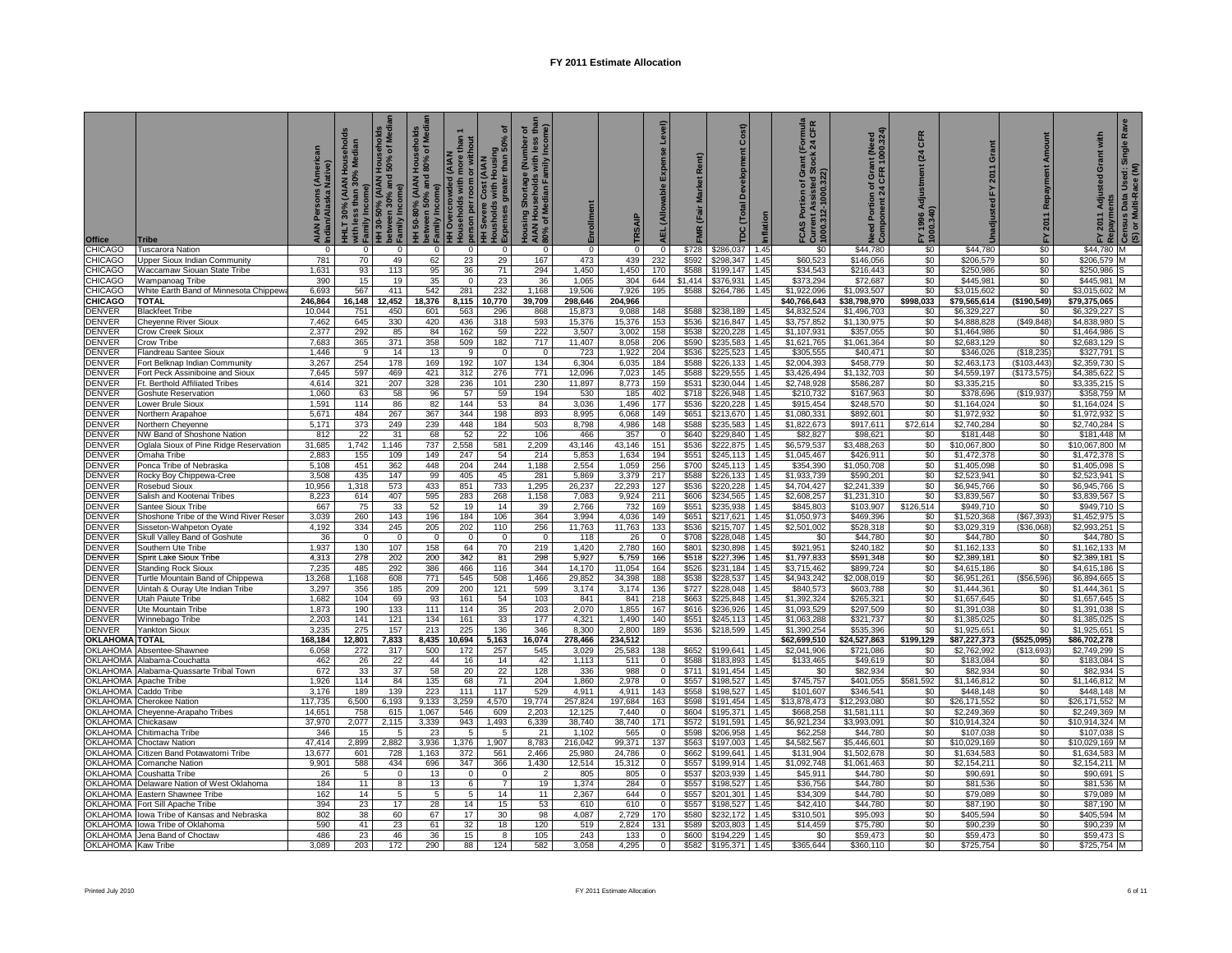| Office                      | <b>Tribe</b>                                                         | (Native)<br>Indian/Alaska | HHLT 30% (AIAN Households<br>with less than 30% Median | with less than 30% Median<br>> Family Income)<br>HH 30-50% (AIAN Households<br>- Family Income)<br>> Family Income) | olds<br>Medi<br>HH 50-80% (AIAN Households<br>Detween 50% and 80% of Medi<br>Pamily Income)<br>Households with more than 1<br>HH Severe Cost (AIAN<br>HH Severe Cost (AIAN<br>HE Severes greater than 50% of<br>DExpenses greater than 50% of |              | ō              | Housing Shortage (Number of<br>AIAN Households with less tha<br>80% of Median Family Income) |                  | TRSAIP           | Level)<br>Expense<br><b>AEL</b> (Allowable | Market Rent)<br>(Fair<br>ΜR | Cost)<br>Development<br>DC (Total |              | mula<br>CFR<br>$\frac{1}{2}$<br>FCAS Portion of Gra<br>Current Assisted Std<br>1000.312-1000.322) | Need Portion of Grant (Need<br>Component 24 CFR 1000.324) | CFR<br>(24)<br>Adjustment<br>FY 1996 Av<br>1000.340) | Grant<br>2011<br>놊         | Repayment Amount<br>2011<br>놊 | with<br>ō<br>FY 2011 Adjusted (<br>Repayments | <b>R</b> a<br>Single<br>l Used: S<br>tace (M)<br>Census Data L<br>(S) or Multi-Ra |
|-----------------------------|----------------------------------------------------------------------|---------------------------|--------------------------------------------------------|---------------------------------------------------------------------------------------------------------------------|-----------------------------------------------------------------------------------------------------------------------------------------------------------------------------------------------------------------------------------------------|--------------|----------------|----------------------------------------------------------------------------------------------|------------------|------------------|--------------------------------------------|-----------------------------|-----------------------------------|--------------|---------------------------------------------------------------------------------------------------|-----------------------------------------------------------|------------------------------------------------------|----------------------------|-------------------------------|-----------------------------------------------|-----------------------------------------------------------------------------------|
| CHICAGO                     | <b>Tuscarora Nation</b>                                              | $\Omega$                  | $\Omega$                                               | $\mathbf 0$                                                                                                         | $\Omega$                                                                                                                                                                                                                                      | $\mathbf 0$  | $\Omega$       | $\Omega$                                                                                     | $\Omega$         | $\Omega$         | $\mathbf 0$                                | \$728                       | \$286,037 1.45                    |              | \$0                                                                                               | \$44,780                                                  | \$0                                                  | \$44,780                   | \$0                           | \$44,780 M                                    |                                                                                   |
| CHICAGO<br>CHICAGO          | Upper Sioux Indian Community<br>Waccamaw Siouan State Tribe          | 781<br>1,631              | 70<br>93                                               | 49<br>113                                                                                                           | 62<br>95                                                                                                                                                                                                                                      | 23<br>36     | 29<br>71       | 167<br>294                                                                                   | 473<br>1,450     | 439<br>1,450     | 232<br>170                                 | \$592<br>\$588              | \$298,347<br>\$199,147            | 1.45<br>1.45 | \$60,523<br>\$34,543                                                                              | \$146,056<br>\$216.443                                    | \$0<br>\$0                                           | \$206,579<br>\$250,986     | \$0<br>\$0                    | \$206,579<br>\$250.986                        |                                                                                   |
| CHICAGO                     | Wampanoag Tribe                                                      | 390                       | 15                                                     | 19                                                                                                                  | 35                                                                                                                                                                                                                                            | $\mathbf{0}$ | 23             | 36                                                                                           | 1.065            | 304              | 644                                        | \$1,414                     | \$376.931                         | 1.45         | \$373.294                                                                                         | \$72.687                                                  | \$0                                                  | \$445.981                  | \$0                           | \$445.981                                     |                                                                                   |
| CHICAGO                     | White Earth Band of Minnesota Chippewa                               | 6,693                     | 567                                                    | 411                                                                                                                 | 542                                                                                                                                                                                                                                           | 281          | 232            | 1,168                                                                                        | 19,506           | 7,926            | 195                                        | \$588                       | \$264,786                         | 1.45         | \$1,922,096                                                                                       | \$1,093,507                                               | \$0                                                  | \$3,015,602                | \$0                           | \$3.015.602                                   |                                                                                   |
| <b>CHICAGO</b>              | TOTAL                                                                | 246,864                   | 16,148                                                 | 12,452                                                                                                              | 18,376                                                                                                                                                                                                                                        | 8,115        | 10,770         | 39,709                                                                                       | 298,646          | 204,966          |                                            |                             |                                   |              | \$40,766,643                                                                                      | \$38,798,970                                              | \$998,033                                            | \$79,565,614               | (\$190,549)                   | \$79,375,065                                  |                                                                                   |
| DENVER                      | <b>Blackfeet Tribe</b>                                               | 10,044                    | 751                                                    | 450                                                                                                                 | 601                                                                                                                                                                                                                                           | 563          | 296            | 868                                                                                          | 15,873           | 9,088            | 148                                        | \$588                       | \$238,189                         | 1.45         | \$4,832,524                                                                                       | \$1,496,703                                               | \$0                                                  | \$6,329,227                | \$0                           | \$6,329,227                                   |                                                                                   |
| <b>DENVER</b><br>DENVER     | Cheyenne River Sioux<br>Crow Creek Sioux                             | 7,462<br>2,377            | 645<br>292                                             | 330<br>85                                                                                                           | 420<br>84                                                                                                                                                                                                                                     | 436<br>162   | 318<br>59      | 593<br>222                                                                                   | 15,376<br>3,507  | 15,376<br>3,002  | 153<br>158                                 | \$536<br>\$538              | \$216,847<br>\$220,228            | 1.45<br>1.45 | \$3,757,852<br>\$1,107,931                                                                        | \$1,130,975<br>\$357,055                                  | \$0<br>\$0                                           | \$4,888,828<br>\$1,464,986 | (S49, 848)<br>\$0             | \$4,838,980<br>\$1,464,986                    |                                                                                   |
| <b>DENVER</b>               | Crow Tribe                                                           | 7,683                     | 365                                                    | 371                                                                                                                 | 358                                                                                                                                                                                                                                           | 509          | 182            | 717                                                                                          | 11,407           | 8,058            | 206                                        | \$590                       | \$235,583                         | 1.45         | \$1,621,765                                                                                       | \$1,061,364                                               | \$0                                                  | \$2,683,129                | \$0                           | \$2,683,129                                   |                                                                                   |
| <b>DENVER</b>               | Flandreau Santee Sioux                                               | 1,446                     | - 9                                                    | 14                                                                                                                  | 13                                                                                                                                                                                                                                            | 9            | $\Omega$       | $\overline{\phantom{0}}$                                                                     | 723              | 1,922            | 204                                        | \$536                       | \$225,523                         | 1.45         | \$305,555                                                                                         | \$40,471                                                  | \$0                                                  | \$346,026                  | (\$18,235)                    | \$327,791                                     |                                                                                   |
| DENVER                      | Fort Belknap Indian Community                                        | 3,267                     | 254                                                    | 178                                                                                                                 | 169                                                                                                                                                                                                                                           | 192          | 107            | 134                                                                                          | 6,304            | 6,035            | 184                                        | \$588                       | \$226,133                         | 1.45         | \$2,004,393                                                                                       | \$458,779                                                 | \$0                                                  | \$2,463,173                | (\$103,443)                   | \$2,359,730                                   |                                                                                   |
| denver                      | Fort Peck Assiniboine and Sioux                                      | 7,645                     | 597                                                    | 469                                                                                                                 | 421                                                                                                                                                                                                                                           | 312          | 276            | 771                                                                                          | 12,096           | 7,023            | 145                                        | \$588                       | \$229,555                         | 1.45         | \$3,426,494                                                                                       | \$1,132,703                                               | \$0                                                  | \$4,559,197                | (\$173,575)                   | \$4,385,622                                   |                                                                                   |
| <b>DENVER</b>               | Ft. Berthold Affiliated Tribes                                       | 4,614                     | 321                                                    | 207                                                                                                                 | 328                                                                                                                                                                                                                                           | 236          | 101            | 230                                                                                          | 11,897           | 8,773            | 159                                        | \$531                       | \$230,044                         | 1.45         | \$2,748,928                                                                                       | \$586,287                                                 | \$0                                                  | \$3,335,215                | \$0                           | \$3,335,215                                   |                                                                                   |
| <b>DENVER</b>               | <b>Goshute Reservation</b>                                           | 1,060                     | 63                                                     | 58                                                                                                                  | 96                                                                                                                                                                                                                                            | 57           | 59             | 194                                                                                          | 530              | 185              | 402                                        | \$718                       | \$226,948                         | 1.45         | \$210,732                                                                                         | \$167,963                                                 | \$0                                                  | \$378,696                  | (\$19,937)                    | \$358,759                                     |                                                                                   |
| <b>DENVER</b>               | Lower Brule Sioux                                                    | 1,591                     | 114                                                    | 86                                                                                                                  | 82                                                                                                                                                                                                                                            | 144          | 53             | 84                                                                                           | 3,036            | 1,496            | 177                                        | \$536                       | \$220,228                         | 1.45         | \$915,454                                                                                         | \$248,570                                                 | \$0                                                  | \$1,164,024                | \$0                           | \$1,164,024                                   |                                                                                   |
| DENVER<br><b>DENVER</b>     | Northern Arapahoe<br>Northern Cheyenne                               | 5,671<br>5,171            | 484<br>373                                             | 267<br>249                                                                                                          | 367<br>239                                                                                                                                                                                                                                    | 344<br>448   | 198<br>184     | 893<br>503                                                                                   | 8,995<br>8,798   | 6,068<br>4,986   | 149<br>148                                 | \$651<br>\$588              | \$213,670<br>\$235,583            | 1.45<br>1.45 | \$1,080,331<br>\$1,822,673                                                                        | \$892,601<br>\$917,611                                    | \$0<br>\$72,614                                      | \$1,972,932<br>\$2,740,284 | \$0<br>\$0                    | \$1,972,932<br>\$2,740,284                    |                                                                                   |
| DENVER                      | NW Band of Shoshone Nation                                           | 812                       | 22                                                     | 31                                                                                                                  | 68                                                                                                                                                                                                                                            | 52           | 22             | 106                                                                                          | 466              | 357              | $\Omega$                                   | \$640                       | \$229,840                         | 1.45         | \$82,827                                                                                          | \$98,621                                                  | \$0                                                  | \$181,448                  | \$0                           | \$181,448                                     |                                                                                   |
| DENVER                      | Oglala Sioux of Pine Ridge Reservation                               | 31,685                    | 1,742                                                  | 1,146                                                                                                               | 737                                                                                                                                                                                                                                           | 2,558        | 581            | 2,209                                                                                        | 43,146           | 43,146           | 151                                        | \$536                       | \$222,875                         | 1.45         | \$6,579,537                                                                                       | \$3,488,263                                               | \$0                                                  | \$10,067,800               | \$0                           | \$10,067,800                                  |                                                                                   |
| DENVER                      | Omaha Tribe                                                          | 2,883                     | 155                                                    | 109                                                                                                                 | 149                                                                                                                                                                                                                                           | 247          | 54             | 214                                                                                          | 5,853            | 1,634            | 194                                        | \$551                       | \$245,113                         | 1.45         | \$1,045,467                                                                                       | \$426,911                                                 | \$0                                                  | \$1,472,378                | \$0                           | \$1,472,378                                   |                                                                                   |
| <b>DENVER</b>               | Ponca Tribe of Nebraska                                              | 5,108                     | 451                                                    | 362                                                                                                                 | 448                                                                                                                                                                                                                                           | 204          | 244            | 1,188                                                                                        | 2,554            | 1,059            | 256                                        | \$700                       | \$245,113                         | 1.45         | \$354.390                                                                                         | \$1.050.708                                               | \$0                                                  | \$1,405,098                | \$0                           | \$1,405,098                                   |                                                                                   |
| DENVER                      | Rocky Boy Chippewa-Cree                                              | 3,508                     | 435                                                    | 147                                                                                                                 | 99                                                                                                                                                                                                                                            | 405          | 45             | 281                                                                                          | 5,869            | 3,379            | 217                                        | \$588                       | \$226,133                         | 1.45         | \$1.933.739                                                                                       | \$590,201                                                 | \$0                                                  | \$2,523,941                | \$0                           | \$2,523,941                                   |                                                                                   |
| DENVER<br>denver            | Rosebud Sioux                                                        | 10,956                    | 1,318<br>614                                           | 573<br>407                                                                                                          | 433<br>595                                                                                                                                                                                                                                    | 851          | 733<br>268     | 1,295<br>1,158                                                                               | 26,237<br>7,083  | 22,293           | 127                                        | \$536<br>\$606              | \$220,228<br>\$234,565            | 1.45<br>1.45 | \$4,704,427<br>\$2,608,257                                                                        | \$2,241,339<br>\$1,231,310                                | \$0<br>\$0                                           | \$6,945,766                | \$0<br>\$0                    | \$6,945,766<br>\$3,839,567                    |                                                                                   |
| DENVER                      | Salish and Kootenai Tribes<br>Santee Sioux Tribe                     | 8,223<br>667              | 75                                                     | 33                                                                                                                  | 52                                                                                                                                                                                                                                            | 283<br>19    | 14             | 39                                                                                           | 2,766            | 9,924<br>732     | 211<br>169                                 | \$551                       | \$235,938                         | 1.45         | \$845,803                                                                                         | \$103,907                                                 | \$126,514                                            | \$3,839,567<br>\$949,710   | \$0                           | \$949,710                                     |                                                                                   |
| DENVER                      | Shoshone Tribe of the Wind River Reser                               | 3,039                     | 260                                                    | 143                                                                                                                 | 196                                                                                                                                                                                                                                           | 184          | 106            | 364                                                                                          | 3,994            | 4,036            | 149                                        | \$651                       | \$217,621                         | 1.45         | \$1,050,973                                                                                       | \$469,396                                                 | \$0                                                  | \$1,520,368                | (S67, 393)                    | \$1,452,975                                   |                                                                                   |
| DENVER                      | Sisseton-Wahpeton Oyate                                              | 4,192                     | 334                                                    | 245                                                                                                                 | 205                                                                                                                                                                                                                                           | 202          | 110            | 256                                                                                          | 11,763           | 11,763           | 133                                        | \$536                       | \$215,707                         | 1.45         | \$2,501,002                                                                                       | \$528,318                                                 | \$0                                                  | \$3,029,319                | (\$36,068)                    | \$2,993,251                                   |                                                                                   |
| <b>DENVER</b>               | Skull Valley Band of Goshute                                         | 36                        | $\Omega$                                               | $\Omega$                                                                                                            | $\Omega$                                                                                                                                                                                                                                      | $\mathbf 0$  | $\Omega$       | $\overline{0}$                                                                               | 118              | 26               | $\Omega$                                   | \$708                       | \$228,048                         | 1.45         | \$0                                                                                               | \$44,780                                                  | \$0                                                  | \$44,780                   | \$0                           | \$44,780                                      |                                                                                   |
| <b>DENVER</b>               | Southern Ute Tribe                                                   | 1,937                     | 130                                                    | 107                                                                                                                 | 158                                                                                                                                                                                                                                           | 64           | 70             | 219                                                                                          | 1,420            | 2,780            | 160                                        | \$801                       | \$230,898                         | 1.45         | \$921,951                                                                                         | \$240,182                                                 | \$0                                                  | \$1,162,133                | \$0                           | \$1,162,133                                   |                                                                                   |
| DENVER                      | Spirit Lake Sioux Tribe                                              | 4,313                     | 278                                                    | 202                                                                                                                 | 200                                                                                                                                                                                                                                           | 342          | 81             | 298                                                                                          | 5,927            | 5,759            | 166                                        | \$518                       | \$227,396                         | 1.45         | \$1,797,833                                                                                       | \$591,348                                                 | \$0                                                  | \$2,389,181                | $\frac{1}{2}$                 | \$2,389,181                                   |                                                                                   |
| DENVER<br>DENVER            | <b>Standing Rock Sioux</b>                                           | 7,235<br>13,268           | 485<br>1,168                                           | 292<br>608                                                                                                          | 386<br>771                                                                                                                                                                                                                                    | 466<br>545   | 116<br>508     | 344<br>1,466                                                                                 | 14,170<br>29,852 | 11,054<br>34,398 | 164<br>188                                 | \$526<br>\$538              | \$231,184<br>\$228,537            | 1.45<br>1.45 | \$3,715,462<br>\$4,943,242                                                                        | \$899,724<br>\$2,008,019                                  | \$0<br>\$0                                           | \$4,615,186<br>\$6,951,261 | \$0<br>( \$56, 596)           | \$4,615,186<br>\$6,894,665                    |                                                                                   |
| DENVER                      | Turtle Mountain Band of Chippewa<br>Jintah & Ouray Ute Indian Tribe  | 3,297                     | 356                                                    | 185                                                                                                                 | 209                                                                                                                                                                                                                                           | 200          | 121            | 599                                                                                          | 3,174            | 3,174            | 136                                        | \$727                       | \$228,048                         | 1.45         | \$840,573                                                                                         | \$603,788                                                 | \$0                                                  | \$1,444,361                | \$0                           | \$1,444,361                                   |                                                                                   |
| DENVER                      | Utah Paiute Tribe                                                    | 1,682                     | 104                                                    | 69                                                                                                                  | 93                                                                                                                                                                                                                                            | 161          | 54             | 103                                                                                          | 841              | 841              | 218                                        | \$663                       | \$225,848                         | 1.45         | \$1,392,324                                                                                       | \$265,321                                                 | \$0                                                  | \$1,657,645                | \$0                           | \$1,657,645                                   |                                                                                   |
| DENVER                      | Ute Mountain Tribe                                                   | 1,873                     | 190                                                    | 133                                                                                                                 | 111                                                                                                                                                                                                                                           | 114          | 35             | 203                                                                                          | 2,070            | 1,855            | 167                                        | \$616                       | \$236,926                         | 1.45         | \$1,093,529                                                                                       | \$297,509                                                 | \$0                                                  | \$1,391,038                | \$0                           | \$1,391,038                                   |                                                                                   |
| DENVER                      | Winnebago Tribe                                                      | 2,203                     | 141                                                    | 121                                                                                                                 | 134                                                                                                                                                                                                                                           | 161          | 33             | 177                                                                                          | 4,321            | 1,490            | 140                                        | \$551                       | \$245,113                         | 1.45         | \$1,063,288                                                                                       | \$321,737                                                 | \$0                                                  | \$1,385,025                | \$0                           | \$1,385,025                                   |                                                                                   |
| DENVER                      | <b>Yankton Sioux</b>                                                 | 3,235                     | 275                                                    | 157                                                                                                                 | 213                                                                                                                                                                                                                                           | 225          | 136            | 346                                                                                          | 8,300            | 2,800            | 189                                        | \$536                       | \$218,599                         | 1.45         | \$1,390,254                                                                                       | \$535,396                                                 | \$0                                                  | \$1,925,651                | \$0                           | \$1,925,651                                   |                                                                                   |
| OKLAHOMA TOTAL              |                                                                      | 168,184                   | 12,801                                                 | 7,833                                                                                                               | 8,435                                                                                                                                                                                                                                         | 10,694       | 5,163          | 16,074                                                                                       | 278,466          | 234,512          |                                            |                             |                                   | 1.45         | \$62,699,510                                                                                      | \$24,527,863                                              | \$199,129                                            | \$87,227,373               | (\$525,095)                   | \$86,702,278                                  |                                                                                   |
| OKLAHOMA                    | Absentee-Shawnee<br>OKLAHOMA Alabama-Couchatta                       | 6,058<br>462              | 272<br>26                                              | 317<br>22                                                                                                           | 500<br>44                                                                                                                                                                                                                                     | 172<br>16    | 257<br>14      | 545<br>42                                                                                    | 3,029<br>1,113   | 25,583<br>511    | 138<br>$\overline{0}$                      | \$652<br>\$588              | \$199,641<br>\$183,893            | 1.45         | \$2,041,906<br>\$133.465                                                                          | \$721,086<br>\$49.619                                     | \$0<br>\$0                                           | \$2,762,992<br>\$183,084   | (\$13,693)<br>\$0             | \$2,749,299<br>\$183,084                      |                                                                                   |
| <b>OKLAHOMA</b>             | Alabama-Quassarte Tribal Town                                        | 672                       | 33                                                     | 37                                                                                                                  | 58                                                                                                                                                                                                                                            | 20           | 22             | 128                                                                                          | 336              | 988              | $\overline{0}$                             | \$711                       | \$191,454                         | 1.45         | \$0                                                                                               | \$82,934                                                  | \$0                                                  | \$82,934                   | \$0                           | \$82,934                                      |                                                                                   |
| <b>OKLAHOMA</b>             | Apache Tribe                                                         | 1,926                     | 114                                                    | 84                                                                                                                  | 135                                                                                                                                                                                                                                           | 68           | 71             | 204                                                                                          | 1,860            | 2,978            | $\Omega$                                   | \$557                       | \$198,527                         | 1.45         | \$745,757                                                                                         | \$401,055                                                 | \$581,592                                            | \$1,146,812                | \$0                           | \$1,146,812                                   |                                                                                   |
| OKLAHOMA                    | Caddo Tribe                                                          | 3,176                     | 189                                                    | 139                                                                                                                 | 223                                                                                                                                                                                                                                           | 111          | 117            | 529                                                                                          | 4,911            | 4,911            | 143                                        | \$558                       | \$198,527                         | 1.45         | \$101,607                                                                                         | \$346,541                                                 | \$0                                                  | \$448,148                  | \$0                           | \$448,148                                     |                                                                                   |
| OKLAHOMA                    | <b>Cherokee Nation</b>                                               | 117,735                   | 6,500                                                  | 6,193                                                                                                               | 9,133                                                                                                                                                                                                                                         | 3,259        | 4,570          | 19,774                                                                                       | 257,824          | 197,684          | 163                                        | \$598                       | \$191,454                         | 1.45         | \$13,878,473                                                                                      | \$12,293,080                                              | \$0                                                  | \$26,171,552               | \$0                           | \$26,171,552                                  |                                                                                   |
| OKLAHOMA                    | Cheyenne-Arapaho Tribes                                              | 14,651                    | 758                                                    | 615                                                                                                                 | 1,067                                                                                                                                                                                                                                         | 546          | 609            | 2,203                                                                                        | 12,125           | 7,440            |                                            | \$604                       | \$195,371                         | 1.45         | \$668,258                                                                                         | \$1,581,111                                               | \$0                                                  | \$2,249,369                | \$0                           | \$2,249,369                                   |                                                                                   |
| OKLAHOMA                    | Chickasaw                                                            | 37,970                    | 2,077                                                  | 2,115                                                                                                               | 3,339                                                                                                                                                                                                                                         | 943          | 1,493          | 6,339                                                                                        | 38,740           | 38,740           | 171<br>$\Omega$                            | \$572                       | \$191,591                         | 1.45         | \$6,921,234                                                                                       | \$3,993,091                                               | \$0                                                  | \$10,914,324               | \$0                           | \$10,914,324                                  |                                                                                   |
| OKLAHOMA<br><b>OKLAHOMA</b> | Chitimacha Tribe                                                     | 346<br>47,414             | 15<br>2,899                                            | -5<br>2,882                                                                                                         | 23<br>3,936                                                                                                                                                                                                                                   | 5<br>1,376   | 5<br>1,907     | 21<br>8,783                                                                                  | 1,102<br>216,042 | 565<br>99,371    | 137                                        | \$598<br>\$563              | \$206,958<br>\$197,003            | 1.45<br>1.45 | \$62,258<br>\$4,582,567                                                                           | \$44,780<br>\$5,446,601                                   | \$0<br>\$0                                           | \$107,038<br>\$10,029,169  | \$0<br>\$0                    | \$107,038<br>\$10,029,169                     |                                                                                   |
| OKLAHOMA                    | Choctaw Nation<br>Citizen Band Potawatomi Tribe                      | 13,677                    | 601                                                    | 728                                                                                                                 | 1,163                                                                                                                                                                                                                                         | 372          | 561            | 2,466                                                                                        | 25,980           | 24,786           | $\overline{0}$                             | \$662                       | \$199,641                         | 1.45         | \$131,904                                                                                         | \$1,502,678                                               | \$0                                                  | \$1,634,583                | \$0                           | \$1,634,583                                   |                                                                                   |
| OKLAHOMA                    | Comanche Nation                                                      | 9,901                     | 588                                                    | 434                                                                                                                 | 696                                                                                                                                                                                                                                           | 347          | 366            | 1,430                                                                                        | 12,514           | 15,312           | $\mathbf 0$                                | \$557                       | \$199,914                         | 1.45         | \$1,092,748                                                                                       | \$1,061,463                                               | \$0                                                  | \$2,154,211                | \$0                           | \$2,154,211                                   |                                                                                   |
| OKLAHOMA                    | Coushatta Tribe                                                      | 26                        | 5                                                      | $\mathbf 0$                                                                                                         | 13                                                                                                                                                                                                                                            | 0            | $\mathbf 0$    | $\overline{2}$                                                                               | 805              | 805              | $\mathbf 0$                                | \$537                       | \$203,939                         | 1.45         | \$45,911                                                                                          | \$44,780                                                  | \$0                                                  | \$90,691                   | \$0                           | \$90,691                                      |                                                                                   |
| OKLAHOMA                    | Delaware Nation of West Oklahoma                                     | 184                       | 11                                                     | 8                                                                                                                   | 13                                                                                                                                                                                                                                            | 6            | $\overline{7}$ | 19                                                                                           | 1.374            | 284              | $\mathbf{0}$                               | \$557                       | \$198.527                         | 1.45         | \$36,756                                                                                          | \$44,780                                                  | \$0                                                  | \$81,536                   | \$0                           | \$81,536                                      |                                                                                   |
| <b>OKLAHOMA</b>             | Eastern Shawnee Tribe                                                | 162                       | 14                                                     | 5                                                                                                                   | 5                                                                                                                                                                                                                                             | 5            | 14             | 11                                                                                           | 2,367            | 644              | $\mathbf{0}$                               | \$557                       | \$201,301                         | 1.45         | \$34,309                                                                                          | \$44,780                                                  | \$0                                                  | \$79,089                   | \$0                           | \$79,089                                      |                                                                                   |
| OKLAHOMA                    | Fort Sill Apache Tribe                                               | 394                       | 23                                                     | 17                                                                                                                  | 28                                                                                                                                                                                                                                            | 14           | 15             | 53                                                                                           | 610              | 610              | $\mathbf{0}$                               | \$557                       | \$198,527                         | 1.45         | \$42,410                                                                                          | \$44,780                                                  | \$0                                                  | \$87,190                   | \$0                           | \$87,190                                      |                                                                                   |
| OKLAHOMA                    | OKLAHOMA lowa Tribe of Kansas and Nebraska<br>lowa Tribe of Oklahoma | 802<br>590                | 38<br>41                                               | 60<br>23                                                                                                            | 67<br>61                                                                                                                                                                                                                                      | 17<br>32     | 30<br>18       | 98<br>120                                                                                    | 4,087<br>519     | 2,729<br>2,824   | 170<br>131                                 | \$580<br>\$589              | \$232,172<br>\$203,803            | 1.45<br>1.45 | \$310,501<br>\$14,459                                                                             | \$95,093<br>\$75,780                                      | \$0<br>\$0                                           | \$405,594<br>\$90,239      | \$0<br>\$0                    | \$405,594<br>\$90,239                         |                                                                                   |
|                             | OKLAHOMA Jena Band of Choctaw                                        | 486                       | 23                                                     | 46                                                                                                                  | 36                                                                                                                                                                                                                                            | 15           | 8              | 105                                                                                          | 243              | 133              |                                            | \$600                       | \$194,229                         | 1.45         | \$0                                                                                               | \$59,473                                                  | \$0                                                  | \$59,473                   | \$0                           | \$59,473                                      |                                                                                   |
| OKLAHOMA Kaw Tribe          |                                                                      | 3.089                     | 203                                                    | 172                                                                                                                 | 290                                                                                                                                                                                                                                           | 88           | 124            | 582                                                                                          | 3.058            | 4.295            | 0                                          | \$582                       | \$195,371                         | 1.45         | \$365,644                                                                                         | \$360.110                                                 | \$0                                                  | \$725,754                  | \$0                           | \$725,754 M                                   |                                                                                   |
|                             |                                                                      |                           |                                                        |                                                                                                                     |                                                                                                                                                                                                                                               |              |                |                                                                                              |                  |                  |                                            |                             |                                   |              |                                                                                                   |                                                           |                                                      |                            |                               |                                               |                                                                                   |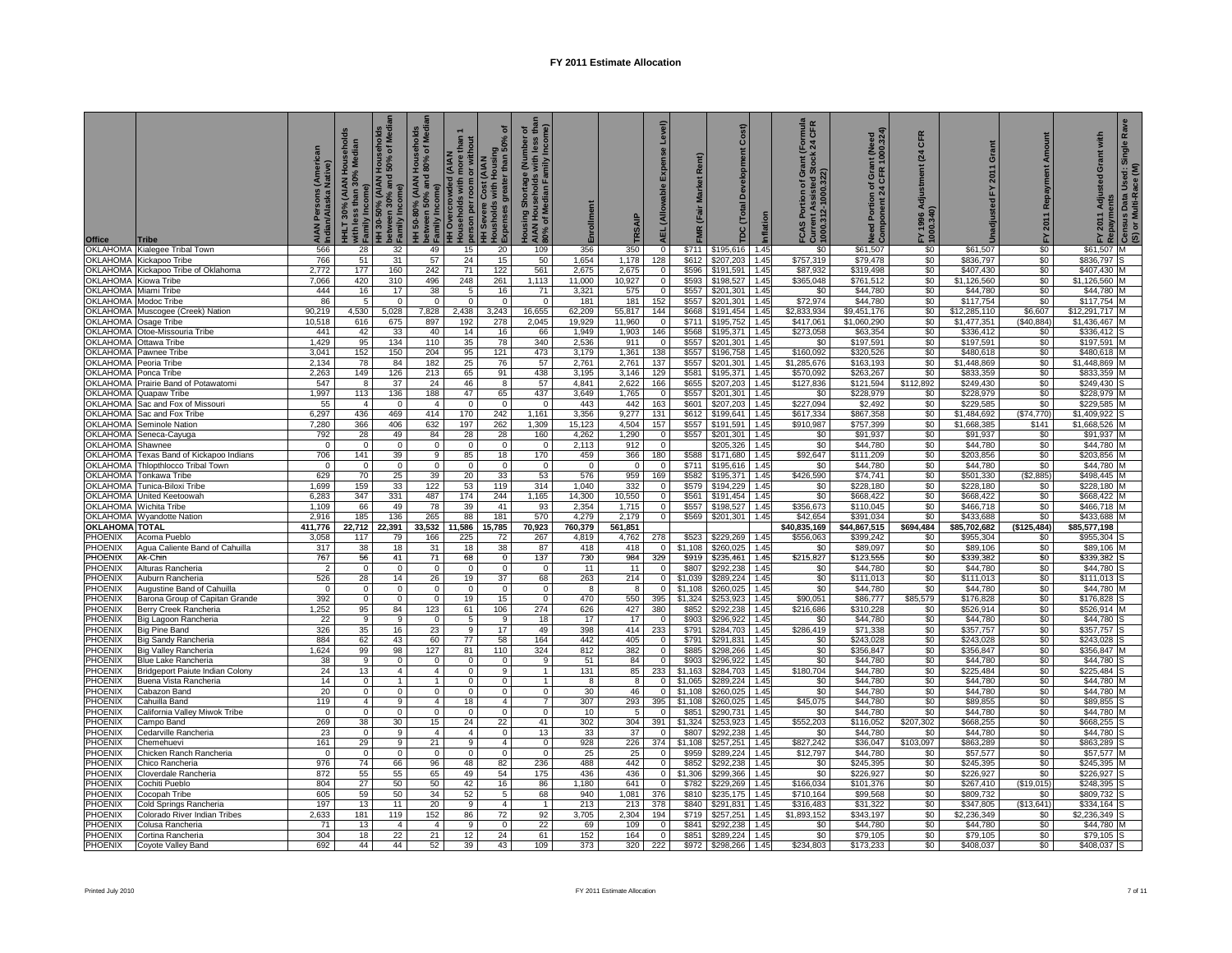| Office                                  | <b>Tribe</b>                                                 | AIAN Persons <sub>(Aunen</sub><br>Indian/Alaska Native) | <del>-</del><br>HHLT 30% (AIAN Households<br>with less than 30% Median<br>with les<br>Family l<br>Ξ | HH 30-50% (AIAN Households<br>between 30% and 50% of Media<br>Family Income) | olds<br>Media<br>HH 50-80% (AIAN Househol<br>between 50% and 80% of M<br>b Family Income) | <del>HH Overcrowded</del> (AIAN<br>households with more than 1<br>pherson per room or without<br>HH Severe Cost (AIAN<br>HH Severses greater than 50% of<br>SExpenses greater than 50% of | ō                          | Housing Shortage (Number of<br>AIAN Households with less tha<br>80% of Median Family Income) |                       | TRSAIP           | Level)<br>Expense<br><b>AEL</b> (Allowable | Market Rent)<br>(Fair<br>MR | Cost)<br>Development<br>TDC (Total |              | rnula<br>CFR<br>$\frac{1}{2}$<br>FCAS Portion of Gra<br>Current Assisted Stc<br>1000.312-1000.322) | Need Portion of Grant (Need<br>Component 24 CFR 1000.324) | CFR<br>(24)<br>FY 1996 Adjustment<br>1000.340) | Grant<br>2011<br>놊        | Repayment Amount<br>2011<br>집 | with<br>ō<br>, FY 2011 Adjusted (<br><sup>1</sup> Repayments | Ra<br>Single<br>Census Data Used: S<br>(S) or Multi-Race (M) |
|-----------------------------------------|--------------------------------------------------------------|---------------------------------------------------------|-----------------------------------------------------------------------------------------------------|------------------------------------------------------------------------------|-------------------------------------------------------------------------------------------|-------------------------------------------------------------------------------------------------------------------------------------------------------------------------------------------|----------------------------|----------------------------------------------------------------------------------------------|-----------------------|------------------|--------------------------------------------|-----------------------------|------------------------------------|--------------|----------------------------------------------------------------------------------------------------|-----------------------------------------------------------|------------------------------------------------|---------------------------|-------------------------------|--------------------------------------------------------------|--------------------------------------------------------------|
|                                         | OKLAHOMA Kialegee Tribal Town                                | 566                                                     | 28                                                                                                  | 32                                                                           | 49                                                                                        | 15                                                                                                                                                                                        | 20                         | 109                                                                                          | 356                   | 350              | $\mathbf 0$                                |                             | $$711$ $$195,616$                  | 1.45         | \$0                                                                                                | \$61,507                                                  | \$0                                            | \$61,507                  | \$0                           | \$61,507 M                                                   |                                                              |
| <b>OKLAHOMA</b><br>OKLAHOMA             | Kickapoo Tribe                                               | 766                                                     | 51                                                                                                  | 31                                                                           | 57                                                                                        | 24                                                                                                                                                                                        | 15                         | 50                                                                                           | 1,654                 | 1,178            | 128                                        | \$612                       | \$207,203                          | 1.45         | \$757,319                                                                                          | \$79,478                                                  | \$0                                            | \$836,797                 | \$0                           | \$836,797                                                    |                                                              |
| OKLAHOMA                                | Kickapoo Tribe of Oklahoma<br>Kiowa Tribe                    | 2,772<br>7,066                                          | 177<br>420                                                                                          | 160<br>310                                                                   | 242<br>496                                                                                | 71<br>248                                                                                                                                                                                 | 122<br>261                 | 561<br>1,113                                                                                 | 2,675<br>11.000       | 2,675<br>10,927  | $\Omega$<br>$\mathbf{0}$                   | \$596<br>\$593              | \$191,591<br>\$198,527             | 1.45<br>1.45 | \$87,932<br>\$365,048                                                                              | \$319.498<br>\$761,512                                    | \$0<br>\$0                                     | \$407,430<br>\$1,126,560  | \$0<br>\$0                    | \$407.430<br>\$1.126.560                                     |                                                              |
| OKLAHOMA                                | Miami Tribe                                                  | 444                                                     | 16                                                                                                  | 17                                                                           | 38                                                                                        | 5                                                                                                                                                                                         | 16                         | 71                                                                                           | 3,321                 | 575              | $\mathbf{0}$                               | \$557                       | \$201,301                          | 1.45         | \$0                                                                                                | \$44,780                                                  | \$0                                            | \$44,780                  | \$0                           | \$44,780                                                     |                                                              |
| OKLAHOMA                                | Modoc Tribe                                                  | 86                                                      | - 5                                                                                                 | $\mathbf 0$                                                                  | $\Omega$                                                                                  | $\overline{0}$                                                                                                                                                                            | $\Omega$                   | $\overline{0}$                                                                               | 181                   | 181              | 152                                        | \$557                       | \$201,301                          | 1.45         | \$72,974                                                                                           | \$44,780                                                  | \$0                                            | \$117.754                 | \$0                           | \$117,754                                                    |                                                              |
| OKLAHOMA                                | Muscogee (Creek) Nation                                      | 90,219                                                  | 4,530                                                                                               | 5,028                                                                        | 7,828                                                                                     | 2,438                                                                                                                                                                                     | 3,243                      | 16,655                                                                                       | 62,209                | 55,817           | 144                                        | \$668                       | \$191,454                          | 1.45         | \$2,833,934                                                                                        | \$9,451,176                                               | \$0                                            | \$12,285,110              | \$6,607                       | \$12,291,717                                                 |                                                              |
| <b>OKLAHOMA</b>                         | Osage Tribe                                                  | 10,518                                                  | 616                                                                                                 | 675                                                                          | 897                                                                                       | 192                                                                                                                                                                                       | 278                        | 2,045                                                                                        | 19,929                | 11,960           | $\Omega$                                   | \$711                       | \$195,752                          | 1.45         | \$417,061                                                                                          | \$1,060,290                                               | \$0                                            | \$1,477,351               | (S40, 884)                    | \$1,436,467                                                  |                                                              |
| <b>OKLAHOMA</b><br><b>OKLAHOMA</b>      | Otoe-Missouria Tribe                                         | 441<br>1,429                                            | 42<br>95                                                                                            | 33<br>134                                                                    | 40<br>110                                                                                 | 14<br>35                                                                                                                                                                                  | 16<br>78                   | 66<br>340                                                                                    | 1,949<br>2,536        | 1,903<br>911     | 146<br>$\Omega$                            | \$568<br>\$557              | \$195,371<br>\$201,301             | 1.45<br>1.45 | \$273,058<br>\$0                                                                                   | \$63,354<br>\$197,591                                     | \$0<br>\$0                                     | \$336,412<br>\$197,591    | \$0<br>\$0                    | \$336,412<br>\$197,591                                       |                                                              |
| <b>OKLAHOMA</b>                         | Ottawa Tribe<br>Pawnee Tribe                                 | 3,041                                                   | 152                                                                                                 | 150                                                                          | 204                                                                                       | 95                                                                                                                                                                                        | 121                        | 473                                                                                          | 3,179                 | 1,361            | 138                                        | \$557                       | \$196,758                          | 1.45         | \$160,092                                                                                          | \$320,526                                                 | \$0                                            | \$480,618                 | \$0                           | \$480,618                                                    |                                                              |
| <b>OKLAHOMA</b>                         | Peoria Tribe                                                 | 2,134                                                   | 78                                                                                                  | 84                                                                           | 182                                                                                       | 25                                                                                                                                                                                        | 76                         | 57                                                                                           | 2,761                 | 2,761            | 137                                        | \$557                       | \$201,301                          | 1.45         | \$1,285,676                                                                                        | \$163,193                                                 | \$0                                            | \$1,448,869               | \$0                           | \$1,448,869                                                  |                                                              |
| OKLAHOMA                                | Ponca Tribe                                                  | 2,263                                                   | 149                                                                                                 | 126                                                                          | 213                                                                                       | 65                                                                                                                                                                                        | 91                         | 438                                                                                          | 3,195                 | 3,146            | 129                                        | \$581                       | \$195,371 1.45                     |              | \$570,092                                                                                          | \$263,267                                                 | \$0                                            | \$833,359                 | \$0                           | \$833,359                                                    |                                                              |
| <b>OKLAHOMA</b>                         | Prairie Band of Potawatomi                                   | 547                                                     | 8                                                                                                   | 37                                                                           | 24                                                                                        | 46                                                                                                                                                                                        | 8                          | 57                                                                                           | 4,841                 | 2,622            | 166                                        | \$655                       | \$207,203                          | 1.45         | \$127,836                                                                                          | \$121,594                                                 | \$112,892                                      | \$249,430                 | \$0                           | \$249,430                                                    |                                                              |
| <b>OKLAHOMA</b>                         | Quapaw Tribe                                                 | 1,997                                                   | 113                                                                                                 | 136                                                                          | 188                                                                                       | 47                                                                                                                                                                                        | 65                         | 437                                                                                          | 3,649                 | 1,765            | $\mathbf 0$                                | \$557                       | \$201,301                          | 1.45         | \$0                                                                                                | \$228,979                                                 | \$0                                            | \$228,979                 | \$0                           | \$228,979                                                    |                                                              |
| OKLAHOMA<br><b>OKLAHOMA</b>             | Sac and Fox of Missouri<br>Sac and Fox Tribe                 | 55<br>6,297                                             | $\overline{4}$<br>436                                                                               | $\mathbf 0$<br>469                                                           | $\overline{a}$<br>414                                                                     | $\overline{0}$<br>170                                                                                                                                                                     | $\mathbf 0$<br>242         | $\overline{0}$<br>1,161                                                                      | 443<br>3,356          | 442<br>9,277     | 163<br>131                                 | \$601<br>\$612              | \$207,203<br>\$199,641             | 1.45<br>1.45 | \$227,094<br>\$617,334                                                                             | \$2,492<br>\$867,358                                      | \$0<br>\$0                                     | \$229,585<br>\$1,484,692  | \$0<br>(\$74,770)             | \$229,585<br>\$1,409,922                                     |                                                              |
| OKLAHOMA                                | Seminole Nation                                              | 7,280                                                   | 366                                                                                                 | 406                                                                          | 632                                                                                       | 197                                                                                                                                                                                       | 262                        | 1,309                                                                                        | 15,123                | 4,504            | 157                                        | \$557                       | \$191,591                          | 1.45         | \$910,987                                                                                          | \$757,399                                                 | \$0                                            | \$1,668,385               | \$141                         | \$1,668,526                                                  |                                                              |
| <b>OKLAHOMA</b>                         | Seneca-Cayuga                                                | 792                                                     | 28                                                                                                  | 49                                                                           | 84                                                                                        | 28                                                                                                                                                                                        | 28                         | 160                                                                                          | 4,262                 | 1,290            | $\Omega$                                   | \$557                       | \$201,301                          | 1.45         | \$0                                                                                                | \$91,937                                                  | \$0                                            | \$91,937                  | \$0                           | \$91,937                                                     |                                                              |
| <b>OKLAHOMA</b>                         | Shawnee                                                      | $\mathbf 0$                                             | $\Omega$                                                                                            | $\overline{0}$                                                               | $\mathbf 0$                                                                               | $\overline{0}$                                                                                                                                                                            | $\Omega$                   | $\overline{\mathbf{0}}$                                                                      | 2,113                 | 912              | $\mathbf 0$                                |                             | \$205,326                          | 1.45         | \$0                                                                                                | \$44,780                                                  | \$0                                            | \$44,780                  | \$0                           | \$44,780                                                     |                                                              |
| OKLAHOMA                                | Texas Band of Kickapoo Indians                               | 706                                                     | 141                                                                                                 | 39                                                                           | 9                                                                                         | 85                                                                                                                                                                                        | 18                         | 170                                                                                          | 459                   | 366              | 180                                        | \$588                       | \$171,680                          | 1.45         | \$92,647                                                                                           | \$111,209                                                 | \$0                                            | \$203,856                 | \$0                           | \$203.856                                                    |                                                              |
| OKLAHOMA<br>OKLAHOMA                    | Thlopthlocco Tribal Town<br>Tonkawa Tribe                    | $\mathbf 0$<br>629                                      | $\mathbf{0}$<br>70                                                                                  | $\mathbf{0}$<br>25                                                           | $\mathbf 0$<br>39                                                                         | $\overline{0}$<br>20                                                                                                                                                                      | $\mathbf 0$<br>33          | $\overline{0}$<br>53                                                                         | $\overline{0}$<br>576 | $\Omega$<br>959  | $\Omega$<br>169                            | \$711<br>\$582              | \$195,616<br>\$195,371             | 1.45<br>1.45 | \$0<br>\$426,590                                                                                   | \$44,780<br>\$74,741                                      | \$0<br>\$0                                     | \$44,780<br>\$501,330     | \$0<br>(\$2,885)              | \$44.780<br>\$498.445                                        |                                                              |
| OKLAHOMA                                | Tunica-Biloxi Tribe                                          | 1,699                                                   | 159                                                                                                 | 33                                                                           | 122                                                                                       | 53                                                                                                                                                                                        | 119                        | 314                                                                                          | 1,040                 | 332              | $\mathbf{0}$                               | \$579                       | \$194,229                          | 1.45         | \$0                                                                                                | \$228,180                                                 | \$0                                            | \$228,180                 | \$0                           | \$228,180                                                    |                                                              |
| OKLAHOMA                                | United Keetoowah                                             | 6,283                                                   | 347                                                                                                 | 331                                                                          | 487                                                                                       | 174                                                                                                                                                                                       | 244                        | 1,165                                                                                        | 14,300                | 10,550           | $\overline{0}$                             | \$561                       | \$191,454                          | 1.45         | \$0                                                                                                | \$668,422                                                 | \$0                                            | \$668,422                 | \$0                           | \$668,422                                                    |                                                              |
| OKLAHOMA                                | Wichita Tribe                                                | 1,109                                                   | 66                                                                                                  | 49                                                                           | 78                                                                                        | 39                                                                                                                                                                                        | 41                         | 93                                                                                           | 2,354                 | 1,715            | $\mathbf 0$                                | \$557                       | \$198,527                          | 1.45         | \$356,673                                                                                          | \$110,045                                                 | \$0                                            | \$466,718                 | \$0                           | \$466,718 M                                                  |                                                              |
| OKLAHOMA                                | Wyandotte Nation                                             | 2,916                                                   | 185                                                                                                 | 136                                                                          | 265                                                                                       | 88                                                                                                                                                                                        | 181                        | 570                                                                                          | 4,279                 | 2,179            | $\circ$                                    | \$569                       | \$201,301                          | 1.45         | \$42,654                                                                                           | \$391,034                                                 | \$0                                            | \$433,688                 | \$0                           | \$433,688                                                    |                                                              |
| <b>OKLAHOMA TOTAL</b><br><b>PHOENIX</b> | Acoma Pueblo                                                 | 411,776<br>3,058                                        | 22,712<br>117                                                                                       | 22,391<br>79                                                                 | 33,532<br>166                                                                             | 11,586<br>225                                                                                                                                                                             | 5,785<br>72                | 70,923<br>267                                                                                | 760,379<br>4,819      | 561,851<br>4,762 | 278                                        | \$523                       | \$229,269                          | 1.45         | \$40,835,169<br>\$556,063                                                                          | \$44,867,515<br>\$399,242                                 | \$694,484<br>\$0                               | \$85,702,682<br>\$955,304 | (\$125,484)<br>\$0            | \$85,577,198<br>\$955,304                                    |                                                              |
| PHOENIX                                 | Agua Caliente Band of Cahuilla                               | 317                                                     | 38                                                                                                  | 18                                                                           | 31                                                                                        | 18                                                                                                                                                                                        | 38                         | 87                                                                                           | 418                   | 418              | $\Omega$                                   | \$1,108                     | \$260,025                          | 1.45         | \$0                                                                                                | \$89,097                                                  | \$0                                            | \$89,106                  | \$0                           | \$89,106                                                     |                                                              |
| PHOENIX                                 | Ak-Chin                                                      | 767                                                     | 56                                                                                                  | 41                                                                           | 71                                                                                        | 68                                                                                                                                                                                        | $\mathbf{0}$               | 137                                                                                          | 730                   | 984              | 329                                        | \$919                       | \$235,461                          | 1.45         | \$215,827                                                                                          | \$123,555                                                 | \$0                                            | \$339,382                 | \$0                           | \$339,382                                                    |                                                              |
| PHOENIX                                 | Alturas Rancheria                                            | $\overline{2}$                                          | $\mathbf 0$                                                                                         | $\mathbf 0$                                                                  | $\overline{0}$                                                                            | $\overline{0}$                                                                                                                                                                            | $\mathbf 0$                | $\overline{0}$                                                                               | 11                    | 11               | $\Omega$                                   | \$807                       | \$292,238                          | 1.45         | \$0                                                                                                | \$44,780                                                  | \$0                                            | \$44,780                  | \$0                           | \$44,780                                                     |                                                              |
| PHOENIX<br>PHOENIX                      | Auburn Rancheria                                             | 526<br>0                                                | 28<br>$\Omega$                                                                                      | 14<br>$\mathbf 0$                                                            | 26<br>$\mathbf 0$                                                                         | 19<br>$\mathbf{0}$                                                                                                                                                                        | 37<br>$\Omega$             | 68<br>$\mathbf 0$                                                                            | 263<br>8              | 214<br>8         | $\overline{0}$<br>$\Omega$                 | \$1,039<br>\$1,108          | \$289,224<br>\$260,025             | 1.45<br>1.45 | \$0<br>\$0                                                                                         | \$111,013<br>\$44,780                                     | \$0<br>\$0                                     | \$111,013<br>\$44,780     | \$0<br>\$0                    | \$111,013<br>\$44,780                                        |                                                              |
| PHOENIX                                 | Augustine Band of Cahuilla<br>Barona Group of Capitan Grande | 392                                                     | $\mathbf{0}$                                                                                        | $\circ$                                                                      | $\mathbf{0}$                                                                              | 19                                                                                                                                                                                        | 15                         | $\mathbf{0}$                                                                                 | 470                   | 550              | 395                                        | \$1,324                     | \$253,923                          | 1.45         | \$90,051                                                                                           | \$86,777                                                  | \$85,579                                       | \$176,828                 | \$0                           | \$176,828                                                    |                                                              |
| Phoenix                                 | Berry Creek Rancheria                                        | 1,252                                                   | 95                                                                                                  | 84                                                                           | 123                                                                                       | 61                                                                                                                                                                                        | 106                        | 274                                                                                          | 626                   | 427              | 380                                        | \$852                       | \$292,238                          | 1.45         | \$216,686                                                                                          | \$310,228                                                 | \$0                                            | \$526,914                 | \$0                           | \$526,914                                                    |                                                              |
| PHOENIX                                 | Big Lagoon Rancheria                                         | 22                                                      | 9                                                                                                   | 9                                                                            | $\overline{0}$                                                                            | 5                                                                                                                                                                                         | 9                          | 18                                                                                           | 17                    | 17               | $\overline{0}$                             | \$903                       | \$296,922                          | 1.45         | \$0                                                                                                | \$44,780                                                  | \$0                                            | \$44,780                  | \$0                           | \$44,780                                                     |                                                              |
| <b>PHOENIX</b><br>PHOENIX               | Big Pine Band                                                | 326                                                     | 35                                                                                                  | 16                                                                           | 23                                                                                        | 9                                                                                                                                                                                         | 17                         | 49                                                                                           | 398                   | 414              | 233                                        | \$791                       | \$284,703                          | 1.45         | \$286,419                                                                                          | \$71,338                                                  | \$0                                            | \$357,757                 | \$0                           | \$357,757                                                    |                                                              |
| PHOENIX                                 | Big Sandy Rancheria<br>Big Valley Rancheria                  | 884<br>1,624                                            | 62<br>99                                                                                            | 43<br>98                                                                     | 60<br>127                                                                                 | 77<br>81                                                                                                                                                                                  | 58<br>110                  | 164<br>324                                                                                   | 442<br>812            | 405<br>382       | $\mathbf{0}$<br>$\mathbf 0$                | \$791<br>\$885              | \$291,831<br>\$298,266             | 1.45<br>1.45 | \$0<br>\$0                                                                                         | \$243,028<br>\$356,847                                    | \$0<br>\$0                                     | \$243,028<br>\$356,847    | \$0<br>\$0                    | \$243,028<br>\$356,847                                       |                                                              |
| PHOENIX                                 | <b>Blue Lake Rancheria</b>                                   | 38                                                      | -9                                                                                                  | $\mathbf 0$                                                                  | $\mathbf{0}$                                                                              | $\overline{0}$                                                                                                                                                                            | $\Omega$                   | 9                                                                                            | 51                    | 84               | $\overline{0}$                             | \$903                       | \$296.922                          | 1.45         | \$0                                                                                                | \$44,780                                                  | \$0                                            | \$44,780                  | \$0                           | \$44,780                                                     |                                                              |
| PHOENIX                                 | Bridgeport Paiute Indian Colony                              | 24                                                      | 13                                                                                                  | $\overline{4}$                                                               | $\overline{4}$                                                                            | $\overline{0}$                                                                                                                                                                            | 9                          | $\overline{1}$                                                                               | 131                   | 85               | 233                                        | \$1,163                     | \$284,703                          | 1.45         | \$180,704                                                                                          | \$44,780                                                  | \$0                                            | \$225,484                 | \$0                           | \$225,484                                                    |                                                              |
| PHOENIX                                 | Buena Vista Rancheria                                        | 14                                                      | $\Omega$                                                                                            | $\overline{1}$                                                               | $\overline{1}$                                                                            | $\overline{0}$                                                                                                                                                                            | $\Omega$                   | $\overline{1}$                                                                               | - 8                   | $\overline{8}$   | $\Omega$                                   | \$1,065                     | \$289,224                          | 1.45         | \$0                                                                                                | \$44,780                                                  | \$0                                            | \$44,780                  | \$0                           | \$44,780                                                     |                                                              |
| PHOENIX<br>PHOENIX                      | Cabazon Band                                                 | 20                                                      | $\mathbf 0$                                                                                         | $\overline{0}$                                                               | $\mathbf{0}$                                                                              | $\mathbf{0}$                                                                                                                                                                              | $\mathbf 0$                | $\overline{0}$                                                                               | 30                    | 46               | $\circ$                                    | \$1,108                     | \$260,025                          | 1.45         | \$0                                                                                                | \$44,780                                                  | \$0                                            | \$44,780                  | \$0                           | \$44,780                                                     |                                                              |
| Phoenix                                 | Cahuilla Band<br>California Valley Miwok Tribe               | 119<br>0                                                | $\overline{4}$<br>$\Omega$                                                                          | 9<br>$\overline{0}$                                                          | $\overline{4}$<br>$\Omega$                                                                | 18<br>$\overline{0}$                                                                                                                                                                      | $\overline{4}$<br>$\Omega$ | $\overline{7}$<br>$\mathbf 0$                                                                | 307<br>10             | 293<br>5         | 395                                        | \$1,108<br>\$851            | \$260,025<br>\$290,731             | 1.45<br>1.45 | \$45,075<br>\$0                                                                                    | \$44,780<br>\$44,780                                      | \$0<br>\$0                                     | \$89,855<br>\$44,780      | \$0<br>\$0                    | \$89,855<br>\$44,780                                         |                                                              |
|                                         | Campo Band                                                   | 269                                                     | 38                                                                                                  | 30                                                                           | 15                                                                                        | 24                                                                                                                                                                                        | 22                         | 41                                                                                           | 302                   | 304              | 391                                        | \$1,324                     | \$253,923                          | 1.45         | \$552,203                                                                                          | \$116,052                                                 | \$207,302                                      | \$668,255                 | \$0                           | \$668,255                                                    |                                                              |
| PHOENIX<br>PHOENIX                      | Cedarville Rancheria                                         | 23                                                      | $\Omega$                                                                                            | 9                                                                            | $\overline{4}$                                                                            | $\overline{4}$                                                                                                                                                                            | $\mathbf 0$                | 13                                                                                           | 33                    | 37               | $\Omega$                                   | \$807                       | \$292,238                          | 1.45         | \$0                                                                                                | \$44,780                                                  | \$0                                            | \$44,780                  | \$0                           | \$44,780                                                     |                                                              |
| phoenix<br>Phoenix                      | Chemehuevi                                                   | 161                                                     | 29                                                                                                  | 9                                                                            | 21                                                                                        | 9                                                                                                                                                                                         | $\overline{4}$             | $\mathbf 0$                                                                                  | 928                   | 226              | 374                                        | \$1,108                     | \$257,251                          | 1.45         | \$827,242                                                                                          | \$36,047                                                  | \$103,097                                      | \$863,289                 | \$0                           | \$863,289                                                    |                                                              |
|                                         | Chicken Ranch Rancheria                                      | $\overline{0}$                                          | $\mathbf{0}$                                                                                        | $\mathbf 0$                                                                  | $\overline{0}$                                                                            | $\overline{0}$                                                                                                                                                                            | $\mathbf{0}$               | $\overline{0}$                                                                               | 25                    | 25               | $\mathbf{0}$                               | \$959                       | \$289,224                          | 1.45         | \$12,797                                                                                           | \$44,780                                                  | \$0                                            | \$57,577                  | \$0                           | \$57,577 M                                                   |                                                              |
| Phoenix                                 | Chico Rancheria                                              | 976                                                     | 74                                                                                                  | 66                                                                           | 96                                                                                        | 48                                                                                                                                                                                        | 82                         | 236                                                                                          | 488                   | 442              | $\mathbf 0$                                | \$852                       | \$292,238                          | 1.45         | \$0                                                                                                | \$245,395                                                 | \$0                                            | \$245,395                 | \$0                           | \$245,395                                                    |                                                              |
| PHOENIX<br>PHOENIX                      | Cloverdale Rancheria<br>Cochiti Pueblo                       | 872<br>804                                              | 55<br>27                                                                                            | 55<br>50                                                                     | 65<br>50                                                                                  | 49<br>42                                                                                                                                                                                  | 54<br>16                   | 175<br>86                                                                                    | 436<br>1.180          | 436<br>641       | $\mathbf 0$<br>$\mathbf{0}$                | \$1,306<br>\$782            | \$299,366<br>\$229,269             | 1.45<br>1.45 | \$0<br>\$166,034                                                                                   | \$226,927<br>\$101.376                                    | \$0<br>\$0                                     | \$226,927<br>\$267.410    | \$0<br>(\$19,015)             | \$226,927<br>\$248.395                                       |                                                              |
| PHOENIX                                 | Cocopah Tribe                                                | 605                                                     | 59                                                                                                  | 50                                                                           | 34                                                                                        | 52                                                                                                                                                                                        | 5                          | 68                                                                                           | 940                   | 1,081            | 376                                        | \$810                       | \$235,175                          | 1.45         | \$710,164                                                                                          | \$99,568                                                  | \$0                                            | \$809,732                 | \$0                           | \$809,732                                                    |                                                              |
| PHOENIX                                 | Cold Springs Rancheria                                       | 197                                                     | 13                                                                                                  | 11                                                                           | 20                                                                                        | 9                                                                                                                                                                                         | $\overline{4}$             | $\overline{1}$                                                                               | 213                   | 213              | 378                                        | \$840                       | \$291,831                          | 1.45         | \$316,483                                                                                          | \$31,322                                                  | \$0                                            | \$347,805                 | (\$13,641)                    | \$334,164                                                    |                                                              |
| PHOENIX                                 | Colorado River Indian Tribes                                 | 2,633                                                   | 181                                                                                                 | 119                                                                          | 152                                                                                       | 86                                                                                                                                                                                        | 72                         | 92                                                                                           | 3,705                 | 2,304            | 194                                        | \$719                       | \$257,251                          | 1.45         | \$1,893,152                                                                                        | \$343,197                                                 | \$0                                            | \$2,236,349               | \$0                           | \$2,236,349                                                  |                                                              |
| PHOENIX                                 | Colusa Rancheria                                             | 71                                                      | 13                                                                                                  | $\overline{4}$                                                               | $\overline{4}$                                                                            | 9                                                                                                                                                                                         | $\Omega$                   | 22                                                                                           | 69                    | 109              | $\Omega$                                   | \$841                       | \$292,238                          | 1.45         | \$0                                                                                                | \$44,780                                                  | \$0                                            | \$44,780                  | \$0                           | \$44,780                                                     |                                                              |
| PHOENIX<br><b>PHOENIX</b>               | Cortina Rancheria<br>Coyote Valley Band                      | 304<br>692                                              | 18<br>44                                                                                            | 22<br>44                                                                     | 21<br>52                                                                                  | 12<br>39                                                                                                                                                                                  | 24<br>43                   | 61<br>109                                                                                    | 152<br>373            | 164<br>320       | $\Omega$<br>222                            | \$851<br>\$972              | \$289,224<br>\$298,266             | 1.45<br>1.45 | \$0<br>\$234,803                                                                                   | \$79,105<br>\$173,233                                     | \$0<br>\$0                                     | \$79,105<br>\$408.037     | \$0<br>\$0                    | \$79,105<br>\$408,037                                        |                                                              |
|                                         |                                                              |                                                         |                                                                                                     |                                                                              |                                                                                           |                                                                                                                                                                                           |                            |                                                                                              |                       |                  |                                            |                             |                                    |              |                                                                                                    |                                                           |                                                |                           |                               |                                                              |                                                              |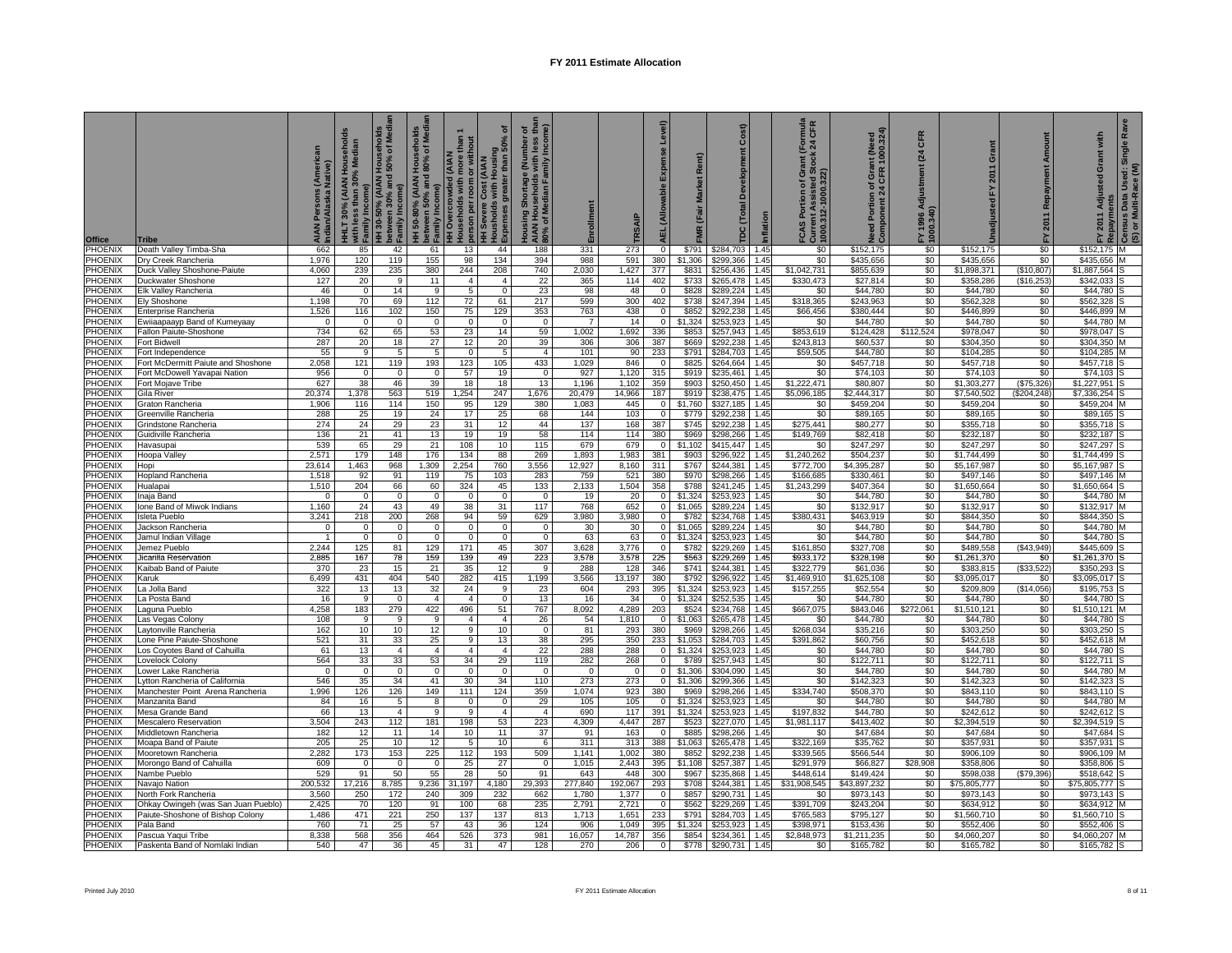| PHOENIX<br>98<br>\$0<br>120<br>119<br>155<br>134<br>394<br>988<br>591<br>380<br>\$1,306<br>\$299,366<br>\$0<br>\$435,656<br>\$0<br>\$435,656<br>\$435,656<br>Dry Creek Rancheria<br>1,976<br>1.45<br>PHOENIX<br>244<br>\$0<br>4,060<br>239<br>235<br>380<br>208<br>740<br>2,030<br>1,427<br>377<br>\$831<br>\$256,436<br>1.45<br>\$1,042,731<br>\$855,639<br>\$1,898,371<br>(\$10,807)<br>\$1,887,564<br>Duck Valley Shoshone-Paiute<br>PHOENIX<br>127<br>9<br>22<br>114<br>\$733<br>\$330,473<br>\$27,814<br>\$0<br>Duckwater Shoshone<br>20<br>11<br>4<br>$\overline{4}$<br>365<br>402<br>\$265,478<br>1.45<br>\$358,286<br>(\$16,253)<br>\$342,033<br>PHOENIX<br>Elk Valley Rancheria<br>46<br>$\mathbf 0$<br>14<br>9<br>5<br>$\mathbf 0$<br>23<br>98<br>48<br>\$828<br>\$289,224<br>1.45<br>\$0<br>\$44,780<br>\$0<br>\$44,780<br>\$0<br>\$44,780<br>$^{\circ}$<br><b>PHOENIX</b><br>1,198<br>69<br>112<br>72<br>217<br>599<br>300<br>\$738<br>\$247,394<br>1.45<br>\$318,365<br>\$243,963<br>\$0<br>\$562,328<br>\$0<br>\$562,328<br>Ely Shoshone<br>70<br>61<br>402<br>PHOENIX<br>1,526<br>116<br>102<br>150<br>75<br>129<br>353<br>763<br>438<br>\$852<br>\$292,238<br>\$66,456<br>\$0<br>\$0<br>\$446,899<br>1.45<br>\$380,444<br>\$446,899<br>Enterprise Rancheria<br>$\Omega$<br>$\overline{0}$<br>14<br>\$0<br>\$0<br>$\overline{0}$<br>$\overline{0}$<br>\$1,324<br>\$253,923<br>\$0<br>\$44,780<br>\$44,780<br>\$44,780<br>Ewiiaapaayp Band of Kumeyaay<br>$^{\circ}$<br>$\overline{0}$<br>$\overline{0}$<br>$\mathbf{0}$<br>$\overline{0}$<br>$\overline{7}$<br>1.45<br>23<br>\$0<br>734<br>62<br>65<br>53<br>59<br>1,692<br>336<br>\$124,428<br>\$978,047<br>Fallon Paiute-Shoshone<br>14<br>1,002<br>\$853<br>\$257,943<br>1.45<br>\$853,619<br>\$112,524<br>\$978,047<br>287<br>20<br>18<br>27<br>12<br>20<br>39<br>306<br>306<br>387<br>\$669<br>\$292,238<br>\$243,813<br>\$60,537<br>\$0<br>\$304,350<br>\$0<br>\$304,350<br>Fort Bidwell<br>1.45<br>5<br>233<br>\$284.703<br>\$44,780<br>\$0<br>Fort Independence<br>55<br><b>q</b><br>5<br>$\mathbf{0}$<br>5<br>$\overline{4}$<br>101<br>90<br>\$791<br>1.45<br>\$59,505<br>\$0<br>\$104,285<br>\$104.285<br>PHOENIX<br>2,058<br>121<br>119<br>193<br>123<br>105<br>433<br>1,029<br>846<br>\$825<br>\$264,664<br>1.45<br>\$0<br>\$457,718<br>\$0<br>\$457,718<br>\$0<br>\$457,718<br>ort McDermitt Paiute and Shoshone<br>$\Omega$<br>PHOENIX<br>956<br>$\overline{0}$<br>57<br>19<br>927<br>1,120<br>\$919<br>\$235,461<br>1.45<br>\$0<br>\$74,103<br>\$0<br>\$74,103<br>\$0<br>\$74,103<br>ort McDowell Yavapai Nation<br>$\overline{0}$<br>$\Omega$<br>$\overline{0}$<br>315<br>627<br>46<br>13<br>PHOENIX<br>38<br>18<br>18<br>1,196<br>1,102<br>359<br>\$903<br>\$250,450<br>1.45<br>\$1,222,471<br>\$80,807<br>\$0<br>\$1,303,277<br>(\$75,326)<br>\$1,227,951<br>39<br>Fort Mojave Tribe<br>PHOENIX<br>1,254<br>\$919<br>\$0<br>(\$204, 248)<br>20,374<br>563<br>247<br>1,676<br>20,479<br>187<br>\$238,475<br>\$5,096,185<br>\$2,444,317<br>\$7,540,502<br>\$7,336,254<br>Gila River<br>1,378<br>519<br>14,966<br>1.45<br>PHOENIX<br>1,906<br>114<br>150<br>95<br>129<br>380<br>1,083<br>445<br>\$1,760<br>\$327,185<br>1.45<br>\$0<br>\$459,204<br>\$0<br>\$459,204<br>\$0<br>\$459,204<br>3raton Rancheria<br>116<br>$\overline{0}$<br>PHOENIX<br>19<br>17<br>103<br>\$292.238<br>\$0<br>\$0<br>\$0<br>\$89,165<br><b>Greenville Rancheria</b><br>288<br>25<br>24<br>25<br>68<br>144<br>$\overline{0}$<br>\$779<br>1.45<br>\$89.165<br>\$89.165<br>PHOENIX<br>274<br>24<br>29<br>23<br>31<br>12<br>44<br>137<br>168<br>387<br>\$745<br>\$292.238<br>1.45<br>\$275.441<br>\$80,277<br>\$0<br>\$355,718<br>\$0<br>\$355,718<br>3rindstone Rancheria<br>PHOENIX<br>136<br>21<br>41<br>13<br>19<br>58<br>114<br>114<br>380<br>\$969<br>\$298,266<br>\$149,769<br>\$0<br>\$0<br>\$232,187<br>19<br>1.45<br>\$82,418<br>\$232,187<br>Guidiville Rancheria<br>PHOENIX<br>539<br>108<br>\$0<br>65<br>29<br>21<br>115<br>679<br>679<br>\$415,447<br>1.45<br>\$247,297<br>\$0<br>\$247,297<br>\$247,297<br>10<br>$\Omega$<br>\$1,102<br>\$0<br>Havasupai<br>148<br>176<br>\$0<br>\$0<br>2,571<br>134<br>88<br>269<br>1,893<br>1,983<br>\$903<br>\$296,922<br>\$1,240,262<br>\$504,237<br>\$1,744,499<br>\$1,744,499<br>Hoopa Valley<br>179<br>381<br>1.45<br>23,614<br>\$0<br>1,463<br>968<br>1,309<br>2,254<br>760<br>3,556<br>12,927<br>8,160<br>311<br>\$767<br>\$244,381<br>1.45<br>\$772,700<br>\$4,395,287<br>\$0<br>\$5,167,987<br>\$5,167,987<br>Hopi<br>1,518<br>91<br>119<br>75<br>103<br>283<br>759<br>521<br>380<br>\$298,266<br>\$166,685<br>\$330,461<br>\$0<br>\$497,146<br>\$0<br>\$497,146<br>Hopland Rancheria<br>92<br>\$970<br>1.45<br>2,133<br>1,510<br>204<br>66<br>60<br>324<br>45<br>133<br>1,504<br>358<br>\$788<br>\$241,245<br>1.45<br>\$1,243,299<br>\$407,364<br>\$0<br>\$1,650,664<br>\$0<br>\$1,650,664<br>Hualapai<br>PHOENIX<br>$\overline{0}$<br>$\overline{0}$<br>$\overline{0}$<br>$\overline{0}$<br>19<br>20<br>\$1,324<br>\$253,923<br>1.45<br>\$0<br>\$44,780<br>\$0<br>\$44,780<br>\$0<br>\$44,780<br>Inaja Band<br>$\Omega$<br>$\Omega$<br>$\Omega$<br>$\Omega$<br>PHOENIX<br>\$0<br>1,160<br>24<br>43<br>38<br>31<br>117<br>768<br>652<br>\$1,065<br>\$289,224<br>\$0<br>\$132,917<br>\$0<br>\$132,917<br>\$132,917<br>Ione Band of Miwok Indians<br>49<br>$\overline{0}$<br>1.45<br>PHOENIX<br>94<br>\$0<br>3,241<br>218<br>200<br>268<br>59<br>629<br>3,980<br>3,980<br>\$234,768<br>\$380,431<br>\$463,919<br>\$0<br>\$844,350<br>\$844,350<br><b>Isleta Pueblo</b><br>$\mathbf 0$<br>\$782<br>1.45<br>PHOENIX<br>\$0<br>$\overline{0}$<br>$\overline{0}$<br>\$44,780<br>\$0<br>\$44,780<br>\$44,780<br>Jackson Rancheria<br>0<br>0<br>$\Omega$<br>$\mathbf 0$<br>$\mathbf 0$<br>30<br>30<br>0<br>\$1,065<br>\$289,224<br>1.45<br>\$0<br>\$0<br>PHOENIX<br>$\mathbf 0$<br>$\mathbf 0$<br>$\mathbf 0$<br>63<br>63<br>$\mathbf 0$<br>\$253,923<br>1.45<br>\$0<br>\$44,780<br>\$0<br>\$44,780<br>\$44.780<br>Jamul Indian Village<br>$\Omega$<br>$\Omega$<br>\$1,324<br>PHOENIX<br>2,244<br>81<br>307<br>3,776<br>\$0<br>\$489,558<br>Jemez Pueblo<br>125<br>129<br>171<br>45<br>3,628<br>$\mathbf 0$<br>\$782<br>\$229,269<br>1.45<br>\$161,850<br>\$327,708<br>(\$43,949)<br>\$445,609<br>PHOENIX<br>Jicarilla Reservation<br>2,885<br>167<br>78<br>159<br>139<br>49<br>223<br>3,578<br>3,578<br>225<br>\$563<br>\$229.269<br>1.45<br>\$933.172<br>\$328.198<br>\$0<br>\$1.261.370<br>\$0<br>\$1.261.370<br>PHOENIX<br>15<br>35<br>\$741<br>\$244,381<br>$(*33,522)$<br>Kaibab Band of Paiute<br>370<br>23<br>21<br>12<br>9<br>288<br>128<br>346<br>1.45<br>\$322,779<br>\$61,036<br>\$0<br>\$383,815<br>\$350,293<br>Phoenix<br>404<br>1,199<br>6,499<br>431<br>540<br>282<br>415<br>3,566<br>13,197<br>380<br>\$792<br>\$296,922<br>\$1,469,910<br>\$0<br>\$0<br>\$3,095,017<br>1.45<br>\$1,625,108<br>\$3,095,017<br>Karuk<br>13<br>32<br>24<br>23<br>395<br>\$253,923<br>\$0<br>(\$14,056)<br>La Jolla Band<br>322<br>13<br>9<br>604<br>293<br>\$1,324<br>1.45<br>\$157,255<br>\$52,554<br>\$209,809<br>\$195,753<br>13<br>a Posta Band<br>16<br>$\mathbf 0$<br>$\overline{4}$<br>$\overline{4}$<br>$\mathbf 0$<br>16<br>34<br>\$1,324<br>\$252,535<br>1.45<br>\$0<br>\$44,780<br>\$0<br>\$44,780<br>\$0<br>\$44,780<br>-9<br>$\Omega$<br>4,258<br>279<br>422<br>496<br>51<br>767<br>8,092<br>4,289<br>\$524<br>\$234,768<br>\$667,075<br>\$843,046<br>\$1,510,12<br>\$0<br>aguna Pueblo<br>183<br>203<br>1.45<br>\$272,061<br>\$1,510,121<br>108<br>9<br>9<br>9<br>$\overline{4}$<br>$\overline{4}$<br>26<br>54<br>1,810<br>$\circ$<br>\$1,063<br>\$265,478<br>1.45<br>\$0<br>\$44,780<br>\$0<br>\$44,780<br>\$0<br>\$44,780<br>as Vegas Colony<br>PHOENIX<br>10<br>10<br>12<br>$\overline{9}$<br>10<br>$\overline{0}$<br>81<br>293<br>380<br>\$969<br>\$298,266<br>\$268,034<br>\$35,216<br>\$0<br>\$303,250<br>\$0<br>\$303,250<br>162<br>1.45<br>aytonville Rancheria<br>13<br>\$0<br>PHOENIX<br>521<br>31<br>33<br>25<br>9<br>38<br>295<br>350<br>233<br>\$284,703<br>1.45<br>\$391,862<br>\$60,756<br>\$0<br>\$452,618<br>\$452,618<br>\$1,053<br>one Pine Paiute-Shoshone.<br>PHOENIX<br>13<br>$\overline{4}$<br>$\overline{4}$<br>22<br>288<br>\$0<br>\$0<br>\$44,780<br>61<br>$\overline{4}$<br>$\overline{4}$<br>288<br>$\overline{0}$<br>\$1,324<br>\$253,923<br>1.45<br>\$0<br>\$44,780<br>\$44,780<br>Los Coyotes Band of Cahuilla<br>\$0<br>\$0<br>PHOENIX<br>564<br>33<br>33<br>53<br>34<br>29<br>119<br>282<br>268<br>$\overline{0}$<br>\$789<br>\$257,943<br>\$122,711<br>\$0<br>\$122,711<br>\$122,711<br>ovelock Colony.<br>1.45<br>PHOENIX<br>$\mathbf 0$<br>$\circ$<br>\$1,306<br>\$0<br>\$44,780<br>\$0<br>\$0<br>ower Lake Rancheria<br>0<br>$\mathbf 0$<br>$\mathbf 0$<br>$\mathbf 0$<br>$\mathbf 0$<br>$\mathbf 0$<br>$\mathbf 0$<br>$\mathbf 0$<br>\$304,090<br>1.45<br>\$44,780<br>\$44,780<br>34<br>\$0<br>\$0<br>\$0<br>PHOENIX<br>546<br>35<br>41<br>30<br>34<br>110<br>273<br>273<br>$\overline{0}$<br>\$1,306<br>\$299,366<br>1.45<br>\$142,323<br>\$142,323<br>\$142,323<br>ytton Rancheria of California.<br>PHOENIX<br>1,996<br>126<br>149<br>111<br>359<br>923<br>\$969<br>\$298,266<br>\$334,740<br>\$508,370<br>\$0<br>\$0<br>\$843,110<br>126<br>124<br>1,074<br>380<br>1.45<br>\$843,110<br>Manchester Point Arena Rancheria<br>PHOENIX<br>\$253,923<br>\$0<br>\$0<br>\$44,780<br>84<br>16<br>$\sqrt{5}$<br>8<br>$\overline{0}$<br>29<br>105<br>105<br>$\overline{0}$<br>\$1,324<br>1.45<br>\$0<br>\$44,780<br>\$44,780<br>Manzanita Band<br>$\Omega$<br>\$0<br>66<br>9<br>117<br>\$253,923<br>\$197,832<br>\$44,780<br>\$0<br>\$242,612<br>13<br>$\overline{4}$<br>$\overline{4}$<br>690<br>391<br>\$1,324<br>1.45<br>\$242,612<br>Mesa Grande Band<br>-9<br>$\overline{4}$<br>\$0<br>3,504<br>112<br>198<br>223<br>4,447<br>\$1,981,117<br>\$2,394,519<br>243<br>181<br>53<br>4,309<br>287<br>\$523<br>\$227,070<br>1.45<br>\$413,402<br>\$0<br>\$2,394,519<br>Mescalero Reservation<br>\$0<br>182<br>12<br>11<br>14<br>10<br>11<br>37<br>91<br>163<br>\$885<br>\$298,266<br>1.45<br>\$0<br>\$47,684<br>\$0<br>\$47,684<br>\$47,684<br>Middletown Rancheria<br>$\Omega$<br>205<br>10<br>5<br>388<br>\$265.478<br>\$322.169<br>\$357.931<br>\$0<br>\$357.931<br>Moapa Band of Paiute<br>25<br>12<br>10<br>6<br>311<br>313<br>\$1,063<br>1.45<br>\$35.762<br>\$0<br>Mooretown Rancheria<br>2,282<br>173<br>153<br>225<br>112<br>193<br>509<br>1,141<br>1,002<br>380<br>\$852<br>\$292,238<br>1.45<br>\$339,565<br>\$566,544<br>\$0<br>\$906,109<br>\$0<br>\$906,109<br>PHOENIX<br>609<br>$\overline{0}$<br>25<br>27<br>1,015<br>2,443<br>395<br>\$257,387<br>\$291,979<br>\$66,827<br>\$358,806<br>\$0<br>\$358,806<br>$\overline{0}$<br>$\Omega$<br>$\overline{0}$<br>\$1,108<br>1.45<br>\$28,908<br>Morongo Band of Cahuilla<br>PHOENIX<br>529<br>50<br>55<br>28<br>50<br>91<br>448<br>\$598,038<br>91<br>643<br>300<br>\$967<br>\$235,868<br>1.45<br>\$448,614<br>\$149,424<br>\$0<br>(\$79,396)<br>\$518,642<br>Nambe Pueblo<br>PHOENIX<br>29,393<br>\$31,908,545<br>200,532<br>17,216<br>8,785<br>9,236<br>31,197<br>4,180<br>277,840<br>192,067<br>293<br>\$708<br>\$244,381<br>\$43,897,232<br>\$0<br>\$0<br>\$75,805,777<br>Navajo Nation<br>1.45<br>\$75,805,777<br>\$0<br>PHOENIX<br>3,560<br>250<br>172<br>240<br>309<br>232<br>662<br>1,780<br>1,377<br>\$857<br>\$290,731<br>\$0<br>\$973,143<br>\$0<br>\$973,143<br>\$973.143<br>North Fork Rancheria<br>$\Omega$<br>1.45<br>PHOENIX<br>2,425<br>120<br>100<br>235<br>2,791<br>2,721<br>\$562<br>\$0<br>\$0<br>Ohkay Owingeh (was San Juan Pueblo)<br>70<br>91<br>68<br>$\Omega$<br>\$229,269<br>1.45<br>\$391,709<br>\$243,204<br>\$634,912<br>\$634,912<br><b>PHOENIX</b><br>Paiute-Shoshone of Bishop Colony<br>1,486<br>471<br>221<br>250<br>137<br>137<br>813<br>1,713<br>1,651<br>233<br>\$791<br>\$284.703<br>1.45<br>\$765.583<br>\$795.127<br>\$0<br>\$1.560.710<br>\$0<br>\$1,560,710<br>PHOENIX<br>760<br>25<br>43<br>124<br>906<br>1,049<br>395<br>\$1,324<br>1.45<br>\$0<br>71<br>57<br>36<br>\$253,923<br>\$398,971<br>\$153,436<br>\$0<br>\$552,406<br>\$552,406<br>Pala Band<br>8,338<br>464<br>526<br>14,787<br>\$234,361<br>\$0<br>568<br>356<br>373<br>981<br>16,057<br>356<br>\$854<br>1.45<br>\$2,848,973<br>\$0<br>\$4,060,207<br>\$4,060,207<br>Pascua Yaqui Tribe<br>\$1,211,235<br>540<br>47<br>45<br>128<br>\$778<br>\$0<br>\$0<br>\$0<br>36<br>31<br>47<br>206<br>\$290,731<br>1.45<br>\$165,782<br>\$165,782<br>Paskenta Band of Nomlaki Indian<br>270<br>$\Omega$<br>\$165,782 | <b>Office</b>  | <b>Tribe</b>           | AIAN Persons (Ameri<br>Indian/Alaska Native) | HHLT 30% (AIAN Households<br>with less than 30% Median<br>lncor<br>with les<br>Family I | HH 30-50% (AIAN Households<br>between 30% and 50% of Media<br>Family Income) | nolds<br>Media<br>HH 50-80% (AIAN Househol<br>  between 50% and 80% of M<br><sup>2</sup> Family Income) | HH Overcrowded (AIAN<br>  Households with more than 1<br>  person per room or without<br>  HH Severe Cost (AIAN<br>  Expenses greater than 50% of | ৳  | Housing Shortage (Number of<br>AIAN Households with less tha<br>80% of Median Family Income) | Enrollment | TRSAIP | Level)<br>Expense<br><b>AEL</b> (Allowable | Market Rent)<br>(Fair<br>ΜR | Cost)<br><b>TDC (Total Development</b> |      | mula<br>CFR<br>$\frac{10}{24}$<br>FCAS Portion of Gra<br>Current Assisted Std<br>1000.312-1000.322) | Need Portion of Grant (Need<br>Component 24 CFR 1000.324) | CFR<br>(24)<br>FY 1996 Adjustment<br>1000.340) | rant<br>ō<br>2011<br>논 | Repayment Amount<br>2011<br>놊 | with<br>ō<br>Isted | Ra<br>Single<br>Used: S<br>tace (M)<br>FY 2011 Adjus<br>Repayments<br>Census Data l<br>(S) or Multi-Ra |
|-----------------------------------------------------------------------------------------------------------------------------------------------------------------------------------------------------------------------------------------------------------------------------------------------------------------------------------------------------------------------------------------------------------------------------------------------------------------------------------------------------------------------------------------------------------------------------------------------------------------------------------------------------------------------------------------------------------------------------------------------------------------------------------------------------------------------------------------------------------------------------------------------------------------------------------------------------------------------------------------------------------------------------------------------------------------------------------------------------------------------------------------------------------------------------------------------------------------------------------------------------------------------------------------------------------------------------------------------------------------------------------------------------------------------------------------------------------------------------------------------------------------------------------------------------------------------------------------------------------------------------------------------------------------------------------------------------------------------------------------------------------------------------------------------------------------------------------------------------------------------------------------------------------------------------------------------------------------------------------------------------------------------------------------------------------------------------------------------------------------------------------------------------------------------------------------------------------------------------------------------------------------------------------------------------------------------------------------------------------------------------------------------------------------------------------------------------------------------------------------------------------------------------------------------------------------------------------------------------------------------------------------------------------------------------------------------------------------------------------------------------------------------------------------------------------------------------------------------------------------------------------------------------------------------------------------------------------------------------------------------------------------------------------------------------------------------------------------------------------------------------------------------------------------------------------------------------------------------------------------------------------------------------------------------------------------------------------------------------------------------------------------------------------------------------------------------------------------------------------------------------------------------------------------------------------------------------------------------------------------------------------------------------------------------------------------------------------------------------------------------------------------------------------------------------------------------------------------------------------------------------------------------------------------------------------------------------------------------------------------------------------------------------------------------------------------------------------------------------------------------------------------------------------------------------------------------------------------------------------------------------------------------------------------------------------------------------------------------------------------------------------------------------------------------------------------------------------------------------------------------------------------------------------------------------------------------------------------------------------------------------------------------------------------------------------------------------------------------------------------------------------------------------------------------------------------------------------------------------------------------------------------------------------------------------------------------------------------------------------------------------------------------------------------------------------------------------------------------------------------------------------------------------------------------------------------------------------------------------------------------------------------------------------------------------------------------------------------------------------------------------------------------------------------------------------------------------------------------------------------------------------------------------------------------------------------------------------------------------------------------------------------------------------------------------------------------------------------------------------------------------------------------------------------------------------------------------------------------------------------------------------------------------------------------------------------------------------------------------------------------------------------------------------------------------------------------------------------------------------------------------------------------------------------------------------------------------------------------------------------------------------------------------------------------------------------------------------------------------------------------------------------------------------------------------------------------------------------------------------------------------------------------------------------------------------------------------------------------------------------------------------------------------------------------------------------------------------------------------------------------------------------------------------------------------------------------------------------------------------------------------------------------------------------------------------------------------------------------------------------------------------------------------------------------------------------------------------------------------------------------------------------------------------------------------------------------------------------------------------------------------------------------------------------------------------------------------------------------------------------------------------------------------------------------------------------------------------------------------------------------------------------------------------------------------------------------------------------------------------------------------------------------------------------------------------------------------------------------------------------------------------------------------------------------------------------------------------------------------------------------------------------------------------------------------------------------------------------------------------------------------------------------------------------------------------------------------------------------------------------------------------------------------------------------------------------------------------------------------------------------------------------------------------------------------------------------------------------------------------------------------------------------------------------------------------------------------------------------------------------------------------------------------------------------------------------------------------------------------------------------------------------------------------------------------------------------------------------------------------------------------------------------------------------------------------------------------------------------------------------------------------------------------------------------------------------------------------------------------------------------------------------------------------------------------------------------------------------------------------------------------------------------------------------------------------------------------------------------------------------------------------------------------------------------------------------------------------------------------------------------------------------------------------------------------------------------------------------------------------------------------------------------------------------------------------------------------------------------------------------------------------------------------------------------------------------------------------------------------------------------------------------------------------------------------------------------------------------------------------------------------------------------------------------------------------------------------------------------------------------------------------------------------------------------------------------------------------------------------------------------------------------------------------------------------------------------------------------------------------------------------------------------------------------------------------------------------------------------------------------------------------------------------------------------------------------------------------------------------------------------------------------------------------------------------------------------------------------------------------------------------------------------------------------------------------------------------------------------------------------------------------------------------------------------------------------------------------------------------------------------------------------------------------------------------------------------------------------------------------------------------------------------------------------------------------------------------------------------------------------------------------------------------------------------------------------------------------------------------------------------------------------------------------------------------------------------------------------------------------------------------------------------------------------------------------------------------------------------------------------------------------------------------------------------------------------------------------------------------------------------------------------------------------------------------------------------------------------------------------------------------------------------------------------------------------------------------------------------------------------------------------------------------------------------------------------------------------------------------------------------------------------------------------------------------------------------------------------------------------------------------------------------------------------------------------------------------------------------------------------------------------------------------------------------------------------------------------------------------------------------------------------------------------------------------------------------------------------------------------------------------------------------------------------------------------------------------------------------------------------------------------------|----------------|------------------------|----------------------------------------------|-----------------------------------------------------------------------------------------|------------------------------------------------------------------------------|---------------------------------------------------------------------------------------------------------|---------------------------------------------------------------------------------------------------------------------------------------------------|----|----------------------------------------------------------------------------------------------|------------|--------|--------------------------------------------|-----------------------------|----------------------------------------|------|-----------------------------------------------------------------------------------------------------|-----------------------------------------------------------|------------------------------------------------|------------------------|-------------------------------|--------------------|--------------------------------------------------------------------------------------------------------|
|                                                                                                                                                                                                                                                                                                                                                                                                                                                                                                                                                                                                                                                                                                                                                                                                                                                                                                                                                                                                                                                                                                                                                                                                                                                                                                                                                                                                                                                                                                                                                                                                                                                                                                                                                                                                                                                                                                                                                                                                                                                                                                                                                                                                                                                                                                                                                                                                                                                                                                                                                                                                                                                                                                                                                                                                                                                                                                                                                                                                                                                                                                                                                                                                                                                                                                                                                                                                                                                                                                                                                                                                                                                                                                                                                                                                                                                                                                                                                                                                                                                                                                                                                                                                                                                                                                                                                                                                                                                                                                                                                                                                                                                                                                                                                                                                                                                                                                                                                                                                                                                                                                                                                                                                                                                                                                                                                                                                                                                                                                                                                                                                                                                                                                                                                                                                                                                                                                                                                                                                                                                                                                                                                                                                                                                                                                                                                                                                                                                                                                                                                                                                                                                                                                                                                                                                                                                                                                                                                                                                                                                                                                                                                                                                                                                                                                                                                                                                                                                                                                                                                                                                                                                                                                                                                                                                                                                                                                                                                                                                                                                                                                                                                                                                                                                                                                                                                                                                                                                                                                                                                                                                                                                                                                                                                                                                                                                                                                                                                                                                                                                                                                                                                                                                                                                                                                                                                                                                                                                                                                                                                                                                                                                                                                                                                                                                                                                                                                                                                                                                                                                                                                                                                                                                                                                                                                                                                                                                                                                                                                                                                                                                                                                                                                                                                                                                                                                                                                                                                                                                                                                                                                                                                                                                                                                                                                                                                                                                                                                                                                                                                                                                                                                                                                                                                                                                                                                                                                                                                                                                                                                                                                                                                                                                                                                                                                                                                                                                                                                                                                                                                                                                                                         | PHOENIX        | Death Valley Timba-Sha | 662                                          | 85                                                                                      | 42                                                                           | 61                                                                                                      | 13                                                                                                                                                | 44 | 188                                                                                          | 331        | 273    | $^{\circ}$                                 | \$791                       | \$284,703                              | 1.45 | \$0                                                                                                 | \$152,175                                                 | \$0                                            | \$152,175              | \$0                           | \$152,175          |                                                                                                        |
|                                                                                                                                                                                                                                                                                                                                                                                                                                                                                                                                                                                                                                                                                                                                                                                                                                                                                                                                                                                                                                                                                                                                                                                                                                                                                                                                                                                                                                                                                                                                                                                                                                                                                                                                                                                                                                                                                                                                                                                                                                                                                                                                                                                                                                                                                                                                                                                                                                                                                                                                                                                                                                                                                                                                                                                                                                                                                                                                                                                                                                                                                                                                                                                                                                                                                                                                                                                                                                                                                                                                                                                                                                                                                                                                                                                                                                                                                                                                                                                                                                                                                                                                                                                                                                                                                                                                                                                                                                                                                                                                                                                                                                                                                                                                                                                                                                                                                                                                                                                                                                                                                                                                                                                                                                                                                                                                                                                                                                                                                                                                                                                                                                                                                                                                                                                                                                                                                                                                                                                                                                                                                                                                                                                                                                                                                                                                                                                                                                                                                                                                                                                                                                                                                                                                                                                                                                                                                                                                                                                                                                                                                                                                                                                                                                                                                                                                                                                                                                                                                                                                                                                                                                                                                                                                                                                                                                                                                                                                                                                                                                                                                                                                                                                                                                                                                                                                                                                                                                                                                                                                                                                                                                                                                                                                                                                                                                                                                                                                                                                                                                                                                                                                                                                                                                                                                                                                                                                                                                                                                                                                                                                                                                                                                                                                                                                                                                                                                                                                                                                                                                                                                                                                                                                                                                                                                                                                                                                                                                                                                                                                                                                                                                                                                                                                                                                                                                                                                                                                                                                                                                                                                                                                                                                                                                                                                                                                                                                                                                                                                                                                                                                                                                                                                                                                                                                                                                                                                                                                                                                                                                                                                                                                                                                                                                                                                                                                                                                                                                                                                                                                                                                                                                         |                |                        |                                              |                                                                                         |                                                                              |                                                                                                         |                                                                                                                                                   |    |                                                                                              |            |        |                                            |                             |                                        |      |                                                                                                     |                                                           |                                                |                        |                               |                    |                                                                                                        |
|                                                                                                                                                                                                                                                                                                                                                                                                                                                                                                                                                                                                                                                                                                                                                                                                                                                                                                                                                                                                                                                                                                                                                                                                                                                                                                                                                                                                                                                                                                                                                                                                                                                                                                                                                                                                                                                                                                                                                                                                                                                                                                                                                                                                                                                                                                                                                                                                                                                                                                                                                                                                                                                                                                                                                                                                                                                                                                                                                                                                                                                                                                                                                                                                                                                                                                                                                                                                                                                                                                                                                                                                                                                                                                                                                                                                                                                                                                                                                                                                                                                                                                                                                                                                                                                                                                                                                                                                                                                                                                                                                                                                                                                                                                                                                                                                                                                                                                                                                                                                                                                                                                                                                                                                                                                                                                                                                                                                                                                                                                                                                                                                                                                                                                                                                                                                                                                                                                                                                                                                                                                                                                                                                                                                                                                                                                                                                                                                                                                                                                                                                                                                                                                                                                                                                                                                                                                                                                                                                                                                                                                                                                                                                                                                                                                                                                                                                                                                                                                                                                                                                                                                                                                                                                                                                                                                                                                                                                                                                                                                                                                                                                                                                                                                                                                                                                                                                                                                                                                                                                                                                                                                                                                                                                                                                                                                                                                                                                                                                                                                                                                                                                                                                                                                                                                                                                                                                                                                                                                                                                                                                                                                                                                                                                                                                                                                                                                                                                                                                                                                                                                                                                                                                                                                                                                                                                                                                                                                                                                                                                                                                                                                                                                                                                                                                                                                                                                                                                                                                                                                                                                                                                                                                                                                                                                                                                                                                                                                                                                                                                                                                                                                                                                                                                                                                                                                                                                                                                                                                                                                                                                                                                                                                                                                                                                                                                                                                                                                                                                                                                                                                                                                                                         |                |                        |                                              |                                                                                         |                                                                              |                                                                                                         |                                                                                                                                                   |    |                                                                                              |            |        |                                            |                             |                                        |      |                                                                                                     |                                                           |                                                |                        |                               |                    |                                                                                                        |
|                                                                                                                                                                                                                                                                                                                                                                                                                                                                                                                                                                                                                                                                                                                                                                                                                                                                                                                                                                                                                                                                                                                                                                                                                                                                                                                                                                                                                                                                                                                                                                                                                                                                                                                                                                                                                                                                                                                                                                                                                                                                                                                                                                                                                                                                                                                                                                                                                                                                                                                                                                                                                                                                                                                                                                                                                                                                                                                                                                                                                                                                                                                                                                                                                                                                                                                                                                                                                                                                                                                                                                                                                                                                                                                                                                                                                                                                                                                                                                                                                                                                                                                                                                                                                                                                                                                                                                                                                                                                                                                                                                                                                                                                                                                                                                                                                                                                                                                                                                                                                                                                                                                                                                                                                                                                                                                                                                                                                                                                                                                                                                                                                                                                                                                                                                                                                                                                                                                                                                                                                                                                                                                                                                                                                                                                                                                                                                                                                                                                                                                                                                                                                                                                                                                                                                                                                                                                                                                                                                                                                                                                                                                                                                                                                                                                                                                                                                                                                                                                                                                                                                                                                                                                                                                                                                                                                                                                                                                                                                                                                                                                                                                                                                                                                                                                                                                                                                                                                                                                                                                                                                                                                                                                                                                                                                                                                                                                                                                                                                                                                                                                                                                                                                                                                                                                                                                                                                                                                                                                                                                                                                                                                                                                                                                                                                                                                                                                                                                                                                                                                                                                                                                                                                                                                                                                                                                                                                                                                                                                                                                                                                                                                                                                                                                                                                                                                                                                                                                                                                                                                                                                                                                                                                                                                                                                                                                                                                                                                                                                                                                                                                                                                                                                                                                                                                                                                                                                                                                                                                                                                                                                                                                                                                                                                                                                                                                                                                                                                                                                                                                                                                                                                                         |                |                        |                                              |                                                                                         |                                                                              |                                                                                                         |                                                                                                                                                   |    |                                                                                              |            |        |                                            |                             |                                        |      |                                                                                                     |                                                           |                                                |                        |                               |                    |                                                                                                        |
|                                                                                                                                                                                                                                                                                                                                                                                                                                                                                                                                                                                                                                                                                                                                                                                                                                                                                                                                                                                                                                                                                                                                                                                                                                                                                                                                                                                                                                                                                                                                                                                                                                                                                                                                                                                                                                                                                                                                                                                                                                                                                                                                                                                                                                                                                                                                                                                                                                                                                                                                                                                                                                                                                                                                                                                                                                                                                                                                                                                                                                                                                                                                                                                                                                                                                                                                                                                                                                                                                                                                                                                                                                                                                                                                                                                                                                                                                                                                                                                                                                                                                                                                                                                                                                                                                                                                                                                                                                                                                                                                                                                                                                                                                                                                                                                                                                                                                                                                                                                                                                                                                                                                                                                                                                                                                                                                                                                                                                                                                                                                                                                                                                                                                                                                                                                                                                                                                                                                                                                                                                                                                                                                                                                                                                                                                                                                                                                                                                                                                                                                                                                                                                                                                                                                                                                                                                                                                                                                                                                                                                                                                                                                                                                                                                                                                                                                                                                                                                                                                                                                                                                                                                                                                                                                                                                                                                                                                                                                                                                                                                                                                                                                                                                                                                                                                                                                                                                                                                                                                                                                                                                                                                                                                                                                                                                                                                                                                                                                                                                                                                                                                                                                                                                                                                                                                                                                                                                                                                                                                                                                                                                                                                                                                                                                                                                                                                                                                                                                                                                                                                                                                                                                                                                                                                                                                                                                                                                                                                                                                                                                                                                                                                                                                                                                                                                                                                                                                                                                                                                                                                                                                                                                                                                                                                                                                                                                                                                                                                                                                                                                                                                                                                                                                                                                                                                                                                                                                                                                                                                                                                                                                                                                                                                                                                                                                                                                                                                                                                                                                                                                                                                                                                         |                |                        |                                              |                                                                                         |                                                                              |                                                                                                         |                                                                                                                                                   |    |                                                                                              |            |        |                                            |                             |                                        |      |                                                                                                     |                                                           |                                                |                        |                               |                    |                                                                                                        |
|                                                                                                                                                                                                                                                                                                                                                                                                                                                                                                                                                                                                                                                                                                                                                                                                                                                                                                                                                                                                                                                                                                                                                                                                                                                                                                                                                                                                                                                                                                                                                                                                                                                                                                                                                                                                                                                                                                                                                                                                                                                                                                                                                                                                                                                                                                                                                                                                                                                                                                                                                                                                                                                                                                                                                                                                                                                                                                                                                                                                                                                                                                                                                                                                                                                                                                                                                                                                                                                                                                                                                                                                                                                                                                                                                                                                                                                                                                                                                                                                                                                                                                                                                                                                                                                                                                                                                                                                                                                                                                                                                                                                                                                                                                                                                                                                                                                                                                                                                                                                                                                                                                                                                                                                                                                                                                                                                                                                                                                                                                                                                                                                                                                                                                                                                                                                                                                                                                                                                                                                                                                                                                                                                                                                                                                                                                                                                                                                                                                                                                                                                                                                                                                                                                                                                                                                                                                                                                                                                                                                                                                                                                                                                                                                                                                                                                                                                                                                                                                                                                                                                                                                                                                                                                                                                                                                                                                                                                                                                                                                                                                                                                                                                                                                                                                                                                                                                                                                                                                                                                                                                                                                                                                                                                                                                                                                                                                                                                                                                                                                                                                                                                                                                                                                                                                                                                                                                                                                                                                                                                                                                                                                                                                                                                                                                                                                                                                                                                                                                                                                                                                                                                                                                                                                                                                                                                                                                                                                                                                                                                                                                                                                                                                                                                                                                                                                                                                                                                                                                                                                                                                                                                                                                                                                                                                                                                                                                                                                                                                                                                                                                                                                                                                                                                                                                                                                                                                                                                                                                                                                                                                                                                                                                                                                                                                                                                                                                                                                                                                                                                                                                                                                                                         |                |                        |                                              |                                                                                         |                                                                              |                                                                                                         |                                                                                                                                                   |    |                                                                                              |            |        |                                            |                             |                                        |      |                                                                                                     |                                                           |                                                |                        |                               |                    |                                                                                                        |
|                                                                                                                                                                                                                                                                                                                                                                                                                                                                                                                                                                                                                                                                                                                                                                                                                                                                                                                                                                                                                                                                                                                                                                                                                                                                                                                                                                                                                                                                                                                                                                                                                                                                                                                                                                                                                                                                                                                                                                                                                                                                                                                                                                                                                                                                                                                                                                                                                                                                                                                                                                                                                                                                                                                                                                                                                                                                                                                                                                                                                                                                                                                                                                                                                                                                                                                                                                                                                                                                                                                                                                                                                                                                                                                                                                                                                                                                                                                                                                                                                                                                                                                                                                                                                                                                                                                                                                                                                                                                                                                                                                                                                                                                                                                                                                                                                                                                                                                                                                                                                                                                                                                                                                                                                                                                                                                                                                                                                                                                                                                                                                                                                                                                                                                                                                                                                                                                                                                                                                                                                                                                                                                                                                                                                                                                                                                                                                                                                                                                                                                                                                                                                                                                                                                                                                                                                                                                                                                                                                                                                                                                                                                                                                                                                                                                                                                                                                                                                                                                                                                                                                                                                                                                                                                                                                                                                                                                                                                                                                                                                                                                                                                                                                                                                                                                                                                                                                                                                                                                                                                                                                                                                                                                                                                                                                                                                                                                                                                                                                                                                                                                                                                                                                                                                                                                                                                                                                                                                                                                                                                                                                                                                                                                                                                                                                                                                                                                                                                                                                                                                                                                                                                                                                                                                                                                                                                                                                                                                                                                                                                                                                                                                                                                                                                                                                                                                                                                                                                                                                                                                                                                                                                                                                                                                                                                                                                                                                                                                                                                                                                                                                                                                                                                                                                                                                                                                                                                                                                                                                                                                                                                                                                                                                                                                                                                                                                                                                                                                                                                                                                                                                                                                                         | PHOENIX        |                        |                                              |                                                                                         |                                                                              |                                                                                                         |                                                                                                                                                   |    |                                                                                              |            |        |                                            |                             |                                        |      |                                                                                                     |                                                           |                                                |                        |                               |                    |                                                                                                        |
|                                                                                                                                                                                                                                                                                                                                                                                                                                                                                                                                                                                                                                                                                                                                                                                                                                                                                                                                                                                                                                                                                                                                                                                                                                                                                                                                                                                                                                                                                                                                                                                                                                                                                                                                                                                                                                                                                                                                                                                                                                                                                                                                                                                                                                                                                                                                                                                                                                                                                                                                                                                                                                                                                                                                                                                                                                                                                                                                                                                                                                                                                                                                                                                                                                                                                                                                                                                                                                                                                                                                                                                                                                                                                                                                                                                                                                                                                                                                                                                                                                                                                                                                                                                                                                                                                                                                                                                                                                                                                                                                                                                                                                                                                                                                                                                                                                                                                                                                                                                                                                                                                                                                                                                                                                                                                                                                                                                                                                                                                                                                                                                                                                                                                                                                                                                                                                                                                                                                                                                                                                                                                                                                                                                                                                                                                                                                                                                                                                                                                                                                                                                                                                                                                                                                                                                                                                                                                                                                                                                                                                                                                                                                                                                                                                                                                                                                                                                                                                                                                                                                                                                                                                                                                                                                                                                                                                                                                                                                                                                                                                                                                                                                                                                                                                                                                                                                                                                                                                                                                                                                                                                                                                                                                                                                                                                                                                                                                                                                                                                                                                                                                                                                                                                                                                                                                                                                                                                                                                                                                                                                                                                                                                                                                                                                                                                                                                                                                                                                                                                                                                                                                                                                                                                                                                                                                                                                                                                                                                                                                                                                                                                                                                                                                                                                                                                                                                                                                                                                                                                                                                                                                                                                                                                                                                                                                                                                                                                                                                                                                                                                                                                                                                                                                                                                                                                                                                                                                                                                                                                                                                                                                                                                                                                                                                                                                                                                                                                                                                                                                                                                                                                                                                         | PHOENIX        |                        |                                              |                                                                                         |                                                                              |                                                                                                         |                                                                                                                                                   |    |                                                                                              |            |        |                                            |                             |                                        |      |                                                                                                     |                                                           |                                                |                        |                               |                    |                                                                                                        |
|                                                                                                                                                                                                                                                                                                                                                                                                                                                                                                                                                                                                                                                                                                                                                                                                                                                                                                                                                                                                                                                                                                                                                                                                                                                                                                                                                                                                                                                                                                                                                                                                                                                                                                                                                                                                                                                                                                                                                                                                                                                                                                                                                                                                                                                                                                                                                                                                                                                                                                                                                                                                                                                                                                                                                                                                                                                                                                                                                                                                                                                                                                                                                                                                                                                                                                                                                                                                                                                                                                                                                                                                                                                                                                                                                                                                                                                                                                                                                                                                                                                                                                                                                                                                                                                                                                                                                                                                                                                                                                                                                                                                                                                                                                                                                                                                                                                                                                                                                                                                                                                                                                                                                                                                                                                                                                                                                                                                                                                                                                                                                                                                                                                                                                                                                                                                                                                                                                                                                                                                                                                                                                                                                                                                                                                                                                                                                                                                                                                                                                                                                                                                                                                                                                                                                                                                                                                                                                                                                                                                                                                                                                                                                                                                                                                                                                                                                                                                                                                                                                                                                                                                                                                                                                                                                                                                                                                                                                                                                                                                                                                                                                                                                                                                                                                                                                                                                                                                                                                                                                                                                                                                                                                                                                                                                                                                                                                                                                                                                                                                                                                                                                                                                                                                                                                                                                                                                                                                                                                                                                                                                                                                                                                                                                                                                                                                                                                                                                                                                                                                                                                                                                                                                                                                                                                                                                                                                                                                                                                                                                                                                                                                                                                                                                                                                                                                                                                                                                                                                                                                                                                                                                                                                                                                                                                                                                                                                                                                                                                                                                                                                                                                                                                                                                                                                                                                                                                                                                                                                                                                                                                                                                                                                                                                                                                                                                                                                                                                                                                                                                                                                                                                                                         | PHOENIX        |                        |                                              |                                                                                         |                                                                              |                                                                                                         |                                                                                                                                                   |    |                                                                                              |            |        |                                            |                             |                                        |      |                                                                                                     |                                                           |                                                |                        |                               |                    |                                                                                                        |
|                                                                                                                                                                                                                                                                                                                                                                                                                                                                                                                                                                                                                                                                                                                                                                                                                                                                                                                                                                                                                                                                                                                                                                                                                                                                                                                                                                                                                                                                                                                                                                                                                                                                                                                                                                                                                                                                                                                                                                                                                                                                                                                                                                                                                                                                                                                                                                                                                                                                                                                                                                                                                                                                                                                                                                                                                                                                                                                                                                                                                                                                                                                                                                                                                                                                                                                                                                                                                                                                                                                                                                                                                                                                                                                                                                                                                                                                                                                                                                                                                                                                                                                                                                                                                                                                                                                                                                                                                                                                                                                                                                                                                                                                                                                                                                                                                                                                                                                                                                                                                                                                                                                                                                                                                                                                                                                                                                                                                                                                                                                                                                                                                                                                                                                                                                                                                                                                                                                                                                                                                                                                                                                                                                                                                                                                                                                                                                                                                                                                                                                                                                                                                                                                                                                                                                                                                                                                                                                                                                                                                                                                                                                                                                                                                                                                                                                                                                                                                                                                                                                                                                                                                                                                                                                                                                                                                                                                                                                                                                                                                                                                                                                                                                                                                                                                                                                                                                                                                                                                                                                                                                                                                                                                                                                                                                                                                                                                                                                                                                                                                                                                                                                                                                                                                                                                                                                                                                                                                                                                                                                                                                                                                                                                                                                                                                                                                                                                                                                                                                                                                                                                                                                                                                                                                                                                                                                                                                                                                                                                                                                                                                                                                                                                                                                                                                                                                                                                                                                                                                                                                                                                                                                                                                                                                                                                                                                                                                                                                                                                                                                                                                                                                                                                                                                                                                                                                                                                                                                                                                                                                                                                                                                                                                                                                                                                                                                                                                                                                                                                                                                                                                                                                                         | PHOENIX        |                        |                                              |                                                                                         |                                                                              |                                                                                                         |                                                                                                                                                   |    |                                                                                              |            |        |                                            |                             |                                        |      |                                                                                                     |                                                           |                                                |                        |                               |                    |                                                                                                        |
|                                                                                                                                                                                                                                                                                                                                                                                                                                                                                                                                                                                                                                                                                                                                                                                                                                                                                                                                                                                                                                                                                                                                                                                                                                                                                                                                                                                                                                                                                                                                                                                                                                                                                                                                                                                                                                                                                                                                                                                                                                                                                                                                                                                                                                                                                                                                                                                                                                                                                                                                                                                                                                                                                                                                                                                                                                                                                                                                                                                                                                                                                                                                                                                                                                                                                                                                                                                                                                                                                                                                                                                                                                                                                                                                                                                                                                                                                                                                                                                                                                                                                                                                                                                                                                                                                                                                                                                                                                                                                                                                                                                                                                                                                                                                                                                                                                                                                                                                                                                                                                                                                                                                                                                                                                                                                                                                                                                                                                                                                                                                                                                                                                                                                                                                                                                                                                                                                                                                                                                                                                                                                                                                                                                                                                                                                                                                                                                                                                                                                                                                                                                                                                                                                                                                                                                                                                                                                                                                                                                                                                                                                                                                                                                                                                                                                                                                                                                                                                                                                                                                                                                                                                                                                                                                                                                                                                                                                                                                                                                                                                                                                                                                                                                                                                                                                                                                                                                                                                                                                                                                                                                                                                                                                                                                                                                                                                                                                                                                                                                                                                                                                                                                                                                                                                                                                                                                                                                                                                                                                                                                                                                                                                                                                                                                                                                                                                                                                                                                                                                                                                                                                                                                                                                                                                                                                                                                                                                                                                                                                                                                                                                                                                                                                                                                                                                                                                                                                                                                                                                                                                                                                                                                                                                                                                                                                                                                                                                                                                                                                                                                                                                                                                                                                                                                                                                                                                                                                                                                                                                                                                                                                                                                                                                                                                                                                                                                                                                                                                                                                                                                                                                                                                         |                |                        |                                              |                                                                                         |                                                                              |                                                                                                         |                                                                                                                                                   |    |                                                                                              |            |        |                                            |                             |                                        |      |                                                                                                     |                                                           |                                                |                        |                               |                    |                                                                                                        |
|                                                                                                                                                                                                                                                                                                                                                                                                                                                                                                                                                                                                                                                                                                                                                                                                                                                                                                                                                                                                                                                                                                                                                                                                                                                                                                                                                                                                                                                                                                                                                                                                                                                                                                                                                                                                                                                                                                                                                                                                                                                                                                                                                                                                                                                                                                                                                                                                                                                                                                                                                                                                                                                                                                                                                                                                                                                                                                                                                                                                                                                                                                                                                                                                                                                                                                                                                                                                                                                                                                                                                                                                                                                                                                                                                                                                                                                                                                                                                                                                                                                                                                                                                                                                                                                                                                                                                                                                                                                                                                                                                                                                                                                                                                                                                                                                                                                                                                                                                                                                                                                                                                                                                                                                                                                                                                                                                                                                                                                                                                                                                                                                                                                                                                                                                                                                                                                                                                                                                                                                                                                                                                                                                                                                                                                                                                                                                                                                                                                                                                                                                                                                                                                                                                                                                                                                                                                                                                                                                                                                                                                                                                                                                                                                                                                                                                                                                                                                                                                                                                                                                                                                                                                                                                                                                                                                                                                                                                                                                                                                                                                                                                                                                                                                                                                                                                                                                                                                                                                                                                                                                                                                                                                                                                                                                                                                                                                                                                                                                                                                                                                                                                                                                                                                                                                                                                                                                                                                                                                                                                                                                                                                                                                                                                                                                                                                                                                                                                                                                                                                                                                                                                                                                                                                                                                                                                                                                                                                                                                                                                                                                                                                                                                                                                                                                                                                                                                                                                                                                                                                                                                                                                                                                                                                                                                                                                                                                                                                                                                                                                                                                                                                                                                                                                                                                                                                                                                                                                                                                                                                                                                                                                                                                                                                                                                                                                                                                                                                                                                                                                                                                                                                                                         |                |                        |                                              |                                                                                         |                                                                              |                                                                                                         |                                                                                                                                                   |    |                                                                                              |            |        |                                            |                             |                                        |      |                                                                                                     |                                                           |                                                |                        |                               |                    |                                                                                                        |
|                                                                                                                                                                                                                                                                                                                                                                                                                                                                                                                                                                                                                                                                                                                                                                                                                                                                                                                                                                                                                                                                                                                                                                                                                                                                                                                                                                                                                                                                                                                                                                                                                                                                                                                                                                                                                                                                                                                                                                                                                                                                                                                                                                                                                                                                                                                                                                                                                                                                                                                                                                                                                                                                                                                                                                                                                                                                                                                                                                                                                                                                                                                                                                                                                                                                                                                                                                                                                                                                                                                                                                                                                                                                                                                                                                                                                                                                                                                                                                                                                                                                                                                                                                                                                                                                                                                                                                                                                                                                                                                                                                                                                                                                                                                                                                                                                                                                                                                                                                                                                                                                                                                                                                                                                                                                                                                                                                                                                                                                                                                                                                                                                                                                                                                                                                                                                                                                                                                                                                                                                                                                                                                                                                                                                                                                                                                                                                                                                                                                                                                                                                                                                                                                                                                                                                                                                                                                                                                                                                                                                                                                                                                                                                                                                                                                                                                                                                                                                                                                                                                                                                                                                                                                                                                                                                                                                                                                                                                                                                                                                                                                                                                                                                                                                                                                                                                                                                                                                                                                                                                                                                                                                                                                                                                                                                                                                                                                                                                                                                                                                                                                                                                                                                                                                                                                                                                                                                                                                                                                                                                                                                                                                                                                                                                                                                                                                                                                                                                                                                                                                                                                                                                                                                                                                                                                                                                                                                                                                                                                                                                                                                                                                                                                                                                                                                                                                                                                                                                                                                                                                                                                                                                                                                                                                                                                                                                                                                                                                                                                                                                                                                                                                                                                                                                                                                                                                                                                                                                                                                                                                                                                                                                                                                                                                                                                                                                                                                                                                                                                                                                                                                                                                                         |                |                        |                                              |                                                                                         |                                                                              |                                                                                                         |                                                                                                                                                   |    |                                                                                              |            |        |                                            |                             |                                        |      |                                                                                                     |                                                           |                                                |                        |                               |                    |                                                                                                        |
|                                                                                                                                                                                                                                                                                                                                                                                                                                                                                                                                                                                                                                                                                                                                                                                                                                                                                                                                                                                                                                                                                                                                                                                                                                                                                                                                                                                                                                                                                                                                                                                                                                                                                                                                                                                                                                                                                                                                                                                                                                                                                                                                                                                                                                                                                                                                                                                                                                                                                                                                                                                                                                                                                                                                                                                                                                                                                                                                                                                                                                                                                                                                                                                                                                                                                                                                                                                                                                                                                                                                                                                                                                                                                                                                                                                                                                                                                                                                                                                                                                                                                                                                                                                                                                                                                                                                                                                                                                                                                                                                                                                                                                                                                                                                                                                                                                                                                                                                                                                                                                                                                                                                                                                                                                                                                                                                                                                                                                                                                                                                                                                                                                                                                                                                                                                                                                                                                                                                                                                                                                                                                                                                                                                                                                                                                                                                                                                                                                                                                                                                                                                                                                                                                                                                                                                                                                                                                                                                                                                                                                                                                                                                                                                                                                                                                                                                                                                                                                                                                                                                                                                                                                                                                                                                                                                                                                                                                                                                                                                                                                                                                                                                                                                                                                                                                                                                                                                                                                                                                                                                                                                                                                                                                                                                                                                                                                                                                                                                                                                                                                                                                                                                                                                                                                                                                                                                                                                                                                                                                                                                                                                                                                                                                                                                                                                                                                                                                                                                                                                                                                                                                                                                                                                                                                                                                                                                                                                                                                                                                                                                                                                                                                                                                                                                                                                                                                                                                                                                                                                                                                                                                                                                                                                                                                                                                                                                                                                                                                                                                                                                                                                                                                                                                                                                                                                                                                                                                                                                                                                                                                                                                                                                                                                                                                                                                                                                                                                                                                                                                                                                                                                                                                         |                |                        |                                              |                                                                                         |                                                                              |                                                                                                         |                                                                                                                                                   |    |                                                                                              |            |        |                                            |                             |                                        |      |                                                                                                     |                                                           |                                                |                        |                               |                    |                                                                                                        |
|                                                                                                                                                                                                                                                                                                                                                                                                                                                                                                                                                                                                                                                                                                                                                                                                                                                                                                                                                                                                                                                                                                                                                                                                                                                                                                                                                                                                                                                                                                                                                                                                                                                                                                                                                                                                                                                                                                                                                                                                                                                                                                                                                                                                                                                                                                                                                                                                                                                                                                                                                                                                                                                                                                                                                                                                                                                                                                                                                                                                                                                                                                                                                                                                                                                                                                                                                                                                                                                                                                                                                                                                                                                                                                                                                                                                                                                                                                                                                                                                                                                                                                                                                                                                                                                                                                                                                                                                                                                                                                                                                                                                                                                                                                                                                                                                                                                                                                                                                                                                                                                                                                                                                                                                                                                                                                                                                                                                                                                                                                                                                                                                                                                                                                                                                                                                                                                                                                                                                                                                                                                                                                                                                                                                                                                                                                                                                                                                                                                                                                                                                                                                                                                                                                                                                                                                                                                                                                                                                                                                                                                                                                                                                                                                                                                                                                                                                                                                                                                                                                                                                                                                                                                                                                                                                                                                                                                                                                                                                                                                                                                                                                                                                                                                                                                                                                                                                                                                                                                                                                                                                                                                                                                                                                                                                                                                                                                                                                                                                                                                                                                                                                                                                                                                                                                                                                                                                                                                                                                                                                                                                                                                                                                                                                                                                                                                                                                                                                                                                                                                                                                                                                                                                                                                                                                                                                                                                                                                                                                                                                                                                                                                                                                                                                                                                                                                                                                                                                                                                                                                                                                                                                                                                                                                                                                                                                                                                                                                                                                                                                                                                                                                                                                                                                                                                                                                                                                                                                                                                                                                                                                                                                                                                                                                                                                                                                                                                                                                                                                                                                                                                                                                                                         |                |                        |                                              |                                                                                         |                                                                              |                                                                                                         |                                                                                                                                                   |    |                                                                                              |            |        |                                            |                             |                                        |      |                                                                                                     |                                                           |                                                |                        |                               |                    |                                                                                                        |
|                                                                                                                                                                                                                                                                                                                                                                                                                                                                                                                                                                                                                                                                                                                                                                                                                                                                                                                                                                                                                                                                                                                                                                                                                                                                                                                                                                                                                                                                                                                                                                                                                                                                                                                                                                                                                                                                                                                                                                                                                                                                                                                                                                                                                                                                                                                                                                                                                                                                                                                                                                                                                                                                                                                                                                                                                                                                                                                                                                                                                                                                                                                                                                                                                                                                                                                                                                                                                                                                                                                                                                                                                                                                                                                                                                                                                                                                                                                                                                                                                                                                                                                                                                                                                                                                                                                                                                                                                                                                                                                                                                                                                                                                                                                                                                                                                                                                                                                                                                                                                                                                                                                                                                                                                                                                                                                                                                                                                                                                                                                                                                                                                                                                                                                                                                                                                                                                                                                                                                                                                                                                                                                                                                                                                                                                                                                                                                                                                                                                                                                                                                                                                                                                                                                                                                                                                                                                                                                                                                                                                                                                                                                                                                                                                                                                                                                                                                                                                                                                                                                                                                                                                                                                                                                                                                                                                                                                                                                                                                                                                                                                                                                                                                                                                                                                                                                                                                                                                                                                                                                                                                                                                                                                                                                                                                                                                                                                                                                                                                                                                                                                                                                                                                                                                                                                                                                                                                                                                                                                                                                                                                                                                                                                                                                                                                                                                                                                                                                                                                                                                                                                                                                                                                                                                                                                                                                                                                                                                                                                                                                                                                                                                                                                                                                                                                                                                                                                                                                                                                                                                                                                                                                                                                                                                                                                                                                                                                                                                                                                                                                                                                                                                                                                                                                                                                                                                                                                                                                                                                                                                                                                                                                                                                                                                                                                                                                                                                                                                                                                                                                                                                                                                                         |                |                        |                                              |                                                                                         |                                                                              |                                                                                                         |                                                                                                                                                   |    |                                                                                              |            |        |                                            |                             |                                        |      |                                                                                                     |                                                           |                                                |                        |                               |                    |                                                                                                        |
|                                                                                                                                                                                                                                                                                                                                                                                                                                                                                                                                                                                                                                                                                                                                                                                                                                                                                                                                                                                                                                                                                                                                                                                                                                                                                                                                                                                                                                                                                                                                                                                                                                                                                                                                                                                                                                                                                                                                                                                                                                                                                                                                                                                                                                                                                                                                                                                                                                                                                                                                                                                                                                                                                                                                                                                                                                                                                                                                                                                                                                                                                                                                                                                                                                                                                                                                                                                                                                                                                                                                                                                                                                                                                                                                                                                                                                                                                                                                                                                                                                                                                                                                                                                                                                                                                                                                                                                                                                                                                                                                                                                                                                                                                                                                                                                                                                                                                                                                                                                                                                                                                                                                                                                                                                                                                                                                                                                                                                                                                                                                                                                                                                                                                                                                                                                                                                                                                                                                                                                                                                                                                                                                                                                                                                                                                                                                                                                                                                                                                                                                                                                                                                                                                                                                                                                                                                                                                                                                                                                                                                                                                                                                                                                                                                                                                                                                                                                                                                                                                                                                                                                                                                                                                                                                                                                                                                                                                                                                                                                                                                                                                                                                                                                                                                                                                                                                                                                                                                                                                                                                                                                                                                                                                                                                                                                                                                                                                                                                                                                                                                                                                                                                                                                                                                                                                                                                                                                                                                                                                                                                                                                                                                                                                                                                                                                                                                                                                                                                                                                                                                                                                                                                                                                                                                                                                                                                                                                                                                                                                                                                                                                                                                                                                                                                                                                                                                                                                                                                                                                                                                                                                                                                                                                                                                                                                                                                                                                                                                                                                                                                                                                                                                                                                                                                                                                                                                                                                                                                                                                                                                                                                                                                                                                                                                                                                                                                                                                                                                                                                                                                                                                                                                         |                |                        |                                              |                                                                                         |                                                                              |                                                                                                         |                                                                                                                                                   |    |                                                                                              |            |        |                                            |                             |                                        |      |                                                                                                     |                                                           |                                                |                        |                               |                    |                                                                                                        |
|                                                                                                                                                                                                                                                                                                                                                                                                                                                                                                                                                                                                                                                                                                                                                                                                                                                                                                                                                                                                                                                                                                                                                                                                                                                                                                                                                                                                                                                                                                                                                                                                                                                                                                                                                                                                                                                                                                                                                                                                                                                                                                                                                                                                                                                                                                                                                                                                                                                                                                                                                                                                                                                                                                                                                                                                                                                                                                                                                                                                                                                                                                                                                                                                                                                                                                                                                                                                                                                                                                                                                                                                                                                                                                                                                                                                                                                                                                                                                                                                                                                                                                                                                                                                                                                                                                                                                                                                                                                                                                                                                                                                                                                                                                                                                                                                                                                                                                                                                                                                                                                                                                                                                                                                                                                                                                                                                                                                                                                                                                                                                                                                                                                                                                                                                                                                                                                                                                                                                                                                                                                                                                                                                                                                                                                                                                                                                                                                                                                                                                                                                                                                                                                                                                                                                                                                                                                                                                                                                                                                                                                                                                                                                                                                                                                                                                                                                                                                                                                                                                                                                                                                                                                                                                                                                                                                                                                                                                                                                                                                                                                                                                                                                                                                                                                                                                                                                                                                                                                                                                                                                                                                                                                                                                                                                                                                                                                                                                                                                                                                                                                                                                                                                                                                                                                                                                                                                                                                                                                                                                                                                                                                                                                                                                                                                                                                                                                                                                                                                                                                                                                                                                                                                                                                                                                                                                                                                                                                                                                                                                                                                                                                                                                                                                                                                                                                                                                                                                                                                                                                                                                                                                                                                                                                                                                                                                                                                                                                                                                                                                                                                                                                                                                                                                                                                                                                                                                                                                                                                                                                                                                                                                                                                                                                                                                                                                                                                                                                                                                                                                                                                                                                                                         |                |                        |                                              |                                                                                         |                                                                              |                                                                                                         |                                                                                                                                                   |    |                                                                                              |            |        |                                            |                             |                                        |      |                                                                                                     |                                                           |                                                |                        |                               |                    |                                                                                                        |
|                                                                                                                                                                                                                                                                                                                                                                                                                                                                                                                                                                                                                                                                                                                                                                                                                                                                                                                                                                                                                                                                                                                                                                                                                                                                                                                                                                                                                                                                                                                                                                                                                                                                                                                                                                                                                                                                                                                                                                                                                                                                                                                                                                                                                                                                                                                                                                                                                                                                                                                                                                                                                                                                                                                                                                                                                                                                                                                                                                                                                                                                                                                                                                                                                                                                                                                                                                                                                                                                                                                                                                                                                                                                                                                                                                                                                                                                                                                                                                                                                                                                                                                                                                                                                                                                                                                                                                                                                                                                                                                                                                                                                                                                                                                                                                                                                                                                                                                                                                                                                                                                                                                                                                                                                                                                                                                                                                                                                                                                                                                                                                                                                                                                                                                                                                                                                                                                                                                                                                                                                                                                                                                                                                                                                                                                                                                                                                                                                                                                                                                                                                                                                                                                                                                                                                                                                                                                                                                                                                                                                                                                                                                                                                                                                                                                                                                                                                                                                                                                                                                                                                                                                                                                                                                                                                                                                                                                                                                                                                                                                                                                                                                                                                                                                                                                                                                                                                                                                                                                                                                                                                                                                                                                                                                                                                                                                                                                                                                                                                                                                                                                                                                                                                                                                                                                                                                                                                                                                                                                                                                                                                                                                                                                                                                                                                                                                                                                                                                                                                                                                                                                                                                                                                                                                                                                                                                                                                                                                                                                                                                                                                                                                                                                                                                                                                                                                                                                                                                                                                                                                                                                                                                                                                                                                                                                                                                                                                                                                                                                                                                                                                                                                                                                                                                                                                                                                                                                                                                                                                                                                                                                                                                                                                                                                                                                                                                                                                                                                                                                                                                                                                                                                                         | PHOENIX        |                        |                                              |                                                                                         |                                                                              |                                                                                                         |                                                                                                                                                   |    |                                                                                              |            |        |                                            |                             |                                        |      |                                                                                                     |                                                           |                                                |                        |                               |                    |                                                                                                        |
|                                                                                                                                                                                                                                                                                                                                                                                                                                                                                                                                                                                                                                                                                                                                                                                                                                                                                                                                                                                                                                                                                                                                                                                                                                                                                                                                                                                                                                                                                                                                                                                                                                                                                                                                                                                                                                                                                                                                                                                                                                                                                                                                                                                                                                                                                                                                                                                                                                                                                                                                                                                                                                                                                                                                                                                                                                                                                                                                                                                                                                                                                                                                                                                                                                                                                                                                                                                                                                                                                                                                                                                                                                                                                                                                                                                                                                                                                                                                                                                                                                                                                                                                                                                                                                                                                                                                                                                                                                                                                                                                                                                                                                                                                                                                                                                                                                                                                                                                                                                                                                                                                                                                                                                                                                                                                                                                                                                                                                                                                                                                                                                                                                                                                                                                                                                                                                                                                                                                                                                                                                                                                                                                                                                                                                                                                                                                                                                                                                                                                                                                                                                                                                                                                                                                                                                                                                                                                                                                                                                                                                                                                                                                                                                                                                                                                                                                                                                                                                                                                                                                                                                                                                                                                                                                                                                                                                                                                                                                                                                                                                                                                                                                                                                                                                                                                                                                                                                                                                                                                                                                                                                                                                                                                                                                                                                                                                                                                                                                                                                                                                                                                                                                                                                                                                                                                                                                                                                                                                                                                                                                                                                                                                                                                                                                                                                                                                                                                                                                                                                                                                                                                                                                                                                                                                                                                                                                                                                                                                                                                                                                                                                                                                                                                                                                                                                                                                                                                                                                                                                                                                                                                                                                                                                                                                                                                                                                                                                                                                                                                                                                                                                                                                                                                                                                                                                                                                                                                                                                                                                                                                                                                                                                                                                                                                                                                                                                                                                                                                                                                                                                                                                                                                         | PHOENIX        |                        |                                              |                                                                                         |                                                                              |                                                                                                         |                                                                                                                                                   |    |                                                                                              |            |        |                                            |                             |                                        |      |                                                                                                     |                                                           |                                                |                        |                               |                    |                                                                                                        |
|                                                                                                                                                                                                                                                                                                                                                                                                                                                                                                                                                                                                                                                                                                                                                                                                                                                                                                                                                                                                                                                                                                                                                                                                                                                                                                                                                                                                                                                                                                                                                                                                                                                                                                                                                                                                                                                                                                                                                                                                                                                                                                                                                                                                                                                                                                                                                                                                                                                                                                                                                                                                                                                                                                                                                                                                                                                                                                                                                                                                                                                                                                                                                                                                                                                                                                                                                                                                                                                                                                                                                                                                                                                                                                                                                                                                                                                                                                                                                                                                                                                                                                                                                                                                                                                                                                                                                                                                                                                                                                                                                                                                                                                                                                                                                                                                                                                                                                                                                                                                                                                                                                                                                                                                                                                                                                                                                                                                                                                                                                                                                                                                                                                                                                                                                                                                                                                                                                                                                                                                                                                                                                                                                                                                                                                                                                                                                                                                                                                                                                                                                                                                                                                                                                                                                                                                                                                                                                                                                                                                                                                                                                                                                                                                                                                                                                                                                                                                                                                                                                                                                                                                                                                                                                                                                                                                                                                                                                                                                                                                                                                                                                                                                                                                                                                                                                                                                                                                                                                                                                                                                                                                                                                                                                                                                                                                                                                                                                                                                                                                                                                                                                                                                                                                                                                                                                                                                                                                                                                                                                                                                                                                                                                                                                                                                                                                                                                                                                                                                                                                                                                                                                                                                                                                                                                                                                                                                                                                                                                                                                                                                                                                                                                                                                                                                                                                                                                                                                                                                                                                                                                                                                                                                                                                                                                                                                                                                                                                                                                                                                                                                                                                                                                                                                                                                                                                                                                                                                                                                                                                                                                                                                                                                                                                                                                                                                                                                                                                                                                                                                                                                                                                                                         | <b>PHOENIX</b> |                        |                                              |                                                                                         |                                                                              |                                                                                                         |                                                                                                                                                   |    |                                                                                              |            |        |                                            |                             |                                        |      |                                                                                                     |                                                           |                                                |                        |                               |                    |                                                                                                        |
|                                                                                                                                                                                                                                                                                                                                                                                                                                                                                                                                                                                                                                                                                                                                                                                                                                                                                                                                                                                                                                                                                                                                                                                                                                                                                                                                                                                                                                                                                                                                                                                                                                                                                                                                                                                                                                                                                                                                                                                                                                                                                                                                                                                                                                                                                                                                                                                                                                                                                                                                                                                                                                                                                                                                                                                                                                                                                                                                                                                                                                                                                                                                                                                                                                                                                                                                                                                                                                                                                                                                                                                                                                                                                                                                                                                                                                                                                                                                                                                                                                                                                                                                                                                                                                                                                                                                                                                                                                                                                                                                                                                                                                                                                                                                                                                                                                                                                                                                                                                                                                                                                                                                                                                                                                                                                                                                                                                                                                                                                                                                                                                                                                                                                                                                                                                                                                                                                                                                                                                                                                                                                                                                                                                                                                                                                                                                                                                                                                                                                                                                                                                                                                                                                                                                                                                                                                                                                                                                                                                                                                                                                                                                                                                                                                                                                                                                                                                                                                                                                                                                                                                                                                                                                                                                                                                                                                                                                                                                                                                                                                                                                                                                                                                                                                                                                                                                                                                                                                                                                                                                                                                                                                                                                                                                                                                                                                                                                                                                                                                                                                                                                                                                                                                                                                                                                                                                                                                                                                                                                                                                                                                                                                                                                                                                                                                                                                                                                                                                                                                                                                                                                                                                                                                                                                                                                                                                                                                                                                                                                                                                                                                                                                                                                                                                                                                                                                                                                                                                                                                                                                                                                                                                                                                                                                                                                                                                                                                                                                                                                                                                                                                                                                                                                                                                                                                                                                                                                                                                                                                                                                                                                                                                                                                                                                                                                                                                                                                                                                                                                                                                                                                                                                         | PHOENIX        |                        |                                              |                                                                                         |                                                                              |                                                                                                         |                                                                                                                                                   |    |                                                                                              |            |        |                                            |                             |                                        |      |                                                                                                     |                                                           |                                                |                        |                               |                    |                                                                                                        |
|                                                                                                                                                                                                                                                                                                                                                                                                                                                                                                                                                                                                                                                                                                                                                                                                                                                                                                                                                                                                                                                                                                                                                                                                                                                                                                                                                                                                                                                                                                                                                                                                                                                                                                                                                                                                                                                                                                                                                                                                                                                                                                                                                                                                                                                                                                                                                                                                                                                                                                                                                                                                                                                                                                                                                                                                                                                                                                                                                                                                                                                                                                                                                                                                                                                                                                                                                                                                                                                                                                                                                                                                                                                                                                                                                                                                                                                                                                                                                                                                                                                                                                                                                                                                                                                                                                                                                                                                                                                                                                                                                                                                                                                                                                                                                                                                                                                                                                                                                                                                                                                                                                                                                                                                                                                                                                                                                                                                                                                                                                                                                                                                                                                                                                                                                                                                                                                                                                                                                                                                                                                                                                                                                                                                                                                                                                                                                                                                                                                                                                                                                                                                                                                                                                                                                                                                                                                                                                                                                                                                                                                                                                                                                                                                                                                                                                                                                                                                                                                                                                                                                                                                                                                                                                                                                                                                                                                                                                                                                                                                                                                                                                                                                                                                                                                                                                                                                                                                                                                                                                                                                                                                                                                                                                                                                                                                                                                                                                                                                                                                                                                                                                                                                                                                                                                                                                                                                                                                                                                                                                                                                                                                                                                                                                                                                                                                                                                                                                                                                                                                                                                                                                                                                                                                                                                                                                                                                                                                                                                                                                                                                                                                                                                                                                                                                                                                                                                                                                                                                                                                                                                                                                                                                                                                                                                                                                                                                                                                                                                                                                                                                                                                                                                                                                                                                                                                                                                                                                                                                                                                                                                                                                                                                                                                                                                                                                                                                                                                                                                                                                                                                                                                                                         |                |                        |                                              |                                                                                         |                                                                              |                                                                                                         |                                                                                                                                                   |    |                                                                                              |            |        |                                            |                             |                                        |      |                                                                                                     |                                                           |                                                |                        |                               |                    |                                                                                                        |
|                                                                                                                                                                                                                                                                                                                                                                                                                                                                                                                                                                                                                                                                                                                                                                                                                                                                                                                                                                                                                                                                                                                                                                                                                                                                                                                                                                                                                                                                                                                                                                                                                                                                                                                                                                                                                                                                                                                                                                                                                                                                                                                                                                                                                                                                                                                                                                                                                                                                                                                                                                                                                                                                                                                                                                                                                                                                                                                                                                                                                                                                                                                                                                                                                                                                                                                                                                                                                                                                                                                                                                                                                                                                                                                                                                                                                                                                                                                                                                                                                                                                                                                                                                                                                                                                                                                                                                                                                                                                                                                                                                                                                                                                                                                                                                                                                                                                                                                                                                                                                                                                                                                                                                                                                                                                                                                                                                                                                                                                                                                                                                                                                                                                                                                                                                                                                                                                                                                                                                                                                                                                                                                                                                                                                                                                                                                                                                                                                                                                                                                                                                                                                                                                                                                                                                                                                                                                                                                                                                                                                                                                                                                                                                                                                                                                                                                                                                                                                                                                                                                                                                                                                                                                                                                                                                                                                                                                                                                                                                                                                                                                                                                                                                                                                                                                                                                                                                                                                                                                                                                                                                                                                                                                                                                                                                                                                                                                                                                                                                                                                                                                                                                                                                                                                                                                                                                                                                                                                                                                                                                                                                                                                                                                                                                                                                                                                                                                                                                                                                                                                                                                                                                                                                                                                                                                                                                                                                                                                                                                                                                                                                                                                                                                                                                                                                                                                                                                                                                                                                                                                                                                                                                                                                                                                                                                                                                                                                                                                                                                                                                                                                                                                                                                                                                                                                                                                                                                                                                                                                                                                                                                                                                                                                                                                                                                                                                                                                                                                                                                                                                                                                                                                                         |                |                        |                                              |                                                                                         |                                                                              |                                                                                                         |                                                                                                                                                   |    |                                                                                              |            |        |                                            |                             |                                        |      |                                                                                                     |                                                           |                                                |                        |                               |                    |                                                                                                        |
|                                                                                                                                                                                                                                                                                                                                                                                                                                                                                                                                                                                                                                                                                                                                                                                                                                                                                                                                                                                                                                                                                                                                                                                                                                                                                                                                                                                                                                                                                                                                                                                                                                                                                                                                                                                                                                                                                                                                                                                                                                                                                                                                                                                                                                                                                                                                                                                                                                                                                                                                                                                                                                                                                                                                                                                                                                                                                                                                                                                                                                                                                                                                                                                                                                                                                                                                                                                                                                                                                                                                                                                                                                                                                                                                                                                                                                                                                                                                                                                                                                                                                                                                                                                                                                                                                                                                                                                                                                                                                                                                                                                                                                                                                                                                                                                                                                                                                                                                                                                                                                                                                                                                                                                                                                                                                                                                                                                                                                                                                                                                                                                                                                                                                                                                                                                                                                                                                                                                                                                                                                                                                                                                                                                                                                                                                                                                                                                                                                                                                                                                                                                                                                                                                                                                                                                                                                                                                                                                                                                                                                                                                                                                                                                                                                                                                                                                                                                                                                                                                                                                                                                                                                                                                                                                                                                                                                                                                                                                                                                                                                                                                                                                                                                                                                                                                                                                                                                                                                                                                                                                                                                                                                                                                                                                                                                                                                                                                                                                                                                                                                                                                                                                                                                                                                                                                                                                                                                                                                                                                                                                                                                                                                                                                                                                                                                                                                                                                                                                                                                                                                                                                                                                                                                                                                                                                                                                                                                                                                                                                                                                                                                                                                                                                                                                                                                                                                                                                                                                                                                                                                                                                                                                                                                                                                                                                                                                                                                                                                                                                                                                                                                                                                                                                                                                                                                                                                                                                                                                                                                                                                                                                                                                                                                                                                                                                                                                                                                                                                                                                                                                                                                                                                         |                |                        |                                              |                                                                                         |                                                                              |                                                                                                         |                                                                                                                                                   |    |                                                                                              |            |        |                                            |                             |                                        |      |                                                                                                     |                                                           |                                                |                        |                               |                    |                                                                                                        |
|                                                                                                                                                                                                                                                                                                                                                                                                                                                                                                                                                                                                                                                                                                                                                                                                                                                                                                                                                                                                                                                                                                                                                                                                                                                                                                                                                                                                                                                                                                                                                                                                                                                                                                                                                                                                                                                                                                                                                                                                                                                                                                                                                                                                                                                                                                                                                                                                                                                                                                                                                                                                                                                                                                                                                                                                                                                                                                                                                                                                                                                                                                                                                                                                                                                                                                                                                                                                                                                                                                                                                                                                                                                                                                                                                                                                                                                                                                                                                                                                                                                                                                                                                                                                                                                                                                                                                                                                                                                                                                                                                                                                                                                                                                                                                                                                                                                                                                                                                                                                                                                                                                                                                                                                                                                                                                                                                                                                                                                                                                                                                                                                                                                                                                                                                                                                                                                                                                                                                                                                                                                                                                                                                                                                                                                                                                                                                                                                                                                                                                                                                                                                                                                                                                                                                                                                                                                                                                                                                                                                                                                                                                                                                                                                                                                                                                                                                                                                                                                                                                                                                                                                                                                                                                                                                                                                                                                                                                                                                                                                                                                                                                                                                                                                                                                                                                                                                                                                                                                                                                                                                                                                                                                                                                                                                                                                                                                                                                                                                                                                                                                                                                                                                                                                                                                                                                                                                                                                                                                                                                                                                                                                                                                                                                                                                                                                                                                                                                                                                                                                                                                                                                                                                                                                                                                                                                                                                                                                                                                                                                                                                                                                                                                                                                                                                                                                                                                                                                                                                                                                                                                                                                                                                                                                                                                                                                                                                                                                                                                                                                                                                                                                                                                                                                                                                                                                                                                                                                                                                                                                                                                                                                                                                                                                                                                                                                                                                                                                                                                                                                                                                                                                                                         |                |                        |                                              |                                                                                         |                                                                              |                                                                                                         |                                                                                                                                                   |    |                                                                                              |            |        |                                            |                             |                                        |      |                                                                                                     |                                                           |                                                |                        |                               |                    |                                                                                                        |
|                                                                                                                                                                                                                                                                                                                                                                                                                                                                                                                                                                                                                                                                                                                                                                                                                                                                                                                                                                                                                                                                                                                                                                                                                                                                                                                                                                                                                                                                                                                                                                                                                                                                                                                                                                                                                                                                                                                                                                                                                                                                                                                                                                                                                                                                                                                                                                                                                                                                                                                                                                                                                                                                                                                                                                                                                                                                                                                                                                                                                                                                                                                                                                                                                                                                                                                                                                                                                                                                                                                                                                                                                                                                                                                                                                                                                                                                                                                                                                                                                                                                                                                                                                                                                                                                                                                                                                                                                                                                                                                                                                                                                                                                                                                                                                                                                                                                                                                                                                                                                                                                                                                                                                                                                                                                                                                                                                                                                                                                                                                                                                                                                                                                                                                                                                                                                                                                                                                                                                                                                                                                                                                                                                                                                                                                                                                                                                                                                                                                                                                                                                                                                                                                                                                                                                                                                                                                                                                                                                                                                                                                                                                                                                                                                                                                                                                                                                                                                                                                                                                                                                                                                                                                                                                                                                                                                                                                                                                                                                                                                                                                                                                                                                                                                                                                                                                                                                                                                                                                                                                                                                                                                                                                                                                                                                                                                                                                                                                                                                                                                                                                                                                                                                                                                                                                                                                                                                                                                                                                                                                                                                                                                                                                                                                                                                                                                                                                                                                                                                                                                                                                                                                                                                                                                                                                                                                                                                                                                                                                                                                                                                                                                                                                                                                                                                                                                                                                                                                                                                                                                                                                                                                                                                                                                                                                                                                                                                                                                                                                                                                                                                                                                                                                                                                                                                                                                                                                                                                                                                                                                                                                                                                                                                                                                                                                                                                                                                                                                                                                                                                                                                                                                                         |                |                        |                                              |                                                                                         |                                                                              |                                                                                                         |                                                                                                                                                   |    |                                                                                              |            |        |                                            |                             |                                        |      |                                                                                                     |                                                           |                                                |                        |                               |                    |                                                                                                        |
|                                                                                                                                                                                                                                                                                                                                                                                                                                                                                                                                                                                                                                                                                                                                                                                                                                                                                                                                                                                                                                                                                                                                                                                                                                                                                                                                                                                                                                                                                                                                                                                                                                                                                                                                                                                                                                                                                                                                                                                                                                                                                                                                                                                                                                                                                                                                                                                                                                                                                                                                                                                                                                                                                                                                                                                                                                                                                                                                                                                                                                                                                                                                                                                                                                                                                                                                                                                                                                                                                                                                                                                                                                                                                                                                                                                                                                                                                                                                                                                                                                                                                                                                                                                                                                                                                                                                                                                                                                                                                                                                                                                                                                                                                                                                                                                                                                                                                                                                                                                                                                                                                                                                                                                                                                                                                                                                                                                                                                                                                                                                                                                                                                                                                                                                                                                                                                                                                                                                                                                                                                                                                                                                                                                                                                                                                                                                                                                                                                                                                                                                                                                                                                                                                                                                                                                                                                                                                                                                                                                                                                                                                                                                                                                                                                                                                                                                                                                                                                                                                                                                                                                                                                                                                                                                                                                                                                                                                                                                                                                                                                                                                                                                                                                                                                                                                                                                                                                                                                                                                                                                                                                                                                                                                                                                                                                                                                                                                                                                                                                                                                                                                                                                                                                                                                                                                                                                                                                                                                                                                                                                                                                                                                                                                                                                                                                                                                                                                                                                                                                                                                                                                                                                                                                                                                                                                                                                                                                                                                                                                                                                                                                                                                                                                                                                                                                                                                                                                                                                                                                                                                                                                                                                                                                                                                                                                                                                                                                                                                                                                                                                                                                                                                                                                                                                                                                                                                                                                                                                                                                                                                                                                                                                                                                                                                                                                                                                                                                                                                                                                                                                                                                                                                         |                |                        |                                              |                                                                                         |                                                                              |                                                                                                         |                                                                                                                                                   |    |                                                                                              |            |        |                                            |                             |                                        |      |                                                                                                     |                                                           |                                                |                        |                               |                    |                                                                                                        |
|                                                                                                                                                                                                                                                                                                                                                                                                                                                                                                                                                                                                                                                                                                                                                                                                                                                                                                                                                                                                                                                                                                                                                                                                                                                                                                                                                                                                                                                                                                                                                                                                                                                                                                                                                                                                                                                                                                                                                                                                                                                                                                                                                                                                                                                                                                                                                                                                                                                                                                                                                                                                                                                                                                                                                                                                                                                                                                                                                                                                                                                                                                                                                                                                                                                                                                                                                                                                                                                                                                                                                                                                                                                                                                                                                                                                                                                                                                                                                                                                                                                                                                                                                                                                                                                                                                                                                                                                                                                                                                                                                                                                                                                                                                                                                                                                                                                                                                                                                                                                                                                                                                                                                                                                                                                                                                                                                                                                                                                                                                                                                                                                                                                                                                                                                                                                                                                                                                                                                                                                                                                                                                                                                                                                                                                                                                                                                                                                                                                                                                                                                                                                                                                                                                                                                                                                                                                                                                                                                                                                                                                                                                                                                                                                                                                                                                                                                                                                                                                                                                                                                                                                                                                                                                                                                                                                                                                                                                                                                                                                                                                                                                                                                                                                                                                                                                                                                                                                                                                                                                                                                                                                                                                                                                                                                                                                                                                                                                                                                                                                                                                                                                                                                                                                                                                                                                                                                                                                                                                                                                                                                                                                                                                                                                                                                                                                                                                                                                                                                                                                                                                                                                                                                                                                                                                                                                                                                                                                                                                                                                                                                                                                                                                                                                                                                                                                                                                                                                                                                                                                                                                                                                                                                                                                                                                                                                                                                                                                                                                                                                                                                                                                                                                                                                                                                                                                                                                                                                                                                                                                                                                                                                                                                                                                                                                                                                                                                                                                                                                                                                                                                                                                                                         |                |                        |                                              |                                                                                         |                                                                              |                                                                                                         |                                                                                                                                                   |    |                                                                                              |            |        |                                            |                             |                                        |      |                                                                                                     |                                                           |                                                |                        |                               |                    |                                                                                                        |
|                                                                                                                                                                                                                                                                                                                                                                                                                                                                                                                                                                                                                                                                                                                                                                                                                                                                                                                                                                                                                                                                                                                                                                                                                                                                                                                                                                                                                                                                                                                                                                                                                                                                                                                                                                                                                                                                                                                                                                                                                                                                                                                                                                                                                                                                                                                                                                                                                                                                                                                                                                                                                                                                                                                                                                                                                                                                                                                                                                                                                                                                                                                                                                                                                                                                                                                                                                                                                                                                                                                                                                                                                                                                                                                                                                                                                                                                                                                                                                                                                                                                                                                                                                                                                                                                                                                                                                                                                                                                                                                                                                                                                                                                                                                                                                                                                                                                                                                                                                                                                                                                                                                                                                                                                                                                                                                                                                                                                                                                                                                                                                                                                                                                                                                                                                                                                                                                                                                                                                                                                                                                                                                                                                                                                                                                                                                                                                                                                                                                                                                                                                                                                                                                                                                                                                                                                                                                                                                                                                                                                                                                                                                                                                                                                                                                                                                                                                                                                                                                                                                                                                                                                                                                                                                                                                                                                                                                                                                                                                                                                                                                                                                                                                                                                                                                                                                                                                                                                                                                                                                                                                                                                                                                                                                                                                                                                                                                                                                                                                                                                                                                                                                                                                                                                                                                                                                                                                                                                                                                                                                                                                                                                                                                                                                                                                                                                                                                                                                                                                                                                                                                                                                                                                                                                                                                                                                                                                                                                                                                                                                                                                                                                                                                                                                                                                                                                                                                                                                                                                                                                                                                                                                                                                                                                                                                                                                                                                                                                                                                                                                                                                                                                                                                                                                                                                                                                                                                                                                                                                                                                                                                                                                                                                                                                                                                                                                                                                                                                                                                                                                                                                                                                                         |                |                        |                                              |                                                                                         |                                                                              |                                                                                                         |                                                                                                                                                   |    |                                                                                              |            |        |                                            |                             |                                        |      |                                                                                                     |                                                           |                                                |                        |                               |                    |                                                                                                        |
|                                                                                                                                                                                                                                                                                                                                                                                                                                                                                                                                                                                                                                                                                                                                                                                                                                                                                                                                                                                                                                                                                                                                                                                                                                                                                                                                                                                                                                                                                                                                                                                                                                                                                                                                                                                                                                                                                                                                                                                                                                                                                                                                                                                                                                                                                                                                                                                                                                                                                                                                                                                                                                                                                                                                                                                                                                                                                                                                                                                                                                                                                                                                                                                                                                                                                                                                                                                                                                                                                                                                                                                                                                                                                                                                                                                                                                                                                                                                                                                                                                                                                                                                                                                                                                                                                                                                                                                                                                                                                                                                                                                                                                                                                                                                                                                                                                                                                                                                                                                                                                                                                                                                                                                                                                                                                                                                                                                                                                                                                                                                                                                                                                                                                                                                                                                                                                                                                                                                                                                                                                                                                                                                                                                                                                                                                                                                                                                                                                                                                                                                                                                                                                                                                                                                                                                                                                                                                                                                                                                                                                                                                                                                                                                                                                                                                                                                                                                                                                                                                                                                                                                                                                                                                                                                                                                                                                                                                                                                                                                                                                                                                                                                                                                                                                                                                                                                                                                                                                                                                                                                                                                                                                                                                                                                                                                                                                                                                                                                                                                                                                                                                                                                                                                                                                                                                                                                                                                                                                                                                                                                                                                                                                                                                                                                                                                                                                                                                                                                                                                                                                                                                                                                                                                                                                                                                                                                                                                                                                                                                                                                                                                                                                                                                                                                                                                                                                                                                                                                                                                                                                                                                                                                                                                                                                                                                                                                                                                                                                                                                                                                                                                                                                                                                                                                                                                                                                                                                                                                                                                                                                                                                                                                                                                                                                                                                                                                                                                                                                                                                                                                                                                                                                         | PHOENIX        |                        |                                              |                                                                                         |                                                                              |                                                                                                         |                                                                                                                                                   |    |                                                                                              |            |        |                                            |                             |                                        |      |                                                                                                     |                                                           |                                                |                        |                               |                    |                                                                                                        |
|                                                                                                                                                                                                                                                                                                                                                                                                                                                                                                                                                                                                                                                                                                                                                                                                                                                                                                                                                                                                                                                                                                                                                                                                                                                                                                                                                                                                                                                                                                                                                                                                                                                                                                                                                                                                                                                                                                                                                                                                                                                                                                                                                                                                                                                                                                                                                                                                                                                                                                                                                                                                                                                                                                                                                                                                                                                                                                                                                                                                                                                                                                                                                                                                                                                                                                                                                                                                                                                                                                                                                                                                                                                                                                                                                                                                                                                                                                                                                                                                                                                                                                                                                                                                                                                                                                                                                                                                                                                                                                                                                                                                                                                                                                                                                                                                                                                                                                                                                                                                                                                                                                                                                                                                                                                                                                                                                                                                                                                                                                                                                                                                                                                                                                                                                                                                                                                                                                                                                                                                                                                                                                                                                                                                                                                                                                                                                                                                                                                                                                                                                                                                                                                                                                                                                                                                                                                                                                                                                                                                                                                                                                                                                                                                                                                                                                                                                                                                                                                                                                                                                                                                                                                                                                                                                                                                                                                                                                                                                                                                                                                                                                                                                                                                                                                                                                                                                                                                                                                                                                                                                                                                                                                                                                                                                                                                                                                                                                                                                                                                                                                                                                                                                                                                                                                                                                                                                                                                                                                                                                                                                                                                                                                                                                                                                                                                                                                                                                                                                                                                                                                                                                                                                                                                                                                                                                                                                                                                                                                                                                                                                                                                                                                                                                                                                                                                                                                                                                                                                                                                                                                                                                                                                                                                                                                                                                                                                                                                                                                                                                                                                                                                                                                                                                                                                                                                                                                                                                                                                                                                                                                                                                                                                                                                                                                                                                                                                                                                                                                                                                                                                                                                                                         | PHOENIX        |                        |                                              |                                                                                         |                                                                              |                                                                                                         |                                                                                                                                                   |    |                                                                                              |            |        |                                            |                             |                                        |      |                                                                                                     |                                                           |                                                |                        |                               |                    |                                                                                                        |
|                                                                                                                                                                                                                                                                                                                                                                                                                                                                                                                                                                                                                                                                                                                                                                                                                                                                                                                                                                                                                                                                                                                                                                                                                                                                                                                                                                                                                                                                                                                                                                                                                                                                                                                                                                                                                                                                                                                                                                                                                                                                                                                                                                                                                                                                                                                                                                                                                                                                                                                                                                                                                                                                                                                                                                                                                                                                                                                                                                                                                                                                                                                                                                                                                                                                                                                                                                                                                                                                                                                                                                                                                                                                                                                                                                                                                                                                                                                                                                                                                                                                                                                                                                                                                                                                                                                                                                                                                                                                                                                                                                                                                                                                                                                                                                                                                                                                                                                                                                                                                                                                                                                                                                                                                                                                                                                                                                                                                                                                                                                                                                                                                                                                                                                                                                                                                                                                                                                                                                                                                                                                                                                                                                                                                                                                                                                                                                                                                                                                                                                                                                                                                                                                                                                                                                                                                                                                                                                                                                                                                                                                                                                                                                                                                                                                                                                                                                                                                                                                                                                                                                                                                                                                                                                                                                                                                                                                                                                                                                                                                                                                                                                                                                                                                                                                                                                                                                                                                                                                                                                                                                                                                                                                                                                                                                                                                                                                                                                                                                                                                                                                                                                                                                                                                                                                                                                                                                                                                                                                                                                                                                                                                                                                                                                                                                                                                                                                                                                                                                                                                                                                                                                                                                                                                                                                                                                                                                                                                                                                                                                                                                                                                                                                                                                                                                                                                                                                                                                                                                                                                                                                                                                                                                                                                                                                                                                                                                                                                                                                                                                                                                                                                                                                                                                                                                                                                                                                                                                                                                                                                                                                                                                                                                                                                                                                                                                                                                                                                                                                                                                                                                                                                                         | <b>PHOENIX</b> |                        |                                              |                                                                                         |                                                                              |                                                                                                         |                                                                                                                                                   |    |                                                                                              |            |        |                                            |                             |                                        |      |                                                                                                     |                                                           |                                                |                        |                               |                    |                                                                                                        |
|                                                                                                                                                                                                                                                                                                                                                                                                                                                                                                                                                                                                                                                                                                                                                                                                                                                                                                                                                                                                                                                                                                                                                                                                                                                                                                                                                                                                                                                                                                                                                                                                                                                                                                                                                                                                                                                                                                                                                                                                                                                                                                                                                                                                                                                                                                                                                                                                                                                                                                                                                                                                                                                                                                                                                                                                                                                                                                                                                                                                                                                                                                                                                                                                                                                                                                                                                                                                                                                                                                                                                                                                                                                                                                                                                                                                                                                                                                                                                                                                                                                                                                                                                                                                                                                                                                                                                                                                                                                                                                                                                                                                                                                                                                                                                                                                                                                                                                                                                                                                                                                                                                                                                                                                                                                                                                                                                                                                                                                                                                                                                                                                                                                                                                                                                                                                                                                                                                                                                                                                                                                                                                                                                                                                                                                                                                                                                                                                                                                                                                                                                                                                                                                                                                                                                                                                                                                                                                                                                                                                                                                                                                                                                                                                                                                                                                                                                                                                                                                                                                                                                                                                                                                                                                                                                                                                                                                                                                                                                                                                                                                                                                                                                                                                                                                                                                                                                                                                                                                                                                                                                                                                                                                                                                                                                                                                                                                                                                                                                                                                                                                                                                                                                                                                                                                                                                                                                                                                                                                                                                                                                                                                                                                                                                                                                                                                                                                                                                                                                                                                                                                                                                                                                                                                                                                                                                                                                                                                                                                                                                                                                                                                                                                                                                                                                                                                                                                                                                                                                                                                                                                                                                                                                                                                                                                                                                                                                                                                                                                                                                                                                                                                                                                                                                                                                                                                                                                                                                                                                                                                                                                                                                                                                                                                                                                                                                                                                                                                                                                                                                                                                                                                                                         | PHOENIX        |                        |                                              |                                                                                         |                                                                              |                                                                                                         |                                                                                                                                                   |    |                                                                                              |            |        |                                            |                             |                                        |      |                                                                                                     |                                                           |                                                |                        |                               |                    |                                                                                                        |
|                                                                                                                                                                                                                                                                                                                                                                                                                                                                                                                                                                                                                                                                                                                                                                                                                                                                                                                                                                                                                                                                                                                                                                                                                                                                                                                                                                                                                                                                                                                                                                                                                                                                                                                                                                                                                                                                                                                                                                                                                                                                                                                                                                                                                                                                                                                                                                                                                                                                                                                                                                                                                                                                                                                                                                                                                                                                                                                                                                                                                                                                                                                                                                                                                                                                                                                                                                                                                                                                                                                                                                                                                                                                                                                                                                                                                                                                                                                                                                                                                                                                                                                                                                                                                                                                                                                                                                                                                                                                                                                                                                                                                                                                                                                                                                                                                                                                                                                                                                                                                                                                                                                                                                                                                                                                                                                                                                                                                                                                                                                                                                                                                                                                                                                                                                                                                                                                                                                                                                                                                                                                                                                                                                                                                                                                                                                                                                                                                                                                                                                                                                                                                                                                                                                                                                                                                                                                                                                                                                                                                                                                                                                                                                                                                                                                                                                                                                                                                                                                                                                                                                                                                                                                                                                                                                                                                                                                                                                                                                                                                                                                                                                                                                                                                                                                                                                                                                                                                                                                                                                                                                                                                                                                                                                                                                                                                                                                                                                                                                                                                                                                                                                                                                                                                                                                                                                                                                                                                                                                                                                                                                                                                                                                                                                                                                                                                                                                                                                                                                                                                                                                                                                                                                                                                                                                                                                                                                                                                                                                                                                                                                                                                                                                                                                                                                                                                                                                                                                                                                                                                                                                                                                                                                                                                                                                                                                                                                                                                                                                                                                                                                                                                                                                                                                                                                                                                                                                                                                                                                                                                                                                                                                                                                                                                                                                                                                                                                                                                                                                                                                                                                                                                                         |                |                        |                                              |                                                                                         |                                                                              |                                                                                                         |                                                                                                                                                   |    |                                                                                              |            |        |                                            |                             |                                        |      |                                                                                                     |                                                           |                                                |                        |                               |                    |                                                                                                        |
|                                                                                                                                                                                                                                                                                                                                                                                                                                                                                                                                                                                                                                                                                                                                                                                                                                                                                                                                                                                                                                                                                                                                                                                                                                                                                                                                                                                                                                                                                                                                                                                                                                                                                                                                                                                                                                                                                                                                                                                                                                                                                                                                                                                                                                                                                                                                                                                                                                                                                                                                                                                                                                                                                                                                                                                                                                                                                                                                                                                                                                                                                                                                                                                                                                                                                                                                                                                                                                                                                                                                                                                                                                                                                                                                                                                                                                                                                                                                                                                                                                                                                                                                                                                                                                                                                                                                                                                                                                                                                                                                                                                                                                                                                                                                                                                                                                                                                                                                                                                                                                                                                                                                                                                                                                                                                                                                                                                                                                                                                                                                                                                                                                                                                                                                                                                                                                                                                                                                                                                                                                                                                                                                                                                                                                                                                                                                                                                                                                                                                                                                                                                                                                                                                                                                                                                                                                                                                                                                                                                                                                                                                                                                                                                                                                                                                                                                                                                                                                                                                                                                                                                                                                                                                                                                                                                                                                                                                                                                                                                                                                                                                                                                                                                                                                                                                                                                                                                                                                                                                                                                                                                                                                                                                                                                                                                                                                                                                                                                                                                                                                                                                                                                                                                                                                                                                                                                                                                                                                                                                                                                                                                                                                                                                                                                                                                                                                                                                                                                                                                                                                                                                                                                                                                                                                                                                                                                                                                                                                                                                                                                                                                                                                                                                                                                                                                                                                                                                                                                                                                                                                                                                                                                                                                                                                                                                                                                                                                                                                                                                                                                                                                                                                                                                                                                                                                                                                                                                                                                                                                                                                                                                                                                                                                                                                                                                                                                                                                                                                                                                                                                                                                                                                         |                |                        |                                              |                                                                                         |                                                                              |                                                                                                         |                                                                                                                                                   |    |                                                                                              |            |        |                                            |                             |                                        |      |                                                                                                     |                                                           |                                                |                        |                               |                    |                                                                                                        |
|                                                                                                                                                                                                                                                                                                                                                                                                                                                                                                                                                                                                                                                                                                                                                                                                                                                                                                                                                                                                                                                                                                                                                                                                                                                                                                                                                                                                                                                                                                                                                                                                                                                                                                                                                                                                                                                                                                                                                                                                                                                                                                                                                                                                                                                                                                                                                                                                                                                                                                                                                                                                                                                                                                                                                                                                                                                                                                                                                                                                                                                                                                                                                                                                                                                                                                                                                                                                                                                                                                                                                                                                                                                                                                                                                                                                                                                                                                                                                                                                                                                                                                                                                                                                                                                                                                                                                                                                                                                                                                                                                                                                                                                                                                                                                                                                                                                                                                                                                                                                                                                                                                                                                                                                                                                                                                                                                                                                                                                                                                                                                                                                                                                                                                                                                                                                                                                                                                                                                                                                                                                                                                                                                                                                                                                                                                                                                                                                                                                                                                                                                                                                                                                                                                                                                                                                                                                                                                                                                                                                                                                                                                                                                                                                                                                                                                                                                                                                                                                                                                                                                                                                                                                                                                                                                                                                                                                                                                                                                                                                                                                                                                                                                                                                                                                                                                                                                                                                                                                                                                                                                                                                                                                                                                                                                                                                                                                                                                                                                                                                                                                                                                                                                                                                                                                                                                                                                                                                                                                                                                                                                                                                                                                                                                                                                                                                                                                                                                                                                                                                                                                                                                                                                                                                                                                                                                                                                                                                                                                                                                                                                                                                                                                                                                                                                                                                                                                                                                                                                                                                                                                                                                                                                                                                                                                                                                                                                                                                                                                                                                                                                                                                                                                                                                                                                                                                                                                                                                                                                                                                                                                                                                                                                                                                                                                                                                                                                                                                                                                                                                                                                                                                                                         |                |                        |                                              |                                                                                         |                                                                              |                                                                                                         |                                                                                                                                                   |    |                                                                                              |            |        |                                            |                             |                                        |      |                                                                                                     |                                                           |                                                |                        |                               |                    |                                                                                                        |
|                                                                                                                                                                                                                                                                                                                                                                                                                                                                                                                                                                                                                                                                                                                                                                                                                                                                                                                                                                                                                                                                                                                                                                                                                                                                                                                                                                                                                                                                                                                                                                                                                                                                                                                                                                                                                                                                                                                                                                                                                                                                                                                                                                                                                                                                                                                                                                                                                                                                                                                                                                                                                                                                                                                                                                                                                                                                                                                                                                                                                                                                                                                                                                                                                                                                                                                                                                                                                                                                                                                                                                                                                                                                                                                                                                                                                                                                                                                                                                                                                                                                                                                                                                                                                                                                                                                                                                                                                                                                                                                                                                                                                                                                                                                                                                                                                                                                                                                                                                                                                                                                                                                                                                                                                                                                                                                                                                                                                                                                                                                                                                                                                                                                                                                                                                                                                                                                                                                                                                                                                                                                                                                                                                                                                                                                                                                                                                                                                                                                                                                                                                                                                                                                                                                                                                                                                                                                                                                                                                                                                                                                                                                                                                                                                                                                                                                                                                                                                                                                                                                                                                                                                                                                                                                                                                                                                                                                                                                                                                                                                                                                                                                                                                                                                                                                                                                                                                                                                                                                                                                                                                                                                                                                                                                                                                                                                                                                                                                                                                                                                                                                                                                                                                                                                                                                                                                                                                                                                                                                                                                                                                                                                                                                                                                                                                                                                                                                                                                                                                                                                                                                                                                                                                                                                                                                                                                                                                                                                                                                                                                                                                                                                                                                                                                                                                                                                                                                                                                                                                                                                                                                                                                                                                                                                                                                                                                                                                                                                                                                                                                                                                                                                                                                                                                                                                                                                                                                                                                                                                                                                                                                                                                                                                                                                                                                                                                                                                                                                                                                                                                                                                                                                                         |                |                        |                                              |                                                                                         |                                                                              |                                                                                                         |                                                                                                                                                   |    |                                                                                              |            |        |                                            |                             |                                        |      |                                                                                                     |                                                           |                                                |                        |                               |                    |                                                                                                        |
|                                                                                                                                                                                                                                                                                                                                                                                                                                                                                                                                                                                                                                                                                                                                                                                                                                                                                                                                                                                                                                                                                                                                                                                                                                                                                                                                                                                                                                                                                                                                                                                                                                                                                                                                                                                                                                                                                                                                                                                                                                                                                                                                                                                                                                                                                                                                                                                                                                                                                                                                                                                                                                                                                                                                                                                                                                                                                                                                                                                                                                                                                                                                                                                                                                                                                                                                                                                                                                                                                                                                                                                                                                                                                                                                                                                                                                                                                                                                                                                                                                                                                                                                                                                                                                                                                                                                                                                                                                                                                                                                                                                                                                                                                                                                                                                                                                                                                                                                                                                                                                                                                                                                                                                                                                                                                                                                                                                                                                                                                                                                                                                                                                                                                                                                                                                                                                                                                                                                                                                                                                                                                                                                                                                                                                                                                                                                                                                                                                                                                                                                                                                                                                                                                                                                                                                                                                                                                                                                                                                                                                                                                                                                                                                                                                                                                                                                                                                                                                                                                                                                                                                                                                                                                                                                                                                                                                                                                                                                                                                                                                                                                                                                                                                                                                                                                                                                                                                                                                                                                                                                                                                                                                                                                                                                                                                                                                                                                                                                                                                                                                                                                                                                                                                                                                                                                                                                                                                                                                                                                                                                                                                                                                                                                                                                                                                                                                                                                                                                                                                                                                                                                                                                                                                                                                                                                                                                                                                                                                                                                                                                                                                                                                                                                                                                                                                                                                                                                                                                                                                                                                                                                                                                                                                                                                                                                                                                                                                                                                                                                                                                                                                                                                                                                                                                                                                                                                                                                                                                                                                                                                                                                                                                                                                                                                                                                                                                                                                                                                                                                                                                                                                                                                         |                |                        |                                              |                                                                                         |                                                                              |                                                                                                         |                                                                                                                                                   |    |                                                                                              |            |        |                                            |                             |                                        |      |                                                                                                     |                                                           |                                                |                        |                               |                    |                                                                                                        |
|                                                                                                                                                                                                                                                                                                                                                                                                                                                                                                                                                                                                                                                                                                                                                                                                                                                                                                                                                                                                                                                                                                                                                                                                                                                                                                                                                                                                                                                                                                                                                                                                                                                                                                                                                                                                                                                                                                                                                                                                                                                                                                                                                                                                                                                                                                                                                                                                                                                                                                                                                                                                                                                                                                                                                                                                                                                                                                                                                                                                                                                                                                                                                                                                                                                                                                                                                                                                                                                                                                                                                                                                                                                                                                                                                                                                                                                                                                                                                                                                                                                                                                                                                                                                                                                                                                                                                                                                                                                                                                                                                                                                                                                                                                                                                                                                                                                                                                                                                                                                                                                                                                                                                                                                                                                                                                                                                                                                                                                                                                                                                                                                                                                                                                                                                                                                                                                                                                                                                                                                                                                                                                                                                                                                                                                                                                                                                                                                                                                                                                                                                                                                                                                                                                                                                                                                                                                                                                                                                                                                                                                                                                                                                                                                                                                                                                                                                                                                                                                                                                                                                                                                                                                                                                                                                                                                                                                                                                                                                                                                                                                                                                                                                                                                                                                                                                                                                                                                                                                                                                                                                                                                                                                                                                                                                                                                                                                                                                                                                                                                                                                                                                                                                                                                                                                                                                                                                                                                                                                                                                                                                                                                                                                                                                                                                                                                                                                                                                                                                                                                                                                                                                                                                                                                                                                                                                                                                                                                                                                                                                                                                                                                                                                                                                                                                                                                                                                                                                                                                                                                                                                                                                                                                                                                                                                                                                                                                                                                                                                                                                                                                                                                                                                                                                                                                                                                                                                                                                                                                                                                                                                                                                                                                                                                                                                                                                                                                                                                                                                                                                                                                                                                                                         |                |                        |                                              |                                                                                         |                                                                              |                                                                                                         |                                                                                                                                                   |    |                                                                                              |            |        |                                            |                             |                                        |      |                                                                                                     |                                                           |                                                |                        |                               |                    |                                                                                                        |
|                                                                                                                                                                                                                                                                                                                                                                                                                                                                                                                                                                                                                                                                                                                                                                                                                                                                                                                                                                                                                                                                                                                                                                                                                                                                                                                                                                                                                                                                                                                                                                                                                                                                                                                                                                                                                                                                                                                                                                                                                                                                                                                                                                                                                                                                                                                                                                                                                                                                                                                                                                                                                                                                                                                                                                                                                                                                                                                                                                                                                                                                                                                                                                                                                                                                                                                                                                                                                                                                                                                                                                                                                                                                                                                                                                                                                                                                                                                                                                                                                                                                                                                                                                                                                                                                                                                                                                                                                                                                                                                                                                                                                                                                                                                                                                                                                                                                                                                                                                                                                                                                                                                                                                                                                                                                                                                                                                                                                                                                                                                                                                                                                                                                                                                                                                                                                                                                                                                                                                                                                                                                                                                                                                                                                                                                                                                                                                                                                                                                                                                                                                                                                                                                                                                                                                                                                                                                                                                                                                                                                                                                                                                                                                                                                                                                                                                                                                                                                                                                                                                                                                                                                                                                                                                                                                                                                                                                                                                                                                                                                                                                                                                                                                                                                                                                                                                                                                                                                                                                                                                                                                                                                                                                                                                                                                                                                                                                                                                                                                                                                                                                                                                                                                                                                                                                                                                                                                                                                                                                                                                                                                                                                                                                                                                                                                                                                                                                                                                                                                                                                                                                                                                                                                                                                                                                                                                                                                                                                                                                                                                                                                                                                                                                                                                                                                                                                                                                                                                                                                                                                                                                                                                                                                                                                                                                                                                                                                                                                                                                                                                                                                                                                                                                                                                                                                                                                                                                                                                                                                                                                                                                                                                                                                                                                                                                                                                                                                                                                                                                                                                                                                                                                                         |                |                        |                                              |                                                                                         |                                                                              |                                                                                                         |                                                                                                                                                   |    |                                                                                              |            |        |                                            |                             |                                        |      |                                                                                                     |                                                           |                                                |                        |                               |                    |                                                                                                        |
|                                                                                                                                                                                                                                                                                                                                                                                                                                                                                                                                                                                                                                                                                                                                                                                                                                                                                                                                                                                                                                                                                                                                                                                                                                                                                                                                                                                                                                                                                                                                                                                                                                                                                                                                                                                                                                                                                                                                                                                                                                                                                                                                                                                                                                                                                                                                                                                                                                                                                                                                                                                                                                                                                                                                                                                                                                                                                                                                                                                                                                                                                                                                                                                                                                                                                                                                                                                                                                                                                                                                                                                                                                                                                                                                                                                                                                                                                                                                                                                                                                                                                                                                                                                                                                                                                                                                                                                                                                                                                                                                                                                                                                                                                                                                                                                                                                                                                                                                                                                                                                                                                                                                                                                                                                                                                                                                                                                                                                                                                                                                                                                                                                                                                                                                                                                                                                                                                                                                                                                                                                                                                                                                                                                                                                                                                                                                                                                                                                                                                                                                                                                                                                                                                                                                                                                                                                                                                                                                                                                                                                                                                                                                                                                                                                                                                                                                                                                                                                                                                                                                                                                                                                                                                                                                                                                                                                                                                                                                                                                                                                                                                                                                                                                                                                                                                                                                                                                                                                                                                                                                                                                                                                                                                                                                                                                                                                                                                                                                                                                                                                                                                                                                                                                                                                                                                                                                                                                                                                                                                                                                                                                                                                                                                                                                                                                                                                                                                                                                                                                                                                                                                                                                                                                                                                                                                                                                                                                                                                                                                                                                                                                                                                                                                                                                                                                                                                                                                                                                                                                                                                                                                                                                                                                                                                                                                                                                                                                                                                                                                                                                                                                                                                                                                                                                                                                                                                                                                                                                                                                                                                                                                                                                                                                                                                                                                                                                                                                                                                                                                                                                                                                                                                         | PHOENIX        |                        |                                              |                                                                                         |                                                                              |                                                                                                         |                                                                                                                                                   |    |                                                                                              |            |        |                                            |                             |                                        |      |                                                                                                     |                                                           |                                                |                        |                               |                    |                                                                                                        |
|                                                                                                                                                                                                                                                                                                                                                                                                                                                                                                                                                                                                                                                                                                                                                                                                                                                                                                                                                                                                                                                                                                                                                                                                                                                                                                                                                                                                                                                                                                                                                                                                                                                                                                                                                                                                                                                                                                                                                                                                                                                                                                                                                                                                                                                                                                                                                                                                                                                                                                                                                                                                                                                                                                                                                                                                                                                                                                                                                                                                                                                                                                                                                                                                                                                                                                                                                                                                                                                                                                                                                                                                                                                                                                                                                                                                                                                                                                                                                                                                                                                                                                                                                                                                                                                                                                                                                                                                                                                                                                                                                                                                                                                                                                                                                                                                                                                                                                                                                                                                                                                                                                                                                                                                                                                                                                                                                                                                                                                                                                                                                                                                                                                                                                                                                                                                                                                                                                                                                                                                                                                                                                                                                                                                                                                                                                                                                                                                                                                                                                                                                                                                                                                                                                                                                                                                                                                                                                                                                                                                                                                                                                                                                                                                                                                                                                                                                                                                                                                                                                                                                                                                                                                                                                                                                                                                                                                                                                                                                                                                                                                                                                                                                                                                                                                                                                                                                                                                                                                                                                                                                                                                                                                                                                                                                                                                                                                                                                                                                                                                                                                                                                                                                                                                                                                                                                                                                                                                                                                                                                                                                                                                                                                                                                                                                                                                                                                                                                                                                                                                                                                                                                                                                                                                                                                                                                                                                                                                                                                                                                                                                                                                                                                                                                                                                                                                                                                                                                                                                                                                                                                                                                                                                                                                                                                                                                                                                                                                                                                                                                                                                                                                                                                                                                                                                                                                                                                                                                                                                                                                                                                                                                                                                                                                                                                                                                                                                                                                                                                                                                                                                                                                                                         | PHOENIX        |                        |                                              |                                                                                         |                                                                              |                                                                                                         |                                                                                                                                                   |    |                                                                                              |            |        |                                            |                             |                                        |      |                                                                                                     |                                                           |                                                |                        |                               |                    |                                                                                                        |
|                                                                                                                                                                                                                                                                                                                                                                                                                                                                                                                                                                                                                                                                                                                                                                                                                                                                                                                                                                                                                                                                                                                                                                                                                                                                                                                                                                                                                                                                                                                                                                                                                                                                                                                                                                                                                                                                                                                                                                                                                                                                                                                                                                                                                                                                                                                                                                                                                                                                                                                                                                                                                                                                                                                                                                                                                                                                                                                                                                                                                                                                                                                                                                                                                                                                                                                                                                                                                                                                                                                                                                                                                                                                                                                                                                                                                                                                                                                                                                                                                                                                                                                                                                                                                                                                                                                                                                                                                                                                                                                                                                                                                                                                                                                                                                                                                                                                                                                                                                                                                                                                                                                                                                                                                                                                                                                                                                                                                                                                                                                                                                                                                                                                                                                                                                                                                                                                                                                                                                                                                                                                                                                                                                                                                                                                                                                                                                                                                                                                                                                                                                                                                                                                                                                                                                                                                                                                                                                                                                                                                                                                                                                                                                                                                                                                                                                                                                                                                                                                                                                                                                                                                                                                                                                                                                                                                                                                                                                                                                                                                                                                                                                                                                                                                                                                                                                                                                                                                                                                                                                                                                                                                                                                                                                                                                                                                                                                                                                                                                                                                                                                                                                                                                                                                                                                                                                                                                                                                                                                                                                                                                                                                                                                                                                                                                                                                                                                                                                                                                                                                                                                                                                                                                                                                                                                                                                                                                                                                                                                                                                                                                                                                                                                                                                                                                                                                                                                                                                                                                                                                                                                                                                                                                                                                                                                                                                                                                                                                                                                                                                                                                                                                                                                                                                                                                                                                                                                                                                                                                                                                                                                                                                                                                                                                                                                                                                                                                                                                                                                                                                                                                                                                                         | PHOENIX        |                        |                                              |                                                                                         |                                                                              |                                                                                                         |                                                                                                                                                   |    |                                                                                              |            |        |                                            |                             |                                        |      |                                                                                                     |                                                           |                                                |                        |                               |                    |                                                                                                        |
|                                                                                                                                                                                                                                                                                                                                                                                                                                                                                                                                                                                                                                                                                                                                                                                                                                                                                                                                                                                                                                                                                                                                                                                                                                                                                                                                                                                                                                                                                                                                                                                                                                                                                                                                                                                                                                                                                                                                                                                                                                                                                                                                                                                                                                                                                                                                                                                                                                                                                                                                                                                                                                                                                                                                                                                                                                                                                                                                                                                                                                                                                                                                                                                                                                                                                                                                                                                                                                                                                                                                                                                                                                                                                                                                                                                                                                                                                                                                                                                                                                                                                                                                                                                                                                                                                                                                                                                                                                                                                                                                                                                                                                                                                                                                                                                                                                                                                                                                                                                                                                                                                                                                                                                                                                                                                                                                                                                                                                                                                                                                                                                                                                                                                                                                                                                                                                                                                                                                                                                                                                                                                                                                                                                                                                                                                                                                                                                                                                                                                                                                                                                                                                                                                                                                                                                                                                                                                                                                                                                                                                                                                                                                                                                                                                                                                                                                                                                                                                                                                                                                                                                                                                                                                                                                                                                                                                                                                                                                                                                                                                                                                                                                                                                                                                                                                                                                                                                                                                                                                                                                                                                                                                                                                                                                                                                                                                                                                                                                                                                                                                                                                                                                                                                                                                                                                                                                                                                                                                                                                                                                                                                                                                                                                                                                                                                                                                                                                                                                                                                                                                                                                                                                                                                                                                                                                                                                                                                                                                                                                                                                                                                                                                                                                                                                                                                                                                                                                                                                                                                                                                                                                                                                                                                                                                                                                                                                                                                                                                                                                                                                                                                                                                                                                                                                                                                                                                                                                                                                                                                                                                                                                                                                                                                                                                                                                                                                                                                                                                                                                                                                                                                                                                         | PHOENIX        |                        |                                              |                                                                                         |                                                                              |                                                                                                         |                                                                                                                                                   |    |                                                                                              |            |        |                                            |                             |                                        |      |                                                                                                     |                                                           |                                                |                        |                               |                    |                                                                                                        |
|                                                                                                                                                                                                                                                                                                                                                                                                                                                                                                                                                                                                                                                                                                                                                                                                                                                                                                                                                                                                                                                                                                                                                                                                                                                                                                                                                                                                                                                                                                                                                                                                                                                                                                                                                                                                                                                                                                                                                                                                                                                                                                                                                                                                                                                                                                                                                                                                                                                                                                                                                                                                                                                                                                                                                                                                                                                                                                                                                                                                                                                                                                                                                                                                                                                                                                                                                                                                                                                                                                                                                                                                                                                                                                                                                                                                                                                                                                                                                                                                                                                                                                                                                                                                                                                                                                                                                                                                                                                                                                                                                                                                                                                                                                                                                                                                                                                                                                                                                                                                                                                                                                                                                                                                                                                                                                                                                                                                                                                                                                                                                                                                                                                                                                                                                                                                                                                                                                                                                                                                                                                                                                                                                                                                                                                                                                                                                                                                                                                                                                                                                                                                                                                                                                                                                                                                                                                                                                                                                                                                                                                                                                                                                                                                                                                                                                                                                                                                                                                                                                                                                                                                                                                                                                                                                                                                                                                                                                                                                                                                                                                                                                                                                                                                                                                                                                                                                                                                                                                                                                                                                                                                                                                                                                                                                                                                                                                                                                                                                                                                                                                                                                                                                                                                                                                                                                                                                                                                                                                                                                                                                                                                                                                                                                                                                                                                                                                                                                                                                                                                                                                                                                                                                                                                                                                                                                                                                                                                                                                                                                                                                                                                                                                                                                                                                                                                                                                                                                                                                                                                                                                                                                                                                                                                                                                                                                                                                                                                                                                                                                                                                                                                                                                                                                                                                                                                                                                                                                                                                                                                                                                                                                                                                                                                                                                                                                                                                                                                                                                                                                                                                                                                                                         | PHOENIX        |                        |                                              |                                                                                         |                                                                              |                                                                                                         |                                                                                                                                                   |    |                                                                                              |            |        |                                            |                             |                                        |      |                                                                                                     |                                                           |                                                |                        |                               |                    |                                                                                                        |
|                                                                                                                                                                                                                                                                                                                                                                                                                                                                                                                                                                                                                                                                                                                                                                                                                                                                                                                                                                                                                                                                                                                                                                                                                                                                                                                                                                                                                                                                                                                                                                                                                                                                                                                                                                                                                                                                                                                                                                                                                                                                                                                                                                                                                                                                                                                                                                                                                                                                                                                                                                                                                                                                                                                                                                                                                                                                                                                                                                                                                                                                                                                                                                                                                                                                                                                                                                                                                                                                                                                                                                                                                                                                                                                                                                                                                                                                                                                                                                                                                                                                                                                                                                                                                                                                                                                                                                                                                                                                                                                                                                                                                                                                                                                                                                                                                                                                                                                                                                                                                                                                                                                                                                                                                                                                                                                                                                                                                                                                                                                                                                                                                                                                                                                                                                                                                                                                                                                                                                                                                                                                                                                                                                                                                                                                                                                                                                                                                                                                                                                                                                                                                                                                                                                                                                                                                                                                                                                                                                                                                                                                                                                                                                                                                                                                                                                                                                                                                                                                                                                                                                                                                                                                                                                                                                                                                                                                                                                                                                                                                                                                                                                                                                                                                                                                                                                                                                                                                                                                                                                                                                                                                                                                                                                                                                                                                                                                                                                                                                                                                                                                                                                                                                                                                                                                                                                                                                                                                                                                                                                                                                                                                                                                                                                                                                                                                                                                                                                                                                                                                                                                                                                                                                                                                                                                                                                                                                                                                                                                                                                                                                                                                                                                                                                                                                                                                                                                                                                                                                                                                                                                                                                                                                                                                                                                                                                                                                                                                                                                                                                                                                                                                                                                                                                                                                                                                                                                                                                                                                                                                                                                                                                                                                                                                                                                                                                                                                                                                                                                                                                                                                                                                                         |                |                        |                                              |                                                                                         |                                                                              |                                                                                                         |                                                                                                                                                   |    |                                                                                              |            |        |                                            |                             |                                        |      |                                                                                                     |                                                           |                                                |                        |                               |                    |                                                                                                        |
|                                                                                                                                                                                                                                                                                                                                                                                                                                                                                                                                                                                                                                                                                                                                                                                                                                                                                                                                                                                                                                                                                                                                                                                                                                                                                                                                                                                                                                                                                                                                                                                                                                                                                                                                                                                                                                                                                                                                                                                                                                                                                                                                                                                                                                                                                                                                                                                                                                                                                                                                                                                                                                                                                                                                                                                                                                                                                                                                                                                                                                                                                                                                                                                                                                                                                                                                                                                                                                                                                                                                                                                                                                                                                                                                                                                                                                                                                                                                                                                                                                                                                                                                                                                                                                                                                                                                                                                                                                                                                                                                                                                                                                                                                                                                                                                                                                                                                                                                                                                                                                                                                                                                                                                                                                                                                                                                                                                                                                                                                                                                                                                                                                                                                                                                                                                                                                                                                                                                                                                                                                                                                                                                                                                                                                                                                                                                                                                                                                                                                                                                                                                                                                                                                                                                                                                                                                                                                                                                                                                                                                                                                                                                                                                                                                                                                                                                                                                                                                                                                                                                                                                                                                                                                                                                                                                                                                                                                                                                                                                                                                                                                                                                                                                                                                                                                                                                                                                                                                                                                                                                                                                                                                                                                                                                                                                                                                                                                                                                                                                                                                                                                                                                                                                                                                                                                                                                                                                                                                                                                                                                                                                                                                                                                                                                                                                                                                                                                                                                                                                                                                                                                                                                                                                                                                                                                                                                                                                                                                                                                                                                                                                                                                                                                                                                                                                                                                                                                                                                                                                                                                                                                                                                                                                                                                                                                                                                                                                                                                                                                                                                                                                                                                                                                                                                                                                                                                                                                                                                                                                                                                                                                                                                                                                                                                                                                                                                                                                                                                                                                                                                                                                                                                         |                |                        |                                              |                                                                                         |                                                                              |                                                                                                         |                                                                                                                                                   |    |                                                                                              |            |        |                                            |                             |                                        |      |                                                                                                     |                                                           |                                                |                        |                               |                    |                                                                                                        |
|                                                                                                                                                                                                                                                                                                                                                                                                                                                                                                                                                                                                                                                                                                                                                                                                                                                                                                                                                                                                                                                                                                                                                                                                                                                                                                                                                                                                                                                                                                                                                                                                                                                                                                                                                                                                                                                                                                                                                                                                                                                                                                                                                                                                                                                                                                                                                                                                                                                                                                                                                                                                                                                                                                                                                                                                                                                                                                                                                                                                                                                                                                                                                                                                                                                                                                                                                                                                                                                                                                                                                                                                                                                                                                                                                                                                                                                                                                                                                                                                                                                                                                                                                                                                                                                                                                                                                                                                                                                                                                                                                                                                                                                                                                                                                                                                                                                                                                                                                                                                                                                                                                                                                                                                                                                                                                                                                                                                                                                                                                                                                                                                                                                                                                                                                                                                                                                                                                                                                                                                                                                                                                                                                                                                                                                                                                                                                                                                                                                                                                                                                                                                                                                                                                                                                                                                                                                                                                                                                                                                                                                                                                                                                                                                                                                                                                                                                                                                                                                                                                                                                                                                                                                                                                                                                                                                                                                                                                                                                                                                                                                                                                                                                                                                                                                                                                                                                                                                                                                                                                                                                                                                                                                                                                                                                                                                                                                                                                                                                                                                                                                                                                                                                                                                                                                                                                                                                                                                                                                                                                                                                                                                                                                                                                                                                                                                                                                                                                                                                                                                                                                                                                                                                                                                                                                                                                                                                                                                                                                                                                                                                                                                                                                                                                                                                                                                                                                                                                                                                                                                                                                                                                                                                                                                                                                                                                                                                                                                                                                                                                                                                                                                                                                                                                                                                                                                                                                                                                                                                                                                                                                                                                                                                                                                                                                                                                                                                                                                                                                                                                                                                                                                                                         |                |                        |                                              |                                                                                         |                                                                              |                                                                                                         |                                                                                                                                                   |    |                                                                                              |            |        |                                            |                             |                                        |      |                                                                                                     |                                                           |                                                |                        |                               |                    |                                                                                                        |
|                                                                                                                                                                                                                                                                                                                                                                                                                                                                                                                                                                                                                                                                                                                                                                                                                                                                                                                                                                                                                                                                                                                                                                                                                                                                                                                                                                                                                                                                                                                                                                                                                                                                                                                                                                                                                                                                                                                                                                                                                                                                                                                                                                                                                                                                                                                                                                                                                                                                                                                                                                                                                                                                                                                                                                                                                                                                                                                                                                                                                                                                                                                                                                                                                                                                                                                                                                                                                                                                                                                                                                                                                                                                                                                                                                                                                                                                                                                                                                                                                                                                                                                                                                                                                                                                                                                                                                                                                                                                                                                                                                                                                                                                                                                                                                                                                                                                                                                                                                                                                                                                                                                                                                                                                                                                                                                                                                                                                                                                                                                                                                                                                                                                                                                                                                                                                                                                                                                                                                                                                                                                                                                                                                                                                                                                                                                                                                                                                                                                                                                                                                                                                                                                                                                                                                                                                                                                                                                                                                                                                                                                                                                                                                                                                                                                                                                                                                                                                                                                                                                                                                                                                                                                                                                                                                                                                                                                                                                                                                                                                                                                                                                                                                                                                                                                                                                                                                                                                                                                                                                                                                                                                                                                                                                                                                                                                                                                                                                                                                                                                                                                                                                                                                                                                                                                                                                                                                                                                                                                                                                                                                                                                                                                                                                                                                                                                                                                                                                                                                                                                                                                                                                                                                                                                                                                                                                                                                                                                                                                                                                                                                                                                                                                                                                                                                                                                                                                                                                                                                                                                                                                                                                                                                                                                                                                                                                                                                                                                                                                                                                                                                                                                                                                                                                                                                                                                                                                                                                                                                                                                                                                                                                                                                                                                                                                                                                                                                                                                                                                                                                                                                                                                                         |                |                        |                                              |                                                                                         |                                                                              |                                                                                                         |                                                                                                                                                   |    |                                                                                              |            |        |                                            |                             |                                        |      |                                                                                                     |                                                           |                                                |                        |                               |                    |                                                                                                        |
|                                                                                                                                                                                                                                                                                                                                                                                                                                                                                                                                                                                                                                                                                                                                                                                                                                                                                                                                                                                                                                                                                                                                                                                                                                                                                                                                                                                                                                                                                                                                                                                                                                                                                                                                                                                                                                                                                                                                                                                                                                                                                                                                                                                                                                                                                                                                                                                                                                                                                                                                                                                                                                                                                                                                                                                                                                                                                                                                                                                                                                                                                                                                                                                                                                                                                                                                                                                                                                                                                                                                                                                                                                                                                                                                                                                                                                                                                                                                                                                                                                                                                                                                                                                                                                                                                                                                                                                                                                                                                                                                                                                                                                                                                                                                                                                                                                                                                                                                                                                                                                                                                                                                                                                                                                                                                                                                                                                                                                                                                                                                                                                                                                                                                                                                                                                                                                                                                                                                                                                                                                                                                                                                                                                                                                                                                                                                                                                                                                                                                                                                                                                                                                                                                                                                                                                                                                                                                                                                                                                                                                                                                                                                                                                                                                                                                                                                                                                                                                                                                                                                                                                                                                                                                                                                                                                                                                                                                                                                                                                                                                                                                                                                                                                                                                                                                                                                                                                                                                                                                                                                                                                                                                                                                                                                                                                                                                                                                                                                                                                                                                                                                                                                                                                                                                                                                                                                                                                                                                                                                                                                                                                                                                                                                                                                                                                                                                                                                                                                                                                                                                                                                                                                                                                                                                                                                                                                                                                                                                                                                                                                                                                                                                                                                                                                                                                                                                                                                                                                                                                                                                                                                                                                                                                                                                                                                                                                                                                                                                                                                                                                                                                                                                                                                                                                                                                                                                                                                                                                                                                                                                                                                                                                                                                                                                                                                                                                                                                                                                                                                                                                                                                                                                         |                |                        |                                              |                                                                                         |                                                                              |                                                                                                         |                                                                                                                                                   |    |                                                                                              |            |        |                                            |                             |                                        |      |                                                                                                     |                                                           |                                                |                        |                               |                    |                                                                                                        |
|                                                                                                                                                                                                                                                                                                                                                                                                                                                                                                                                                                                                                                                                                                                                                                                                                                                                                                                                                                                                                                                                                                                                                                                                                                                                                                                                                                                                                                                                                                                                                                                                                                                                                                                                                                                                                                                                                                                                                                                                                                                                                                                                                                                                                                                                                                                                                                                                                                                                                                                                                                                                                                                                                                                                                                                                                                                                                                                                                                                                                                                                                                                                                                                                                                                                                                                                                                                                                                                                                                                                                                                                                                                                                                                                                                                                                                                                                                                                                                                                                                                                                                                                                                                                                                                                                                                                                                                                                                                                                                                                                                                                                                                                                                                                                                                                                                                                                                                                                                                                                                                                                                                                                                                                                                                                                                                                                                                                                                                                                                                                                                                                                                                                                                                                                                                                                                                                                                                                                                                                                                                                                                                                                                                                                                                                                                                                                                                                                                                                                                                                                                                                                                                                                                                                                                                                                                                                                                                                                                                                                                                                                                                                                                                                                                                                                                                                                                                                                                                                                                                                                                                                                                                                                                                                                                                                                                                                                                                                                                                                                                                                                                                                                                                                                                                                                                                                                                                                                                                                                                                                                                                                                                                                                                                                                                                                                                                                                                                                                                                                                                                                                                                                                                                                                                                                                                                                                                                                                                                                                                                                                                                                                                                                                                                                                                                                                                                                                                                                                                                                                                                                                                                                                                                                                                                                                                                                                                                                                                                                                                                                                                                                                                                                                                                                                                                                                                                                                                                                                                                                                                                                                                                                                                                                                                                                                                                                                                                                                                                                                                                                                                                                                                                                                                                                                                                                                                                                                                                                                                                                                                                                                                                                                                                                                                                                                                                                                                                                                                                                                                                                                                                                                                         |                |                        |                                              |                                                                                         |                                                                              |                                                                                                         |                                                                                                                                                   |    |                                                                                              |            |        |                                            |                             |                                        |      |                                                                                                     |                                                           |                                                |                        |                               |                    |                                                                                                        |
|                                                                                                                                                                                                                                                                                                                                                                                                                                                                                                                                                                                                                                                                                                                                                                                                                                                                                                                                                                                                                                                                                                                                                                                                                                                                                                                                                                                                                                                                                                                                                                                                                                                                                                                                                                                                                                                                                                                                                                                                                                                                                                                                                                                                                                                                                                                                                                                                                                                                                                                                                                                                                                                                                                                                                                                                                                                                                                                                                                                                                                                                                                                                                                                                                                                                                                                                                                                                                                                                                                                                                                                                                                                                                                                                                                                                                                                                                                                                                                                                                                                                                                                                                                                                                                                                                                                                                                                                                                                                                                                                                                                                                                                                                                                                                                                                                                                                                                                                                                                                                                                                                                                                                                                                                                                                                                                                                                                                                                                                                                                                                                                                                                                                                                                                                                                                                                                                                                                                                                                                                                                                                                                                                                                                                                                                                                                                                                                                                                                                                                                                                                                                                                                                                                                                                                                                                                                                                                                                                                                                                                                                                                                                                                                                                                                                                                                                                                                                                                                                                                                                                                                                                                                                                                                                                                                                                                                                                                                                                                                                                                                                                                                                                                                                                                                                                                                                                                                                                                                                                                                                                                                                                                                                                                                                                                                                                                                                                                                                                                                                                                                                                                                                                                                                                                                                                                                                                                                                                                                                                                                                                                                                                                                                                                                                                                                                                                                                                                                                                                                                                                                                                                                                                                                                                                                                                                                                                                                                                                                                                                                                                                                                                                                                                                                                                                                                                                                                                                                                                                                                                                                                                                                                                                                                                                                                                                                                                                                                                                                                                                                                                                                                                                                                                                                                                                                                                                                                                                                                                                                                                                                                                                                                                                                                                                                                                                                                                                                                                                                                                                                                                                                                                                         | PHOENIX        |                        |                                              |                                                                                         |                                                                              |                                                                                                         |                                                                                                                                                   |    |                                                                                              |            |        |                                            |                             |                                        |      |                                                                                                     |                                                           |                                                |                        |                               |                    |                                                                                                        |
|                                                                                                                                                                                                                                                                                                                                                                                                                                                                                                                                                                                                                                                                                                                                                                                                                                                                                                                                                                                                                                                                                                                                                                                                                                                                                                                                                                                                                                                                                                                                                                                                                                                                                                                                                                                                                                                                                                                                                                                                                                                                                                                                                                                                                                                                                                                                                                                                                                                                                                                                                                                                                                                                                                                                                                                                                                                                                                                                                                                                                                                                                                                                                                                                                                                                                                                                                                                                                                                                                                                                                                                                                                                                                                                                                                                                                                                                                                                                                                                                                                                                                                                                                                                                                                                                                                                                                                                                                                                                                                                                                                                                                                                                                                                                                                                                                                                                                                                                                                                                                                                                                                                                                                                                                                                                                                                                                                                                                                                                                                                                                                                                                                                                                                                                                                                                                                                                                                                                                                                                                                                                                                                                                                                                                                                                                                                                                                                                                                                                                                                                                                                                                                                                                                                                                                                                                                                                                                                                                                                                                                                                                                                                                                                                                                                                                                                                                                                                                                                                                                                                                                                                                                                                                                                                                                                                                                                                                                                                                                                                                                                                                                                                                                                                                                                                                                                                                                                                                                                                                                                                                                                                                                                                                                                                                                                                                                                                                                                                                                                                                                                                                                                                                                                                                                                                                                                                                                                                                                                                                                                                                                                                                                                                                                                                                                                                                                                                                                                                                                                                                                                                                                                                                                                                                                                                                                                                                                                                                                                                                                                                                                                                                                                                                                                                                                                                                                                                                                                                                                                                                                                                                                                                                                                                                                                                                                                                                                                                                                                                                                                                                                                                                                                                                                                                                                                                                                                                                                                                                                                                                                                                                                                                                                                                                                                                                                                                                                                                                                                                                                                                                                                                                                         | PHOENIX        |                        |                                              |                                                                                         |                                                                              |                                                                                                         |                                                                                                                                                   |    |                                                                                              |            |        |                                            |                             |                                        |      |                                                                                                     |                                                           |                                                |                        |                               |                    |                                                                                                        |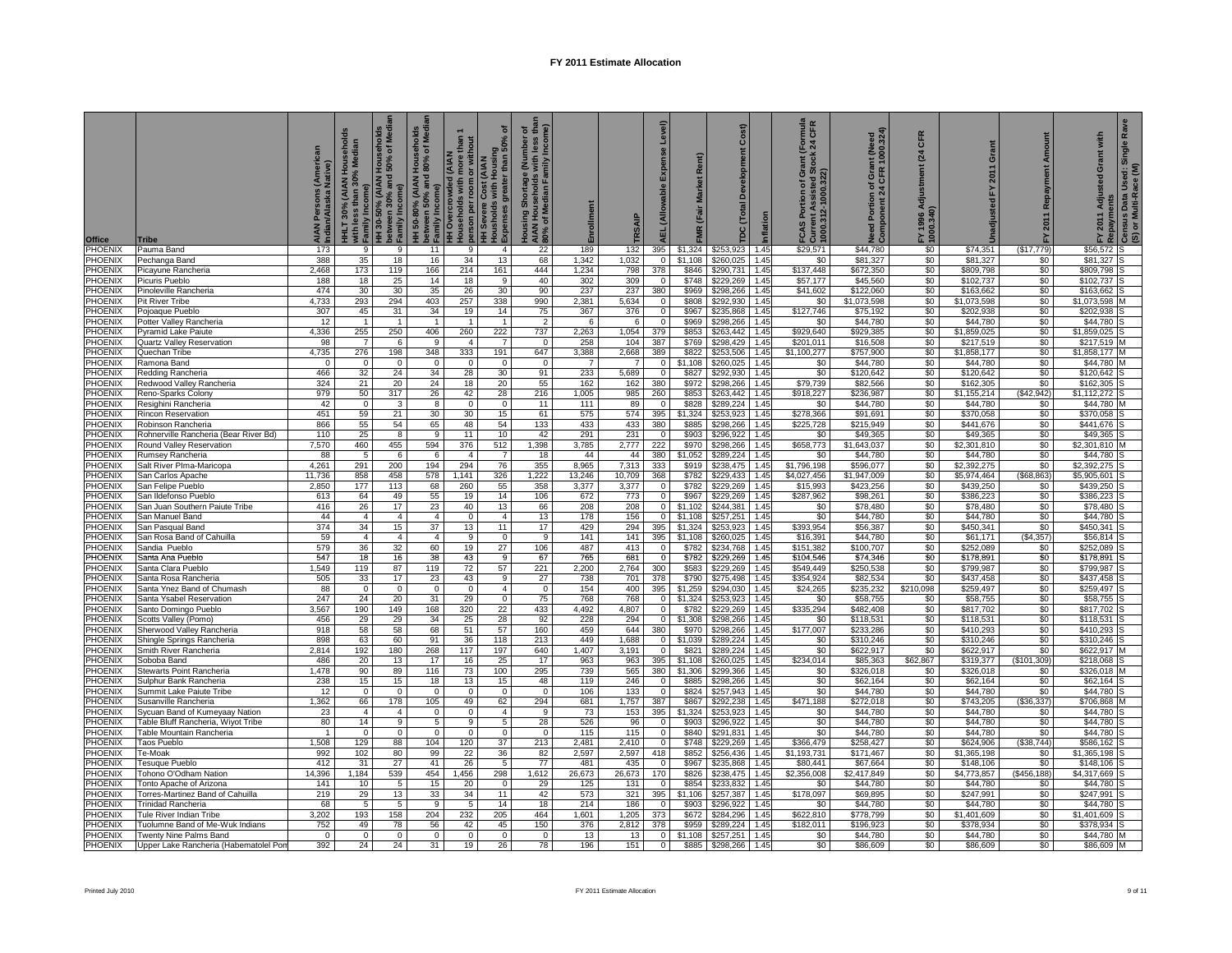| <b>Office</b>             | <b>Tribe</b>                                              | AIAN Persons (Ameri<br>Indian/Alaska Native) | HHLT 30% (AIAN Households<br>with less than 30% Median<br>o Family Income)<br>HH 30-50% (AIAN Households<br>HH 30-50% (AIAN Households<br>o Family Income) |                       | nolds<br>Media<br>HH 50-80% (AIAN Househol<br>between 50% and 80% of M<br>- Family Income) | HH Overcrowded (AIAN<br>Households with more than 1<br>plerson per room or without<br>HH Severe Cost (AIAN<br>HE Sepenses greater than 50% of<br>Expenses greater than 50% of | ৳                     | Housing Shortage (Number of<br>AIAN Households with less tha<br>80% of Median Family Income) | Enrollment      | TRSAIP          | Level)<br>Expense<br><b>AEL</b> (Allowable | (Fair Market Rent)<br><b>FMR</b> | Cost)<br>Development<br>TDC (Total |              | <b>TROP</b><br>$\frac{10}{24}$<br>Grant<br> FCAS Portion of Gra<br> Current Assisted Std<br>  1000.312-1000.322) | Need Portion of Grant (Need<br>Component 24 CFR 1000.324) | CFR<br>(24)<br>FY 1996 Adjustment<br>1000.340) | Grant<br>2011<br>ř       | Repayment Amount<br>2011<br>놊 | with<br>Grant<br>FY 2011 Adjusted<br>Repayments | Ra<br>Single<br>(S) or Multi-Race (M)<br>Census Data Used: S |
|---------------------------|-----------------------------------------------------------|----------------------------------------------|------------------------------------------------------------------------------------------------------------------------------------------------------------|-----------------------|--------------------------------------------------------------------------------------------|-------------------------------------------------------------------------------------------------------------------------------------------------------------------------------|-----------------------|----------------------------------------------------------------------------------------------|-----------------|-----------------|--------------------------------------------|----------------------------------|------------------------------------|--------------|------------------------------------------------------------------------------------------------------------------|-----------------------------------------------------------|------------------------------------------------|--------------------------|-------------------------------|-------------------------------------------------|--------------------------------------------------------------|
| <b>PHOENIX</b>            | Pauma Band                                                | 173                                          | 9                                                                                                                                                          | 9                     | 11                                                                                         | -9                                                                                                                                                                            | $\overline{4}$        | 22                                                                                           | 189             | 132             | 395                                        |                                  | \$1,324 \$253,923                  | 1.45         | \$29,571                                                                                                         | \$44,780                                                  | \$0                                            | \$74,351                 | (\$17,779)                    | \$56,572                                        |                                                              |
| PHOENIX<br>PHOENIX        | Pechanga Band<br>Picayune Rancheria                       | 388<br>2,468                                 | 35<br>173                                                                                                                                                  | 18<br>119             | 16<br>166                                                                                  | 34<br>214                                                                                                                                                                     | 13<br>161             | 68<br>444                                                                                    | 1,342<br>1,234  | 1,032<br>798    | $\mathbf{0}$<br>378                        | \$1,108<br>\$846                 | \$260,025<br>\$290,731             | 1.45<br>1.45 | \$0<br>\$137,448                                                                                                 | \$81,327<br>\$672,350                                     | \$0<br>\$0                                     | \$81,327<br>\$809,798    | \$0<br>\$0                    | \$81,327<br>\$809.798                           |                                                              |
| PHOENIX                   | Picuris Pueblo                                            | 188                                          | 18                                                                                                                                                         | 25                    | 14                                                                                         | 18                                                                                                                                                                            | 9                     | 40                                                                                           | 302             | 309             | $\mathbf 0$                                | \$748                            | \$229.269                          | 1.45         | \$57,177                                                                                                         | \$45,560                                                  | \$0                                            | \$102.737                | \$0                           | \$102.737                                       |                                                              |
| PHOENIX                   | Pinoleville Rancheria                                     | 474                                          | 30                                                                                                                                                         | 30                    | 35                                                                                         | 26                                                                                                                                                                            | 30                    | 90                                                                                           | 237             | 237             | 380                                        | \$969                            | \$298,266                          | 1.45         | \$41,602                                                                                                         | \$122,060                                                 | \$0                                            | \$163,662                | \$0                           | \$163.662                                       |                                                              |
| PHOENIX                   | Pit River Tribe                                           | 4,733                                        | 293                                                                                                                                                        | 294                   | 403                                                                                        | 257                                                                                                                                                                           | 338                   | 990                                                                                          | 2,381           | 5,634           | $\Omega$                                   | \$808                            | \$292,930                          | 1.45         | \$0                                                                                                              | \$1,073,598                                               | \$0                                            | \$1,073,598              | \$0                           | \$1,073,598                                     |                                                              |
| PHOENIX                   | Pojoaque Pueblo                                           | 307                                          | 45                                                                                                                                                         | 31                    | 34                                                                                         | 19                                                                                                                                                                            | 14                    | 75                                                                                           | 367             | 376             | $\Omega$                                   | \$967                            | \$235,868                          | 1.45         | \$127,746                                                                                                        | \$75,192                                                  | \$0                                            | \$202,938                | \$0                           | \$202,938                                       |                                                              |
| PHOENIX                   | Potter Valley Rancheria                                   | 12                                           | $\overline{1}$                                                                                                                                             | $\overline{1}$<br>250 | $\overline{1}$                                                                             | $\overline{1}$                                                                                                                                                                | $\overline{1}$        | $\overline{2}$<br>737                                                                        | - 6             | 6               | $\Omega$<br>379                            | \$969                            | \$298,266                          | 1.45         | \$0                                                                                                              | \$44,780                                                  | \$0                                            | \$44,780                 | \$0<br>\$0                    | \$44,780                                        |                                                              |
| PHOENIX<br>PHOENIX        | Pyramid Lake Paiute<br>Quartz Valley Reservation          | 4,336<br>98                                  | 255                                                                                                                                                        | 6                     | 406<br>9                                                                                   | 260<br>$\overline{4}$                                                                                                                                                         | 222<br>$\overline{7}$ | $\mathbf 0$                                                                                  | 2,263<br>258    | 1,054<br>104    | 387                                        | \$853<br>\$769                   | \$263,442<br>\$298,429             | 1.45<br>1.45 | \$929,640<br>\$201,011                                                                                           | \$929,385<br>\$16,508                                     | \$0<br>\$0                                     | \$1,859,025<br>\$217,519 | \$0                           | \$1,859,025<br>\$217,519                        |                                                              |
| PHOENIX                   | Quechan Tribe                                             | 4,735                                        | 276                                                                                                                                                        | 198                   | 348                                                                                        | 333                                                                                                                                                                           | 191                   | 647                                                                                          | 3,388           | 2,668           | 389                                        | \$822                            | \$253,506                          | 1.45         | \$1,100,277                                                                                                      | \$757,900                                                 | \$0                                            | \$1,858,177              | \$0                           | \$1,858,177                                     |                                                              |
| PHOENIX                   | Ramona Band                                               | $\mathbf 0$                                  | $\Omega$                                                                                                                                                   | $\mathsf 0$           | $\Omega$                                                                                   | $\mathbf 0$                                                                                                                                                                   | $\mathbf 0$           | $\mathbf 0$                                                                                  | $\overline{7}$  | $\overline{7}$  | $\Omega$                                   | \$1,108                          | \$260,025                          | 1.45         | \$0                                                                                                              | \$44,780                                                  | \$0                                            | \$44,780                 | \$0                           | \$44,780                                        |                                                              |
| PHOENIX                   | Redding Rancheria                                         | 466                                          | 32                                                                                                                                                         | 24                    | 34                                                                                         | 28                                                                                                                                                                            | 30                    | 91                                                                                           | 233             | 5,689           | $\mathbf 0$                                | \$827                            | \$292,930                          | 1.45         | \$0                                                                                                              | \$120,642                                                 | \$0                                            | \$120,642                | \$0                           | \$120,642                                       |                                                              |
| PHOENIX                   | Redwood Valley Rancheria                                  | 324                                          | 21                                                                                                                                                         | 20                    | 24                                                                                         | 18                                                                                                                                                                            | 20                    | 55                                                                                           | 162             | 162             | 380                                        | \$972                            | \$298,266                          | 1.45         | \$79,739                                                                                                         | \$82,566                                                  | \$0                                            | \$162,305                | \$0                           | \$162,305                                       |                                                              |
| PHOENIX                   | Reno-Sparks Colony                                        | 979                                          | 50                                                                                                                                                         | 317                   | 26                                                                                         | 42                                                                                                                                                                            | 28                    | 216                                                                                          | 1,005           | 985             | 260<br>$\Omega$                            | \$853                            | \$263,442                          | 1.45         | \$918,227                                                                                                        | \$236,987                                                 | \$0                                            | \$1,155,214              | (\$42,942)                    | \$1,112,272                                     |                                                              |
| PHOENIX<br>PHOENIX        | Resighini Rancheria<br>Rincon Reservation                 | 42<br>451                                    | $\mathbf 0$<br>59                                                                                                                                          | 3<br>21               | 8<br>30                                                                                    | $\mathbf 0$<br>30                                                                                                                                                             | $\mathbf 0$<br>15     | 11<br>61                                                                                     | 111<br>575      | 89<br>574       | 395                                        | \$828<br>\$1,324                 | \$289,224<br>\$253,923             | 1.45<br>1.45 | \$0<br>\$278,366                                                                                                 | \$44,780<br>\$91,691                                      | \$0<br>\$0                                     | \$44,780<br>\$370,058    | \$0<br>\$0                    | \$44,780<br>\$370,058                           |                                                              |
| PHOENIX                   | Robinson Rancheria                                        | 866                                          | 55                                                                                                                                                         | 54                    | 65                                                                                         | 48                                                                                                                                                                            | 54                    | 133                                                                                          | 433             | 433             | 380                                        | \$885                            | \$298,266                          | 1.45         | \$225,728                                                                                                        | \$215,949                                                 | \$0                                            | \$441,676                | \$0                           | \$441,676                                       |                                                              |
| PHOENIX                   | Rohnerville Rancheria (Bear River Bd)                     | 110                                          | 25                                                                                                                                                         | 8                     | 9                                                                                          | 11                                                                                                                                                                            | 10                    | 42                                                                                           | 291             | 231             | $\Omega$                                   | \$903                            | \$296,922                          | 1.45         | \$0                                                                                                              | \$49,365                                                  | \$0                                            | \$49,365                 | \$0                           | \$49,365                                        |                                                              |
| PHOENIX                   | Round Valley Reservation                                  | 7,570                                        | 460                                                                                                                                                        | 455                   | 594                                                                                        | 376                                                                                                                                                                           | 512                   | 1,398                                                                                        | 3,785           | 2,777           | 222                                        | \$970                            | \$298,266                          | 1.45         | \$658,773                                                                                                        | \$1,643,037                                               | \$0                                            | \$2,301,810              | \$0                           | \$2,301,810                                     |                                                              |
| PHOENIX                   | Rumsey Rancheria                                          | 88                                           | -5                                                                                                                                                         | 6                     | -6                                                                                         | $\overline{4}$                                                                                                                                                                |                       | 18                                                                                           | 44              | 44              | 380                                        | \$1,052                          | \$289,224                          | 1.45         | \$0                                                                                                              | \$44,780                                                  | \$0                                            | \$44,780                 | \$0                           | \$44,780                                        |                                                              |
| PHOENIX                   | Salt River Plma-Maricopa                                  | 4,261                                        | 291                                                                                                                                                        | 200                   | 194                                                                                        | 294                                                                                                                                                                           | 76                    | 355                                                                                          | 8.965           | 7,313           | 333                                        | \$919                            | \$238.475                          | 1.45<br>1.45 | \$1,796,198                                                                                                      | \$596.077<br>\$1.947.009                                  | \$0<br>\$0                                     | \$2,392,275              | \$0                           | \$2.392.275<br>\$5.905.601                      |                                                              |
| PHOENIX<br>PHOENIX        | San Carlos Apache<br>San Felipe Pueblo                    | 11,736<br>2,850                              | 858<br>177                                                                                                                                                 | 458<br>113            | 578<br>68                                                                                  | 1,141<br>260                                                                                                                                                                  | 326<br>55             | 1,222<br>358                                                                                 | 13,246<br>3,377 | 10,709<br>3,377 | 368<br>$\mathbf 0$                         | \$782<br>\$782                   | \$229,433<br>\$229,269             | 1.45         | \$4,027,456<br>\$15,993                                                                                          | \$423,256                                                 | \$0                                            | \$5,974,464<br>\$439,250 | ( \$68, 863)<br>\$0           | \$439,250                                       |                                                              |
| PHOENIX                   | San Ildefonso Pueblo                                      | 613                                          | 64                                                                                                                                                         | 49                    | 55                                                                                         | 19                                                                                                                                                                            | 14                    | 106                                                                                          | 672             | 773             | $\mathbf 0$                                | \$967                            | \$229,269                          | 1.45         | \$287,962                                                                                                        | \$98,261                                                  | \$0                                            | \$386,223                | \$0                           | \$386,223                                       |                                                              |
| PHOENIX                   | San Juan Southern Paiute Tribe                            | 416                                          | 26                                                                                                                                                         | 17                    | 23                                                                                         | 40                                                                                                                                                                            | 13                    | 66                                                                                           | 208             | 208             | $\Omega$                                   | \$1,102                          | \$244,381                          | 1.45         | \$0                                                                                                              | \$78,480                                                  | \$0                                            | \$78,480                 | \$0                           | \$78,480                                        |                                                              |
| PHOENIX                   | San Manuel Band                                           | 44                                           | $\overline{4}$                                                                                                                                             | $\overline{4}$        | $\overline{4}$                                                                             | $\mathbf 0$                                                                                                                                                                   | $\overline{4}$        | 13                                                                                           | 178             | 156             | $\mathbf 0$                                | \$1,108                          | \$257,251                          | 1.45         | \$0                                                                                                              | \$44.780                                                  | \$0                                            | \$44,780                 | \$0                           | \$44,780                                        |                                                              |
| PHOENIX                   | San Pasqual Band                                          | 374                                          | 34                                                                                                                                                         | 15                    | 37                                                                                         | 13                                                                                                                                                                            | 11                    | 17                                                                                           | 429             | 294             | 395                                        | \$1,324                          | \$253,923                          | 1.45         | \$393,954                                                                                                        | \$56,387                                                  | \$0                                            | \$450,341                | \$0                           | \$450.341                                       |                                                              |
| PHOENIX<br>PHOENIX        | San Rosa Band of Cahuilla<br>Sandia Pueblo                | 59<br>579                                    | $\overline{4}$<br>36                                                                                                                                       | $\overline{4}$<br>32  | $\overline{4}$<br>60                                                                       | 9<br>19                                                                                                                                                                       | $\Omega$<br>27        | 9<br>106                                                                                     | 141<br>487      | 141<br>413      | 395<br>$\Omega$                            | \$1,108<br>\$782                 | \$260,025<br>\$234,768             | 1.45<br>1.45 | \$16,391<br>\$151,382                                                                                            | \$44,780<br>\$100,707                                     | \$0<br>\$0                                     | \$61,171<br>\$252,089    | (\$4,357)<br>\$0              | \$56.814<br>\$252,089                           |                                                              |
| PHOENIX                   | Santa Ana Pueblo                                          | 547                                          | 18                                                                                                                                                         | 16                    | 38                                                                                         | 43                                                                                                                                                                            | 9                     | 67                                                                                           | 765             | 681             | $\Omega$                                   | \$782                            | \$229,269                          | 1.45         | \$104,546                                                                                                        | \$74,346                                                  | \$0                                            | \$178,891                | \$0                           | \$178,891                                       |                                                              |
| PHOENIX                   | Santa Clara Pueblo                                        | 1,549                                        | 119                                                                                                                                                        | 87                    | 119                                                                                        | 72                                                                                                                                                                            | 57                    | 221                                                                                          | 2,200           | 2,764           | 300                                        | \$583                            | \$229,269                          | 1.45         | \$549,449                                                                                                        | \$250,538                                                 | \$0                                            | \$799,987                | \$0                           | \$799,987                                       |                                                              |
| PHOENIX                   | Santa Rosa Rancheria                                      | 505                                          | 33                                                                                                                                                         | 17                    | 23                                                                                         | 43                                                                                                                                                                            | 9                     | 27                                                                                           | 738             | 701             | 378                                        | \$790                            | \$275,498                          | 1.45         | \$354,924                                                                                                        | \$82,534                                                  | \$0                                            | \$437,458                | \$0                           | \$437,458                                       |                                                              |
| PHOENIX                   | Santa Ynez Band of Chumash                                | 88                                           | $\Omega$                                                                                                                                                   | $\mathbf 0$           | $\Omega$                                                                                   | $\mathbf 0$                                                                                                                                                                   | $\mathbf{A}$          | $\mathsf 0$                                                                                  | 154             | 400             | 395                                        | \$1,259                          | \$294,030                          | 1.45         | \$24,265                                                                                                         | \$235,232                                                 | \$210,098                                      | \$259,497                | \$0                           | \$259,497                                       |                                                              |
| PHOENIX                   | Santa Ysabel Reservation                                  | 247                                          | 24                                                                                                                                                         | 20                    | 31                                                                                         | 29                                                                                                                                                                            | $^{\circ}$            | 75                                                                                           | 768             | 768             | $\mathbf{0}$                               | \$1,324                          | \$253,923                          | 1.45         | \$0                                                                                                              | \$58,755                                                  | \$0                                            | \$58,755                 | \$0                           | \$58,755                                        |                                                              |
| PHOENIX<br>PHOENIX        | Santo Domingo Pueblo                                      | 3,567<br>456                                 | 190<br>29                                                                                                                                                  | 149<br>29             | 168<br>34                                                                                  | 320<br>25                                                                                                                                                                     | 22<br>28              | 433<br>92                                                                                    | 4,492<br>228    | 4,807<br>294    | $\mathbf 0$<br>$\mathbf{0}$                | \$782<br>\$1,308                 | \$229,269<br>\$298,266             | 1.45<br>1.45 | \$335,294<br>\$0                                                                                                 | \$482,408<br>\$118,531                                    | \$0<br>\$0                                     | \$817,702<br>\$118,531   | \$0<br>\$0                    | \$817,702<br>\$118,531                          |                                                              |
| PHOENIX                   | Scotts Valley (Pomo)<br>Sherwood Valley Rancheria         | 918                                          | 58                                                                                                                                                         | 58                    | 68                                                                                         | 51                                                                                                                                                                            | 57                    | 160                                                                                          | 459             | 644             | 380                                        | \$970                            | \$298,266                          | 1.45         | \$177,007                                                                                                        | \$233,286                                                 | \$0                                            | \$410,293                | \$0                           | \$410,293                                       |                                                              |
| PHOENIX                   | Shingle Springs Rancheria                                 | 898                                          | 63                                                                                                                                                         | 60                    | 91                                                                                         | 36                                                                                                                                                                            | 118                   | 213                                                                                          | 449             | 1,688           | $\mathbf{0}$                               | \$1,039                          | \$289,224                          | 1.45         | \$0                                                                                                              | \$310,246                                                 | \$0                                            | \$310,246                | \$0                           | \$310,246                                       |                                                              |
| PHOENIX                   | Smith River Rancheria                                     | 2,814                                        | 192                                                                                                                                                        | 180                   | 268                                                                                        | 117                                                                                                                                                                           | 197                   | 640                                                                                          | 1,407           | 3,191           | $\mathbf 0$                                | \$821                            | \$289,224                          | 1.45         | \$0                                                                                                              | \$622,917                                                 | \$0                                            | \$622,917                | \$0                           | \$622,917                                       |                                                              |
| PHOENIX                   | Soboba Band                                               | 486                                          | 20                                                                                                                                                         | 13                    | 17                                                                                         | 16                                                                                                                                                                            | 25                    | 17                                                                                           | 963             | 963             | 395                                        | \$1,108                          | \$260,025                          | 1.45         | \$234,014                                                                                                        | \$85,363                                                  | \$62,867                                       | \$319,377                | (\$101,309)                   | \$218,068                                       |                                                              |
| PHOENIX<br>PHOENIX        | Stewarts Point Rancheria                                  | 1,478<br>238                                 | 90<br>15                                                                                                                                                   | 89<br>15              | 116<br>18                                                                                  | 73<br>13                                                                                                                                                                      | 100<br>15             | 295<br>48                                                                                    | 739<br>119      | 565<br>246      | 380<br>$\Omega$                            | \$1,306<br>\$885                 | \$299,366<br>\$298,266             | 1.45<br>1.45 | \$0<br>\$0                                                                                                       | \$326,018<br>\$62,164                                     | \$0<br>\$0                                     | \$326,018<br>\$62,164    | \$0<br>\$0                    | \$326,018<br>\$62,164                           |                                                              |
| PHOENIX                   | Sulphur Bank Rancheria<br>Summit Lake Paiute Tribe        | 12                                           | $\Omega$                                                                                                                                                   | $\mathbf 0$           | $\mathbf 0$                                                                                | $\mathbf{0}$                                                                                                                                                                  | $\mathbf{0}$          | $\overline{0}$                                                                               | 106             | 133             | $\Omega$                                   | \$824                            | \$257,943                          | 1.45         | \$0                                                                                                              | \$44,780                                                  | \$0                                            | \$44,780                 | \$0                           | \$44,780                                        |                                                              |
| PHOENIX                   | Susanville Rancheria                                      | 1,362                                        | 66                                                                                                                                                         | 178                   | 105                                                                                        | 49                                                                                                                                                                            | 62                    | 294                                                                                          | 681             | 1,757           | 387                                        | \$867                            | \$292,238                          | 1.45         | \$471,188                                                                                                        | \$272,018                                                 | \$0                                            | \$743,205                | (\$36,337)                    | \$706,868                                       |                                                              |
| <b>PHOENIX</b>            | Sycuan Band of Kumeyaay Nation                            | 23                                           | $\overline{4}$                                                                                                                                             | $\overline{4}$        | $\Omega$                                                                                   | $\overline{0}$                                                                                                                                                                | $\overline{4}$        | 9                                                                                            | 73              | 153             | 395                                        | \$1,324                          | \$253,923                          | 1.45         | \$0                                                                                                              | \$44,780                                                  | \$0                                            | \$44,780                 | \$0                           | \$44,780                                        |                                                              |
| PHOENIX                   | <b>Table Bluff Rancheria, Wiyot Tribe</b>                 | 80                                           | 14                                                                                                                                                         | 9                     | 5                                                                                          | 9                                                                                                                                                                             | 5                     | 28                                                                                           | 526             | 96              | $\mathbf 0$                                | \$903                            | \$296,922                          | 1.45         | \$0                                                                                                              | \$44,780                                                  | \$0                                            | \$44,780                 | \$0                           | \$44,780                                        |                                                              |
| PHOENIX                   | able Mountain Rancheria                                   | $\overline{1}$                               | $\Omega$                                                                                                                                                   | $\overline{0}$        | $\Omega$                                                                                   | $\overline{0}$                                                                                                                                                                | $\mathbf 0$           | $\overline{0}$                                                                               | 115             | 115             | $\overline{0}$                             | \$840                            | \$291,831                          | 1.45         | \$0                                                                                                              | \$44,780                                                  | \$0                                            | \$44,780                 | \$0                           | \$44,780                                        |                                                              |
| PHOENIX<br><b>PHOENIX</b> | Taos Pueblo<br>Te-Moak                                    | 1,508<br>992                                 | 129<br>102                                                                                                                                                 | 88<br>80              | 104<br>99                                                                                  | 120<br>22                                                                                                                                                                     | 37<br>36              | 213<br>82                                                                                    | 2,481<br>2,597  | 2,410<br>2,597  | $\mathbf{0}$<br>418                        | \$748<br>\$852                   | \$229,269<br>\$256,436             | 1.45<br>1.45 | \$366,479<br>\$1,193,731                                                                                         | \$258,427<br>\$171,467                                    | \$0<br>\$0                                     | \$624,906<br>\$1,365,198 | (\$38,744)<br>\$0             | \$586,162<br>\$1,365,198                        |                                                              |
| PHOENIX                   | Tesuque Pueblo                                            | 412                                          | 31                                                                                                                                                         | 27                    | 41                                                                                         | 26                                                                                                                                                                            | -5                    | 77                                                                                           | 481             | 435             | $\mathbf{0}$                               | \$967                            | \$235,868                          | 1.45         | \$80,441                                                                                                         | \$67,664                                                  | \$0                                            | \$148,106                | \$0                           | \$148,106                                       |                                                              |
| PHOENIX                   | <b>Tohono O'Odham Nation</b>                              | 14,396                                       | 1,184                                                                                                                                                      | 539                   | 454                                                                                        | 1,456                                                                                                                                                                         | 298                   | 1,612                                                                                        | 26,673          | 26,673          | 170                                        | \$826                            | \$238,475                          | 1.45         | \$2,356,008                                                                                                      | \$2,417,849                                               | \$0                                            | \$4,773,857              | ( \$456, 188)                 | \$4,317,669                                     |                                                              |
| PHOENIX                   | Tonto Apache of Arizona                                   | 141                                          | 10                                                                                                                                                         | 5                     | 15                                                                                         | 20                                                                                                                                                                            | $\Omega$              | 29                                                                                           | 125             | 131             | $\mathbf 0$                                | \$854                            | \$233.832                          | 1.45         | \$0                                                                                                              | \$44,780                                                  | \$0                                            | \$44,780                 | \$0                           | \$44,780                                        |                                                              |
| PHOENIX                   | orres-Martinez Band of Cahuilla                           | 219                                          | 29                                                                                                                                                         | 13                    | 33                                                                                         | 34                                                                                                                                                                            | 11                    | 42                                                                                           | 573             | 321             | 395                                        | \$1,106                          | \$257,387                          | 1.45         | \$178,097                                                                                                        | \$69,895                                                  | \$0                                            | \$247,991                | \$0                           | \$247,991                                       |                                                              |
| PHOENIX                   | Frinidad Rancheria                                        | 68                                           | 5                                                                                                                                                          | 5                     | 9                                                                                          | 5                                                                                                                                                                             | 14                    | 18                                                                                           | 214             | 186             | $\Omega$                                   | \$903                            | \$296,922                          | 1.45         | \$0                                                                                                              | \$44,780                                                  | \$0                                            | \$44,780                 | \$0                           | \$44,780                                        |                                                              |
| PHOENIX<br>PHOENIX        | Tule River Indian Tribe<br>uolumne Band of Me-Wuk Indians | 3,202<br>752                                 | 193<br>49                                                                                                                                                  | 158<br>78             | 204<br>56                                                                                  | 232<br>42                                                                                                                                                                     | 205<br>45             | 464<br>150                                                                                   | 1,601<br>376    | 1,205<br>2,812  | 373<br>378                                 | \$672<br>\$959                   | \$284,296<br>\$289.224             | 1.45<br>1.45 | \$622,810<br>\$182.011                                                                                           | \$778,799<br>\$196,923                                    | \$0<br>\$0                                     | \$1,401,609<br>\$378,934 | \$0<br>\$0                    | \$1,401,609<br>\$378.934                        |                                                              |
| PHOENIX                   | <b>Twenty Nine Palms Band</b>                             | $\Omega$                                     | $\Omega$                                                                                                                                                   | $\mathbf{0}$          | $\Omega$                                                                                   | $\mathbf{0}$                                                                                                                                                                  | $\Omega$              | $\Omega$                                                                                     | 13              | 13              |                                            | \$1.108                          | \$257.251                          | 1.45         | \$0                                                                                                              | \$44,780                                                  | \$0                                            | \$44,780                 | \$0                           | \$44,780                                        |                                                              |
| PHOENIX                   | Upper Lake Rancheria (Habematolel Pon                     | 392                                          | 24                                                                                                                                                         | 24                    | 31                                                                                         | 19                                                                                                                                                                            | 26                    | 78                                                                                           | 196             | 151             | $\mathbf{0}$                               | \$885                            | \$298,266                          | 1.45         | \$0                                                                                                              | \$86,609                                                  | \$0                                            | \$86,609                 | \$0                           | \$86,609                                        |                                                              |
|                           |                                                           |                                              |                                                                                                                                                            |                       |                                                                                            |                                                                                                                                                                               |                       |                                                                                              |                 |                 |                                            |                                  |                                    |              |                                                                                                                  |                                                           |                                                |                          |                               |                                                 |                                                              |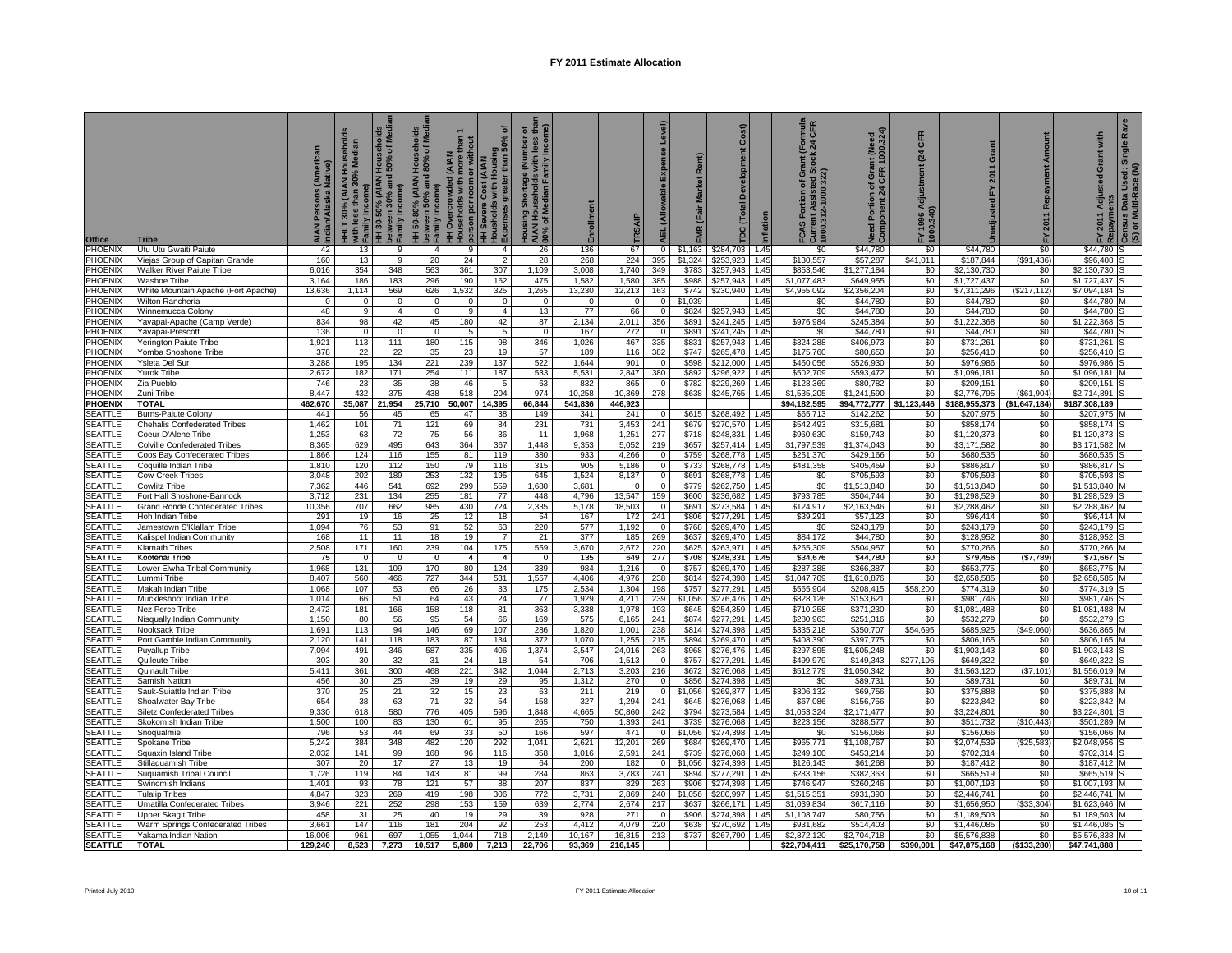| <b>Office</b>                    | <b>Tribe</b>                                                  | Indian/Alaska Native) | HHLT 30% (AIAN Households<br>with less than 30% Median<br>Incor<br>with les<br>Family I | HH 30-50% (AIAN Households<br>between 30% and 50% of Media<br>Family Income) | holds<br><b>Media</b><br>HH 50-80% (AIAN Househol<br>between 50% and 80% of M<br>- Family Income) | HH Overcrowded (AIAN<br>pleuseholds with more than 1<br>plerson per room or without<br>HH Severe Cost (AIAN<br>HH Severses greater than 50% of<br>h Expenses greater than 50% of | ৽                                | Housing Shortage (Number of<br>AIAN Households with less tha<br>80% of Median Family Income) |                 | TRSAIP           | Level)<br>Expense<br><b>AEL</b> (Allowable | Market Rent)<br>(Fair | Cost)<br><b>TDC (Total Development</b> |              | rnula<br>CFR<br>$\frac{10}{24}$<br>FCAS Portion of Gra<br>Current Assisted Stc<br>1000.312-1000.322) | Need Portion of Grant (Need<br>Component 24 CFR 1000.324) | CFR<br>(24)<br>FY 1996 Adjustment (<br>1000.340) | rant<br>ō<br>2011<br>놊     | Repayment Amount<br>2011 | with<br>ō<br>Isted         | Ra<br>Single<br>Used: S<br>tace (M)<br>j FY 2011 Adjus<br><sup>9</sup> Repayments<br><sup>1</sup> Census Data l<br>(S) or Multi-Ra |
|----------------------------------|---------------------------------------------------------------|-----------------------|-----------------------------------------------------------------------------------------|------------------------------------------------------------------------------|---------------------------------------------------------------------------------------------------|----------------------------------------------------------------------------------------------------------------------------------------------------------------------------------|----------------------------------|----------------------------------------------------------------------------------------------|-----------------|------------------|--------------------------------------------|-----------------------|----------------------------------------|--------------|------------------------------------------------------------------------------------------------------|-----------------------------------------------------------|--------------------------------------------------|----------------------------|--------------------------|----------------------------|------------------------------------------------------------------------------------------------------------------------------------|
| PHOENIX<br>PHOENIX               | Utu Utu Gwaiti Paiute                                         | 42<br>160             | 13<br>13                                                                                | -9<br>9                                                                      | $\mathbf{A}$<br>20                                                                                | -9<br>24                                                                                                                                                                         | $\overline{4}$<br>$\overline{2}$ | 26<br>28                                                                                     | 136<br>268      | 67<br>224        | $\overline{0}$<br>395                      | \$1,163               | \$284,703<br>\$253,923                 | 1.45         | \$0                                                                                                  | \$44,780<br>\$57,287                                      | \$0                                              | \$44,780<br>\$187,844      | \$0                      | \$44,780<br>\$96,408       |                                                                                                                                    |
| PHOENIX                          | Viejas Group of Capitan Grande<br>Walker River Paiute Tribe   | 6,016                 | 354                                                                                     | 348                                                                          | 563                                                                                               | 361                                                                                                                                                                              | 307                              | 1,109                                                                                        | 3,008           | 1,740            | 349                                        | \$1,324<br>\$783      | \$257,943                              | 1.45<br>1.45 | \$130,557<br>\$853,546                                                                               | \$1,277,184                                               | \$41,011<br>-SO                                  | \$2,130,730                | (\$91,436)<br>\$0        | \$2,130,730                |                                                                                                                                    |
| PHOENIX                          | Washoe Tribe                                                  | 3.164                 | 186                                                                                     | 183                                                                          | 296                                                                                               | 190                                                                                                                                                                              | 162                              | 475                                                                                          | 1.582           | 1.580            | 385                                        | \$988                 | \$257.943                              | 1.45         | \$1.077.483                                                                                          | \$649.955                                                 | \$0                                              | \$1,727,437                | \$0                      | \$1.727.437                |                                                                                                                                    |
| PHOENIX                          | White Mountain Apache (Fort Apache)                           | 13,636                | 1,114                                                                                   | 569                                                                          | 626                                                                                               | 1,532                                                                                                                                                                            | 325                              | 1,265                                                                                        | 13,230          | 12,213           | 163                                        | \$742                 | \$230,940                              | 1.45         | \$4,955,092                                                                                          | \$2,356,204                                               | \$0                                              | \$7,311,296                | (\$217, 112)             | \$7.094.184                |                                                                                                                                    |
| PHOENIX                          | Wilton Rancheria                                              | $\Omega$              | $\Omega$                                                                                | $\overline{0}$                                                               | $\Omega$                                                                                          | $\mathbf 0$                                                                                                                                                                      | - 0                              | $\overline{0}$                                                                               | $\Omega$        | $\Omega$         | $\Omega$                                   | \$1,039               |                                        | 1.45         | \$0                                                                                                  | \$44,780                                                  | \$0                                              | \$44,780                   | \$0                      | \$44,780                   |                                                                                                                                    |
| PHOENIX                          | Winnemucca Colony                                             | 48                    | 9                                                                                       | $\overline{4}$                                                               | $\Omega$                                                                                          | 9                                                                                                                                                                                | $\overline{4}$                   | 13                                                                                           | 77              | 66               | $\Omega$                                   | \$824                 | \$257,943                              | 1.45         | \$0                                                                                                  | \$44,780                                                  | \$0                                              | \$44,780                   | \$0                      | \$44,780                   |                                                                                                                                    |
| PHOENIX                          | Yavapai-Apache (Camp Verde)                                   | 834                   | 98                                                                                      | 42                                                                           | 45                                                                                                | 180                                                                                                                                                                              | 42                               | 87                                                                                           | 2,134           | 2,011            | 356                                        | \$891                 | \$241,245                              | 1.45         | \$976,984                                                                                            | \$245,384                                                 | \$0                                              | \$1,222,368                | \$0                      | \$1,222,368                |                                                                                                                                    |
| PHOENIX<br>PHOENIX               | Yavapai-Prescott                                              | 136<br>1,921          | $\overline{0}$<br>113                                                                   | $\overline{0}$<br>111                                                        | $\mathbf{0}$<br>180                                                                               | 5<br>115                                                                                                                                                                         | 5<br>98                          | $\overline{0}$<br>346                                                                        | 167<br>1,026    | 272<br>467       | $\mathbf{0}$<br>335                        | \$891<br>\$831        | \$241,245<br>\$257,943                 | 1.45<br>1.45 | \$0<br>\$324,288                                                                                     | \$44,780<br>\$406,973                                     | \$0<br>\$0                                       | \$44,780<br>\$731,261      | \$0<br>\$0               | \$44,780<br>\$731,261      |                                                                                                                                    |
| PHOENIX                          | Yerington Paiute Tribe<br>Yomba Shoshone Tribe                | 378                   | 22                                                                                      | 22                                                                           | 35                                                                                                | 23                                                                                                                                                                               | 19                               | 57                                                                                           | 189             | 116              | 382                                        | \$747                 | \$265,478                              | 1.45         | \$175,760                                                                                            | \$80,650                                                  | \$0                                              | \$256,410                  | \$0                      | \$256,410                  |                                                                                                                                    |
| PHOENIX                          | 'sleta Del Sur                                                | 3,288                 | 195                                                                                     | 134                                                                          | 221                                                                                               | 239                                                                                                                                                                              | 137                              | 522                                                                                          | 1,644           | 901              | $\Omega$                                   | \$598                 | \$212,000                              | 1.45         | \$450,056                                                                                            | \$526,930                                                 | \$0                                              | \$976,986                  | \$0                      | \$976,986                  |                                                                                                                                    |
| PHOENIX                          | Yurok Tribe                                                   | 2,672                 | 182                                                                                     | 171                                                                          | 254                                                                                               | 111                                                                                                                                                                              | 187                              | 533                                                                                          | 5,531           | 2,847            | 380                                        | \$892                 | \$296,922                              | 1.45         | \$502,709                                                                                            | \$593,472                                                 | \$0                                              | \$1,096,181                | \$0                      | \$1,096,181                |                                                                                                                                    |
| PHOENIX                          | Zia Pueblo                                                    | 746                   | 23                                                                                      | 35                                                                           | 38                                                                                                | 46                                                                                                                                                                               | 5                                | 63                                                                                           | 832             | 865              | $\mathbf 0$                                | \$782                 | \$229,269                              | 1.45         | \$128,369                                                                                            | \$80,782                                                  | \$0                                              | \$209,151                  | \$0                      | \$209,151                  |                                                                                                                                    |
| PHOENIX                          | Zuni Tribe                                                    | 8,447                 | 432                                                                                     | 375                                                                          | 438                                                                                               | 518                                                                                                                                                                              | 204                              | 974                                                                                          | 10,258          | 10,369           | 278                                        | \$638                 | \$245,765                              | 1.45         | \$1,535,205                                                                                          | \$1,241,590                                               | \$0                                              | \$2,776,795                | (\$61,904)               | \$2,714,891                |                                                                                                                                    |
| <b>PHOENIX</b>                   | TOTAL                                                         | 462,670               | 35,087                                                                                  | 21,954                                                                       | 25,710                                                                                            | 50,007                                                                                                                                                                           | 4,395                            | 66,844                                                                                       | 541,836         | 446,923          |                                            |                       |                                        |              | \$94,182,595                                                                                         | \$94,772,777                                              | \$1,123,446                                      | \$188,955,373              | (\$1,647,184)            | \$187,308,189              |                                                                                                                                    |
| <b>SEATTLE</b><br><b>SEATTLE</b> | Burns-Paiute Colony<br><b>Chehalis Confederated Tribes</b>    | 441<br>1,462          | 56<br>101                                                                               | 45<br>71                                                                     | 65<br>121                                                                                         | 47<br>69                                                                                                                                                                         | 38<br>84                         | 149<br>231                                                                                   | 341<br>731      | 241<br>3,453     | $\mathbf 0$<br>241                         | \$615<br>\$679        | \$268,492<br>\$270,570                 | 1.45<br>1.45 | \$65,713<br>\$542,493                                                                                | \$142,262<br>\$315,681                                    | \$0<br>\$0                                       | \$207,975<br>\$858,174     | \$0<br>\$0               | \$207,975<br>\$858,174     |                                                                                                                                    |
| SEATTLE                          | Coeur D'Alene Tribe                                           | 1,253                 | 63                                                                                      | 72                                                                           | 75                                                                                                | 56                                                                                                                                                                               | 36                               | 11                                                                                           | 1,968           | 1,251            | 277                                        | \$718                 | \$248,331                              | 1.45         | \$960,630                                                                                            | \$159,743                                                 | \$0                                              | \$1,120,373                | \$0                      | \$1,120,373                |                                                                                                                                    |
| <b>SEATTLE</b>                   | Colville Confederated Tribes                                  | 8,365                 | 629                                                                                     | 495                                                                          | 643                                                                                               | 364                                                                                                                                                                              | 367                              | 1,448                                                                                        | 9,353           | 5,052            | 219                                        | \$657                 | \$257,414                              | 1.45         | \$1,797,539                                                                                          | \$1,374,043                                               | \$0                                              | \$3,171,582                | \$0                      | \$3,171,582                |                                                                                                                                    |
| <b>SEATTLE</b>                   | Coos Bay Confederated Tribes                                  | 1,866                 | 124                                                                                     | 116                                                                          | 155                                                                                               | 81                                                                                                                                                                               | 119                              | 380                                                                                          | 933             | 4,266            | $\Omega$                                   | \$759                 | \$268,778                              | 1.45         | \$251,370                                                                                            | \$429,166                                                 | \$0                                              | \$680,535                  | \$0                      | \$680,535                  |                                                                                                                                    |
| <b>SEATTLE</b>                   | Coquille Indian Tribe                                         | 1,810                 | 120                                                                                     | 112                                                                          | 150                                                                                               | 79                                                                                                                                                                               | 116                              | 315                                                                                          | 905             | 5,186            | $\Omega$                                   | \$733                 | \$268,778                              | 1.45         | \$481,358                                                                                            | \$405,459                                                 | \$0                                              | \$886,817                  | \$0                      | \$886,817                  |                                                                                                                                    |
| <b>SEATTLE</b>                   | <b>Cow Creek Tribes</b>                                       | 3,048                 | 202                                                                                     | 189                                                                          | 253                                                                                               | 132                                                                                                                                                                              | 195                              | 645                                                                                          | 1,524           | 8,137            | $\Omega$                                   | \$691                 | \$268,778                              | 1.45         | \$0                                                                                                  | \$705,593                                                 | \$0                                              | \$705,593                  | \$0                      | \$705,593                  |                                                                                                                                    |
| SEATTLE                          | Cowlitz Tribe                                                 | 7,362                 | 446                                                                                     | 541                                                                          | 692                                                                                               | 299                                                                                                                                                                              | 559                              | 1,680                                                                                        | 3,681           | $\Omega$         | $\overline{0}$                             | \$779                 | \$262,750                              | 1.45         | \$0                                                                                                  | \$1,513,840                                               | \$0                                              | \$1,513,840                | \$0                      | \$1,513,840                |                                                                                                                                    |
| <b>SEATTLE</b><br>SEATTLE        | Fort Hall Shoshone-Bannock<br>Grand Ronde Confederated Tribes | 3,712<br>10,356       | 231<br>707                                                                              | 134<br>662                                                                   | 255<br>985                                                                                        | 181<br>430                                                                                                                                                                       | 77<br>724                        | 448<br>2,335                                                                                 | 4,796<br>5,178  | 13,547<br>18,503 | 159<br>$\Omega$                            | \$600<br>\$691        | \$236,682<br>\$273,584                 | 1.45<br>1.45 | \$793,785<br>\$124,917                                                                               | \$504,744<br>\$2,163,546                                  | \$0<br>\$0                                       | \$1,298,529<br>\$2,288,462 | \$0<br>\$0               | \$1,298,529<br>\$2,288,462 |                                                                                                                                    |
| SEATTLE                          | Hoh Indian Tribe                                              | 291                   | 19                                                                                      | 16                                                                           | 25                                                                                                | 12                                                                                                                                                                               | 18                               | 54                                                                                           | 167             | 172              | 241                                        | \$806                 | \$277,291                              | 1.45         | \$39,291                                                                                             | \$57,123                                                  | \$0                                              | \$96,414                   | \$0                      | \$96,414                   |                                                                                                                                    |
| SEATTLE                          | Jamestown S'Klallam Tribe                                     | 1,094                 | 76                                                                                      | 53                                                                           | 91                                                                                                | 52                                                                                                                                                                               | 63                               | 220                                                                                          | 577             | 1,192            | $\Omega$                                   | \$768                 | \$269,470                              | 1.45         | \$0                                                                                                  | \$243.179                                                 | \$0                                              | \$243,179                  | \$0                      | \$243.179                  |                                                                                                                                    |
| <b>SEATTLE</b>                   | Kalispel Indian Community                                     | 168                   | 11                                                                                      | 11                                                                           | 18                                                                                                | 19                                                                                                                                                                               | $\overline{7}$                   | 21                                                                                           | 377             | 185              | 269                                        | \$637                 | \$269.470                              | 1.45         | \$84,172                                                                                             | \$44.780                                                  | \$0                                              | \$128.952                  | \$0                      | \$128.952                  |                                                                                                                                    |
| SEATTLE                          | Klamath Tribes                                                | 2,508                 | 171                                                                                     | 160                                                                          | 239                                                                                               | 104                                                                                                                                                                              | 175                              | 559                                                                                          | 3,670           | 2,672            | 220                                        | \$625                 | \$263,971                              | 1.45         | \$265,309                                                                                            | \$504,957                                                 | \$0                                              | \$770.266                  | \$0                      | \$770,266                  |                                                                                                                                    |
| <b>SEATTLE</b>                   | Kootenai Tribe                                                | 75                    | $\Omega$                                                                                | $\bf{0}$                                                                     | $\Omega$                                                                                          | $\overline{4}$                                                                                                                                                                   | $\overline{4}$                   | $\overline{0}$                                                                               | 135             | 649              | 277                                        | \$708                 | \$248,331                              | 1.45         | \$34,676                                                                                             | \$44,780                                                  | \$0                                              | \$79,456                   | (\$7,789)                | \$71,667                   |                                                                                                                                    |
| SEATTLE                          | Lower Elwha Tribal Community                                  | 1,968                 | 131                                                                                     | 109                                                                          | 170                                                                                               | 80                                                                                                                                                                               | 124                              | 339                                                                                          | 984             | 1,216            | $\Omega$                                   | \$757                 | \$269,470                              | 1.45         | \$287,388                                                                                            | \$366,387                                                 | \$0                                              | \$653,775                  | \$0                      | \$653,775                  |                                                                                                                                    |
| <b>SEATTLE</b><br>SEATTLE        | Lummi Tribe<br>Makah Indian Tribe                             | 8,407<br>1,068        | 560<br>107                                                                              | 466<br>53                                                                    | 727<br>66                                                                                         | 344<br>26                                                                                                                                                                        | 531<br>33                        | 1,557<br>175                                                                                 | 4,406<br>2,534  | 4,976<br>1,304   | 238<br>198                                 | \$814<br>\$757        | \$274,398<br>\$277,291                 | 1.45<br>1.45 | \$1,047,709<br>\$565,904                                                                             | \$1,610,876<br>\$208,415                                  | \$0<br>\$58,200                                  | \$2,658,585<br>\$774,319   | \$0<br>\$0               | \$2,658,585<br>\$774,319   |                                                                                                                                    |
| <b>SEATTLE</b>                   | Muckleshoot Indian Tribe                                      | 1,014                 | 66                                                                                      | 51                                                                           | 64                                                                                                | 43                                                                                                                                                                               | 24                               | 77                                                                                           | 1,929           | 4,211            | 239                                        | \$1,056               | \$276,476                              | 1.45         | \$828,126                                                                                            | \$153,621                                                 | \$0                                              | \$981,746                  | \$0                      | \$981,746                  |                                                                                                                                    |
| <b>SEATTLE</b>                   | Nez Perce Tribe                                               | 2,472                 | 181                                                                                     | 166                                                                          | 158                                                                                               | 118                                                                                                                                                                              | 81                               | 363                                                                                          | 3,338           | 1,978            | 193                                        | \$645                 | \$254,359                              | 1.45         | \$710,258                                                                                            | \$371,230                                                 | \$0                                              | \$1,081,488                | \$0                      | \$1,081,488                |                                                                                                                                    |
| <b>SEATTLE</b>                   | Nisqually Indian Community                                    | 1,150                 | 80                                                                                      | 56                                                                           | 95                                                                                                | 54                                                                                                                                                                               | 66                               | 169                                                                                          | 575             | 6,165            | 241                                        | \$874                 | \$277,291                              | 1.45         | \$280,963                                                                                            | \$251,316                                                 | \$0                                              | \$532,279                  | \$0                      | \$532,279                  |                                                                                                                                    |
| <b>SEATTLE</b>                   | Nooksack Tribe                                                | 1,691                 | 113                                                                                     | 94                                                                           | 146                                                                                               | 69                                                                                                                                                                               | 107                              | 286                                                                                          | 1,820           | 1,001            | 238                                        | \$814                 | \$274,398                              | 1.45         | \$335,218                                                                                            | \$350,707                                                 | \$54,695                                         | \$685,925                  | (\$49,060)               | \$636,865                  |                                                                                                                                    |
| SEATTLE                          | Port Gamble Indian Community                                  | 2,120                 | 141                                                                                     | 118                                                                          | 183                                                                                               | 87                                                                                                                                                                               | 134                              | 372                                                                                          | 1,070           | 1,255            | 215                                        | \$894                 | \$269,470                              | 1.45         | \$408,390                                                                                            | \$397,775                                                 | \$0                                              | \$806,165                  | \$0                      | \$806,165                  |                                                                                                                                    |
| SEATTLE                          | Puyallup Tribe                                                | 7,094                 | 491                                                                                     | 346                                                                          | 587                                                                                               | 335                                                                                                                                                                              | 406                              | 1,374<br>54                                                                                  | 3,547           | 24,016           | 263<br>$\Omega$                            | \$968<br>\$757        | \$276,476<br>\$277,291                 | 1.45         | \$297,895<br>\$499,979                                                                               | \$1,605,248                                               | \$0<br>\$277,106                                 | \$1,903,143                | \$0<br>\$0               | \$1,903,143                |                                                                                                                                    |
| <b>SEATTLE</b><br>SEATTLE        | Quileute Tribe<br>Quinault Tribe                              | 303<br>5,411          | 30<br>361                                                                               | 32<br>300                                                                    | 31<br>468                                                                                         | 24<br>221                                                                                                                                                                        | 18<br>342                        | 1,044                                                                                        | 706<br>2,713    | 1,513<br>3,203   | 216                                        | \$672                 | \$276,068                              | 1.45<br>1.45 | \$512,779                                                                                            | \$149,343<br>\$1,050,342                                  | \$0                                              | \$649,322<br>\$1,563,120   | (\$7,101)                | \$649,322<br>\$1,556,019   |                                                                                                                                    |
| <b>SEATTLE</b>                   | Samish Nation                                                 | 456                   | 30                                                                                      | 25                                                                           | 39                                                                                                | 19                                                                                                                                                                               | 29                               | 95                                                                                           | 1,312           | 270              | $\mathbf{0}$                               | \$856                 | \$274,398                              | 1.45         | \$0                                                                                                  | \$89,731                                                  | \$0                                              | \$89,731                   | \$0                      | \$89,731                   |                                                                                                                                    |
| SEATTLE                          | Sauk-Suiattle Indian Tribe                                    | 370                   | 25                                                                                      | 21                                                                           | 32                                                                                                | 15                                                                                                                                                                               | 23                               | 63                                                                                           | 211             | 219              | $\circ$                                    | \$1,056               | \$269,877                              | 1.45         | \$306,132                                                                                            | \$69,756                                                  | \$0                                              | \$375,888                  | \$0                      | \$375,888                  |                                                                                                                                    |
| SEATTLE                          | Shoalwater Bay Tribe                                          | 654                   | 38                                                                                      | 63                                                                           | 71                                                                                                | 32                                                                                                                                                                               | 54                               | 158                                                                                          | 327             | 1,294            | 241                                        | \$645                 | \$276,068                              | 1.45         | \$67,086                                                                                             | \$156,756                                                 | \$0                                              | \$223,842                  | \$0                      | \$223,842                  |                                                                                                                                    |
| SEATTLE                          | Siletz Confederated Tribes                                    | 9,330                 | 618                                                                                     | 580                                                                          | 776                                                                                               | 405                                                                                                                                                                              | 596                              | 1,848                                                                                        | 4,665           | 50,860           | 242                                        | \$794                 | \$273,584                              | 1.45         | \$1,053,324                                                                                          | \$2,171,477                                               | \$0                                              | \$3,224,801                | \$0                      | \$3,224,801                |                                                                                                                                    |
| <b>SEATTLE</b>                   | Skokomish Indian Tribe                                        | 1,500                 | 100                                                                                     | 83                                                                           | 130                                                                                               | 61                                                                                                                                                                               | 95                               | 265                                                                                          | 750             | 1,393            | 241                                        | \$739                 | \$276,068                              | 1.45         | \$223,156                                                                                            | \$288,577                                                 | \$0                                              | \$511,732                  | (\$10,443)               | \$501,289                  |                                                                                                                                    |
| <b>SEATTLE</b>                   | Snoqualmie                                                    | 796                   | 53                                                                                      | 44                                                                           | 69                                                                                                | 33                                                                                                                                                                               | 50                               | 166                                                                                          | 597             | 471              | $\Omega$                                   | \$1,056               | \$274,398                              | 1.45         | \$0                                                                                                  | \$156,066                                                 | \$0                                              | \$156,066                  | \$0                      | \$156,066                  |                                                                                                                                    |
| SEATTLE<br>SEATTLE               | Spokane Tribe<br>Squaxin Island Tribe                         | 5,242<br>2,032        | 384<br>141                                                                              | 348<br>99                                                                    | 482<br>168                                                                                        | 120<br>96                                                                                                                                                                        | 292<br>116                       | 1,041<br>358                                                                                 | 2,621<br>1,016  | 12,201<br>2,591  | 269<br>241                                 | \$684<br>\$739        | \$269,470<br>\$276,068                 | 1.45<br>1.45 | \$965,771<br>\$249,100                                                                               | \$1,108,767<br>\$453,214                                  | \$0<br>\$0                                       | \$2,074,539<br>\$702,314   | (\$25,583)<br>\$0        | \$2,048,956<br>\$702,314   |                                                                                                                                    |
| <b>SEATTLE</b>                   | Stillaguamish Tribe                                           | 307                   | 20                                                                                      | 17                                                                           | 27                                                                                                | 13                                                                                                                                                                               | 19                               | 64                                                                                           | 200             | 182              | $\Omega$                                   | \$1,056               | \$274,398                              | 1.45         | \$126,143                                                                                            | \$61,268                                                  | \$0                                              | \$187,412                  | \$0                      | \$187,412                  |                                                                                                                                    |
| SEATTLE                          | Suquamish Tribal Council                                      | 1,726                 | 119                                                                                     | 84                                                                           | 143                                                                                               | 81                                                                                                                                                                               | 99                               | 284                                                                                          | 863             | 3,783            | 241                                        | \$894                 | \$277,291                              | 1.45         | \$283,156                                                                                            | \$382.363                                                 | \$0                                              | \$665,519                  | \$0                      | \$665,519                  |                                                                                                                                    |
| SEATTLE                          | Swinomish Indians                                             | 1,401                 | 93                                                                                      | 78                                                                           | 121                                                                                               | 57                                                                                                                                                                               | 88                               | 207                                                                                          | 837             | 829              | 263                                        | \$906                 | \$274,398                              | 1.45         | \$746,947                                                                                            | \$260.246                                                 | \$0                                              | \$1,007,193                | \$0                      | \$1.007.193                |                                                                                                                                    |
| <b>SEATTLE</b>                   | Tulalin Tribes                                                | 4,847                 | 323                                                                                     | 269                                                                          | 419                                                                                               | 198                                                                                                                                                                              | 306                              | 772                                                                                          | 3.731           | 2,869            | 240                                        | \$1,056               | \$280.997                              | 1.45         | \$1,515,351                                                                                          | \$931.390                                                 | \$0                                              | \$2.446.741                | \$0                      | \$2.446.741                |                                                                                                                                    |
| <b>SEATTLE</b>                   | Umatilla Confederated Tribes                                  | 3,946                 | 221                                                                                     | 252                                                                          | 298                                                                                               | 153                                                                                                                                                                              | 159                              | 639                                                                                          | 2,774           | 2,674            | 217                                        | \$637                 | \$266,171                              | 1.45         | \$1,039,834                                                                                          | \$617,116                                                 | \$0                                              | \$1,656,950                | $(*33,304)$              | \$1.623.646                |                                                                                                                                    |
| SEATTLE                          | Upper Skagit Tribe                                            | 458                   | 31                                                                                      | 25                                                                           | 40                                                                                                | 19                                                                                                                                                                               | 29                               | 39                                                                                           | 928             | 271              | $\Omega$                                   | \$906                 | \$274,398                              | 1.45         | \$1,108,747                                                                                          | \$80,756                                                  | \$0                                              | \$1,189,503                | \$0                      | \$1,189,503                |                                                                                                                                    |
| SEATTLE<br><b>SEATTLE</b>        | Warm Springs Confederated Tribes                              | 3,661<br>16,006       | 147<br>961                                                                              | 116<br>697                                                                   | 181<br>1,055                                                                                      | 204<br>1,044                                                                                                                                                                     | 92<br>718                        | 253<br>2,149                                                                                 | 4,412<br>10,167 | 4,079<br>16,815  | 220<br>213                                 | \$638<br>\$737        | \$270,692                              | 1.45         | \$931,682<br>\$2,872,120                                                                             | \$514,403                                                 | \$0<br>\$0                                       | \$1,446,085<br>\$5,576,838 | \$0<br>\$0               | \$1,446,085<br>\$5,576,838 |                                                                                                                                    |
| <b>SEATTLE</b>                   | Yakama Indian Nation<br><b>TOTAL</b>                          | 129,240               | 8,523                                                                                   | 7,273                                                                        | 10,517                                                                                            | 5,880                                                                                                                                                                            | 7,213                            | 22,706                                                                                       | 93,369          | 216,145          |                                            |                       | \$267,790                              | 1.45         | \$22,704,411                                                                                         | \$2,704,718<br>\$25,170,758                               | \$390,001                                        | \$47,875,168               | ( \$133, 280)            | \$47,741,888               |                                                                                                                                    |
|                                  |                                                               |                       |                                                                                         |                                                                              |                                                                                                   |                                                                                                                                                                                  |                                  |                                                                                              |                 |                  |                                            |                       |                                        |              |                                                                                                      |                                                           |                                                  |                            |                          |                            |                                                                                                                                    |